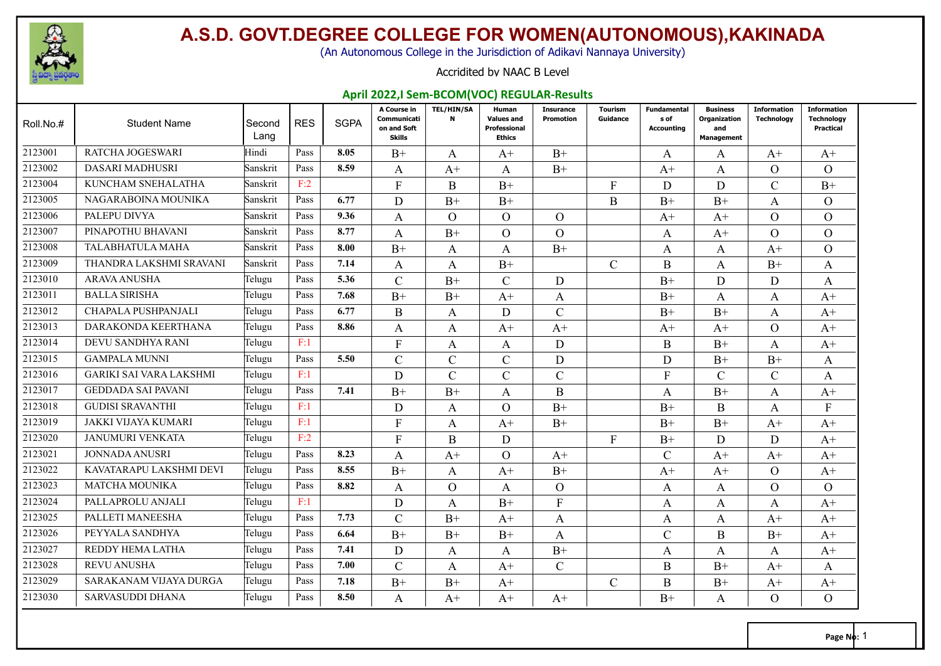

(An Autonomous College in the Jurisdiction of Adikavi Nannaya University)

#### Accridited by NAAC B Level

#### **April 2022,I Sem-BCOM(VOC) REGULAR-Results**

| Roll.No.# | <b>Student Name</b>            | Second<br>Lang | <b>RES</b> | <b>SGPA</b> | A Course in<br>Communicati<br>on and Soft<br><b>Skills</b> | <b>TEL/HIN/SA</b><br>$\mathbf{N}$ | Human<br><b>Values and</b><br>Professional<br><b>Ethics</b> | <b>Insurance</b><br><b>Promotion</b> | Tourism<br>Guidance | <b>Fundamental</b><br>s of<br><b>Accounting</b> | <b>Business</b><br>Organization<br>and<br><b>Management</b> | <b>Information</b><br><b>Technology</b> | <b>Information</b><br><b>Technology</b><br><b>Practical</b> |
|-----------|--------------------------------|----------------|------------|-------------|------------------------------------------------------------|-----------------------------------|-------------------------------------------------------------|--------------------------------------|---------------------|-------------------------------------------------|-------------------------------------------------------------|-----------------------------------------|-------------------------------------------------------------|
| 2123001   | <b>RATCHA JOGESWARI</b>        | Hindi          | Pass       | 8.05        | $B+$                                                       | A                                 | $A+$                                                        | $B+$                                 |                     | $\mathsf{A}$                                    | A                                                           | $A+$                                    | $A+$                                                        |
| 2123002   | DASARI MADHUSRI                | Sanskrit       | Pass       | 8.59        | A                                                          | $A+$                              | A                                                           | $B+$                                 |                     | $A+$                                            | A                                                           | $\Omega$                                | $\Omega$                                                    |
| 2123004   | KUNCHAM SNEHALATHA             | Sanskrit       | F:2        |             | F                                                          | B                                 | $B+$                                                        |                                      | $\mathbf{F}$        | D                                               | D                                                           | $\overline{C}$                          | $B+$                                                        |
| 2123005   | NAGARABOINA MOUNIKA            | Sanskrit       | Pass       | 6.77        | D                                                          | $B+$                              | $B+$                                                        |                                      | $\bf{B}$            | $B+$                                            | $B+$                                                        | A                                       | $\Omega$                                                    |
| 2123006   | PALEPU DIVYA                   | Sanskrit       | Pass       | 9.36        | A                                                          | $\Omega$                          | $\Omega$                                                    | $\Omega$                             |                     | $A+$                                            | $A^+$                                                       | $\Omega$                                | $\Omega$                                                    |
| 2123007   | PINAPOTHU BHAVANI              | Sanskrit       | Pass       | 8.77        | A                                                          | $B+$                              | $\Omega$                                                    | $\Omega$                             |                     | A                                               | $A+$                                                        | $\Omega$                                | $\Omega$                                                    |
| 2123008   | TALABHATULA MAHA               | Sanskrit       | Pass       | 8.00        | $B+$                                                       | A                                 | A                                                           | $B+$                                 |                     | A                                               | A                                                           | $A+$                                    | $\Omega$                                                    |
| 2123009   | THANDRA LAKSHMI SRAVANI        | Sanskrit       | Pass       | 7.14        | A                                                          | A                                 | $B+$                                                        |                                      | $\mathcal{C}$       | B                                               | A                                                           | $B+$                                    | A                                                           |
| 2123010   | <b>ARAVA ANUSHA</b>            | Telugu         | Pass       | 5.36        | $\overline{C}$                                             | $B+$                              | $\mathcal{C}$                                               | D                                    |                     | $B+$                                            | D                                                           | D                                       | A                                                           |
| 2123011   | <b>BALLA SIRISHA</b>           | Telugu         | Pass       | 7.68        | $B+$                                                       | $B+$                              | $A+$                                                        | A                                    |                     | $B+$                                            | A                                                           | A                                       | $A+$                                                        |
| 2123012   | CHAPALA PUSHPANJALI            | Telugu         | Pass       | 6.77        | B                                                          | A                                 | D                                                           | $\mathcal{C}$                        |                     | $B+$                                            | $B+$                                                        | A                                       | $A+$                                                        |
| 2123013   | DARAKONDA KEERTHANA            | Telugu         | Pass       | 8.86        | A                                                          | A                                 | $A+$                                                        | $A+$                                 |                     | $A+$                                            | $A+$                                                        | $\Omega$                                | $A+$                                                        |
| 2123014   | DEVU SANDHYA RANI              | Telugu         | F:1        |             | $\overline{F}$                                             | A                                 | A                                                           | D                                    |                     | B                                               | $B+$                                                        | A                                       | $A+$                                                        |
| 2123015   | <b>GAMPALA MUNNI</b>           | Telugu         | Pass       | 5.50        | C                                                          | $\mathcal{C}$                     | $\mathcal{C}$                                               | D                                    |                     | D                                               | $B+$                                                        | $B+$                                    | A                                                           |
| 2123016   | <b>GARIKI SAI VARA LAKSHMI</b> | Telugu         | F:1        |             | D                                                          | $\mathbf C$                       | $\mathcal{C}$                                               | $\mathbf C$                          |                     | $\mathbf{F}$                                    | $\mathcal{C}$                                               | $\overline{C}$                          | A                                                           |
| 2123017   | <b>GEDDADA SAI PAVANI</b>      | Telugu         | Pass       | 7.41        | $B+$                                                       | $B+$                              | A                                                           | B                                    |                     | A                                               | $B+$                                                        | A                                       | $A+$                                                        |
| 2123018   | <b>GUDISI SRAVANTHI</b>        | Telugu         | F:1        |             | D                                                          | A                                 | $\Omega$                                                    | $B+$                                 |                     | $B+$                                            | B                                                           | A                                       | F                                                           |
| 2123019   | JAKKI VIJAYA KUMARI            | Telugu         | F:1        |             | $\mathbf{F}$                                               | A                                 | $A+$                                                        | $B+$                                 |                     | $B+$                                            | $B+$                                                        | $A+$                                    | $A+$                                                        |
| 2123020   | JANUMURI VENKATA               | Telugu         | F:2        |             | F                                                          | B                                 | D                                                           |                                      | F                   | $B+$                                            | D                                                           | D                                       | $A+$                                                        |
| 2123021   | <b>JONNADA ANUSRI</b>          | Telugu         | Pass       | 8.23        | A                                                          | $A+$                              | $\Omega$                                                    | $A+$                                 |                     | $\mathcal{C}$                                   | $A+$                                                        | $A+$                                    | $A+$                                                        |
| 2123022   | KAVATARAPU LAKSHMI DEVI        | Telugu         | Pass       | 8.55        | $B+$                                                       | A                                 | $A+$                                                        | $B+$                                 |                     | $A+$                                            | $A+$                                                        | $\Omega$                                | $A+$                                                        |
| 2123023   | <b>MATCHA MOUNIKA</b>          | Telugu         | Pass       | 8.82        | A                                                          | $\Omega$                          | A                                                           | $\Omega$                             |                     | A                                               | A                                                           | $\Omega$                                | $\Omega$                                                    |
| 2123024   | PALLAPROLU ANJALI              | Telugu         | F:1        |             | D                                                          | A                                 | $B+$                                                        | F                                    |                     | A                                               | A                                                           | A                                       | $A+$                                                        |
| 2123025   | PALLETI MANEESHA               | Telugu         | Pass       | 7.73        | $\overline{C}$                                             | $B+$                              | $A+$                                                        | A                                    |                     | A                                               | A                                                           | $A+$                                    | $A+$                                                        |
| 2123026   | PEYYALA SANDHYA                | Telugu         | Pass       | 6.64        | $B+$                                                       | $B+$                              | $B+$                                                        | A                                    |                     | $\mathcal{C}$                                   | B                                                           | $B+$                                    | $A+$                                                        |
| 2123027   | REDDY HEMA LATHA               | Telugu         | Pass       | 7.41        | D                                                          | A                                 | A                                                           | $B+$                                 |                     | A                                               | A                                                           | A                                       | $A+$                                                        |
| 2123028   | <b>REVU ANUSHA</b>             | Telugu         | Pass       | 7.00        | $\overline{C}$                                             | A                                 | $A+$                                                        | $\mathsf{C}$                         |                     | B                                               | $B+$                                                        | $A+$                                    | A                                                           |
| 2123029   | SARAKANAM VIJAYA DURGA         | Telugu         | Pass       | 7.18        | $B+$                                                       | $B+$                              | $A+$                                                        |                                      | C                   | B                                               | $B+$                                                        | $A+$                                    | $A+$                                                        |
| 2123030   | <b>SARVASUDDI DHANA</b>        | Telugu         | Pass       | 8.50        | A                                                          | $A^+$                             | $A+$                                                        | $A^+$                                |                     | $B+$                                            | A                                                           | $\Omega$                                | $\Omega$                                                    |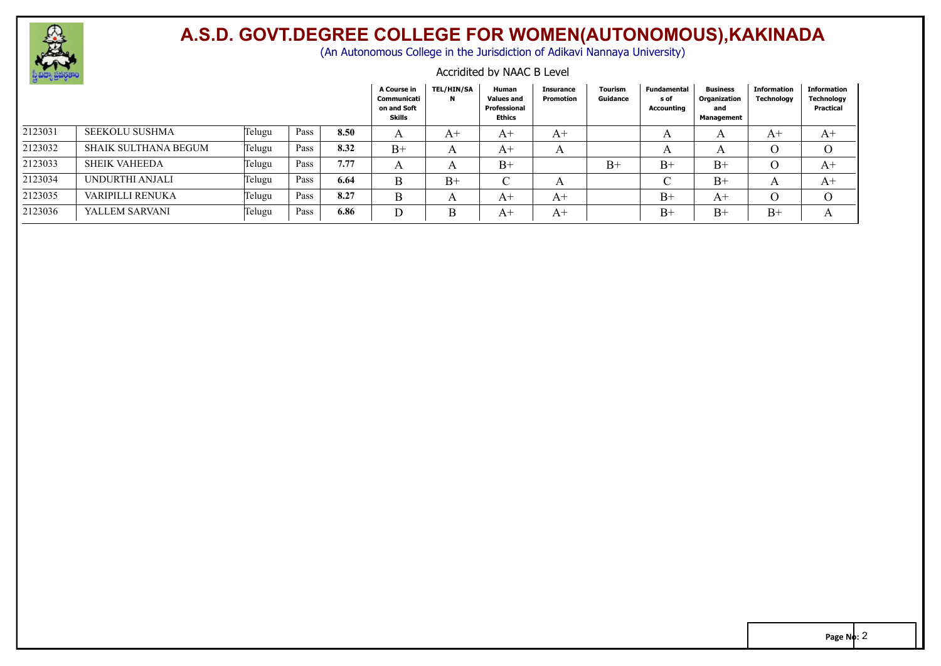

(An Autonomous College in the Jurisdiction of Adikavi Nannaya University)

#### Accridited by NAAC B Level

| $\sim$ $\sim$ |                       |        |      |      | A Course in<br>Communicati<br>on and Soft<br><b>Skills</b> | <b>TEL/HIN/SA</b><br>N | Human<br><b>Values and</b><br>Professional<br>Ethics | <b>Insurance</b><br>Promotion | <b>Tourism</b><br>Guidance | Fundamental<br>s of<br>Accounting | <b>Business</b><br>Organization<br>and<br><b>Management</b> | Information<br><b>Technology</b> | Information<br><b>Technology</b><br>Practical |
|---------------|-----------------------|--------|------|------|------------------------------------------------------------|------------------------|------------------------------------------------------|-------------------------------|----------------------------|-----------------------------------|-------------------------------------------------------------|----------------------------------|-----------------------------------------------|
| 2123031       | <b>SEEKOLU SUSHMA</b> | Telugu | Pass | 8.50 |                                                            | A+                     | A+                                                   | $A+$                          |                            | A                                 |                                                             | A+                               | $A^+$                                         |
| 2123032       | SHAIK SULTHANA BEGUM  | Telugu | Pass | 8.32 | $B+$                                                       |                        | $A+$                                                 | A                             |                            |                                   |                                                             |                                  |                                               |
| 2123033       | <b>SHEIK VAHEEDA</b>  | Telugu | Pass | 7.77 |                                                            |                        | $B+$                                                 |                               | $B+$                       | $B+$                              | $B+$                                                        |                                  | $A^+$                                         |
| 2123034       | UNDURTHI ANJALI       | Telugu | Pass | 6.64 | B                                                          | $B+$                   | $\sim$                                               | A                             |                            |                                   | $_{\rm B+}$                                                 |                                  | $A+$                                          |
| 2123035       | VARIPILLI RENUKA      | Telugu | Pass | 8.27 | B                                                          |                        | $A^+$                                                | A+                            |                            | $B+$                              | $A^+$                                                       |                                  |                                               |
| 2123036       | YALLEM SARVANI        | Telugu | Pass | 6.86 |                                                            |                        | A+                                                   | A+                            |                            | $B+$                              | $_{\rm B+}$                                                 | $B+$                             |                                               |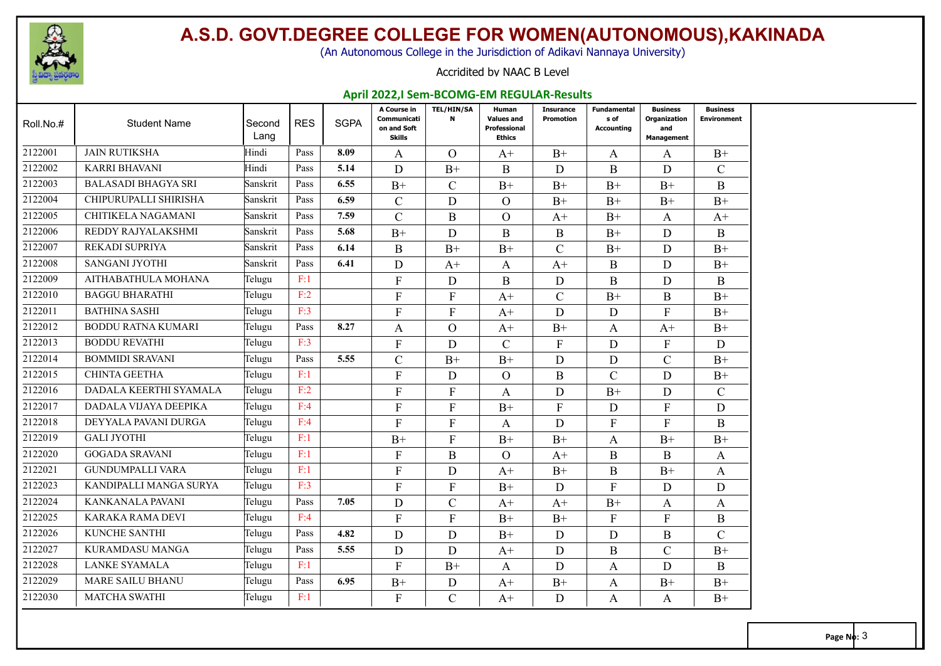

(An Autonomous College in the Jurisdiction of Adikavi Nannaya University)

#### Accridited by NAAC B Level

#### **April 2022,I Sem-BCOMG-EM REGULAR-Results**

| Roll.No.# | <b>Student Name</b>        | Second<br>Lang | <b>RES</b> | <b>SGPA</b> | A Course in<br>Communicati<br>on and Soft<br><b>Skills</b> | <b>TEL/HIN/SA</b><br>N | Human<br><b>Values and</b><br><b>Professional</b><br><b>Ethics</b> | <b>Insurance</b><br><b>Promotion</b> | <b>Fundamental</b><br>s of<br>Accounting | <b>Business</b><br>Organization<br>and<br><b>Management</b> | <b>Business</b><br><b>Environment</b> |
|-----------|----------------------------|----------------|------------|-------------|------------------------------------------------------------|------------------------|--------------------------------------------------------------------|--------------------------------------|------------------------------------------|-------------------------------------------------------------|---------------------------------------|
| 2122001   | <b>JAIN RUTIKSHA</b>       | Hindi          | Pass       | 8.09        | A                                                          | $\Omega$               | $A+$                                                               | $B+$                                 | A                                        | A                                                           | $B+$                                  |
| 2122002   | <b>KARRI BHAVANI</b>       | Hindi          | Pass       | 5.14        | D                                                          | $B+$                   | B                                                                  | D                                    | B                                        | D                                                           | $\mathcal{C}$                         |
| 2122003   | <b>BALASADI BHAGYA SRI</b> | Sanskrit       | Pass       | 6.55        | $B+$                                                       | $\mathcal{C}$          | $B+$                                                               | $B+$                                 | $B+$                                     | $B+$                                                        | $\bf{B}$                              |
| 2122004   | CHIPURUPALLI SHIRISHA      | Sanskrit       | Pass       | 6.59        | $\mathcal{C}$                                              | D                      | $\Omega$                                                           | $B+$                                 | $B+$                                     | $B+$                                                        | $B+$                                  |
| 2122005   | CHITIKELA NAGAMANI         | Sanskrit       | Pass       | 7.59        | $\mathcal{C}$                                              | $\mathbf B$            | $\mathcal{O}$                                                      | $A+$                                 | $B+$                                     | A                                                           | $A+$                                  |
| 2122006   | REDDY RAJYALAKSHMI         | Sanskrit       | Pass       | 5.68        | $B+$                                                       | D                      | B                                                                  | $\mathbf{B}$                         | $B+$                                     | D                                                           | B                                     |
| 2122007   | <b>REKADI SUPRIYA</b>      | Sanskrit       | Pass       | 6.14        | $\mathbf{B}$                                               | $B+$                   | $B+$                                                               | $\mathcal{C}$                        | $B+$                                     | D                                                           | $B+$                                  |
| 2122008   | SANGANI JYOTHI             | Sanskrit       | Pass       | 6.41        | D                                                          | $A+$                   | A                                                                  | $A+$                                 | B                                        | D                                                           | $B+$                                  |
| 2122009   | AITHABATHULA MOHANA        | Telugu         | F:1        |             | $\mathbf{F}$                                               | D                      | B                                                                  | D                                    | B                                        | D                                                           | $\bf{B}$                              |
| 2122010   | <b>BAGGU BHARATHI</b>      | Telugu         | F:2        |             | $\mathbf{F}$                                               | $\mathbf{F}$           | $A+$                                                               | $\mathcal{C}$                        | $B+$                                     | $\bf{B}$                                                    | $B+$                                  |
| 2122011   | <b>BATHINA SASHI</b>       | Telugu         | F:3        |             | $\mathbf{F}$                                               | $\mathbf{F}$           | $A+$                                                               | D                                    | D                                        | F                                                           | $B+$                                  |
| 2122012   | <b>BODDU RATNA KUMARI</b>  | Telugu         | Pass       | 8.27        | A                                                          | $\Omega$               | $A+$                                                               | $B+$                                 | A                                        | $A+$                                                        | $B+$                                  |
| 2122013   | <b>BODDU REVATHI</b>       | Telugu         | F:3        |             | $\mathbf{F}$                                               | D                      | $\mathcal{C}$                                                      | $\boldsymbol{\mathrm{F}}$            | D                                        | F                                                           | D                                     |
| 2122014   | <b>BOMMIDI SRAVANI</b>     | Telugu         | Pass       | 5.55        | $\mathcal{C}$                                              | $B+$                   | $B+$                                                               | D                                    | D                                        | $\mathcal{C}$                                               | $B+$                                  |
| 2122015   | <b>CHINTA GEETHA</b>       | Telugu         | F:1        |             | $\overline{F}$                                             | D                      | $\Omega$                                                           | $\mathbf{B}$                         | $\mathcal{C}$                            | D                                                           | $B+$                                  |
| 2122016   | DADALA KEERTHI SYAMALA     | Telugu         | F:2        |             | $\mathbf{F}$                                               | $\mathbf{F}$           | A                                                                  | D                                    | $B+$                                     | D                                                           | $\mathcal{C}$                         |
| 2122017   | DADALA VIJAYA DEEPIKA      | Telugu         | F:4        |             | $\mathbf{F}$                                               | $\mathbf{F}$           | $B+$                                                               | $\mathbf{F}$                         | D                                        | F                                                           | D                                     |
| 2122018   | DEYYALA PAVANI DURGA       | Telugu         | F:4        |             | $\mathbf{F}$                                               | $\overline{F}$         | A                                                                  | D                                    | $\mathbf{F}$                             | F                                                           | $\bf{B}$                              |
| 2122019   | <b>GALI JYOTHI</b>         | Telugu         | F:1        |             | $B+$                                                       | $\mathbf{F}$           | $B+$                                                               | $B+$                                 | A                                        | $B+$                                                        | $B+$                                  |
| 2122020   | <b>GOGADA SRAVANI</b>      | Telugu         | F:1        |             | F                                                          | $\bf{B}$               | $\Omega$                                                           | $A+$                                 | $\bf{B}$                                 | $\bf{B}$                                                    | $\mathbf{A}$                          |
| 2122021   | <b>GUNDUMPALLI VARA</b>    | Telugu         | F:1        |             | $\Gamma$                                                   | D                      | $A+$                                                               | $B+$                                 | $\bf{B}$                                 | $B+$                                                        | $\mathbf{A}$                          |
| 2122023   | KANDIPALLI MANGA SURYA     | Telugu         | F:3        |             | $\mathbf{F}$                                               | $\mathbf{F}$           | $B+$                                                               | D                                    | $\mathbf{F}$                             | D                                                           | D                                     |
| 2122024   | KANKANALA PAVANI           | Telugu         | Pass       | 7.05        | D                                                          | $\mathbf C$            | $A+$                                                               | $A+$                                 | $B+$                                     | A                                                           | A                                     |
| 2122025   | KARAKA RAMA DEVI           | Telugu         | F:4        |             | $\mathbf{F}$                                               | $\mathbf{F}$           | $B+$                                                               | $B+$                                 | $\mathbf{F}$                             | $\mathbf{F}$                                                | $\bf{B}$                              |
| 2122026   | KUNCHE SANTHI              | Telugu         | Pass       | 4.82        | D                                                          | D                      | $B+$                                                               | D                                    | D                                        | $\mathbf B$                                                 | $\mathcal{C}$                         |
| 2122027   | KURAMDASU MANGA            | Telugu         | Pass       | 5.55        | D                                                          | D                      | $A+$                                                               | D                                    | $\bf{B}$                                 | $\mathcal{C}$                                               | $B+$                                  |
| 2122028   | <b>LANKE SYAMALA</b>       | Telugu         | F:1        |             | $\mathbf{F}$                                               | $B+$                   | A                                                                  | D                                    | A                                        | D                                                           | B                                     |
| 2122029   | <b>MARE SAILU BHANU</b>    | Telugu         | Pass       | 6.95        | $B+$                                                       | D                      | $A+$                                                               | $B+$                                 | A                                        | $B+$                                                        | $B+$                                  |
| 2122030   | <b>MATCHA SWATHI</b>       | Telugu         | F:1        |             | $\mathbf{F}$                                               | $\overline{C}$         | $A+$                                                               | D                                    | A                                        | A                                                           | $B+$                                  |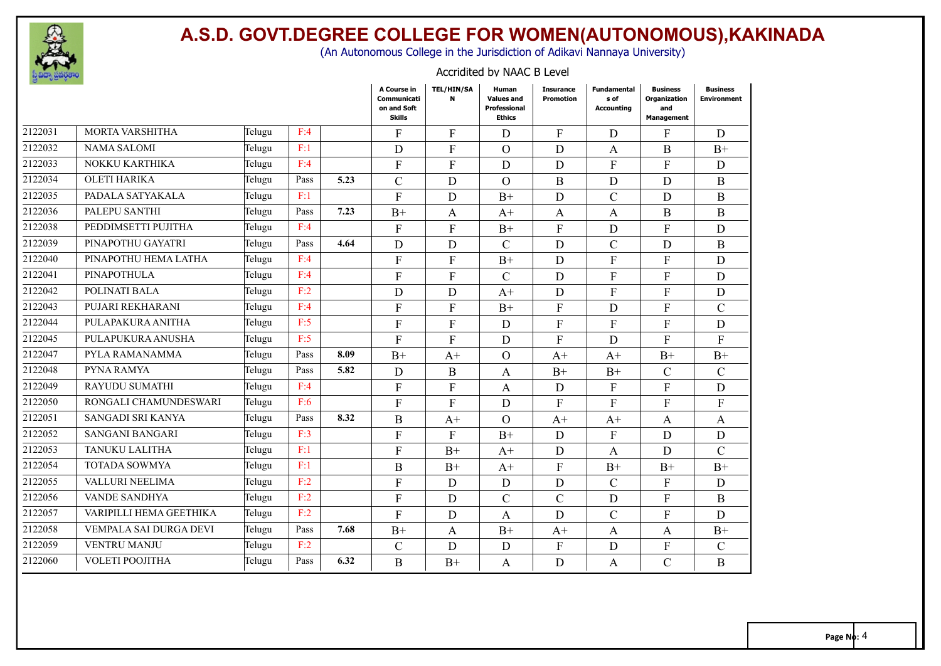

(An Autonomous College in the Jurisdiction of Adikavi Nannaya University)

#### Accridited by NAAC B Level

|         |                         |        |      |      | A Course in<br>Communicati<br>on and Soft<br><b>Skills</b> | <b>TEL/HIN/SA</b><br>N | Human<br><b>Values and</b><br>Professional<br><b>Ethics</b> | <b>Insurance</b><br><b>Promotion</b> | <b>Fundamental</b><br>s of<br><b>Accounting</b> | <b>Business</b><br>Organization<br>and<br>Management | <b>Business</b><br><b>Environment</b> |
|---------|-------------------------|--------|------|------|------------------------------------------------------------|------------------------|-------------------------------------------------------------|--------------------------------------|-------------------------------------------------|------------------------------------------------------|---------------------------------------|
| 2122031 | MORTA VARSHITHA         | Telugu | F:4  |      | $\mathbf{F}$                                               | $F_{\rm}$              | D                                                           | $\mathbf{F}$                         | D                                               | F                                                    | D                                     |
| 2122032 | <b>NAMA SALOMI</b>      | Telugu | F:1  |      | D                                                          | $\mathbf{F}$           | $\Omega$                                                    | D                                    | A                                               | $\bf{B}$                                             | $B+$                                  |
| 2122033 | NOKKU KARTHIKA          | Telugu | F:4  |      | $\mathbf{F}$                                               | $\mathbf{F}$           | D                                                           | D                                    | $\mathbf{F}$                                    | $\mathbf{F}$                                         | D                                     |
| 2122034 | <b>OLETI HARIKA</b>     | Telugu | Pass | 5.23 | $\mathcal{C}$                                              | D                      | $\mathcal{O}$                                               | $\mathbf{B}$                         | D                                               | D                                                    | $\bf{B}$                              |
| 2122035 | PADALA SATYAKALA        | Telugu | F:1  |      | $\mathbf{F}$                                               | D                      | $B+$                                                        | D                                    | $\mathbf C$                                     | D                                                    | $\bf{B}$                              |
| 2122036 | PALEPU SANTHI           | Telugu | Pass | 7.23 | $B+$                                                       | $\mathsf{A}$           | $A+$                                                        | $\mathbf{A}$                         | $\mathbf{A}$                                    | B                                                    | $\bf{B}$                              |
| 2122038 | PEDDIMSETTI PUJITHA     | Telugu | F:4  |      | F                                                          | F                      | $B+$                                                        | F                                    | D                                               | F                                                    | D                                     |
| 2122039 | PINAPOTHU GAYATRI       | Telugu | Pass | 4.64 | D                                                          | D                      | $\mathcal{C}$                                               | D                                    | $\overline{C}$                                  | D                                                    | B                                     |
| 2122040 | PINAPOTHU HEMA LATHA    | Telugu | F:4  |      | $\mathbf{F}$                                               | F                      | $B+$                                                        | D                                    | $\mathbf{F}$                                    | F                                                    | D                                     |
| 2122041 | PINAPOTHULA             | Telugu | F:4  |      | $\mathbf F$                                                | $\overline{F}$         | $\mathcal{C}$                                               | D                                    | $\mathbf{F}$                                    | $\mathbf{F}$                                         | D                                     |
| 2122042 | POLINATI BALA           | Telugu | F:2  |      | D                                                          | D                      | $A+$                                                        | D                                    | ${\bf F}$                                       | F                                                    | $\mathbf D$                           |
| 2122043 | PUJARI REKHARANI        | Telugu | F:4  |      | $\mathbf{F}$                                               | ${\bf F}$              | $B+$                                                        | ${\bf F}$                            | $\mathbf D$                                     | F                                                    | $\mathcal{C}$                         |
| 2122044 | PULAPAKURA ANITHA       | Telugu | F:5  |      | $\mathbf{F}$                                               | F                      | D                                                           | $\overline{F}$                       | $\mathbf{F}$                                    | F                                                    | D                                     |
| 2122045 | PULAPUKURA ANUSHA       | Telugu | F:5  |      | $\mathbf{F}$                                               | $\overline{F}$         | D                                                           | $\overline{F}$                       | D                                               | F                                                    | $\mathbf{F}$                          |
| 2122047 | PYLA RAMANAMMA          | Telugu | Pass | 8.09 | $B+$                                                       | $A+$                   | $\Omega$                                                    | $A+$                                 | $A+$                                            | $B+$                                                 | $B+$                                  |
| 2122048 | PYNA RAMYA              | Telugu | Pass | 5.82 | D                                                          | $\mathbf{B}$           | A                                                           | $B+$                                 | $B+$                                            | $\mathcal{C}$                                        | $\mathcal{C}$                         |
| 2122049 | RAYUDU SUMATHI          | Telugu | F:4  |      | $\mathbf{F}$                                               | $\mathbf{F}$           | A                                                           | D                                    | $\mathbf{F}$                                    | F                                                    | D                                     |
| 2122050 | RONGALI CHAMUNDESWARI   | Telugu | F:6  |      | $\mathbf{F}$                                               | $\mathbf{F}$           | D                                                           | ${\bf F}$                            | $\mathbf{F}$                                    | F                                                    | ${\bf F}$                             |
| 2122051 | SANGADI SRI KANYA       | Telugu | Pass | 8.32 | $\mathbf B$                                                | $A+$                   | $\overline{O}$                                              | $A+$                                 | $A+$                                            | A                                                    | $\mathbf{A}$                          |
| 2122052 | <b>SANGANI BANGARI</b>  | Telugu | F:3  |      | $\mathbf{F}$                                               | $\mathbf{F}$           | $B+$                                                        | D                                    | $\mathbf{F}$                                    | D                                                    | $\mathbf D$                           |
| 2122053 | TANUKU LALITHA          | Telugu | F:1  |      | $\mathbf{F}$                                               | $B+$                   | $A+$                                                        | D                                    | $\mathbf{A}$                                    | D                                                    | $\mathcal{C}$                         |
| 2122054 | <b>TOTADA SOWMYA</b>    | Telugu | F:1  |      | B                                                          | $B+$                   | $A+$                                                        | $\mathbf{F}$                         | $B+$                                            | $B+$                                                 | $B+$                                  |
| 2122055 | VALLURI NEELIMA         | Telugu | F:2  |      | F                                                          | D                      | D                                                           | D                                    | $\mathbf C$                                     | F                                                    | D                                     |
| 2122056 | <b>VANDE SANDHYA</b>    | Telugu | F:2  |      | F                                                          | D                      | $\mathcal{C}$                                               | $\mathcal{C}$                        | D                                               | F                                                    | B                                     |
| 2122057 | VARIPILLI HEMA GEETHIKA | Telugu | F:2  |      | $\mathbf{F}$                                               | D                      | A                                                           | D                                    | $\mathcal{C}$                                   | F                                                    | D                                     |
| 2122058 | VEMPALA SAI DURGA DEVI  | Telugu | Pass | 7.68 | $B+$                                                       | A                      | $B+$                                                        | $A+$                                 | A                                               | A                                                    | $B+$                                  |
| 2122059 | <b>VENTRU MANJU</b>     | Telugu | F:2  |      | $\mathcal{C}$                                              | D                      | $\mathbf D$                                                 | ${\bf F}$                            | $\mathbf{D}$                                    | F                                                    | $\mathcal{C}$                         |
| 2122060 | VOLETI POOJITHA         | Telugu | Pass | 6.32 | $\mathbf{B}$                                               | $B+$                   | A                                                           | $\mathbf D$                          | $\mathbf{A}$                                    | $\mathcal{C}$                                        | $\bf{B}$                              |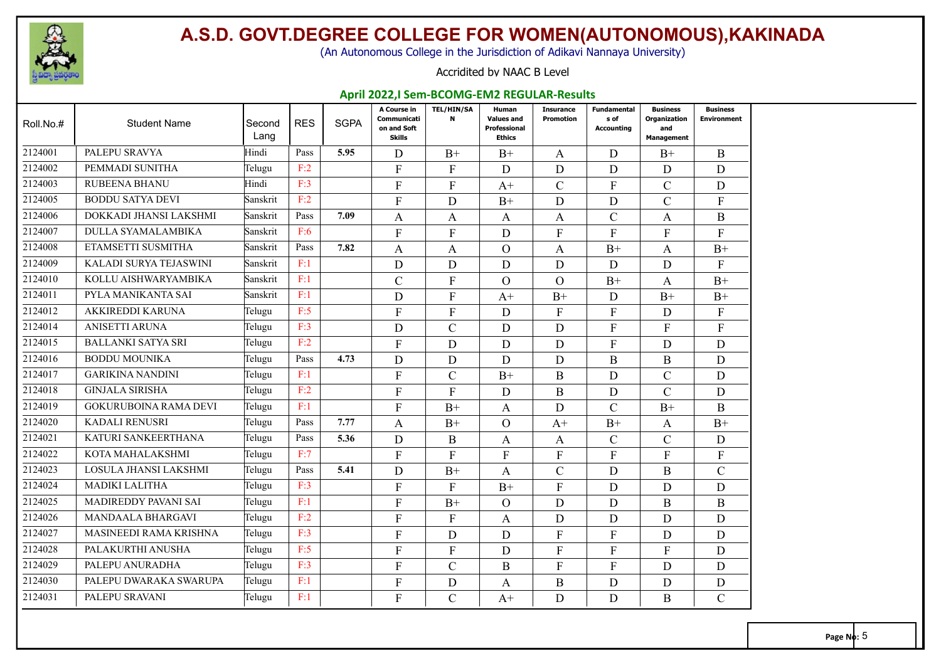

(An Autonomous College in the Jurisdiction of Adikavi Nannaya University)

#### Accridited by NAAC B Level

#### **April 2022,I Sem-BCOMG-EM2 REGULAR-Results**

| Roll.No.# | <b>Student Name</b>          | Second<br>Lang | <b>RES</b> | <b>SGPA</b> | A Course in<br>Communicati<br>on and Soft<br><b>Skills</b> | <b>TEL/HIN/SA</b><br>N | Human<br><b>Values and</b><br><b>Professional</b><br><b>Ethics</b> | <b>Insurance</b><br><b>Promotion</b> | <b>Fundamental</b><br>s of<br>Accounting | <b>Business</b><br>Organization<br>and<br><b>Management</b> | <b>Business</b><br><b>Environment</b> |
|-----------|------------------------------|----------------|------------|-------------|------------------------------------------------------------|------------------------|--------------------------------------------------------------------|--------------------------------------|------------------------------------------|-------------------------------------------------------------|---------------------------------------|
| 2124001   | PALEPU SRAVYA                | Hindi          | Pass       | 5.95        | D                                                          | $B+$                   | $B+$                                                               | A                                    | D                                        | $B+$                                                        | $\bf{B}$                              |
| 2124002   | PEMMADI SUNITHA              | Telugu         | F:2        |             | $\mathbf{F}$                                               | $\mathbf{F}$           | D                                                                  | D                                    | D                                        | D                                                           | D                                     |
| 2124003   | <b>RUBEENA BHANU</b>         | Hindi          | F:3        |             | $\mathbf{F}$                                               | $\overline{F}$         | $A+$                                                               | $\mathcal{C}$                        | $\mathbf{F}$                             | $\mathcal{C}$                                               | $\mathbf D$                           |
| 2124005   | <b>BODDU SATYA DEVI</b>      | Sanskrit       | F:2        |             | F                                                          | D                      | $B+$                                                               | D                                    | D                                        | $\mathcal{C}$                                               | F                                     |
| 2124006   | DOKKADI JHANSI LAKSHMI       | Sanskrit       | Pass       | 7.09        | A                                                          | A                      | A                                                                  | $\mathbf{A}$                         | $\mathcal{C}$                            | A                                                           | B                                     |
| 2124007   | <b>DULLA SYAMALAMBIKA</b>    | Sanskrit       | F:6        |             | $\mathbf{F}$                                               | $\overline{F}$         | D                                                                  | ${\bf F}$                            | $\mathbf{F}$                             | F                                                           | $\mathbf{F}$                          |
| 2124008   | ETAMSETTI SUSMITHA           | Sanskrit       | Pass       | 7.82        | A                                                          | A                      | $\Omega$                                                           | $\mathbf{A}$                         | $B+$                                     | A                                                           | $B+$                                  |
| 2124009   | KALADI SURYA TEJASWINI       | Sanskrit       | F:1        |             | D                                                          | D                      | D                                                                  | D                                    | D                                        | D                                                           | $\mathbf{F}$                          |
| 2124010   | KOLLU AISHWARYAMBIKA         | Sanskrit       | F:1        |             | $\mathcal{C}$                                              | $\overline{F}$         | $\Omega$                                                           | $\Omega$                             | $B+$                                     | A                                                           | $B+$                                  |
| 2124011   | PYLA MANIKANTA SAI           | Sanskrit       | F:1        |             | D                                                          | $\mathbf{F}$           | $A+$                                                               | $B+$                                 | D                                        | $B+$                                                        | $B+$                                  |
| 2124012   | AKKIREDDI KARUNA             | Telugu         | F:5        |             | $\mathbf{F}$                                               | F                      | D                                                                  | $\mathbf{F}$                         | $\mathbf{F}$                             | D                                                           | $\mathbf{F}$                          |
| 2124014   | <b>ANISETTI ARUNA</b>        | Telugu         | F:3        |             | D                                                          | $\overline{C}$         | D                                                                  | D                                    | $\mathbf{F}$                             | $\overline{F}$                                              | $\overline{F}$                        |
| 2124015   | <b>BALLANKI SATYA SRI</b>    | Telugu         | F:2        |             | $\mathbf{F}$                                               | D                      | D                                                                  | D                                    | $\mathbf{F}$                             | D                                                           | $\mathbf D$                           |
| 2124016   | <b>BODDU MOUNIKA</b>         | Telugu         | Pass       | 4.73        | D                                                          | D                      | D                                                                  | D                                    | $\bf{B}$                                 | B                                                           | $\mathbf D$                           |
| 2124017   | <b>GARIKINA NANDINI</b>      | Telugu         | F:1        |             | $\mathbf{F}$                                               | $\mathcal{C}$          | $B+$                                                               | B                                    | D                                        | $\mathcal{C}$                                               | D                                     |
| 2124018   | <b>GINJALA SIRISHA</b>       | Telugu         | F:2        |             | F                                                          | $\mathbf{F}$           | D                                                                  | $\mathbf{B}$                         | D                                        | $\mathcal{C}$                                               | D                                     |
| 2124019   | <b>GOKURUBOINA RAMA DEVI</b> | Telugu         | F:1        |             | $\mathbf{F}$                                               | $B+$                   | A                                                                  | D                                    | $\mathcal{C}$                            | $B+$                                                        | $\bf{B}$                              |
| 2124020   | <b>KADALI RENUSRI</b>        | Telugu         | Pass       | 7.77        | A                                                          | $B+$                   | $\overline{O}$                                                     | $A+$                                 | $B+$                                     | A                                                           | $B+$                                  |
| 2124021   | KATURI SANKEERTHANA          | Telugu         | Pass       | 5.36        | D                                                          | B                      | A                                                                  | $\mathbf{A}$                         | $\mathbf C$                              | $\mathcal{C}$                                               | D                                     |
| 2124022   | KOTA MAHALAKSHMI             | Telugu         | F:7        |             | $\mathbf{F}$                                               | $\mathbf{F}$           | F                                                                  | $\mathbf{F}$                         | $\mathbf{F}$                             | F                                                           | $\boldsymbol{F}$                      |
| 2124023   | LOSULA JHANSI LAKSHMI        | Telugu         | Pass       | 5.41        | D                                                          | $B+$                   | A                                                                  | $\mathbf C$                          | D                                        | $\overline{B}$                                              | $\mathcal{C}$                         |
| 2124024   | <b>MADIKI LALITHA</b>        | Telugu         | F:3        |             | F                                                          | $\mathbf{F}$           | $B+$                                                               | $\mathbf{F}$                         | D                                        | D                                                           | D                                     |
| 2124025   | MADIREDDY PAVANI SAI         | Telugu         | F:1        |             | $\mathbf{F}$                                               | $B+$                   | $\Omega$                                                           | D                                    | D                                        | B                                                           | $\bf{B}$                              |
| 2124026   | <b>MANDAALA BHARGAVI</b>     | Telugu         | F:2        |             | $\mathbf{F}$                                               | $\mathbf{F}$           | A                                                                  | D                                    | D                                        | D                                                           | $\mathbf D$                           |
| 2124027   | MASINEEDI RAMA KRISHNA       | Telugu         | F:3        |             | $\mathbf{F}$                                               | D                      | D                                                                  | ${\bf F}$                            | $\mathbf{F}$                             | D                                                           | D                                     |
| 2124028   | PALAKURTHI ANUSHA            | Telugu         | F:5        |             | $\mathbf{F}$                                               | $\mathbf{F}$           | D                                                                  | $\mathbf{F}$                         | $\mathbf{F}$                             | F                                                           | D                                     |
| 2124029   | PALEPU ANURADHA              | Telugu         | F:3        |             | $\mathbf{F}$                                               | $\mathsf{C}$           | B                                                                  | ${\bf F}$                            | $\mathbf{F}$                             | D                                                           | $\mathbf D$                           |
| 2124030   | PALEPU DWARAKA SWARUPA       | Telugu         | F:1        |             | $\overline{F}$                                             | D                      | A                                                                  | $\mathbf B$                          | D                                        | D                                                           | $\mathbf D$                           |
| 2124031   | PALEPU SRAVANI               | Telugu         | F:1        |             | $\mathbf{F}$                                               | $\mathcal{C}$          | $A+$                                                               | D                                    | D                                        | B                                                           | $\overline{C}$                        |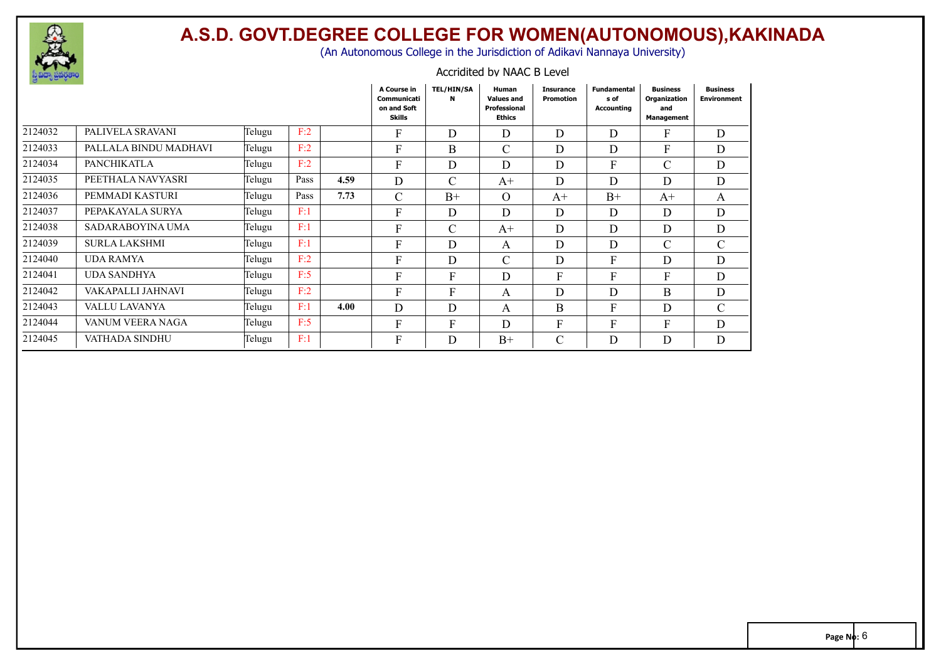

(An Autonomous College in the Jurisdiction of Adikavi Nannaya University)

#### Accridited by NAAC B Level

|         |                       |               |      |      | A Course in<br>Communicati<br>on and Soft<br><b>Skills</b> | <b>TEL/HIN/SA</b><br>N | Human<br><b>Values and</b><br>Professional<br><b>Ethics</b> | <b>Insurance</b><br>Promotion | <b>Fundamental</b><br>s of<br>Accounting | <b>Business</b><br>Organization<br>and<br>Management | <b>Business</b><br><b>Environment</b> |
|---------|-----------------------|---------------|------|------|------------------------------------------------------------|------------------------|-------------------------------------------------------------|-------------------------------|------------------------------------------|------------------------------------------------------|---------------------------------------|
| 2124032 | PALIVELA SRAVANI      | Telugu        | F:2  |      | $\boldsymbol{F}$                                           | D                      | D                                                           | D                             | D                                        | F                                                    | $\mathbf D$                           |
| 2124033 | PALLALA BINDU MADHAVI | Telugu        | F:2  |      | F                                                          | B                      | $\mathbf C$                                                 | D                             | D                                        | F                                                    | D                                     |
| 2124034 | <b>PANCHIKATLA</b>    | Telugu        | F:2  |      | F                                                          | D                      | D                                                           | D                             | F                                        | $\mathcal{C}$                                        | D                                     |
| 2124035 | PEETHALA NAVYASRI     | Telugu        | Pass | 4.59 | D                                                          | $\mathsf{C}$           | $A+$                                                        | D                             | D                                        | D                                                    | D                                     |
| 2124036 | PEMMADI KASTURI       | Telugu        | Pass | 7.73 | $\mathcal{C}$                                              | $B+$                   | $\Omega$                                                    | $A+$                          | $B+$                                     | $A+$                                                 | A                                     |
| 2124037 | PEPAKAYALA SURYA      | Telugu        | F:1  |      | F                                                          | D                      | D                                                           | D                             | D                                        | D                                                    | $\mathbf D$                           |
| 2124038 | SADARABOYINA UMA      | Telugu        | F:1  |      | F                                                          | $\mathcal{C}$          | $A^+$                                                       | D                             | D                                        | D                                                    | $\mathbf D$                           |
| 2124039 | <b>SURLA LAKSHMI</b>  | Telugu        | F:1  |      | F                                                          | D                      | A                                                           | D                             | D                                        | $\mathcal{C}$                                        | $\mathcal{C}$                         |
| 2124040 | <b>UDA RAMYA</b>      | Telugu        | F:2  |      | $\mathbf{F}$                                               | D                      | $\mathbf C$                                                 | D                             | F                                        | D                                                    | $\mathbf D$                           |
| 2124041 | UDA SANDHYA           | Telugu        | F:5  |      | F                                                          | F                      | D                                                           | F                             | F                                        | $\mathbf{F}$                                         | $\mathbf D$                           |
| 2124042 | VAKAPALLI JAHNAVI     | Telugu        | F:2  |      | F                                                          | F                      | A                                                           | D                             | D                                        | B                                                    | $\mathbf D$                           |
| 2124043 | VALLU LAVANYA         | Telugu        | F:1  | 4.00 | D                                                          | D                      | A                                                           | B                             | F                                        | D                                                    | $\mathcal{C}$                         |
| 2124044 | VANUM VEERA NAGA      | Telugu        | F:5  |      | F                                                          | F                      | D                                                           | F                             | F                                        | F                                                    | $\mathbf D$                           |
| 2124045 | VATHADA SINDHU        | <b>Telugu</b> | F:1  |      | ${\rm F}$                                                  | D                      | $B+$                                                        | $\mathcal{C}$                 | D                                        | D                                                    | $\mathbf D$                           |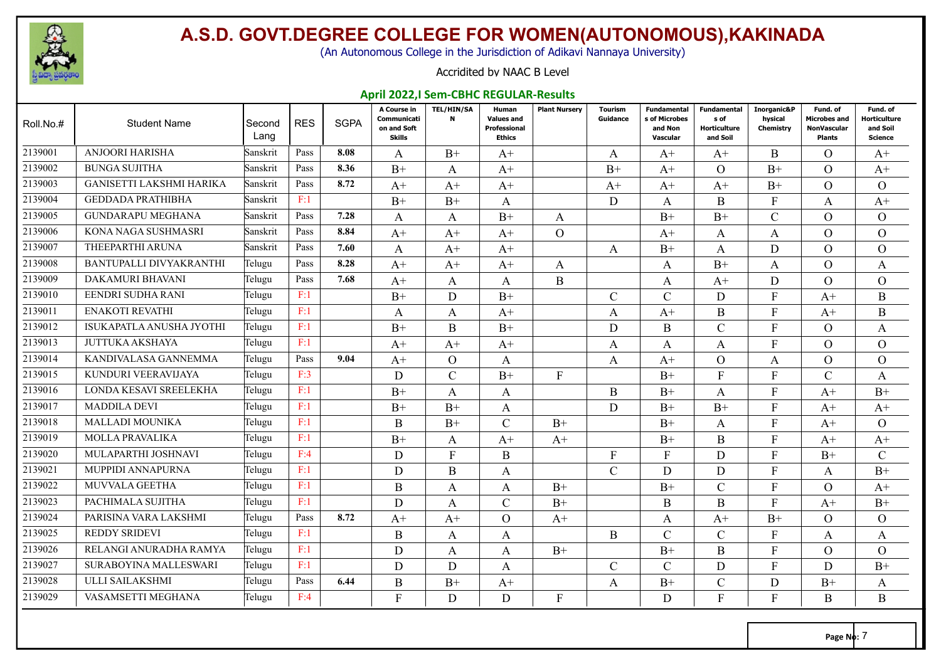

(An Autonomous College in the Jurisdiction of Adikavi Nannaya University)

#### Accridited by NAAC B Level

#### **April 2022,I Sem-CBHC REGULAR-Results**

| Roll.No.# | <b>Student Name</b>             | Second<br>Lang | <b>RES</b> | <b>SGPA</b> | A Course in<br>Communicati<br>on and Soft<br><b>Skills</b> | <b>TEL/HIN/SA</b><br>N | Human<br><b>Values and</b><br><b>Professional</b><br><b>Ethics</b> | <b>Plant Nursery</b> | Tourism<br>Guidance | Fundamental<br>s of Microbes<br>and Non<br>Vascular | Fundamental<br>s of<br><b>Horticulture</b><br>and Soil | Inorganic&P<br>hysical<br>Chemistry | Fund. of<br><b>Microbes and</b><br><b>NonVascular</b><br>Plants | Fund. of<br><b>Horticulture</b><br>and Soil<br><b>Science</b> |
|-----------|---------------------------------|----------------|------------|-------------|------------------------------------------------------------|------------------------|--------------------------------------------------------------------|----------------------|---------------------|-----------------------------------------------------|--------------------------------------------------------|-------------------------------------|-----------------------------------------------------------------|---------------------------------------------------------------|
| 2139001   | <b>ANJOORI HARISHA</b>          | Sanskrit       | Pass       | 8.08        | A                                                          | $B+$                   | $A^+$                                                              |                      | A                   | $A+$                                                | $A+$                                                   | <sub>B</sub>                        | $\Omega$                                                        | $A^+$                                                         |
| 2139002   | <b>BUNGA SUJITHA</b>            | Sanskrit       | Pass       | 8.36        | $B+$                                                       | A                      | $A+$                                                               |                      | $B+$                | $A+$                                                | $\Omega$                                               | $B+$                                | $\Omega$                                                        | $A+$                                                          |
| 2139003   | <b>GANISETTI LAKSHMI HARIKA</b> | Sanskrit       | Pass       | 8.72        | $A+$                                                       | $A+$                   | $A+$                                                               |                      | $A+$                | $A+$                                                | $A+$                                                   | $B+$                                | $\Omega$                                                        | $\Omega$                                                      |
| 2139004   | <b>GEDDADA PRATHIBHA</b>        | Sanskrit       | F:1        |             | $B+$                                                       | $B+$                   | A                                                                  |                      | D                   | A                                                   | B                                                      | F                                   | A                                                               | $A+$                                                          |
| 2139005   | <b>GUNDARAPU MEGHANA</b>        | Sanskrit       | Pass       | 7.28        | A                                                          | A                      | $B+$                                                               | A                    |                     | $B+$                                                | $B+$                                                   | $\overline{C}$                      | $\Omega$                                                        | $\Omega$                                                      |
| 2139006   | KONA NAGA SUSHMASRI             | Sanskrit       | Pass       | 8.84        | $A+$                                                       | $A+$                   | $A+$                                                               | $\Omega$             |                     | $A+$                                                | A                                                      | A                                   | $\Omega$                                                        | $\Omega$                                                      |
| 2139007   | THEEPARTHI ARUNA                | Sanskrit       | Pass       | 7.60        | A                                                          | $A+$                   | $A+$                                                               |                      | A                   | $B+$                                                | A                                                      | D                                   | $\Omega$                                                        | $\Omega$                                                      |
| 2139008   | BANTUPALLI DIVYAKRANTHI         | Telugu         | Pass       | 8.28        | $A+$                                                       | $A+$                   | $A+$                                                               | A                    |                     | A                                                   | $B+$                                                   | A                                   | $\Omega$                                                        | A                                                             |
| 2139009   | <b>DAKAMURI BHAVANI</b>         | Telugu         | Pass       | 7.68        | $A+$                                                       | A                      | A                                                                  | $\bf{B}$             |                     | A                                                   | $A+$                                                   | $\mathbf D$                         | $\Omega$                                                        | $\Omega$                                                      |
| 2139010   | EENDRI SUDHA RANI               | Telugu         | F:1        |             | $B+$                                                       | D                      | $B+$                                                               |                      | $\mathcal{C}$       | $\mathcal{C}_{\mathcal{C}}$                         | D                                                      | F                                   | $A+$                                                            | B                                                             |
| 2139011   | <b>ENAKOTI REVATHI</b>          | Telugu         | F:1        |             | A                                                          | A                      | $A+$                                                               |                      | A                   | $A+$                                                | $\mathbf{B}$                                           | $\mathbf{F}$                        | $A+$                                                            | B                                                             |
| 2139012   | ISUKAPATLA ANUSHA JYOTHI        | Telugu         | F:1        |             | $B+$                                                       | B                      | $B+$                                                               |                      | D                   | Β                                                   | C                                                      | F                                   | $\Omega$                                                        | A                                                             |
| 2139013   | <b>JUTTUKA AKSHAYA</b>          | Telugu         | F:1        |             | $A^+$                                                      | $A+$                   | $A+$                                                               |                      | A                   | A                                                   | A                                                      | F                                   | $\Omega$                                                        | $\Omega$                                                      |
| 2139014   | KANDIVALASA GANNEMMA            | Telugu         | Pass       | 9.04        | $A+$                                                       | $\Omega$               | A                                                                  |                      | A                   | $A+$                                                | $\Omega$                                               | A                                   | $\Omega$                                                        | $\Omega$                                                      |
| 2139015   | KUNDURI VEERAVIJAYA             | Telugu         | F:3        |             | D                                                          | $\mathcal{C}$          | $B+$                                                               | $\mathbf{F}$         |                     | $B+$                                                | F                                                      | F                                   | $\mathcal{C}$                                                   | A                                                             |
| 2139016   | LONDA KESAVI SREELEKHA          | Telugu         | F:1        |             | $_{\rm B+}$                                                | A                      | A                                                                  |                      | B                   | $B+$                                                | A                                                      | F                                   | $A+$                                                            | $B+$                                                          |
| 2139017   | <b>MADDILA DEVI</b>             | Telugu         | F:1        |             | $B+$                                                       | $B+$                   | A                                                                  |                      | D                   | $B+$                                                | $B+$                                                   | F                                   | $A+$                                                            | $A+$                                                          |
| 2139018   | <b>MALLADI MOUNIKA</b>          | Telugu         | F:1        |             | B                                                          | $B+$                   | $\mathcal{C}$                                                      | $B+$                 |                     | $B+$                                                | A                                                      | F                                   | $A+$                                                            | $\Omega$                                                      |
| 2139019   | <b>MOLLA PRAVALIKA</b>          | Telugu         | F:1        |             | $B+$                                                       | A                      | $A+$                                                               | $A^+$                |                     | $B+$                                                | B                                                      | F                                   | $A^+$                                                           | $A+$                                                          |
| 2139020   | MULAPARTHI JOSHNAVI             | Telugu         | F:4        |             | D                                                          | $\mathbf{F}$           | B                                                                  |                      | $\mathbf{F}$        | F                                                   | D                                                      | F                                   | $B+$                                                            | $\mathcal{C}$                                                 |
| 2139021   | MUPPIDI ANNAPURNA               | Telugu         | F:1        |             | D                                                          | $\mathbf B$            | A                                                                  |                      | $\mathcal{C}$       | D                                                   | D                                                      | F                                   | A                                                               | $B+$                                                          |
| 2139022   | <b>MUVVALA GEETHA</b>           | Telugu         | F:1        |             | B                                                          | A                      | A                                                                  | $B+$                 |                     | $B+$                                                | C                                                      | F                                   | $\Omega$                                                        | $A+$                                                          |
| 2139023   | PACHIMALA SUJITHA               | Telugu         | F:1        |             | D                                                          | A                      | $\mathsf{C}$                                                       | $B+$                 |                     | Β                                                   | B                                                      | F                                   | $A+$                                                            | $B+$                                                          |
| 2139024   | PARISINA VARA LAKSHMI           | Telugu         | Pass       | 8.72        | $A+$                                                       | $A+$                   | $\Omega$                                                           | $A+$                 |                     | A                                                   | $A+$                                                   | $B+$                                | $\Omega$                                                        | $\Omega$                                                      |
| 2139025   | <b>REDDY SRIDEVI</b>            | Telugu         | F:1        |             | B                                                          | A                      | A                                                                  |                      | B                   | $\mathcal{C}_{\mathcal{C}}$                         | $\mathsf{C}$                                           | F                                   | A                                                               | A                                                             |
| 2139026   | RELANGI ANURADHA RAMYA          | Telugu         | F:1        |             | D                                                          | A                      | $\mathbf{A}$                                                       | $B+$                 |                     | $B+$                                                | $\bf{B}$                                               | F                                   | $\Omega$                                                        | $\Omega$                                                      |
| 2139027   | SURABOYINA MALLESWARI           | Telugu         | F:1        |             | D                                                          | D                      | A                                                                  |                      | $\mathcal{C}$       | $\mathcal{C}_{\mathcal{C}}$                         | D                                                      | F                                   | D                                                               | $B+$                                                          |
| 2139028   | ULLI SAILAKSHMI                 | Telugu         | Pass       | 6.44        | B                                                          | $B+$                   | $A+$                                                               |                      | A                   | $B+$                                                | $\mathsf{C}$                                           | D                                   | $B+$                                                            | A                                                             |
| 2139029   | VASAMSETTI MEGHANA              | Telugu         | F:4        |             | $\mathbf{F}$                                               | D                      | D.                                                                 | F                    |                     | D                                                   | F                                                      | F                                   | <sub>B</sub>                                                    | B                                                             |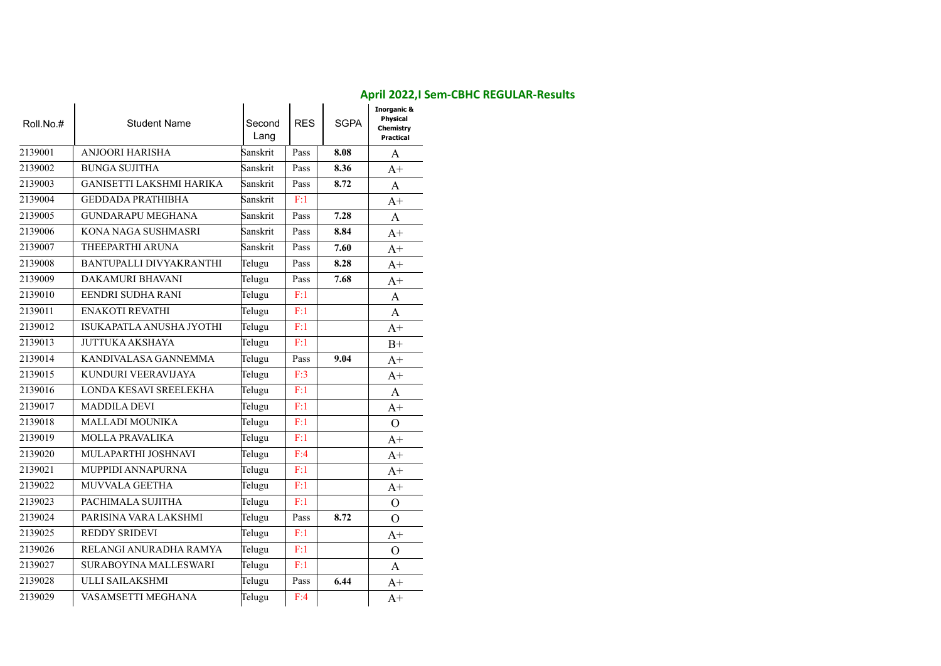| Roll.No.# | <b>Student Name</b>             | Second<br>Lang | <b>RES</b> | <b>SGPA</b> | <b>Inorganic &amp;</b><br>Physical<br>Chemistry<br><b>Practical</b> |
|-----------|---------------------------------|----------------|------------|-------------|---------------------------------------------------------------------|
| 2139001   | <b>ANJOORI HARISHA</b>          | Sanskrit       | Pass       | 8.08        | A                                                                   |
| 2139002   | <b>BUNGA SUJITHA</b>            | Sanskrit       | Pass       | 8.36        | $A+$                                                                |
| 2139003   | <b>GANISETTI LAKSHMI HARIKA</b> | Sanskrit       | Pass       | 8.72        | A                                                                   |
| 2139004   | <b>GEDDADA PRATHIBHA</b>        | Sanskrit       | F:1        |             | $A+$                                                                |
| 2139005   | <b>GUNDARAPU MEGHANA</b>        | Sanskrit       | Pass       | 7.28        | A                                                                   |
| 2139006   | KONA NAGA SUSHMASRI             | Sanskrit       | Pass       | 8.84        | $A+$                                                                |
| 2139007   | THEEPARTHI ARUNA                | Sanskrit       | Pass       | 7.60        | $A+$                                                                |
| 2139008   | BANTUPALLI DIVYAKRANTHI         | Telugu         | Pass       | 8.28        | $A+$                                                                |
| 2139009   | <b>DAKAMURI BHAVANI</b>         | Telugu         | Pass       | 7.68        | $A+$                                                                |
| 2139010   | EENDRI SUDHA RANI               | Telugu         | F:1        |             | A                                                                   |
| 2139011   | <b>ENAKOTI REVATHI</b>          | Telugu         | F:1        |             | A                                                                   |
| 2139012   | ISUKAPATLA ANUSHA JYOTHI        | Telugu         | F:1        |             | $A+$                                                                |
| 2139013   | <b>JUTTUKA AKSHAYA</b>          | Telugu         | F:1        |             | $B+$                                                                |
| 2139014   | KANDIVALASA GANNEMMA            | Telugu         | Pass       | 9.04        | $A+$                                                                |
| 2139015   | KUNDURI VEERAVIJAYA             | Telugu         | F:3        |             | $A+$                                                                |
| 2139016   | LONDA KESAVI SREELEKHA          | Telugu         | F:1        |             | $\mathbf{A}$                                                        |
| 2139017   | <b>MADDILA DEVI</b>             | Telugu         | F:1        |             | $A+$                                                                |
| 2139018   | MALLADI MOUNIKA                 | Telugu         | F:1        |             | $\Omega$                                                            |
| 2139019   | MOLLA PRAVALIKA                 | Telugu         | F:1        |             | $A+$                                                                |
| 2139020   | MULAPARTHI JOSHNAVI             | Telugu         | F:4        |             | $A+$                                                                |
| 2139021   | <b>MUPPIDI ANNAPURNA</b>        | Telugu         | F:1        |             | $A+$                                                                |
| 2139022   | MUVVALA GEETHA                  | Telugu         | F:1        |             | $A+$                                                                |
| 2139023   | PACHIMALA SUJITHA               | Telugu         | F:1        |             | $\Omega$                                                            |
| 2139024   | PARISINA VARA LAKSHMI           | Telugu         | Pass       | 8.72        | $\Omega$                                                            |
| 2139025   | <b>REDDY SRIDEVI</b>            | Telugu         | F:1        |             | $A+$                                                                |
| 2139026   | RELANGI ANURADHA RAMYA          | Telugu         | F:1        |             | $\Omega$                                                            |
| 2139027   | SURABOYINA MALLESWARI           | Telugu         | F:1        |             | A                                                                   |
| 2139028   | ULLI SAILAKSHMI                 | Telugu         | Pass       | 6.44        | $A+$                                                                |
| 2139029   | VASAMSETTI MEGHANA              | Telugu         | F:4        |             | $A+$                                                                |

#### **April 2022,I Sem-CBHC REGULAR-Results**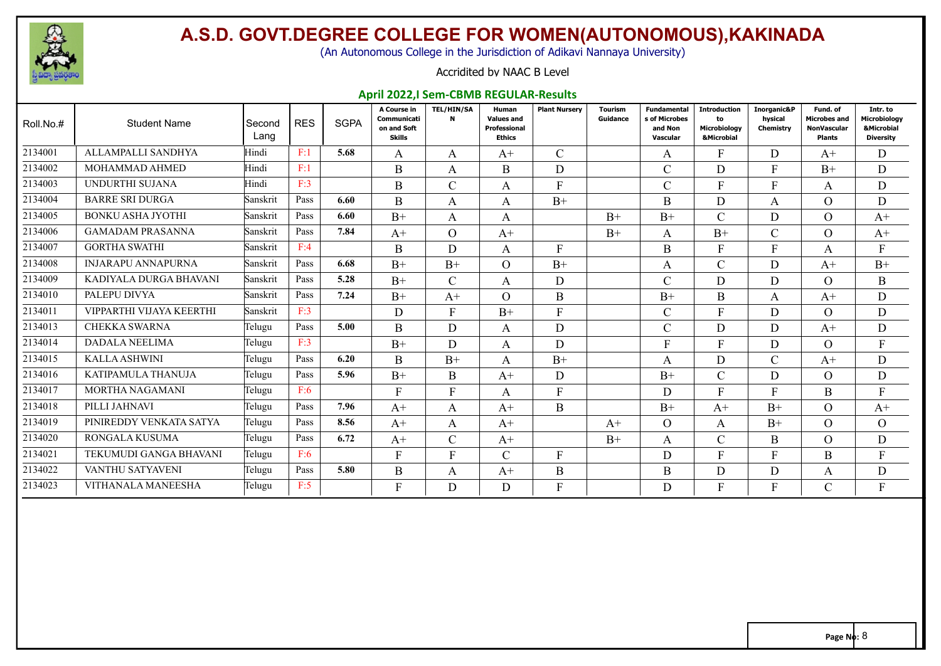

(An Autonomous College in the Jurisdiction of Adikavi Nannaya University)

#### Accridited by NAAC B Level

#### **April 2022,I Sem-CBMB REGULAR-Results**

| Roll.No.# | <b>Student Name</b>       | Second<br>Lang | <b>RES</b> | <b>SGPA</b> | A Course in<br>Communicati<br>on and Soft<br>Skills | <b>TEL/HIN/SA</b><br>N | Human<br><b>Values and</b><br>Professional<br><b>Ethics</b> | <b>Plant Nurserv</b> | <b>Tourism</b><br>Guidance | <b>Fundamental</b><br>s of Microbes<br>and Non<br>Vascular | <b>Introduction</b><br>to<br>Microbiology<br><b>&amp;Microbial</b> | Inorganic&P<br>hysical<br>Chemistry | Fund, of<br><b>Microbes and</b><br>NonVascular<br><b>Plants</b> | Intr. to<br><b>Microbiology</b><br><b>&amp;Microbial</b><br><b>Diversity</b> |
|-----------|---------------------------|----------------|------------|-------------|-----------------------------------------------------|------------------------|-------------------------------------------------------------|----------------------|----------------------------|------------------------------------------------------------|--------------------------------------------------------------------|-------------------------------------|-----------------------------------------------------------------|------------------------------------------------------------------------------|
| 2134001   | ALLAMPALLI SANDHYA        | Hindi          | F:1        | 5.68        | A                                                   | A                      | $A^+$                                                       | $\mathcal{C}$        |                            | A                                                          | F.                                                                 | D                                   | $A^+$                                                           | D                                                                            |
| 2134002   | <b>MOHAMMAD AHMED</b>     | Hindi          | F:1        |             | B                                                   | A                      | B                                                           | D                    |                            | C                                                          | D                                                                  | F                                   | $B+$                                                            | D                                                                            |
| 2134003   | UNDURTHI SUJANA           | Hindi          | F:3        |             | B                                                   | $\mathsf{C}$           | A                                                           | F                    |                            | C                                                          | F                                                                  | F                                   | A                                                               | D                                                                            |
| 2134004   | <b>BARRE SRI DURGA</b>    | Sanskrit       | Pass       | 6.60        | B                                                   | A                      | A                                                           | $B+$                 |                            | B                                                          | D.                                                                 | A                                   | $\Omega$                                                        | D                                                                            |
| 2134005   | <b>BONKU ASHA JYOTHI</b>  | Sanskrit       | Pass       | 6.60        | $B+$                                                | A                      | A                                                           |                      | $B+$                       | $B+$                                                       |                                                                    | D                                   | $\Omega$                                                        | $A^+$                                                                        |
| 2134006   | <b>GAMADAM PRASANNA</b>   | Sanskrit       | Pass       | 7.84        | $A+$                                                | $\Omega$               | $A+$                                                        |                      | $B+$                       | A                                                          | $B+$                                                               | C                                   | $\Omega$                                                        | $A+$                                                                         |
| 2134007   | <b>GORTHA SWATHI</b>      | Sanskrit       | F:4        |             | B                                                   | D                      | A                                                           | F                    |                            | B                                                          | F                                                                  | F.                                  | A                                                               | F                                                                            |
| 2134008   | <b>INJARAPU ANNAPURNA</b> | Sanskrit       | Pass       | 6.68        | $B+$                                                | $B+$                   | $\Omega$                                                    | $B+$                 |                            | A                                                          | $\mathsf{C}$                                                       | D                                   | $A+$                                                            | $B+$                                                                         |
| 2134009   | KADIYALA DURGA BHAVANI    | Sanskrit       | Pass       | 5.28        | $B+$                                                | $\mathcal{C}$          | $\mathsf{A}$                                                | D                    |                            | C                                                          | D.                                                                 | D                                   | $\Omega$                                                        | $\bf{B}$                                                                     |
| 2134010   | PALEPU DIVYA              | Sanskrit       | Pass       | 7.24        | $B+$                                                | $A+$                   | $\Omega$                                                    | B                    |                            | $B+$                                                       | <sub>B</sub>                                                       | A                                   | $A+$                                                            | $\mathbf D$                                                                  |
| 2134011   | VIPPARTHI VIJAYA KEERTHI  | Sanskrit       | F:3        |             | D                                                   | F                      | $B+$                                                        | F                    |                            | $\mathcal{C}$                                              | $\mathbf{F}$                                                       | D                                   | $\Omega$                                                        | D                                                                            |
| 2134013   | <b>CHEKKA SWARNA</b>      | Telugu         | Pass       | 5.00        | B                                                   | D                      | A                                                           | D                    |                            | $\mathsf{C}$                                               | D.                                                                 | D                                   | $A+$                                                            | D                                                                            |
| 2134014   | <b>DADALA NEELIMA</b>     | Telugu         | F:3        |             | $B+$                                                | D                      | $\mathsf{A}$                                                | D                    |                            | E                                                          | $\mathbf{F}$                                                       | D                                   | $\Omega$                                                        | $\mathbf{F}$                                                                 |
| 2134015   | <b>KALLA ASHWINI</b>      | Telugu         | Pass       | 6.20        | B                                                   | $B+$                   | A                                                           | $B+$                 |                            | A                                                          | D                                                                  | $\mathsf{C}$                        | $A+$                                                            | D                                                                            |
| 2134016   | KATIPAMULA THANUJA        | Telugu         | Pass       | 5.96        | $B+$                                                | B                      | $A+$                                                        | D                    |                            | $B+$                                                       | C                                                                  | D                                   | $\Omega$                                                        | D                                                                            |
| 2134017   | MORTHA NAGAMANI           | Telugu         | F:6        |             | F                                                   | F                      | A                                                           | F                    |                            | D                                                          | F                                                                  | F                                   | B                                                               | $\mathbf{F}$                                                                 |
| 2134018   | PILLI JAHNAVI             | Telugu         | Pass       | 7.96        | $A+$                                                | A                      | $A+$                                                        | B                    |                            | $B+$                                                       | $A+$                                                               | $B+$                                | $\Omega$                                                        | $A+$                                                                         |
| 2134019   | PINIREDDY VENKATA SATYA   | Telugu         | Pass       | 8.56        | $A+$                                                | A                      | $A+$                                                        |                      | $A+$                       | $\Omega$                                                   | A                                                                  | $B+$                                | $\Omega$                                                        | $\overline{O}$                                                               |
| 2134020   | <b>RONGALA KUSUMA</b>     | Telugu         | Pass       | 6.72        | $A+$                                                | $\mathcal{C}$          | $A+$                                                        |                      | $B+$                       | A                                                          | $\mathsf{C}$                                                       | $\mathbf{B}$                        | $\Omega$                                                        | D                                                                            |
| 2134021   | TEKUMUDI GANGA BHAVANI    | Telugu         | F:6        |             | F                                                   | F                      | $\mathbf{C}$                                                | F                    |                            | D                                                          | F                                                                  | E                                   | B                                                               |                                                                              |
| 2134022   | VANTHU SATYAVENI          | Telugu         | Pass       | 5.80        | B                                                   | A                      | $A+$                                                        | B                    |                            | B                                                          | D                                                                  | D                                   | A                                                               | D                                                                            |
| 2134023   | VITHANALA MANEESHA        | Telugu         | F:5        |             | F                                                   | D                      | D                                                           | F                    |                            | D                                                          |                                                                    |                                     | $\sim$                                                          | F                                                                            |
|           |                           |                |            |             |                                                     |                        |                                                             |                      |                            |                                                            |                                                                    |                                     |                                                                 |                                                                              |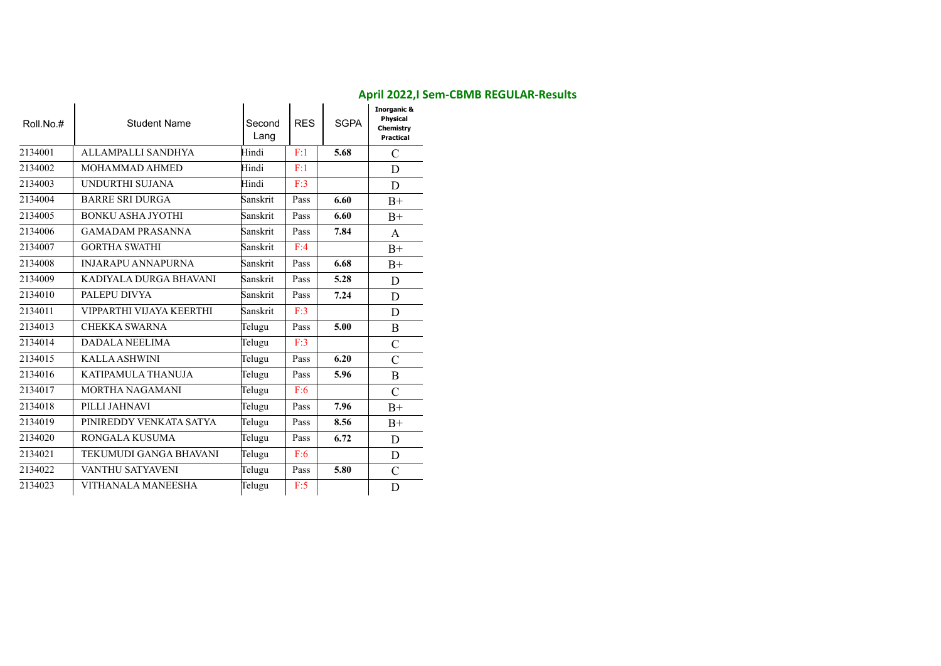| Roll.No.# | <b>Student Name</b>       | Second<br>Lang | <b>RES</b> | <b>SGPA</b> | <b>Inorganic &amp;</b><br><b>Physical</b><br>Chemistry<br><b>Practical</b> |
|-----------|---------------------------|----------------|------------|-------------|----------------------------------------------------------------------------|
| 2134001   | ALLAMPALLI SANDHYA        | Hindi          | F:1        | 5.68        | $\mathcal{C}$                                                              |
| 2134002   | <b>MOHAMMAD AHMED</b>     | Hindi          | F:1        |             | D                                                                          |
| 2134003   | UNDURTHI SUJANA           | Hindi          | F:3        |             | D                                                                          |
| 2134004   | <b>BARRE SRI DURGA</b>    | Sanskrit       | Pass       | 6.60        | $B+$                                                                       |
| 2134005   | <b>BONKU ASHA JYOTHI</b>  | Sanskrit       | Pass       | 6.60        | $B+$                                                                       |
| 2134006   | <b>GAMADAM PRASANNA</b>   | Sanskrit       | Pass       | 7.84        | A                                                                          |
| 2134007   | <b>GORTHA SWATHI</b>      | Sanskrit       | F:4        |             | $B+$                                                                       |
| 2134008   | <b>INJARAPU ANNAPURNA</b> | Sanskrit       | Pass       | 6.68        | $B+$                                                                       |
| 2134009   | KADIYALA DURGA BHAVANI    | Sanskrit       | Pass       | 5.28        | D                                                                          |
| 2134010   | PALEPU DIVYA              | Sanskrit       | Pass       | 7.24        | D                                                                          |
| 2134011   | VIPPARTHI VIJAYA KEERTHI  | Sanskrit       | F:3        |             | D                                                                          |
| 2134013   | <b>CHEKKA SWARNA</b>      | Telugu         | Pass       | 5.00        | $\boldsymbol{B}$                                                           |
| 2134014   | <b>DADALA NEELIMA</b>     | Telugu         | F:3        |             | $\overline{C}$                                                             |
| 2134015   | <b>KALLA ASHWINI</b>      | Telugu         | Pass       | 6.20        | $\mathcal{C}$                                                              |
| 2134016   | KATIPAMULA THANUJA        | Telugu         | Pass       | 5.96        | B                                                                          |
| 2134017   | <b>MORTHA NAGAMANI</b>    | Telugu         | F:6        |             | $\mathcal{C}$                                                              |
| 2134018   | PILLI JAHNAVI             | Telugu         | Pass       | 7.96        | $B+$                                                                       |
| 2134019   | PINIREDDY VENKATA SATYA   | Telugu         | Pass       | 8.56        | $B+$                                                                       |
| 2134020   | RONGALA KUSUMA            | Telugu         | Pass       | 6.72        | D                                                                          |
| 2134021   | TEKUMUDI GANGA BHAVANI    | Telugu         | F:6        |             | D                                                                          |
| 2134022   | VANTHU SATYAVENI          | Telugu         | Pass       | 5.80        | $\mathcal{C}$                                                              |
| 2134023   | VITHANALA MANEESHA        | Telugu         | F:5        |             | D                                                                          |

#### **April 2022,I Sem-CBMB REGULAR-Results**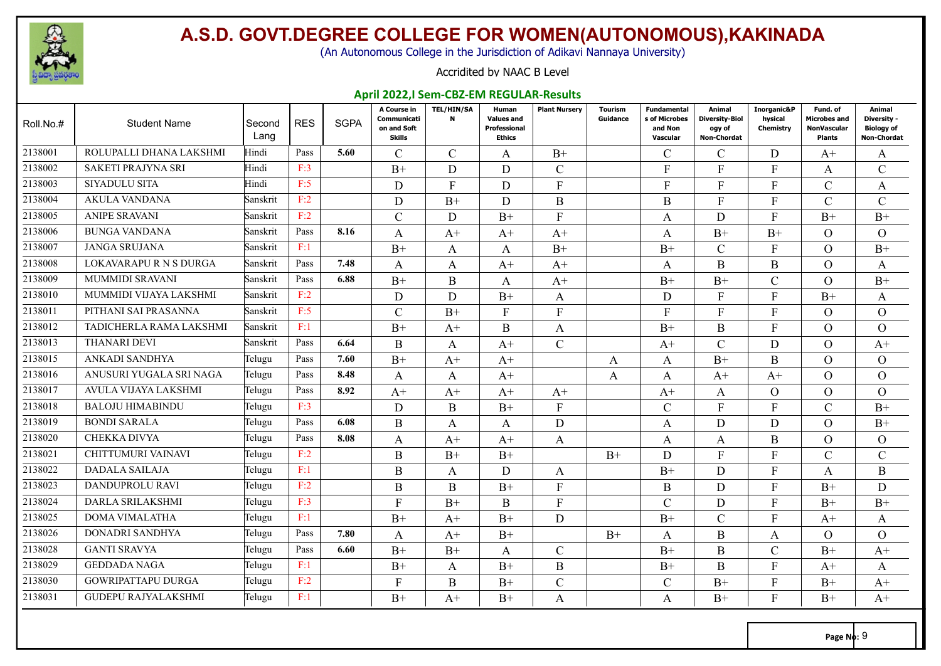

(An Autonomous College in the Jurisdiction of Adikavi Nannaya University)

#### Accridited by NAAC B Level

#### **April 2022,I Sem-CBZ-EM REGULAR-Results**

| Roll.No.# | <b>Student Name</b>        | Second<br>Lang | <b>RES</b> | <b>SGPA</b> | A Course in<br>Communicati<br>on and Soft<br>Skills | <b>TEL/HIN/SA</b><br>N | Human<br><b>Values and</b><br><b>Professional</b><br><b>Ethics</b> | <b>Plant Nursery</b> | Tourism<br>Guidance | Fundamental<br>s of Microbes<br>and Non<br>Vascular | Animal<br><b>Diversity-Biol</b><br>ogy of<br>Non-Chordat | Inorganic&P<br>hysical<br>Chemistry | Fund. of<br>Microbes and<br><b>NonVascular</b><br>Plants | Animal<br>Diversity -<br><b>Biology of</b><br><b>Non-Chordat</b> |
|-----------|----------------------------|----------------|------------|-------------|-----------------------------------------------------|------------------------|--------------------------------------------------------------------|----------------------|---------------------|-----------------------------------------------------|----------------------------------------------------------|-------------------------------------|----------------------------------------------------------|------------------------------------------------------------------|
| 2138001   | ROLUPALLI DHANA LAKSHMI    | Hindi          | Pass       | 5.60        | C                                                   | $\mathcal{C}$          | A                                                                  | $B+$                 |                     | C                                                   | C                                                        | D                                   | $A^+$                                                    | A                                                                |
| 2138002   | <b>SAKETI PRAJYNA SRI</b>  | Hindi          | F:3        |             | $B+$                                                | D                      | D                                                                  | $\mathcal{C}$        |                     | F                                                   | F                                                        | F                                   | A                                                        | $\mathcal{C}$                                                    |
| 2138003   | SIYADULU SITA              | Hindi          | F:5        |             | D                                                   | $\mathbf{F}$           | D                                                                  | F                    |                     | F                                                   | F                                                        | F                                   | $\mathcal{C}$                                            | A                                                                |
| 2138004   | <b>AKULA VANDANA</b>       | Sanskrit       | F:2        |             | D                                                   | $B+$                   | D                                                                  | $\bf{B}$             |                     | B                                                   | F                                                        | F                                   | $\mathcal{C}$                                            | $\mathcal{C}$                                                    |
| 2138005   | <b>ANIPE SRAVANI</b>       | Sanskrit       | F:2        |             | $\mathcal{C}$                                       | D                      | $B+$                                                               | $\mathbf{F}$         |                     | A                                                   | D                                                        | $F_{\rm}$                           | $B+$                                                     | $B+$                                                             |
| 2138006   | <b>BUNGA VANDANA</b>       | Sanskrit       | Pass       | 8.16        | A                                                   | $A+$                   | $A+$                                                               | $A+$                 |                     | A                                                   | $B+$                                                     | $B+$                                | $\Omega$                                                 | $\Omega$                                                         |
| 2138007   | <b>JANGA SRUJANA</b>       | Sanskrit       | F:1        |             | $B+$                                                | A                      | A                                                                  | $B+$                 |                     | $B+$                                                | $\mathcal{C}$                                            | F                                   | $\Omega$                                                 | $B+$                                                             |
| 2138008   | LOKAVARAPURNSDURGA         | Sanskrit       | Pass       | 7.48        | A                                                   | A                      | $A+$                                                               | $A+$                 |                     | A                                                   | B                                                        | $\bf{B}$                            | $\Omega$                                                 | A                                                                |
| 2138009   | <b>MUMMIDI SRAVANI</b>     | Sanskrit       | Pass       | 6.88        | $B+$                                                | B                      | A                                                                  | $A+$                 |                     | $B+$                                                | $B+$                                                     | $\mathcal{C}$                       | $\Omega$                                                 | $B+$                                                             |
| 2138010   | MUMMIDI VIJAYA LAKSHMI     | Sanskrit       | F:2        |             | D                                                   | D                      | $B+$                                                               | A                    |                     | D                                                   | F                                                        | F                                   | $B+$                                                     | A                                                                |
| 2138011   | PITHANI SAI PRASANNA       | Sanskrit       | F:5        |             | $\mathcal{C}$                                       | $B+$                   | $F_{\rm}$                                                          | $F_{\rm}$            |                     | F                                                   | F                                                        | F                                   | $\Omega$                                                 | $\Omega$                                                         |
| 2138012   | TADICHERLA RAMA LAKSHMI    | Sanskrit       | F:1        |             | $B+$                                                | $A+$                   | B                                                                  | A                    |                     | $B+$                                                | B                                                        | F                                   | $\Omega$                                                 | $\overline{O}$                                                   |
| 2138013   | <b>THANARI DEVI</b>        | Sanskrit       | Pass       | 6.64        | B                                                   | A                      | $A+$                                                               | $\mathcal{C}$        |                     | $A+$                                                | $\mathcal{C}$                                            | D                                   | $\Omega$                                                 | $A+$                                                             |
| 2138015   | ANKADI SANDHYA             | Telugu         | Pass       | 7.60        | $B+$                                                | $A+$                   | $A+$                                                               |                      | A                   | A                                                   | $B+$                                                     | $\mathbf{B}$                        | $\Omega$                                                 | $\Omega$                                                         |
| 2138016   | ANUSURI YUGALA SRI NAGA    | Telugu         | Pass       | 8.48        | A                                                   | A                      | $A+$                                                               |                      | A                   | A                                                   | $A+$                                                     | $A+$                                | $\Omega$                                                 | $\Omega$                                                         |
| 2138017   | AVULA VIJAYA LAKSHMI       | Telugu         | Pass       | 8.92        | $A+$                                                | $A+$                   | $A+$                                                               | $A+$                 |                     | $A+$                                                | A                                                        | $\Omega$                            | $\overline{O}$                                           | $\Omega$                                                         |
| 2138018   | <b>BALOJU HIMABINDU</b>    | Telugu         | F:3        |             | D                                                   | B                      | $B+$                                                               | $\mathbf{F}$         |                     | $\overline{C}$                                      | $F_{\rm}$                                                | F                                   | $\mathcal{C}$                                            | $B+$                                                             |
| 2138019   | <b>BONDI SARALA</b>        | Telugu         | Pass       | 6.08        | B                                                   | A                      | A                                                                  | D                    |                     | A                                                   | D                                                        | D                                   | $\Omega$                                                 | $B+$                                                             |
| 2138020   | <b>CHEKKA DIVYA</b>        | Telugu         | Pass       | 8.08        | A                                                   | $A+$                   | $A+$                                                               | A                    |                     | A                                                   | A                                                        | B                                   | $\Omega$                                                 | $\Omega$                                                         |
| 2138021   | CHITTUMURI VAINAVI         | Telugu         | F:2        |             | $\bf{B}$                                            | $B+$                   | $B+$                                                               |                      | $B+$                | D                                                   | F                                                        | F                                   | $\mathcal{C}$                                            | $\mathcal{C}$                                                    |
| 2138022   | DADALA SAILAJA             | Telugu         | F:1        |             | $\boldsymbol{B}$                                    | A                      | D                                                                  | A                    |                     | $B+$                                                | D                                                        | F                                   | A                                                        | B                                                                |
| 2138023   | DANDUPROLU RAVI            | Telugu         | F:2        |             | $\bf{B}$                                            | B                      | $B+$                                                               | $\mathbf{F}$         |                     | B                                                   | D                                                        | F                                   | $B+$                                                     | D                                                                |
| 2138024   | DARLA SRILAKSHMI           | Telugu         | F:3        |             | $\mathbf{F}$                                        | $B+$                   | B                                                                  | $\mathbf{F}$         |                     | $\mathbf{C}$                                        | D                                                        | F                                   | $B+$                                                     | $B+$                                                             |
| 2138025   | <b>DOMA VIMALATHA</b>      | Telugu         | F:1        |             | $B+$                                                | $A+$                   | $B+$                                                               | D                    |                     | $B+$                                                | $\mathsf{C}$                                             | F                                   | $A+$                                                     | A                                                                |
| 2138026   | DONADRI SANDHYA            | Telugu         | Pass       | 7.80        | A                                                   | $A+$                   | $B+$                                                               |                      | $B+$                | A                                                   | B                                                        | A                                   | $\Omega$                                                 | $\Omega$                                                         |
| 2138028   | <b>GANTI SRAVYA</b>        | Telugu         | Pass       | 6.60        | $B+$                                                | $B+$                   | A                                                                  | $\mathcal{C}$        |                     | $B+$                                                | B                                                        | $\mathcal{C}$                       | $B+$                                                     | $A+$                                                             |
| 2138029   | <b>GEDDADA NAGA</b>        | Telugu         | F:1        |             | $B+$                                                | A                      | $B+$                                                               | B                    |                     | $B+$                                                | B                                                        | F                                   | $A+$                                                     | A                                                                |
| 2138030   | <b>GOWRIPATTAPU DURGA</b>  | Telugu         | F:2        |             | $\mathbf{F}$                                        | $\mathbf B$            | $B+$                                                               | $\mathcal{C}$        |                     | $\mathcal{C}_{\mathcal{C}}$                         | $B+$                                                     | F                                   | $B+$                                                     | $A+$                                                             |
| 2138031   | <b>GUDEPU RAJYALAKSHMI</b> | Telugu         | F:1        |             | $B+$                                                | $A+$                   | $B+$                                                               | A                    |                     | A                                                   | $B+$                                                     | F                                   | $B+$                                                     | $A+$                                                             |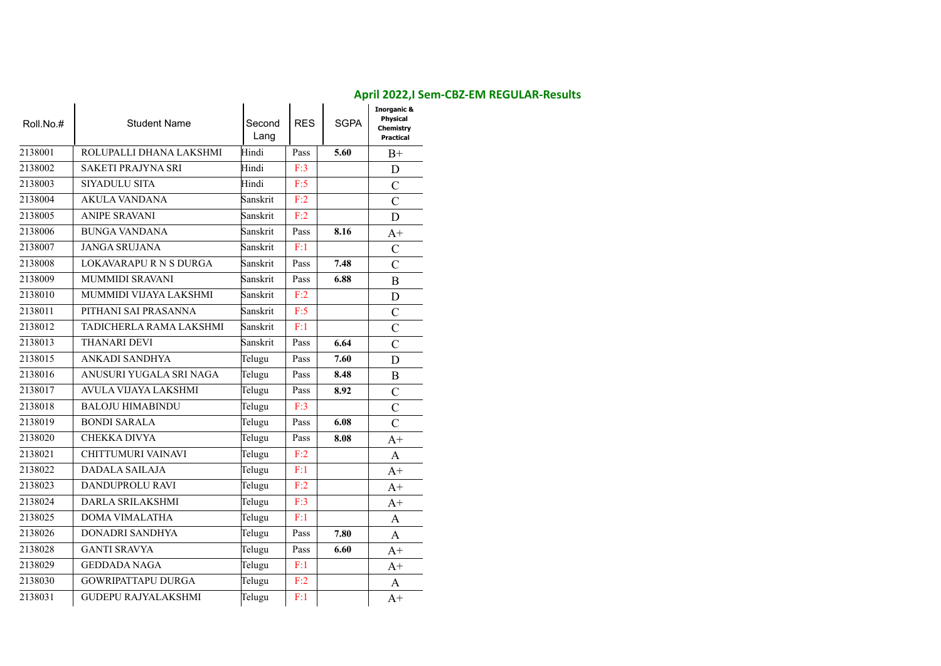| Roll.No.# | <b>Student Name</b>        | Second<br>Lang | <b>RES</b> | <b>SGPA</b> | <b>Inorganic &amp;</b><br>Physical<br>Chemistry<br>Practical |
|-----------|----------------------------|----------------|------------|-------------|--------------------------------------------------------------|
| 2138001   | ROLUPALLI DHANA LAKSHMI    | Hindi          | Pass       | 5.60        | $B+$                                                         |
| 2138002   | SAKETI PRAJYNA SRI         | Hindi          | F:3        |             | D                                                            |
| 2138003   | SIYADULU SITA              | Hindi          | F:5        |             | $\overline{C}$                                               |
| 2138004   | <b>AKULA VANDANA</b>       | Sanskrit       | F:2        |             | $\overline{C}$                                               |
| 2138005   | <b>ANIPE SRAVANI</b>       | Sanskrit       | F:2        |             | D                                                            |
| 2138006   | <b>BUNGA VANDANA</b>       | Sanskrit       | Pass       | 8.16        | $A+$                                                         |
| 2138007   | <b>JANGA SRUJANA</b>       | Sanskrit       | F:1        |             | $\mathcal{C}$                                                |
| 2138008   | LOKAVARAPURNSDURGA         | Sanskrit       | Pass       | 7.48        | $\mathcal{C}$                                                |
| 2138009   | <b>MUMMIDI SRAVANI</b>     | Sanskrit       | Pass       | 6.88        | $\bf{B}$                                                     |
| 2138010   | MUMMIDI VIJAYA LAKSHMI     | Sanskrit       | F:2        |             | D                                                            |
| 2138011   | PITHANI SAI PRASANNA       | Sanskrit       | F:5        |             | $\mathcal{C}$                                                |
| 2138012   | TADICHERLA RAMA LAKSHMI    | Sanskrit       | F:1        |             | $\mathcal{C}$                                                |
| 2138013   | <b>THANARI DEVI</b>        | Sanskrit       | Pass       | 6.64        | $\mathcal{C}$                                                |
| 2138015   | ANKADI SANDHYA             | Telugu         | Pass       | 7.60        | D                                                            |
| 2138016   | ANUSURI YUGALA SRI NAGA    | Telugu         | Pass       | 8.48        | $\bf{B}$                                                     |
| 2138017   | AVULA VIJAYA LAKSHMI       | Telugu         | Pass       | 8.92        | $\mathcal{C}$                                                |
| 2138018   | <b>BALOJU HIMABINDU</b>    | Telugu         | F:3        |             | $\mathcal{C}$                                                |
| 2138019   | <b>BONDI SARALA</b>        | Telugu         | Pass       | 6.08        | $\mathcal{C}$                                                |
| 2138020   | <b>CHEKKA DIVYA</b>        | Telugu         | Pass       | 8.08        | $A+$                                                         |
| 2138021   | CHITTUMURI VAINAVI         | Telugu         | F:2        |             | A                                                            |
| 2138022   | <b>DADALA SAILAJA</b>      | Telugu         | F:1        |             | $A+$                                                         |
| 2138023   | DANDUPROLU RAVI            | Telugu         | F:2        |             | $A+$                                                         |
| 2138024   | DARLA SRILAKSHMI           | Telugu         | F:3        |             | $A+$                                                         |
| 2138025   | DOMA VIMALATHA             | Telugu         | F:1        |             | A                                                            |
| 2138026   | DONADRI SANDHYA            | Telugu         | Pass       | 7.80        | A                                                            |
| 2138028   | <b>GANTI SRAVYA</b>        | Telugu         | Pass       | 6.60        | $A+$                                                         |
| 2138029   | <b>GEDDADA NAGA</b>        | Telugu         | F:1        |             | $A+$                                                         |
| 2138030   | <b>GOWRIPATTAPU DURGA</b>  | Telugu         | F:2        |             | A                                                            |
| 2138031   | <b>GUDEPU RAJYALAKSHMI</b> | Telugu         | F:1        |             | $A+$                                                         |

#### **April 2022,I Sem-CBZ-EM REGULAR-Results**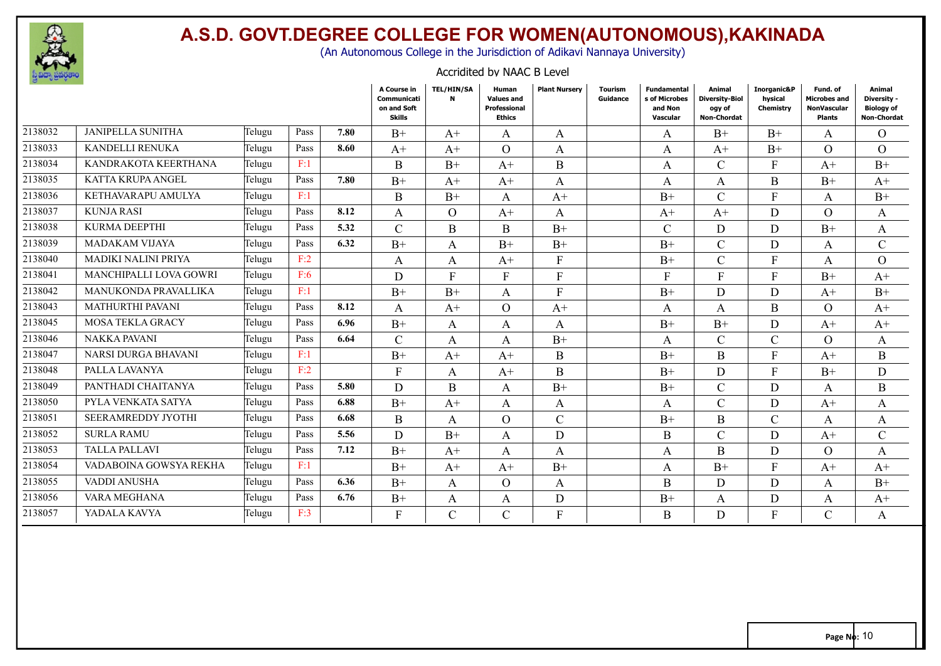

(An Autonomous College in the Jurisdiction of Adikavi Nannaya University)

#### Accridited by NAAC B Level

|         |                           |        |      |      | A Course in<br>Communicati<br>on and Soft<br><b>Skills</b> | TEL/HIN/SA<br>N | Human<br><b>Values and</b><br>Professional<br><b>Ethics</b> | <b>Plant Nurserv</b> | <b>Tourism</b><br>Guidance | <b>Fundamental</b><br>s of Microbes<br>and Non<br>Vascular | Animal<br><b>Diversity-Biol</b><br>ogy of<br><b>Non-Chordat</b> | Inorganic&P<br>hysical<br>Chemistry | Fund, of<br><b>Microbes and</b><br><b>NonVascular</b><br><b>Plants</b> | Animal<br>Diversity -<br><b>Biology of</b><br><b>Non-Chordat</b> |
|---------|---------------------------|--------|------|------|------------------------------------------------------------|-----------------|-------------------------------------------------------------|----------------------|----------------------------|------------------------------------------------------------|-----------------------------------------------------------------|-------------------------------------|------------------------------------------------------------------------|------------------------------------------------------------------|
| 2138032 | <b>JANIPELLA SUNITHA</b>  | Telugu | Pass | 7.80 | $B+$                                                       | $A+$            | A                                                           | A                    |                            | A                                                          | $B+$                                                            | $B+$                                | $\mathsf{A}$                                                           | $\Omega$                                                         |
| 2138033 | KANDELLI RENUKA           | Telugu | Pass | 8.60 | $A^+$                                                      | $A^+$           | $\Omega$                                                    | A                    |                            | A                                                          | $A^+$                                                           | $B+$                                | $\Omega$                                                               | $\Omega$                                                         |
| 2138034 | KANDRAKOTA KEERTHANA      | Telugu | F:1  |      | $\mathbf B$                                                | $B+$            | $A+$                                                        | B                    |                            | A                                                          | $\mathsf{C}$                                                    | F                                   | $A+$                                                                   | $B+$                                                             |
| 2138035 | <b>KATTA KRUPA ANGEL</b>  | Telugu | Pass | 7.80 | $B+$                                                       | $A+$            | $A+$                                                        | A                    |                            | A                                                          | A                                                               | B                                   | $B+$                                                                   | $A+$                                                             |
| 2138036 | KETHAVARAPU AMULYA        | Telugu | F:1  |      | B                                                          | $B+$            | A                                                           | $A+$                 |                            | $B+$                                                       | $\mathcal{C}$                                                   | E                                   | A                                                                      | $B+$                                                             |
| 2138037 | <b>KUNJA RASI</b>         | Telugu | Pass | 8.12 | A                                                          | $\Omega$        | $A+$                                                        | A                    |                            | $A+$                                                       | $A+$                                                            | D                                   | $\Omega$                                                               | A                                                                |
| 2138038 | <b>KURMA DEEPTHI</b>      | Telugu | Pass | 5.32 | $\mathsf{C}$                                               | B               | <sub>B</sub>                                                | $B+$                 |                            | $\mathcal{C}$                                              | D                                                               | D                                   | $B+$                                                                   | A                                                                |
| 2138039 | <b>MADAKAM VIJAYA</b>     | Telugu | Pass | 6.32 | $B+$                                                       | A               | $B+$                                                        | $B+$                 |                            | $B+$                                                       | $\overline{C}$                                                  | D                                   | A                                                                      | $\mathcal{C}$                                                    |
| 2138040 | MADIKI NALINI PRIYA       | Telugu | F:2  |      | A                                                          | A               | $A+$                                                        | $\mathbf{F}$         |                            | $B+$                                                       | $\overline{C}$                                                  | $\mathbf{F}$                        | A                                                                      | $\Omega$                                                         |
| 2138041 | MANCHIPALLI LOVA GOWRI    | Telugu | F:6  |      | D                                                          | $\mathbf{F}$    | F                                                           | F                    |                            | F                                                          | F                                                               | F                                   | $B+$                                                                   | $A+$                                                             |
| 2138042 | MANUKONDA PRAVALLIKA      | Telugu | F:1  |      | $B+$                                                       | $B+$            | A                                                           | F                    |                            | $B+$                                                       | D                                                               | D                                   | $A+$                                                                   | $B+$                                                             |
| 2138043 | <b>MATHURTHI PAVANI</b>   | Telugu | Pass | 8.12 | A                                                          | $A+$            | $\Omega$                                                    | $A^+$                |                            | A                                                          | A                                                               | B                                   | $\Omega$                                                               | $A^+$                                                            |
| 2138045 | <b>MOSA TEKLA GRACY</b>   | Telugu | Pass | 6.96 | $B+$                                                       | A               | A                                                           | A                    |                            | $B+$                                                       | $B+$                                                            | D                                   | $A+$                                                                   | $A+$                                                             |
| 2138046 | <b>NAKKA PAVANI</b>       | Telugu | Pass | 6.64 | $\mathcal{C}$                                              | A               | A                                                           | $B+$                 |                            | A                                                          | C                                                               | $\mathcal{C}$                       | $\Omega$                                                               | A                                                                |
| 2138047 | NARSI DURGA BHAVANI       | Telugu | F:1  |      | $B+$                                                       | $A+$            | $A+$                                                        | B                    |                            | $B+$                                                       | <sub>B</sub>                                                    | Е                                   | $A+$                                                                   | B                                                                |
| 2138048 | PALLA LAVANYA             | Telugu | F:2  |      | $\mathbf{F}$                                               | A               | $A+$                                                        | B                    |                            | $B+$                                                       | D                                                               | F                                   | $B+$                                                                   | D                                                                |
| 2138049 | PANTHADI CHAITANYA        | Telugu | Pass | 5.80 | D                                                          | B               | A                                                           | $B+$                 |                            | $B+$                                                       | C                                                               | D                                   | A                                                                      | $\boldsymbol{B}$                                                 |
| 2138050 | PYLA VENKATA SATYA        | Telugu | Pass | 6.88 | $B+$                                                       | $A^+$           | A                                                           | A                    |                            | A                                                          | $\mathsf{C}$                                                    | D                                   | $A+$                                                                   | A                                                                |
| 2138051 | <b>SEERAMREDDY JYOTHI</b> | Telugu | Pass | 6.68 | B                                                          | A               | $\Omega$                                                    | $\mathcal{C}$        |                            | $B+$                                                       | B                                                               | $\mathcal{C}$                       | A                                                                      | A                                                                |
| 2138052 | <b>SURLA RAMU</b>         | Telugu | Pass | 5.56 | D                                                          | $B+$            | $\mathsf{A}$                                                | D                    |                            | B                                                          | $\overline{C}$                                                  | D                                   | $A+$                                                                   | $\mathbf C$                                                      |
| 2138053 | <b>TALLA PALLAVI</b>      | Telugu | Pass | 7.12 | $B+$                                                       | $A^+$           | A                                                           | A                    |                            | A                                                          | <sub>B</sub>                                                    | D                                   | $\Omega$                                                               | A                                                                |
| 2138054 | VADABOINA GOWSYA REKHA    | Telugu | F:1  |      | $B+$                                                       | $A+$            | $A+$                                                        | $B+$                 |                            | A                                                          | $B+$                                                            | F                                   | $A+$                                                                   | $A+$                                                             |
| 2138055 | VADDI ANUSHA              | Telugu | Pass | 6.36 | $B+$                                                       | $\mathbf{A}$    | $\Omega$                                                    | $\mathbf{A}$         |                            | B                                                          | D                                                               | D                                   | A                                                                      | $B+$                                                             |
| 2138056 | VARA MEGHANA              | Telugu | Pass | 6.76 | $B+$                                                       | A               | A                                                           | D                    |                            | $B+$                                                       | A                                                               | D                                   | A                                                                      | $A+$                                                             |
| 2138057 | YADALA KAVYA              | Telugu | F:3  |      | F                                                          | $\mathcal{C}$   | C                                                           | $\overline{F}$       |                            | B                                                          | D                                                               | E                                   | $\mathcal{C}$                                                          | A                                                                |
|         |                           |        |      |      |                                                            |                 |                                                             |                      |                            |                                                            |                                                                 |                                     |                                                                        |                                                                  |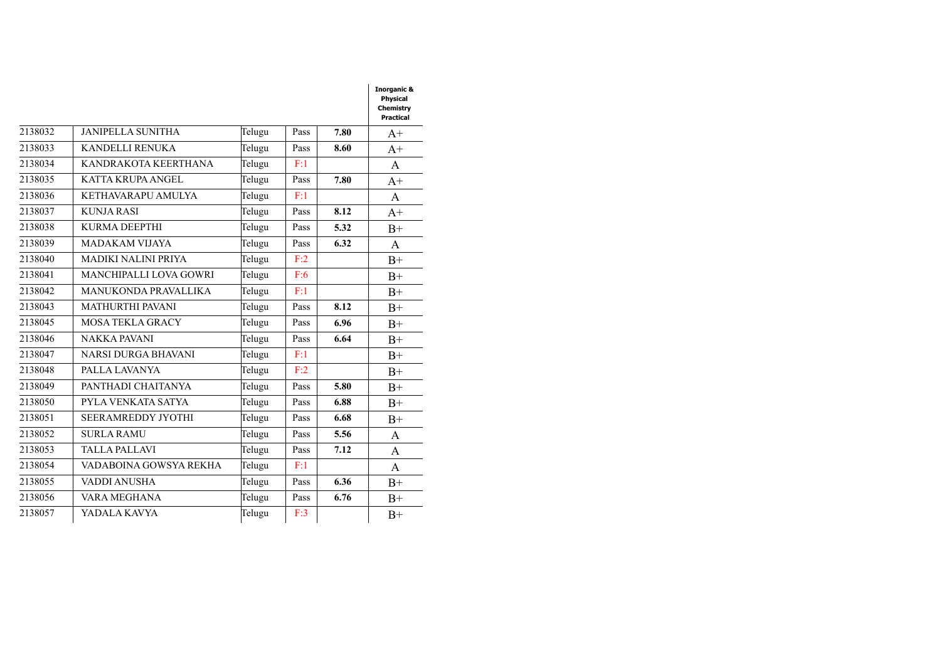|         |                            |        |      |      | Physical<br>Chemistry<br>Practical |
|---------|----------------------------|--------|------|------|------------------------------------|
| 2138032 | <b>JANIPELLA SUNITHA</b>   | Telugu | Pass | 7.80 | $A+$                               |
| 2138033 | <b>KANDELLI RENUKA</b>     | Telugu | Pass | 8.60 | $A+$                               |
| 2138034 | KANDRAKOTA KEERTHANA       | Telugu | F:1  |      | A                                  |
| 2138035 | <b>KATTA KRUPA ANGEL</b>   | Telugu | Pass | 7.80 | $A+$                               |
| 2138036 | KETHAVARAPU AMULYA         | Telugu | F:1  |      | A                                  |
| 2138037 | <b>KUNJA RASI</b>          | Telugu | Pass | 8.12 | $A+$                               |
| 2138038 | <b>KURMA DEEPTHI</b>       | Telugu | Pass | 5.32 | $B+$                               |
| 2138039 | <b>MADAKAM VIJAYA</b>      | Telugu | Pass | 6.32 | A                                  |
| 2138040 | <b>MADIKI NALINI PRIYA</b> | Telugu | F:2  |      | $B+$                               |
| 2138041 | MANCHIPALLI LOVA GOWRI     | Telugu | F:6  |      | $B+$                               |
| 2138042 | MANUKONDA PRAVALLIKA       | Telugu | F:1  |      | $B+$                               |
| 2138043 | <b>MATHURTHI PAVANI</b>    | Telugu | Pass | 8.12 | $B+$                               |
| 2138045 | <b>MOSA TEKLA GRACY</b>    | Telugu | Pass | 6.96 | $B+$                               |
| 2138046 | <b>NAKKA PAVANI</b>        | Telugu | Pass | 6.64 | $B+$                               |
| 2138047 | NARSI DURGA BHAVANI        | Telugu | F:1  |      | $B+$                               |
| 2138048 | PALLA LAVANYA              | Telugu | F:2  |      | $B+$                               |
| 2138049 | PANTHADI CHAITANYA         | Telugu | Pass | 5.80 | $B+$                               |
| 2138050 | PYLA VENKATA SATYA         | Telugu | Pass | 6.88 | $B+$                               |
| 2138051 | <b>SEERAMREDDY JYOTHI</b>  | Telugu | Pass | 6.68 | $B+$                               |
| 2138052 | <b>SURLA RAMU</b>          | Telugu | Pass | 5.56 | A                                  |
| 2138053 | <b>TALLA PALLAVI</b>       | Telugu | Pass | 7.12 | A                                  |
| 2138054 | VADABOINA GOWSYA REKHA     | Telugu | F:1  |      | A                                  |
| 2138055 | VADDI ANUSHA               | Telugu | Pass | 6.36 | $B+$                               |
| 2138056 | VARA MEGHANA               | Telugu | Pass | 6.76 | $B+$                               |
| 2138057 | YADALA KAVYA               | Telugu | F:3  |      | $B+$                               |

**Inorganic &**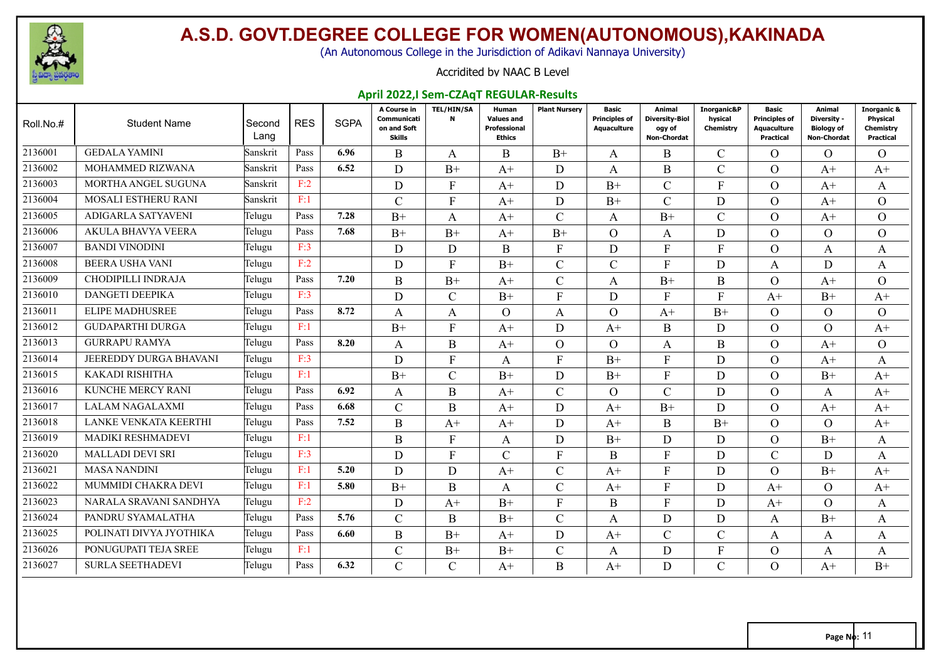

(An Autonomous College in the Jurisdiction of Adikavi Nannaya University)

#### Accridited by NAAC B Level

#### **April 2022,I Sem-CZAqT REGULAR-Results**

| Roll.No.# | <b>Student Name</b>        | Second<br>Lang | <b>RES</b> | <b>SGPA</b> | A Course in<br>Communicati<br>on and Soft<br><b>Skills</b> | <b>TEL/HIN/SA</b><br>$\mathbf N$ | Human<br><b>Values and</b><br>Professional<br><b>Ethics</b> | <b>Plant Nursery</b> | Basic<br><b>Principles of</b><br>Aquaculture | Animal<br><b>Diversity-Biol</b><br>ogy of<br>Non-Chordat | Inorganic&P<br>hysical<br>Chemistry | Basic<br><b>Principles of</b><br>Aquaculture<br>Practical | Animal<br>Diversity -<br><b>Biology of</b><br>Non-Chordat | <b>Inorganic &amp;</b><br><b>Physical</b><br>Chemistry<br>Practical |
|-----------|----------------------------|----------------|------------|-------------|------------------------------------------------------------|----------------------------------|-------------------------------------------------------------|----------------------|----------------------------------------------|----------------------------------------------------------|-------------------------------------|-----------------------------------------------------------|-----------------------------------------------------------|---------------------------------------------------------------------|
| 2136001   | <b>GEDALA YAMINI</b>       | Sanskrit       | Pass       | 6.96        | B                                                          | A                                | B                                                           | $B+$                 | A                                            | B                                                        | $\mathcal{C}$                       | $\Omega$                                                  | $\Omega$                                                  | $\Omega$                                                            |
| 2136002   | MOHAMMED RIZWANA           | Sanskrit       | Pass       | 6.52        | D                                                          | $B+$                             | $A+$                                                        | D                    | A                                            | B                                                        | $\mathcal{C}$                       | $\Omega$                                                  | $A+$                                                      | $A+$                                                                |
| 2136003   | MORTHA ANGEL SUGUNA        | Sanskrit       | F:2        |             | D                                                          | $\rm F$                          | $A+$                                                        | D                    | $B+$                                         | $\overline{C}$                                           | $\mathbf{F}$                        | $\Omega$                                                  | $A+$                                                      | A                                                                   |
| 2136004   | <b>MOSALI ESTHERU RANI</b> | Sanskrit       | F:1        |             | $\mathcal{C}$                                              | F                                | $A+$                                                        | D                    | $B+$                                         | $\overline{C}$                                           | D                                   | $\Omega$                                                  | $A+$                                                      | $\Omega$                                                            |
| 2136005   | ADIGARLA SATYAVENI         | Telugu         | Pass       | 7.28        | $B+$                                                       | A                                | $A+$                                                        | $\mathcal{C}$        | A                                            | $B+$                                                     | $\mathcal{C}$                       | $\Omega$                                                  | $A+$                                                      | $\Omega$                                                            |
| 2136006   | <b>AKULA BHAVYA VEERA</b>  | Telugu         | Pass       | 7.68        | $B+$                                                       | $B+$                             | $A+$                                                        | $B+$                 | $\Omega$                                     | A                                                        | D                                   | $\Omega$                                                  | $\Omega$                                                  | $\Omega$                                                            |
| 2136007   | <b>BANDI VINODINI</b>      | Telugu         | F:3        |             | D                                                          | D                                | B                                                           | $\mathbf{F}$         | D                                            | $F_{\rm}$                                                | F                                   | $\Omega$                                                  | $\mathbf{A}$                                              | A                                                                   |
| 2136008   | <b>BEERA USHA VANI</b>     | Telugu         | F:2        |             | D                                                          | F                                | $B+$                                                        | $\mathcal{C}$        | C                                            | F                                                        | D                                   | A                                                         | D                                                         | A                                                                   |
| 2136009   | <b>CHODIPILLI INDRAJA</b>  | Telugu         | Pass       | 7.20        | B                                                          | $B+$                             | $A+$                                                        | $\mathcal{C}$        | A                                            | $B+$                                                     | B                                   | $\Omega$                                                  | $A+$                                                      | $\Omega$                                                            |
| 2136010   | <b>DANGETI DEEPIKA</b>     | Telugu         | F:3        |             | D                                                          | $\mathcal{C}$                    | $B+$                                                        | F                    | D                                            | F                                                        | F                                   | $A+$                                                      | $B+$                                                      | $A^+$                                                               |
| 2136011   | <b>ELIPE MADHUSREE</b>     | Telugu         | Pass       | 8.72        | $\mathbf{A}$                                               | A                                | $\Omega$                                                    | A                    | $\Omega$                                     | $A^+$                                                    | $B+$                                | $\Omega$                                                  | $\Omega$                                                  | $\Omega$                                                            |
| 2136012   | <b>GUDAPARTHI DURGA</b>    | Telugu         | F:1        |             | $B+$                                                       | $\mathbf{F}$                     | $A+$                                                        | D                    | $A+$                                         | B                                                        | D.                                  | $\Omega$                                                  | $\Omega$                                                  | $A^+$                                                               |
| 2136013   | <b>GURRAPU RAMYA</b>       | Telugu         | Pass       | 8.20        | $\mathbf{A}$                                               | $\bf{B}$                         | $A+$                                                        | $\Omega$             | $\Omega$                                     | A                                                        | B                                   | $\Omega$                                                  | $A+$                                                      | $\Omega$                                                            |
| 2136014   | JEEREDDY DURGA BHAVANI     | Telugu         | F:3        |             | D                                                          | $\mathbf{F}$                     | A                                                           | F                    | $B+$                                         | F                                                        | D.                                  | $\Omega$                                                  | $A+$                                                      | A                                                                   |
| 2136015   | KAKADI RISHITHA            | Telugu         | F:1        |             | $B+$                                                       | $\mathcal{C}$                    | $B+$                                                        | D                    | $B+$                                         | F                                                        | D                                   | $\Omega$                                                  | $B+$                                                      | $A^+$                                                               |
| 2136016   | KUNCHE MERCY RANI          | Telugu         | Pass       | 6.92        | A                                                          | B                                | $A+$                                                        | $\mathcal{C}$        | $\Omega$                                     | C                                                        | D.                                  | $\Omega$                                                  | A                                                         | $A^+$                                                               |
| 2136017   | LALAM NAGALAXMI            | Telugu         | Pass       | 6.68        | $\mathcal{C}$                                              | $\mathbf B$                      | $A+$                                                        | D                    | $A+$                                         | $B+$                                                     | D                                   | $\Omega$                                                  | $A+$                                                      | $A^+$                                                               |
| 2136018   | LANKE VENKATA KEERTHI      | Telugu         | Pass       | 7.52        | B                                                          | $A+$                             | $A+$                                                        | D                    | $A+$                                         | B                                                        | $B+$                                | $\Omega$                                                  | $\Omega$                                                  | $A^+$                                                               |
| 2136019   | MADIKI RESHMADEVI          | Telugu         | F:1        |             | B                                                          | F                                | $\mathbf{A}$                                                | D                    | $B+$                                         | D                                                        | D                                   | $\Omega$                                                  | $B+$                                                      | A                                                                   |
| 2136020   | <b>MALLADI DEVI SRI</b>    | Telugu         | F:3        |             | D                                                          | $\mathbf{F}$                     | $\mathcal{C}$                                               | $F_{\rm}$            | B                                            | F                                                        | D                                   | $\mathcal{C}$                                             | D                                                         | A                                                                   |
| 2136021   | <b>MASA NANDINI</b>        | Telugu         | F:1        | 5.20        | D                                                          | D                                | $A+$                                                        | $\mathcal{C}$        | $A+$                                         | F                                                        | D                                   | $\Omega$                                                  | $B+$                                                      | $A+$                                                                |
| 2136022   | MUMMIDI CHAKRA DEVI        | Telugu         | F:1        | 5.80        | $B+$                                                       | B                                | A                                                           | $\mathcal{C}$        | $A^+$                                        | F                                                        | D                                   | $A+$                                                      | $\Omega$                                                  | $A+$                                                                |
| 2136023   | NARALA SRAVANI SANDHYA     | Telugu         | F:2        |             | D                                                          | $A+$                             | $B+$                                                        | F                    | B                                            | F                                                        | D                                   | $A+$                                                      | $\Omega$                                                  | A                                                                   |
| 2136024   | PANDRU SYAMALATHA          | Telugu         | Pass       | 5.76        | $\mathcal{C}$                                              | B                                | $B+$                                                        | $\mathcal{C}$        | A                                            | D                                                        | D                                   | A                                                         | $B+$                                                      | A                                                                   |
| 2136025   | POLINATI DIVYA JYOTHIKA    | Telugu         | Pass       | 6.60        | $\bf{B}$                                                   | $B+$                             | $A+$                                                        | D                    | $A^+$                                        | $\overline{C}$                                           | $\mathsf{C}$                        | A                                                         | A                                                         | A                                                                   |
| 2136026   | PONUGUPATI TEJA SREE       | Telugu         | F:1        |             | $\mathcal{C}$                                              | $B+$                             | $B+$                                                        | $\mathcal{C}$        | A                                            | D                                                        | $\mathbf{F}$                        | $\Omega$                                                  | A                                                         | A                                                                   |
| 2136027   | <b>SURLA SEETHADEVI</b>    | Telugu         | Pass       | 6.32        | $\mathcal{C}$                                              | $\mathcal{C}$                    | $A+$                                                        | B                    | $A+$                                         | D                                                        | $\mathsf{C}$                        | $\Omega$                                                  | $A+$                                                      | $B+$                                                                |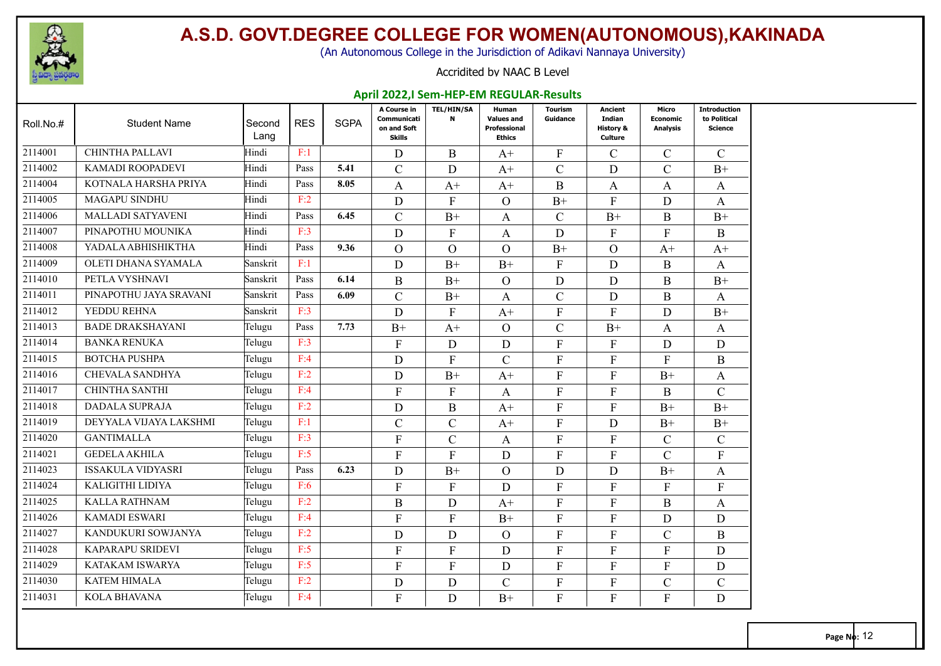

(An Autonomous College in the Jurisdiction of Adikavi Nannaya University)

#### Accridited by NAAC B Level

#### **April 2022,I Sem-HEP-EM REGULAR-Results**

| Roll.No.# | <b>Student Name</b>      | Second<br>Lang | <b>RES</b> | <b>SGPA</b> | A Course in<br>Communicati<br>on and Soft<br><b>Skills</b> | <b>TEL/HIN/SA</b><br>N | Human<br><b>Values and</b><br>Professional<br><b>Ethics</b> | <b>Tourism</b><br>Guidance | <b>Ancient</b><br>Indian<br>History &<br>Culture | Micro<br><b>Economic</b><br><b>Analysis</b> | <b>Introduction</b><br>to Political<br><b>Science</b> |
|-----------|--------------------------|----------------|------------|-------------|------------------------------------------------------------|------------------------|-------------------------------------------------------------|----------------------------|--------------------------------------------------|---------------------------------------------|-------------------------------------------------------|
| 2114001   | CHINTHA PALLAVI          | Hindi          | F:1        |             | $\mathbf D$                                                | $\mathbf{B}$           | $A+$                                                        | ${\bf F}$                  | $\mathcal{C}$                                    | $\mathcal{C}$                               | $\mathcal{C}$                                         |
| 2114002   | <b>KAMADI ROOPADEVI</b>  | Hindi          | Pass       | 5.41        | $\mathcal{C}$                                              | D                      | $A+$                                                        | $\mathcal{C}$              | D                                                | $\mathcal{C}$                               | $B+$                                                  |
| 2114004   | KOTNALA HARSHA PRIYA     | Hindi          | Pass       | 8.05        | A                                                          | $A+$                   | $A+$                                                        | B                          | A                                                | A                                           | A                                                     |
| 2114005   | <b>MAGAPU SINDHU</b>     | Hindi          | F:2        |             | D                                                          | $\mathbf{F}$           | $\Omega$                                                    | $B+$                       | $\mathbf{F}$                                     | D                                           | A                                                     |
| 2114006   | <b>MALLADI SATYAVENI</b> | Hindi          | Pass       | 6.45        | $\mathcal{C}$                                              | $B+$                   | A                                                           | $\mathcal{C}$              | $B+$                                             | $\bf{B}$                                    | $B+$                                                  |
| 2114007   | PINAPOTHU MOUNIKA        | Hindi          | F:3        |             | D                                                          | $\mathbf{F}$           | A                                                           | D                          | $\mathbf{F}$                                     | F                                           | $\mathbf B$                                           |
| 2114008   | YADALA ABHISHIKTHA       | Hindi          | Pass       | 9.36        | $\overline{O}$                                             | $\Omega$               | $\Omega$                                                    | $B+$                       | $\Omega$                                         | $A+$                                        | $A+$                                                  |
| 2114009   | OLETI DHANA SYAMALA      | Sanskrit       | F:1        |             | D                                                          | $B+$                   | $B+$                                                        | $\mathbf{F}$               | D                                                | B                                           | A                                                     |
| 2114010   | PETLA VYSHNAVI           | Sanskrit       | Pass       | 6.14        | B                                                          | $B+$                   | $\Omega$                                                    | D                          | D                                                | B                                           | $B+$                                                  |
| 2114011   | PINAPOTHU JAYA SRAVANI   | Sanskrit       | Pass       | 6.09        | $\mathcal{C}$                                              | $B+$                   | A                                                           | $\mathcal{C}$              | D                                                | B                                           | A                                                     |
| 2114012   | YEDDU REHNA              | Sanskrit       | F:3        |             | D                                                          | $\mathbf{F}$           | $A+$                                                        | $\mathbf{F}$               | $\mathbf{F}$                                     | D                                           | $B+$                                                  |
| 2114013   | <b>BADE DRAKSHAYANI</b>  | Telugu         | Pass       | 7.73        | $B+$                                                       | $A+$                   | $\Omega$                                                    | $\mathcal{C}$              | $B+$                                             | A                                           | A                                                     |
| 2114014   | <b>BANKA RENUKA</b>      | Telugu         | F:3        |             | $\mathbf{F}$                                               | D                      | D                                                           | $\mathbf{F}$               | $\mathbf{F}$                                     | D                                           | D                                                     |
| 2114015   | <b>BOTCHA PUSHPA</b>     | Telugu         | F:4        |             | $\mathbf D$                                                | $\mathbf{F}$           | $\mathcal{C}$                                               | $\overline{F}$             | $\overline{F}$                                   | $\mathbf{F}$                                | $\bf{B}$                                              |
| 2114016   | CHEVALA SANDHYA          | Telugu         | F:2        |             | D                                                          | $B+$                   | $A+$                                                        | $\mathbf F$                | $\overline{F}$                                   | $B+$                                        | A                                                     |
| 2114017   | <b>CHINTHA SANTHI</b>    | Telugu         | F:4        |             | $\mathbf{F}$                                               | $\mathbf{F}$           | A                                                           | ${\rm F}$                  | $\mathbf{F}$                                     | B                                           | $\mathcal{C}$                                         |
| 2114018   | <b>DADALA SUPRAJA</b>    | Telugu         | F:2        |             | D                                                          | $\mathbf B$            | $A+$                                                        | F                          | $\overline{F}$                                   | $B+$                                        | $B+$                                                  |
| 2114019   | DEYYALA VIJAYA LAKSHMI   | Telugu         | F:1        |             | $\mathcal{C}$                                              | $\mathsf{C}$           | $A+$                                                        | ${\bf F}$                  | D                                                | $B+$                                        | $B+$                                                  |
| 2114020   | <b>GANTIMALLA</b>        | Telugu         | F:3        |             | $\mathbf{F}$                                               | $\mathcal{C}$          | A                                                           | ${\rm F}$                  | $\mathbf{F}$                                     | $\mathcal{C}$                               | $\mathbf C$                                           |
| 2114021   | <b>GEDELA AKHILA</b>     | Telugu         | F:5        |             | $\mathbf{F}$                                               | $\mathbf{F}$           | D                                                           | $\mathbf F$                | $\overline{F}$                                   | $\mathcal{C}$                               | ${\bf F}$                                             |
| 2114023   | <b>ISSAKULA VIDYASRI</b> | Telugu         | Pass       | 6.23        | D                                                          | $B+$                   | $\Omega$                                                    | D                          | D                                                | $B+$                                        | A                                                     |
| 2114024   | KALIGITHI LIDIYA         | Telugu         | F:6        |             | F                                                          | F                      | D                                                           | ${\rm F}$                  | $\mathbf{F}$                                     | $\mathbf{F}$                                | ${\rm F}$                                             |
| 2114025   | <b>KALLA RATHNAM</b>     | Telugu         | F:2        |             | $\bf{B}$                                                   | D                      | $A+$                                                        | $\mathbf{F}$               | $\mathbf{F}$                                     | B                                           | A                                                     |
| 2114026   | <b>KAMADI ESWARI</b>     | Telugu         | F:4        |             | $\mathbf{F}$                                               | $\mathbf{F}$           | $B+$                                                        | $\mathbf{F}$               | $\overline{F}$                                   | D                                           | D                                                     |
| 2114027   | KANDUKURI SOWJANYA       | Telugu         | F:2        |             | D                                                          | D                      | $\Omega$                                                    | ${\rm F}$                  | $\overline{F}$                                   | $\mathcal{C}$                               | $\mathbf B$                                           |
| 2114028   | <b>KAPARAPU SRIDEVI</b>  | Telugu         | F:5        |             | $\mathbf{F}$                                               | $\mathbf{F}$           | D                                                           | F                          | $\mathbf{F}$                                     | F                                           | D                                                     |
| 2114029   | KATAKAM ISWARYA          | Telugu         | F:5        |             | $\mathbf{F}$                                               | F                      | D                                                           | F                          | $\boldsymbol{F}$                                 | F                                           | D                                                     |
| 2114030   | <b>KATEM HIMALA</b>      | Telugu         | F:2        |             | D                                                          | D                      | $\mathbf C$                                                 | $\mathbf F$                | $\overline{F}$                                   | $\mathcal{C}$                               | $\mathcal{C}$                                         |
| 2114031   | <b>KOLA BHAVANA</b>      | Telugu         | F:4        |             | $\mathbf{F}$                                               | D                      | $B+$                                                        | F                          | $\overline{F}$                                   | $\mathbf{F}$                                | D                                                     |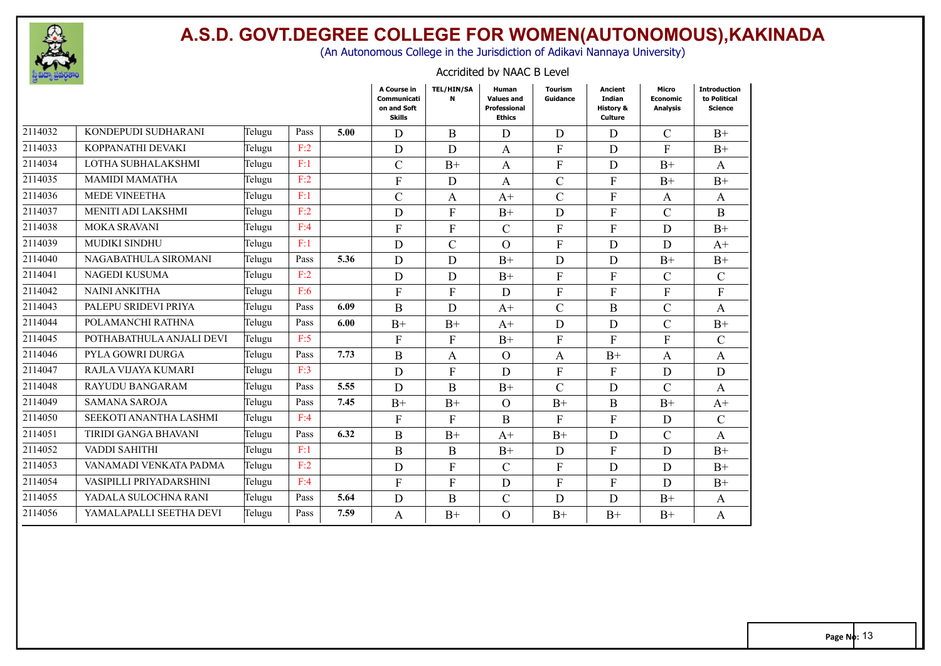

(An Autonomous College in the Jurisdiction of Adikavi Nannaya University)

#### Accridited by NAAC B Level

|         |                          |        |      |      | A Course in<br>Communicati<br>on and Soft<br><b>Skills</b> | TEL/HIN/SA<br>N | Human<br><b>Values and</b><br>Professional<br><b>Ethics</b> | <b>Tourism</b><br>Guidance | Ancient<br><b>Indian</b><br><b>History &amp;</b><br>Culture | Micro<br><b>Economic</b><br><b>Analysis</b> | <b>Introduction</b><br>to Political<br><b>Science</b> |
|---------|--------------------------|--------|------|------|------------------------------------------------------------|-----------------|-------------------------------------------------------------|----------------------------|-------------------------------------------------------------|---------------------------------------------|-------------------------------------------------------|
| 2114032 | KONDEPUDI SUDHARANI      | Telugu | Pass | 5.00 | D                                                          | B               | D                                                           | D                          | D                                                           | $\mathcal{C}$                               | $B+$                                                  |
| 2114033 | KOPPANATHI DEVAKI        | Telugu | F:2  |      | D                                                          | D               | A                                                           | ${\bf F}$                  | D                                                           | F                                           | $B+$                                                  |
| 2114034 | LOTHA SUBHALAKSHMI       | Telugu | F:1  |      | $\mathcal{C}$                                              | $B+$            | A                                                           | ${\bf F}$                  | D                                                           | $B+$                                        | A                                                     |
| 2114035 | <b>MAMIDI MAMATHA</b>    | Telugu | F:2  |      | $\mathbf{F}$                                               | D               | A                                                           | $\mathcal{C}$              | $\mathbf{F}$                                                | $B+$                                        | $B+$                                                  |
| 2114036 | <b>MEDE VINEETHA</b>     | Telugu | F:1  |      | $\mathcal{C}$                                              | $\mathbf{A}$    | $A+$                                                        | $\mathcal{C}$              | $\mathbf{F}$                                                | A                                           | A                                                     |
| 2114037 | MENITI ADI LAKSHMI       | Telugu | F:2  |      | D                                                          | $\mathbf{F}$    | $B+$                                                        | D                          | $\mathbf{F}$                                                | $\mathcal{C}$                               | $\bf{B}$                                              |
| 2114038 | MOKA SRAVANI             | Telugu | F:4  |      | $\mathbf{F}$                                               | $\mathbf{F}$    | $\mathsf{C}$                                                | $\mathbf{F}$               | $\mathbf{F}$                                                | D                                           | $B+$                                                  |
| 2114039 | MUDIKI SINDHU            | Telugu | F:1  |      | D                                                          | $\mathsf{C}$    | $\Omega$                                                    | ${\bf F}$                  | D                                                           | D                                           | $A+$                                                  |
| 2114040 | NAGABATHULA SIROMANI     | Telugu | Pass | 5.36 | D                                                          | D               | $B+$                                                        | D                          | D                                                           | $B+$                                        | $B+$                                                  |
| 2114041 | NAGEDI KUSUMA            | Telugu | F:2  |      | D                                                          | D               | $B+$                                                        | $\mathbf F$                | $\mathbf{F}$                                                | $\mathcal{C}$                               | $\mathcal{C}$                                         |
| 2114042 | <b>NAINI ANKITHA</b>     | Telugu | F:6  |      | F                                                          | F               | D                                                           | $\boldsymbol{\mathrm{F}}$  | F                                                           | F                                           | $\boldsymbol{\mathrm{F}}$                             |
| 2114043 | PALEPU SRIDEVI PRIYA     | Telugu | Pass | 6.09 | $\mathbf B$                                                | $\mathbf D$     | $A+$                                                        | $\mathcal{C}$              | $\bf{B}$                                                    | $\mathcal{C}$                               | A                                                     |
| 2114044 | POLAMANCHI RATHNA        | Telugu | Pass | 6.00 | $B+$                                                       | $B+$            | $A+$                                                        | D                          | D                                                           | $\mathbf C$                                 | $B+$                                                  |
| 2114045 | POTHABATHULA ANJALI DEVI | Telugu | F:5  |      | $\mathbf{F}$                                               | $\mathbf{F}$    | $B+$                                                        | $\mathbf{F}$               | $\mathbf{F}$                                                | $\mathbf{F}$                                | $\mathcal{C}$                                         |
| 2114046 | PYLA GOWRI DURGA         | Telugu | Pass | 7.73 | $\mathbf B$                                                | A               | $\Omega$                                                    | $\mathbf{A}$               | $B+$                                                        | $\mathbf{A}$                                | $\mathbf{A}$                                          |
| 2114047 | RAJLA VIJAYA KUMARI      | Telugu | F:3  |      | D                                                          | ${\bf F}$       | D                                                           | ${\bf F}$                  | $\mathbf{F}$                                                | D                                           | $\mathbf D$                                           |
| 2114048 | <b>RAYUDU BANGARAM</b>   | Telugu | Pass | 5.55 | D                                                          | B               | $B+$                                                        | $\mathcal{C}$              | D                                                           | $\mathcal{C}$                               | $\mathbf{A}$                                          |
| 2114049 | <b>SAMANA SAROJA</b>     | Telugu | Pass | 7.45 | $B+$                                                       | $B+$            | O                                                           | $B+$                       | $\bf{B}$                                                    | $B+$                                        | $A+$                                                  |
| 2114050 | SEEKOTI ANANTHA LASHMI   | Telugu | F:4  |      | $\Gamma$                                                   | $\overline{F}$  | B                                                           | $\overline{F}$             | $\mathbf{F}$                                                | D                                           | $\mathcal{C}$                                         |
| 2114051 | TIRIDI GANGA BHAVANI     | Telugu | Pass | 6.32 | $\mathbf{B}$                                               | $B+$            | $A+$                                                        | $B+$                       | D                                                           | $\mathcal{C}$                               | A                                                     |
| 2114052 | VADDI SAHITHI            | Telugu | F:1  |      | $\mathbf{B}$                                               | B               | $B+$                                                        | D                          | $\mathbf{F}$                                                | D                                           | $B+$                                                  |
| 2114053 | VANAMADI VENKATA PADMA   | Telugu | F:2  |      | D                                                          | F               | $\mathcal{C}$                                               | $\mathbf{F}$               | D                                                           | D                                           | $B+$                                                  |
| 2114054 | VASIPILLI PRIYADARSHINI  | Telugu | F:4  |      | $\mathbf{F}$                                               | F               | D                                                           | $\mathbf{F}$               | $\mathbf{F}$                                                | D                                           | $B+$                                                  |
| 2114055 | YADALA SULOCHNA RANI     | Telugu | Pass | 5.64 | D                                                          | B               | $\mathcal{C}$                                               | D                          | D                                                           | $B+$                                        | A                                                     |
| 2114056 | YAMALAPALLI SEETHA DEVI  | Telugu | Pass | 7.59 | A                                                          | $B+$            | $\Omega$                                                    | $B+$                       | $B+$                                                        | $B+$                                        | A                                                     |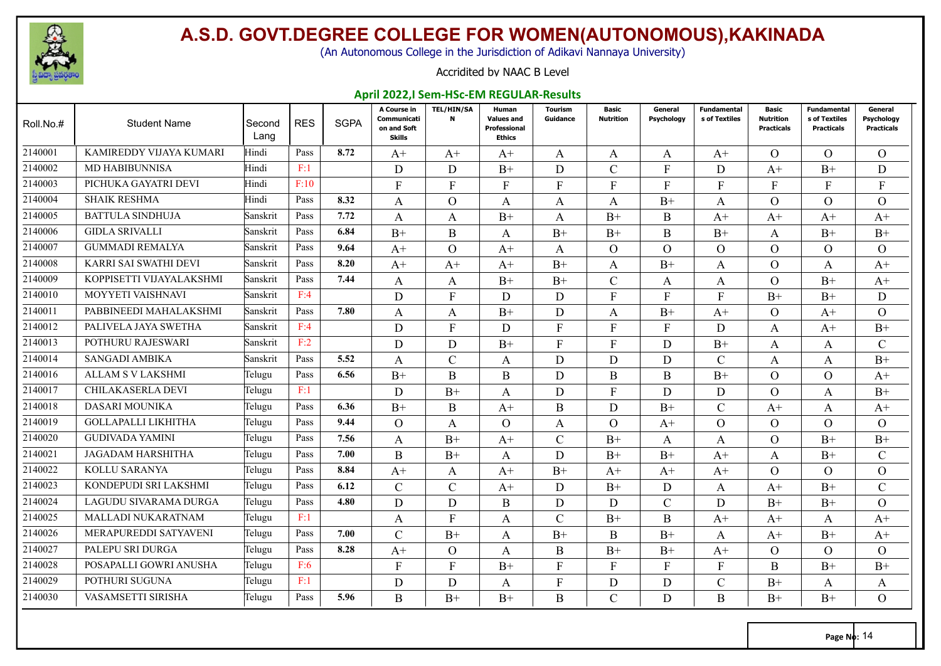

(An Autonomous College in the Jurisdiction of Adikavi Nannaya University)

#### Accridited by NAAC B Level

#### **April 2022,I Sem-HSc-EM REGULAR-Results**

| Roll.No.# | <b>Student Name</b>       | Second<br>Lang | <b>RES</b> | <b>SGPA</b> | A Course in<br>Communicati<br>on and Soft<br>Skills | <b>TEL/HIN/SA</b><br>N | Human<br><b>Values and</b><br><b>Professional</b><br><b>Ethics</b> | Tourism<br>Guidance | Basic<br><b>Nutrition</b> | General<br>Psychology | Fundamental<br>s of Textiles | <b>Basic</b><br><b>Nutrition</b><br><b>Practicals</b> | Fundamental<br>s of Textiles<br><b>Practicals</b> | General<br><b>Psychology</b><br><b>Practicals</b> |
|-----------|---------------------------|----------------|------------|-------------|-----------------------------------------------------|------------------------|--------------------------------------------------------------------|---------------------|---------------------------|-----------------------|------------------------------|-------------------------------------------------------|---------------------------------------------------|---------------------------------------------------|
| 2140001   | KAMIREDDY VIJAYA KUMARI   | Hindi          | Pass       | 8.72        | $A^+$                                               | $A^+$                  | $A^+$                                                              | A                   | A                         | A                     | $A^+$                        | $\Omega$                                              | $\Omega$                                          | $\Omega$                                          |
| 2140002   | <b>MD HABIBUNNISA</b>     | Hindi          | F:1        |             | D                                                   | D                      | $B+$                                                               | D                   | $\mathcal{C}$             | F                     | D                            | $A+$                                                  | $B+$                                              | D                                                 |
| 2140003   | PICHUKA GAYATRI DEVI      | Hindi          | F:10       |             | $\mathbf{F}$                                        | $\mathbf{F}$           | F                                                                  | F                   | F                         | F                     | F                            | F                                                     | F                                                 | F                                                 |
| 2140004   | <b>SHAIK RESHMA</b>       | Hindi          | Pass       | 8.32        | A                                                   | $\Omega$               | A                                                                  | A                   | A                         | $B+$                  | A                            | $\Omega$                                              | $\Omega$                                          | $\Omega$                                          |
| 2140005   | <b>BATTULA SINDHUJA</b>   | Sanskrit       | Pass       | 7.72        | A                                                   | A                      | $B+$                                                               | A                   | $B+$                      | B                     | $A+$                         | $A+$                                                  | $A+$                                              | $A+$                                              |
| 2140006   | <b>GIDLA SRIVALLI</b>     | Sanskrit       | Pass       | 6.84        | $B+$                                                | $\mathbf B$            | A                                                                  | $B+$                | $B+$                      | Β                     | $B+$                         | A                                                     | $B+$                                              | $B+$                                              |
| 2140007   | <b>GUMMADI REMALYA</b>    | Sanskrit       | Pass       | 9.64        | $A^+$                                               | $\Omega$               | $A+$                                                               | A                   | $\Omega$                  | $\Omega$              | $\Omega$                     | $\Omega$                                              | $\Omega$                                          | $\Omega$                                          |
| 2140008   | KARRI SAI SWATHI DEVI     | Sanskrit       | Pass       | 8.20        | $A+$                                                | $A+$                   | $A+$                                                               | $B+$                | A                         | $B+$                  | A                            | $\Omega$                                              | A                                                 | $A+$                                              |
| 2140009   | KOPPISETTI VIJAYALAKSHMI  | Sanskrit       | Pass       | 7.44        | A                                                   | A                      | $B+$                                                               | $B+$                | $\mathcal{C}$             | A                     | A                            | $\Omega$                                              | $B+$                                              | $A+$                                              |
| 2140010   | MOYYETI VAISHNAVI         | Sanskrit       | F:4        |             | D                                                   | $\mathbf{F}$           | D                                                                  | D                   | $\mathbf{F}$              | F                     | F                            | $B+$                                                  | $B+$                                              | D                                                 |
| 2140011   | PABBINEEDI MAHALAKSHMI    | Sanskrit       | Pass       | 7.80        | A                                                   | A                      | $B+$                                                               | D                   | A                         | $B+$                  | $A+$                         | $\Omega$                                              | $A+$                                              | $\Omega$                                          |
| 2140012   | PALIVELA JAYA SWETHA      | Sanskrit       | F:4        |             | D                                                   | $\mathbf{F}$           | D                                                                  | F                   | $\mathbf{F}$              | F                     | D                            | A                                                     | $A+$                                              | $B+$                                              |
| 2140013   | POTHURU RAJESWARI         | Sanskrit       | F:2        |             | D                                                   | D                      | $B+$                                                               | $\mathbf{F}$        | F                         | D                     | $B+$                         | A                                                     | A                                                 | C                                                 |
| 2140014   | SANGADI AMBIKA            | Sanskrit       | Pass       | 5.52        | A                                                   | $\mathcal{C}$          | A                                                                  | D                   | D                         | D                     | $\mathcal{C}$                | A                                                     | $\mathbf{A}$                                      | $B+$                                              |
| 2140016   | ALLAM S V LAKSHMI         | Telugu         | Pass       | 6.56        | $B+$                                                | $\mathbf B$            | $\bf{B}$                                                           | D                   | $\bf{B}$                  | Β                     | $B+$                         | $\Omega$                                              | $\overline{O}$                                    | $A+$                                              |
| 2140017   | <b>CHILAKASERLA DEVI</b>  | Telugu         | F:1        |             | D                                                   | $B+$                   | A                                                                  | D                   | $\mathbf{F}$              | D                     | D                            | $\Omega$                                              | A                                                 | $B+$                                              |
| 2140018   | <b>DASARI MOUNIKA</b>     | Telugu         | Pass       | 6.36        | $B+$                                                | B                      | $A+$                                                               | B                   | D                         | $B+$                  | $\mathcal{C}$                | $A+$                                                  | $\mathbf{A}$                                      | $A+$                                              |
| 2140019   | GOLLAPALLI LIKHITHA       | Telugu         | Pass       | 9.44        | $\Omega$                                            | A                      | $\Omega$                                                           | A                   | $\Omega$                  | $A+$                  | $\Omega$                     | $\Omega$                                              | $\Omega$                                          | $\Omega$                                          |
| 2140020   | <b>GUDIVADA YAMINI</b>    | Telugu         | Pass       | 7.56        | A                                                   | $B+$                   | $A+$                                                               | $\mathcal{C}$       | $B+$                      | A                     | A                            | $\Omega$                                              | $B+$                                              | $B+$                                              |
| 2140021   | JAGADAM HARSHITHA         | Telugu         | Pass       | 7.00        | $\boldsymbol{B}$                                    | $B+$                   | A                                                                  | D                   | $B+$                      | $B+$                  | $A+$                         | A                                                     | $B+$                                              | $\mathcal{C}$                                     |
| 2140022   | KOLLU SARANYA             | Telugu         | Pass       | 8.84        | $A+$                                                | A                      | $A+$                                                               | $B+$                | $A+$                      | $A+$                  | $A+$                         | $\Omega$                                              | $\Omega$                                          | $\Omega$                                          |
| 2140023   | KONDEPUDI SRI LAKSHMI     | Telugu         | Pass       | 6.12        | $\mathcal{C}$                                       | $\mathcal{C}$          | $A+$                                                               | D                   | $B+$                      | D                     | A                            | $A+$                                                  | $B+$                                              | $\mathcal{C}$                                     |
| 2140024   | LAGUDU SIVARAMA DURGA     | Telugu         | Pass       | 4.80        | D                                                   | D                      | B                                                                  | D                   | D                         | $\overline{C}$        | D                            | $B+$                                                  | $B+$                                              | $\Omega$                                          |
| 2140025   | <b>MALLADI NUKARATNAM</b> | Telugu         | F:1        |             | A                                                   | $\mathbf{F}$           | A                                                                  | $\mathcal{C}$       | $B+$                      | B                     | $A+$                         | $A+$                                                  | A                                                 | $A+$                                              |
| 2140026   | MERAPUREDDI SATYAVENI     | Telugu         | Pass       | 7.00        | $\mathcal{C}$                                       | $B+$                   | A                                                                  | $B+$                | B                         | $B+$                  | A                            | $A+$                                                  | $B+$                                              | $A+$                                              |
| 2140027   | PALEPU SRI DURGA          | Telugu         | Pass       | 8.28        | $A+$                                                | $\Omega$               | A                                                                  | B                   | $B+$                      | $B+$                  | $A+$                         | $\Omega$                                              | $\Omega$                                          | $\Omega$                                          |
| 2140028   | POSAPALLI GOWRI ANUSHA    | Telugu         | F:6        |             | $\mathbf{F}$                                        | F                      | $B+$                                                               | F                   | $\mathbf{F}$              | F                     | F                            | B                                                     | $B+$                                              | $B+$                                              |
| 2140029   | POTHURI SUGUNA            | Telugu         | F:1        |             | D                                                   | D                      | A                                                                  | F                   | D                         | D                     | C                            | $B+$                                                  | A                                                 | A                                                 |
| 2140030   | VASAMSETTI SIRISHA        | Telugu         | Pass       | 5.96        | B                                                   | $B+$                   | $B+$                                                               | B                   | $\mathcal{C}$             | D                     | B.                           | $B+$                                                  | $B+$                                              | $\Omega$                                          |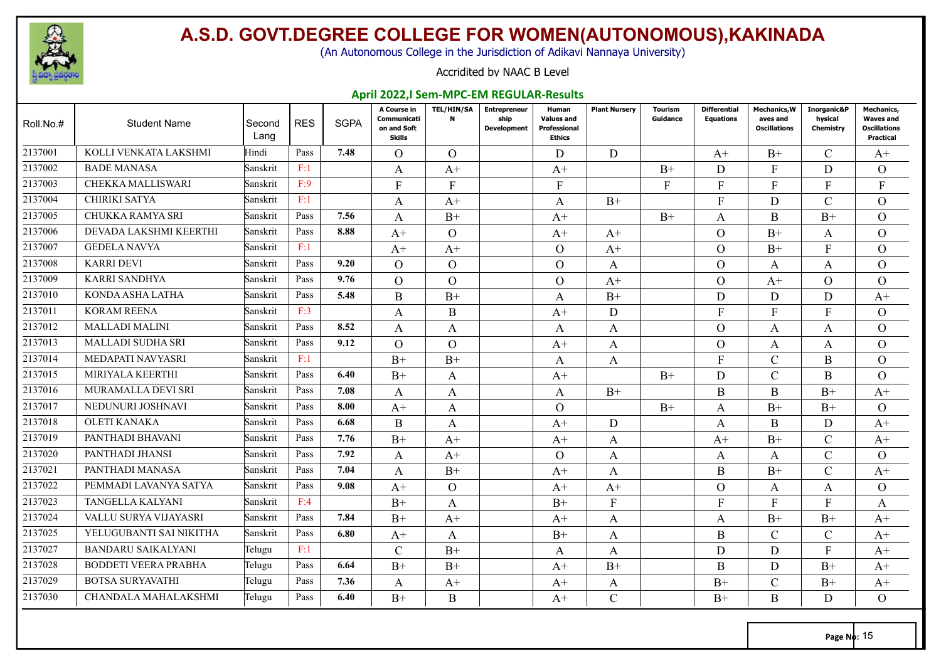

(An Autonomous College in the Jurisdiction of Adikavi Nannaya University)

#### Accridited by NAAC B Level

#### **April 2022,I Sem-MPC-EM REGULAR-Results**

| Roll.No.# | <b>Student Name</b>         | Second<br>Lang | <b>RES</b> | <b>SGPA</b> | A Course in<br>Communicati<br>on and Soft<br>Skills | <b>TEL/HIN/SA</b><br>N | <b>Entrepreneur</b><br>ship<br><b>Development</b> | Human<br><b>Values and</b><br>Professional<br><b>Ethics</b> | <b>Plant Nursery</b> | Tourism<br>Guidance | <b>Differential</b><br><b>Equations</b> | <b>Mechanics, W</b><br>aves and<br><b>Oscillations</b> | Inorganic&P<br>hysical<br>Chemistry | Mechanics,<br><b>Waves and</b><br><b>Oscillations</b><br><b>Practical</b> |
|-----------|-----------------------------|----------------|------------|-------------|-----------------------------------------------------|------------------------|---------------------------------------------------|-------------------------------------------------------------|----------------------|---------------------|-----------------------------------------|--------------------------------------------------------|-------------------------------------|---------------------------------------------------------------------------|
| 2137001   | KOLLI VENKATA LAKSHMI       | Hindi          | Pass       | 7.48        | $\Omega$                                            | $\Omega$               |                                                   | D                                                           | D                    |                     | $A+$                                    | $B+$                                                   | $\mathcal{C}$                       | $A+$                                                                      |
| 2137002   | <b>BADE MANASA</b>          | Sanskrit       | F:1        |             | A                                                   | $A+$                   |                                                   | $A+$                                                        |                      | $B+$                | D                                       | $F_{\rm}$                                              | D                                   | $\Omega$                                                                  |
| 2137003   | CHEKKA MALLISWARI           | Sanskrit       | F:9        |             | $\mathbf{F}$                                        | F                      |                                                   | F                                                           |                      | F                   | F                                       | F                                                      | F                                   | F                                                                         |
| 2137004   | CHIRIKI SATYA               | Sanskrit       | F:1        |             | A                                                   | $A+$                   |                                                   | A                                                           | $B+$                 |                     | F                                       | D                                                      | $\mathcal{C}$                       | $\Omega$                                                                  |
| 2137005   | CHUKKA RAMYA SRI            | Sanskrit       | Pass       | 7.56        | A                                                   | $B+$                   |                                                   | $A+$                                                        |                      | $B+$                | A                                       | B                                                      | $B+$                                | $\Omega$                                                                  |
| 2137006   | DEVADA LAKSHMI KEERTHI      | Sanskrit       | Pass       | 8.88        | $A+$                                                | $\overline{O}$         |                                                   | $A+$                                                        | $A+$                 |                     | $\overline{O}$                          | $B+$                                                   | A                                   | $\overline{O}$                                                            |
| 2137007   | <b>GEDELA NAVYA</b>         | Sanskrit       | F:1        |             | $A^+$                                               | $A+$                   |                                                   | $\Omega$                                                    | $A^+$                |                     | $\Omega$                                | $B+$                                                   | $\mathbf{F}$                        | $\Omega$                                                                  |
| 2137008   | <b>KARRI DEVI</b>           | Sanskrit       | Pass       | 9.20        | $\Omega$                                            | $\Omega$               |                                                   | $\Omega$                                                    | A                    |                     | $\Omega$                                | A                                                      | A                                   | $\Omega$                                                                  |
| 2137009   | KARRI SANDHYA               | Sanskrit       | Pass       | 9.76        | $\Omega$                                            | $\Omega$               |                                                   | $\Omega$                                                    | $A+$                 |                     | $\Omega$                                | $A+$                                                   | $\Omega$                            | $\overline{O}$                                                            |
| 2137010   | KONDA ASHA LATHA            | Sanskrit       | Pass       | 5.48        | B                                                   | $B+$                   |                                                   | A                                                           | $B+$                 |                     | D                                       | D                                                      | D                                   | $A+$                                                                      |
| 2137011   | <b>KORAM REENA</b>          | Sanskrit       | F:3        |             | A                                                   | B                      |                                                   | $A+$                                                        | D                    |                     | $\mathbf{F}$                            | F                                                      | F                                   | $\Omega$                                                                  |
| 2137012   | <b>MALLADI MALINI</b>       | Sanskrit       | Pass       | 8.52        | A                                                   | A                      |                                                   | A                                                           | A                    |                     | $\overline{O}$                          | A                                                      | A                                   | $\overline{O}$                                                            |
| 2137013   | <b>MALLADI SUDHA SRI</b>    | Sanskrit       | Pass       | 9.12        | $\Omega$                                            | $\Omega$               |                                                   | $A+$                                                        | A                    |                     | $\Omega$                                | A                                                      | A                                   | $\Omega$                                                                  |
| 2137014   | MEDAPATI NAVYASRI           | Sanskrit       | F:1        |             | $B+$                                                | $B+$                   |                                                   | $\mathbf{A}$                                                | A                    |                     | $\mathbf{F}$                            | $\mathbf C$                                            | $\bf{B}$                            | $\overline{O}$                                                            |
| 2137015   | MIRIYALA KEERTHI            | Sanskrit       | Pass       | 6.40        | $B+$                                                | A                      |                                                   | $A+$                                                        |                      | $B+$                | D                                       | $\mathcal{C}$                                          | B                                   | $\Omega$                                                                  |
| 2137016   | MURAMALLA DEVI SRI          | Sanskrit       | Pass       | 7.08        | A                                                   | A                      |                                                   | A                                                           | $B+$                 |                     | B                                       | B                                                      | $B+$                                | $A+$                                                                      |
| 2137017   | NEDUNURI JOSHNAVI           | Sanskrit       | Pass       | 8.00        | $A+$                                                | A                      |                                                   | $\Omega$                                                    |                      | $B+$                | A                                       | $B+$                                                   | $B+$                                | $\Omega$                                                                  |
| 2137018   | <b>OLETI KANAKA</b>         | Sanskrit       | Pass       | 6.68        | B                                                   | A                      |                                                   | $A+$                                                        | D                    |                     | A                                       | B                                                      | D                                   | $A+$                                                                      |
| 2137019   | PANTHADI BHAVANI            | Sanskrit       | Pass       | 7.76        | $B+$                                                | $A^+$                  |                                                   | $A^+$                                                       | A                    |                     | $A+$                                    | $B+$                                                   | $\mathcal{C}$                       | $A^+$                                                                     |
| 2137020   | PANTHADI JHANSI             | Sanskrit       | Pass       | 7.92        | A                                                   | $A+$                   |                                                   | $\Omega$                                                    | A                    |                     | A                                       | A                                                      | $\mathcal{C}$                       | $\Omega$                                                                  |
| 2137021   | PANTHADI MANASA             | Sanskrit       | Pass       | 7.04        | A                                                   | $B+$                   |                                                   | $A+$                                                        | A                    |                     | B                                       | $B+$                                                   | $\mathcal{C}$                       | $A+$                                                                      |
| 2137022   | PEMMADI LAVANYA SATYA       | Sanskrit       | Pass       | 9.08        | $A^+$                                               | $\Omega$               |                                                   | $A+$                                                        | $A+$                 |                     | $\Omega$                                | A                                                      | A                                   | $\Omega$                                                                  |
| 2137023   | <b>TANGELLA KALYANI</b>     | Sanskrit       | F:4        |             | $B+$                                                | A                      |                                                   | $B+$                                                        | $\Gamma$             |                     | F                                       | F                                                      | $\mathbf{F}$                        | A                                                                         |
| 2137024   | VALLU SURYA VIJAYASRI       | Sanskrit       | Pass       | 7.84        | $B+$                                                | $A+$                   |                                                   | $A+$                                                        | A                    |                     | A                                       | $B+$                                                   | $B+$                                | $A+$                                                                      |
| 2137025   | YELUGUBANTI SAI NIKITHA     | Sanskrit       | Pass       | 6.80        | $A^+$                                               | A                      |                                                   | $B+$                                                        | A                    |                     | $\bf{B}$                                | $\mathcal{C}$                                          | $\mathcal{C}$                       | $A+$                                                                      |
| 2137027   | <b>BANDARU SAIKALYANI</b>   | Telugu         | F:1        |             | $\mathcal{C}$                                       | $B+$                   |                                                   | A                                                           | A                    |                     | D                                       | D                                                      | F                                   | $A+$                                                                      |
| 2137028   | <b>BODDETI VEERA PRABHA</b> | Telugu         | Pass       | 6.64        | $B+$                                                | $B+$                   |                                                   | $A^+$                                                       | $B+$                 |                     | B                                       | $\mathbf D$                                            | $B+$                                | $A+$                                                                      |
| 2137029   | <b>BOTSA SURYAVATHI</b>     | Telugu         | Pass       | 7.36        | A                                                   | $A+$                   |                                                   | $A^+$                                                       | A                    |                     | $B+$                                    | $\mathcal{C}$                                          | $B+$                                | $A+$                                                                      |
| 2137030   | CHANDALA MAHALAKSHMI        | Telugu         | Pass       | 6.40        | $B+$                                                | B                      |                                                   | $A+$                                                        | $\mathcal{C}$        |                     | $B+$                                    | B                                                      | D                                   | $\Omega$                                                                  |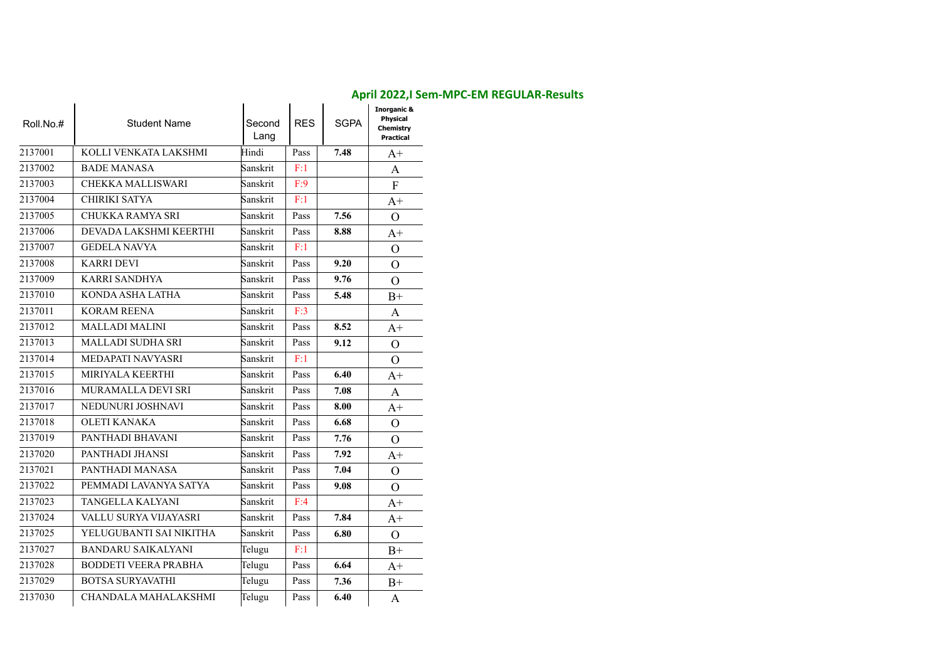| Roll.No.# | <b>Student Name</b>         | Second<br>Lang | <b>RES</b> | <b>SGPA</b> | <b>Inorganic &amp;</b><br>Physical<br>Chemistry<br>Practical |
|-----------|-----------------------------|----------------|------------|-------------|--------------------------------------------------------------|
| 2137001   | KOLLI VENKATA LAKSHMI       | Hindi          | Pass       | 7.48        | $A+$                                                         |
| 2137002   | <b>BADE MANASA</b>          | Sanskrit       | F:1        |             | A                                                            |
| 2137003   | CHEKKA MALLISWARI           | Sanskrit       | F:9        |             | $\Gamma$                                                     |
| 2137004   | CHIRIKI SATYA               | Sanskrit       | F:1        |             | $A+$                                                         |
| 2137005   | CHUKKA RAMYA SRI            | Sanskrit       | Pass       | 7.56        | $\Omega$                                                     |
| 2137006   | DEVADA LAKSHMI KEERTHI      | Sanskrit       | Pass       | 8.88        | $A+$                                                         |
| 2137007   | <b>GEDELA NAVYA</b>         | Sanskrit       | F:1        |             | $\Omega$                                                     |
| 2137008   | <b>KARRI DEVI</b>           | Sanskrit       | Pass       | 9.20        | $\Omega$                                                     |
| 2137009   | <b>KARRI SANDHYA</b>        | Sanskrit       | Pass       | 9.76        | $\Omega$                                                     |
| 2137010   | KONDA ASHA LATHA            | Sanskrit       | Pass       | 5.48        | $B+$                                                         |
| 2137011   | <b>KORAM REENA</b>          | Sanskrit       | F:3        |             | A                                                            |
| 2137012   | <b>MALLADI MALINI</b>       | Sanskrit       | Pass       | 8.52        | $A+$                                                         |
| 2137013   | MALLADI SUDHA SRI           | Sanskrit       | Pass       | 9.12        | $\Omega$                                                     |
| 2137014   | MEDAPATI NAVYASRI           | Sanskrit       | F:1        |             | $\Omega$                                                     |
| 2137015   | MIRIYALA KEERTHI            | Sanskrit       | Pass       | 6.40        | $A+$                                                         |
| 2137016   | MURAMALLA DEVI SRI          | Sanskrit       | Pass       | 7.08        | A                                                            |
| 2137017   | NEDUNURI JOSHNAVI           | Sanskrit       | Pass       | 8.00        | $A+$                                                         |
| 2137018   | <b>OLETI KANAKA</b>         | Sanskrit       | Pass       | 6.68        | $\Omega$                                                     |
| 2137019   | PANTHADI BHAVANI            | Sanskrit       | Pass       | 7.76        | $\Omega$                                                     |
| 2137020   | PANTHADI JHANSI             | Sanskrit       | Pass       | 7.92        | $A+$                                                         |
| 2137021   | PANTHADI MANASA             | Sanskrit       | Pass       | 7.04        | $\Omega$                                                     |
| 2137022   | PEMMADI LAVANYA SATYA       | Sanskrit       | Pass       | 9.08        | $\Omega$                                                     |
| 2137023   | TANGELLA KALYANI            | Sanskrit       | F:4        |             | $A+$                                                         |
| 2137024   | VALLU SURYA VIJAYASRI       | Sanskrit       | Pass       | 7.84        | $A+$                                                         |
| 2137025   | YELUGUBANTI SAI NIKITHA     | Sanskrit       | Pass       | 6.80        | $\Omega$                                                     |
| 2137027   | <b>BANDARU SAIKALYANI</b>   | Telugu         | F:1        |             | $B+$                                                         |
| 2137028   | <b>BODDETI VEERA PRABHA</b> | Telugu         | Pass       | 6.64        | $A+$                                                         |
| 2137029   | <b>BOTSA SURYAVATHI</b>     | Telugu         | Pass       | 7.36        | $B+$                                                         |
| 2137030   | CHANDALA MAHALAKSHMI        | Telugu         | Pass       | 6.40        | A                                                            |

#### **April 2022,I Sem-MPC-EM REGULAR-Results**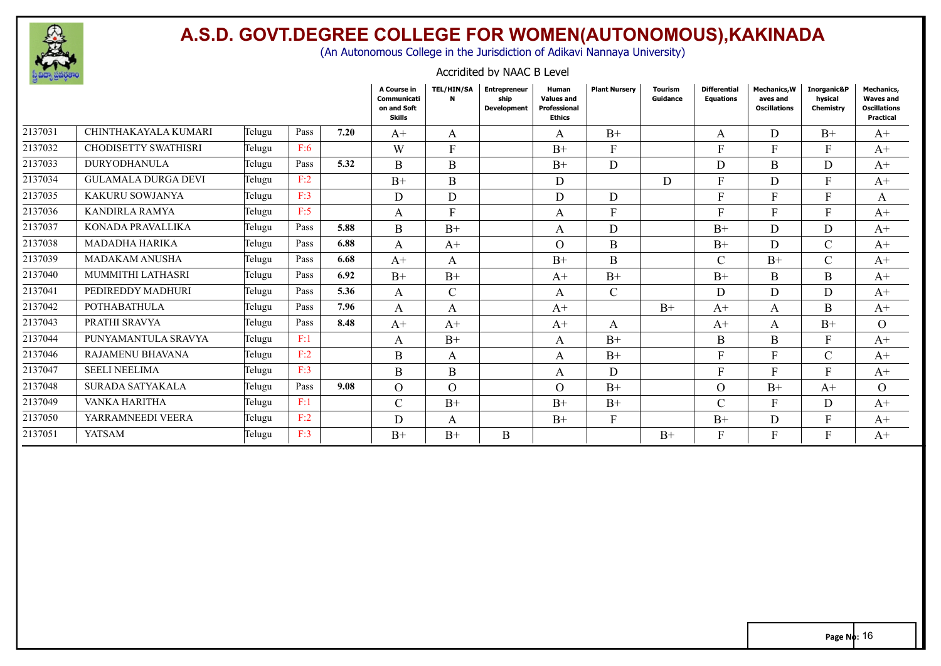

LAKSHMISIRICHANDANA DI SERIKA DI SERIKA DI SERIKA DI SERIKA DI SERIKA DI SERIKA DI SERIKA DI SERIKA DI SERIKA <br>Serika di Serika di Serika di Serika di Serika di Serika di Serika di Serika di Serika di Serika di Serika di

### **A.S.D. GOVT.DEGREE COLLEGE FOR WOMEN(AUTONOMOUS),KAKINADA**

(An Autonomous College in the Jurisdiction of Adikavi Nannaya University)

#### Accridited by NAAC B Level

|         |                             |        |      |      | A Course in<br>Communicati<br>on and Soft<br>Skills | <b>TEL/HIN/SA</b><br>N | <b>Entrepreneur</b><br>ship<br><b>Development</b> | Human<br><b>Values and</b><br>Professional<br>Ethics | <b>Plant Nursery</b> | <b>Tourism</b><br>Guidance | <b>Differential</b><br><b>Equations</b> | <b>Mechanics, W</b><br>aves and<br><b>Oscillations</b> | Inorganic&P<br>hvsical<br>Chemistry | <b>Mechanics,</b><br><b>Waves and</b><br><b>Oscillations</b><br>Practical |
|---------|-----------------------------|--------|------|------|-----------------------------------------------------|------------------------|---------------------------------------------------|------------------------------------------------------|----------------------|----------------------------|-----------------------------------------|--------------------------------------------------------|-------------------------------------|---------------------------------------------------------------------------|
| 2137031 | CHINTHAKAYALA KUMARI        | Telugu | Pass | 7.20 | $A+$                                                | A                      |                                                   | A                                                    | $B+$                 |                            | A                                       | D                                                      | $B+$                                | $A^+$                                                                     |
| 2137032 | <b>CHODISETTY SWATHISRI</b> | Telugu | F:6  |      | W                                                   | F                      |                                                   | $B+$                                                 | $\mathbf{F}$         |                            | F                                       | F                                                      | F                                   | $A^+$                                                                     |
| 2137033 | <b>DURYODHANULA</b>         | Telugu | Pass | 5.32 | B                                                   | B                      |                                                   | $B+$                                                 | D                    |                            | D                                       | B                                                      | D                                   | $A^+$                                                                     |
| 2137034 | <b>GULAMALA DURGA DEVI</b>  | Telugu | F:2  |      | $B+$                                                | B                      |                                                   | D                                                    |                      | D                          | F                                       | D                                                      | F                                   | $A^+$                                                                     |
| 2137035 | KAKURU SOWJANYA             | Telugu | F:3  |      | D                                                   | D                      |                                                   | D                                                    | D                    |                            | F                                       | F                                                      | F                                   | A                                                                         |
| 2137036 | <b>KANDIRLA RAMYA</b>       | Telugu | F:5  |      | A                                                   | $\mathbf{F}$           |                                                   | A                                                    | $\mathbf{F}$         |                            | Е                                       | F                                                      | F                                   | $A+$                                                                      |
| 2137037 | KONADA PRAVALLIKA           | Telugu | Pass | 5.88 | B                                                   | $B+$                   |                                                   | A                                                    | D                    |                            | $B+$                                    | D                                                      | D.                                  | $A+$                                                                      |
| 2137038 | MADADHA HARIKA              | Telugu | Pass | 6.88 | A                                                   | $A+$                   |                                                   | $\Omega$                                             | B                    |                            | $B+$                                    | D                                                      | $\mathcal{C}$                       | $A+$                                                                      |
| 2137039 | <b>MADAKAM ANUSHA</b>       | Telugu | Pass | 6.68 | $A+$                                                | A                      |                                                   | $B+$                                                 | B                    |                            | C                                       | $B+$                                                   | $\mathcal{C}$                       | $A^+$                                                                     |
| 2137040 | <b>MUMMITHI LATHASRI</b>    | Telugu | Pass | 6.92 | $B+$                                                | $B+$                   |                                                   | $A+$                                                 | $B+$                 |                            | $B+$                                    | B                                                      | B                                   | $A+$                                                                      |
| 2137041 | PEDIREDDY MADHURI           | Telugu | Pass | 5.36 | A                                                   | $\mathcal{C}$          |                                                   | A                                                    | $\mathcal{C}$        |                            | D                                       | D                                                      | D                                   | $A+$                                                                      |
| 2137042 | <b>POTHABATHULA</b>         | Telugu | Pass | 7.96 | A                                                   | A                      |                                                   | $A+$                                                 |                      | $B+$                       | $A+$                                    | A                                                      | B                                   | $A^+$                                                                     |
| 2137043 | PRATHI SRAVYA               | Telugu | Pass | 8.48 | $A+$                                                | $A+$                   |                                                   | $A+$                                                 | A                    |                            | $A+$                                    | A                                                      | $B+$                                | $\Omega$                                                                  |
| 2137044 | PUNYAMANTULA SRAVYA         | Telugu | F:1  |      | A                                                   | $B+$                   |                                                   | A                                                    | $B+$                 |                            | B                                       | B                                                      | F                                   | $A^+$                                                                     |
| 2137046 | <b>RAJAMENU BHAVANA</b>     | Telugu | F:2  |      | B                                                   | A                      |                                                   | A                                                    | $B+$                 |                            | Е                                       | E                                                      | $\cap$<br>U                         | $A+$                                                                      |
| 2137047 | <b>SEELI NEELIMA</b>        | Telugu | F:3  |      | B                                                   | B                      |                                                   | A                                                    | D                    |                            | F.                                      |                                                        | Е                                   | $A^+$                                                                     |
| 2137048 | SURADA SATYAKALA            | Telugu | Pass | 9.08 | $\Omega$                                            | $\Omega$               |                                                   | $\Omega$                                             | $B+$                 |                            | $\Omega$                                | $B+$                                                   | $A+$                                | $\Omega$                                                                  |
| 2137049 | VANKA HARITHA               | Telugu | F:1  |      | $\mathcal{C}$                                       | $B+$                   |                                                   | $B+$                                                 | $B+$                 |                            | $\overline{C}$                          | F                                                      | D                                   | $A^+$                                                                     |
| 2137050 | YARRAMNEEDI VEERA           | Telugu | F:2  |      | D                                                   | A                      |                                                   | $B+$                                                 | $\mathbf{F}$         |                            | $B+$                                    | D                                                      | F.                                  | $A+$                                                                      |
| 2137051 | <b>YATSAM</b>               | Telugu | F:3  |      | $B+$                                                | $B+$                   | B                                                 |                                                      |                      | $B+$                       |                                         |                                                        |                                     | $A^+$                                                                     |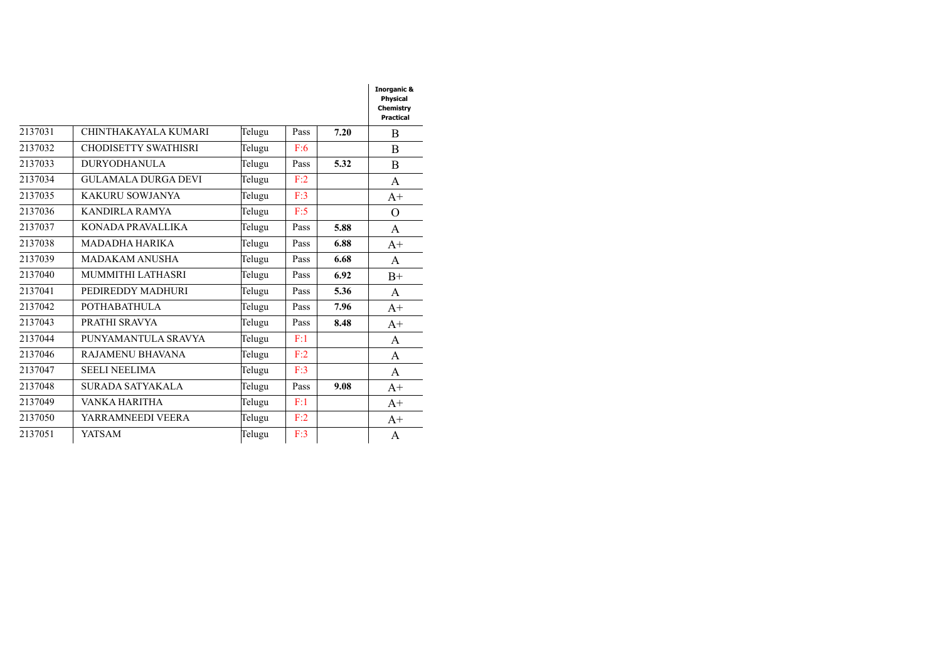#### **Physical Practical** 2137031 CHINTHAKAYALA KUMARI Telugu Pass 7.20 B 2137032 CHODISETTY SWATHISRI Telugu F:6 **0.00** B 2137033 DURYODHANULA DURGADEVI 2137034 GULAMALA DURGA DEVI Telugu F:2 **0.00** A Telugu Pass **5.32** B 2137035 KAKURU SOWJANYA Telugu F:3 **0.00** A+ 2137036 KANDIRLA RAMYA Telugu F:5 **0.00** O 2137037 KONADA PRAVALLIKA Telugu Pass **5.88** A 2137038 MADADHA HARIKA Telugu Pass **6.88** A+ 2137039 | MADAKAM ANUSHA **Telugu** | Pass | 6.68 | A 2137040 MUMMITHI LATHASRI Telugu Pass **6.92** B+ 2137041 PEDIREDDY MADHURI Telugu Pass **5.36** A 2137042 POTHABATHULA 2137043 PRATHI SRAVYA Telugu Pass 8.48 A+ Telugu Pass **7.96** A+ 2137044 PUNYAMANTULA SRAVYA Telugu F:1 **A** 2137046 RAJAMENU BHAVANA Telugu F:2 A 2137047 SEELI NEELIMA **Telugu** F:3 **A** 2137048 SURADA SATYAKALA Telugu Pass **9.08** A+ 2137049 | VANKA HARITHA **Telugu** | F:1 |  $A+$ 2137050 YARRAMNEEDI VEERA 2137051 YATSAM Telugu Telugu  $F:2$   $A+$ Telugu  $F:3$   $\overline{)}$  A

LAKSHMISIRICHANDANA

**Inorganic &**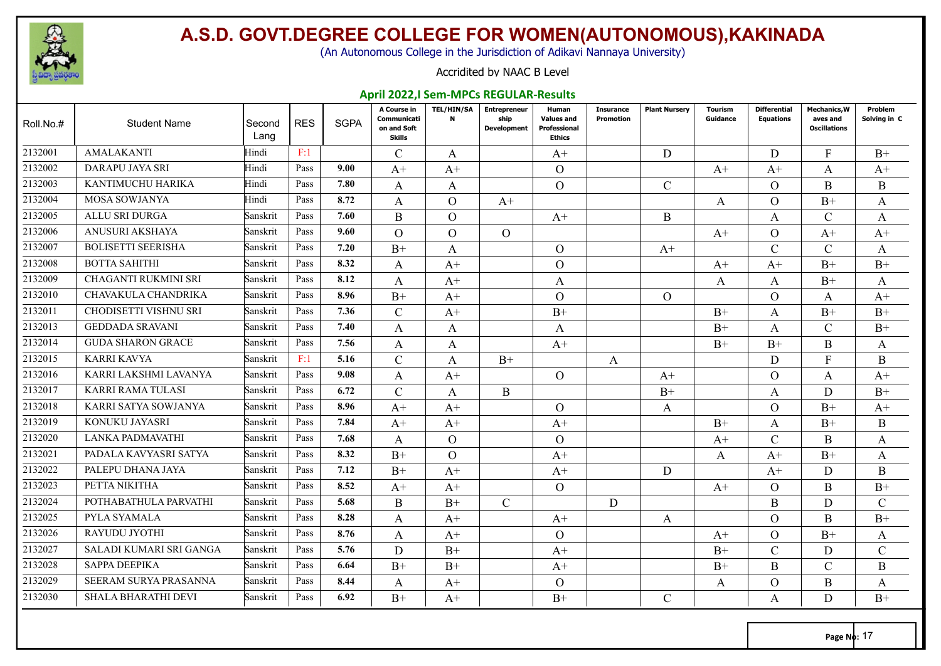

(An Autonomous College in the Jurisdiction of Adikavi Nannaya University)

#### Accridited by NAAC B Level

#### **April 2022,I Sem-MPCs REGULAR-Results**

| Roll.No.# | <b>Student Name</b>          | Second<br>Lang | <b>RES</b> | <b>SGPA</b> | A Course in<br>Communicati<br>on and Soft<br><b>Skills</b> | <b>TEL/HIN/SA</b><br>$\mathbf N$ | <b>Entrepreneur</b><br>ship<br><b>Development</b> | Human<br><b>Values and</b><br>Professional<br><b>Ethics</b> | <b>Insurance</b><br><b>Promotion</b> | <b>Plant Nursery</b> | <b>Tourism</b><br>Guidance | <b>Differential</b><br><b>Equations</b> | <b>Mechanics, W</b><br>aves and<br><b>Oscillations</b> | Problem<br>Solving in C |
|-----------|------------------------------|----------------|------------|-------------|------------------------------------------------------------|----------------------------------|---------------------------------------------------|-------------------------------------------------------------|--------------------------------------|----------------------|----------------------------|-----------------------------------------|--------------------------------------------------------|-------------------------|
| 2132001   | <b>AMALAKANTI</b>            | Hindi          | F:1        |             | $\mathcal{C}$                                              | A                                |                                                   | $A+$                                                        |                                      | D                    |                            | D                                       | $\mathbf{F}$                                           | $B+$                    |
| 2132002   | <b>DARAPU JAYA SRI</b>       | Hindi          | Pass       | 9.00        | $A+$                                                       | $A+$                             |                                                   | $\Omega$                                                    |                                      |                      | $A+$                       | $A+$                                    | A                                                      | $A^+$                   |
| 2132003   | KANTIMUCHU HARIKA            | Hindi          | Pass       | 7.80        | A                                                          | A                                |                                                   | $\Omega$                                                    |                                      | $\mathcal{C}$        |                            | $\Omega$                                | B                                                      | B                       |
| 2132004   | MOSA SOWJANYA                | Hindi          | Pass       | 8.72        | A                                                          | $\Omega$                         | $A+$                                              |                                                             |                                      |                      | A                          | $\Omega$                                | $B+$                                                   | A                       |
| 2132005   | <b>ALLU SRI DURGA</b>        | Sanskrit       | Pass       | 7.60        | B                                                          | $\Omega$                         |                                                   | $A+$                                                        |                                      | B                    |                            | $\mathsf{A}$                            | $\mathcal{C}$                                          | A                       |
| 2132006   | ANUSURI AKSHAYA              | Sanskrit       | Pass       | 9.60        | $\Omega$                                                   | $\Omega$                         | $\Omega$                                          |                                                             |                                      |                      | $A+$                       | $\Omega$                                | $A+$                                                   | $A+$                    |
| 2132007   | <b>BOLISETTI SEERISHA</b>    | Sanskrit       | Pass       | 7.20        | $B+$                                                       | A                                |                                                   | $\Omega$                                                    |                                      | $A+$                 |                            | $\mathcal{C}$                           | $\mathcal{C}$                                          | A                       |
| 2132008   | <b>BOTTA SAHITHI</b>         | Sanskrit       | Pass       | 8.32        | A                                                          | $A+$                             |                                                   | $\Omega$                                                    |                                      |                      | $A+$                       | $A+$                                    | $B+$                                                   | $B+$                    |
| 2132009   | CHAGANTI RUKMINI SRI         | Sanskrit       | Pass       | 8.12        | A                                                          | $A+$                             |                                                   | A                                                           |                                      |                      | A                          | A                                       | $B+$                                                   | A                       |
| 2132010   | CHAVAKULA CHANDRIKA          | Sanskrit       | Pass       | 8.96        | $B+$                                                       | $A+$                             |                                                   | $\overline{O}$                                              |                                      | $\Omega$             |                            | $\Omega$                                | A                                                      | $A+$                    |
| 2132011   | <b>CHODISETTI VISHNU SRI</b> | Sanskrit       | Pass       | 7.36        | $\mathcal{C}$                                              | $A+$                             |                                                   | $B+$                                                        |                                      |                      | $B+$                       | $\mathsf{A}$                            | $B+$                                                   | $B+$                    |
| 2132013   | <b>GEDDADA SRAVANI</b>       | Sanskrit       | Pass       | 7.40        | A                                                          | A                                |                                                   | A                                                           |                                      |                      | $B+$                       | A                                       | $\mathcal{C}$                                          | $B+$                    |
| 2132014   | <b>GUDA SHARON GRACE</b>     | Sanskrit       | Pass       | 7.56        | A                                                          | A                                |                                                   | $A+$                                                        |                                      |                      | $B+$                       | $B+$                                    | $\mathbf{B}$                                           | A                       |
| 2132015   | <b>KARRI KAVYA</b>           | Sanskrit       | F:1        | 5.16        | $\mathcal{C}$                                              | $\mathsf{A}$                     | $B+$                                              |                                                             | A                                    |                      |                            | D                                       | $F_{\rm}$                                              | B                       |
| 2132016   | KARRI LAKSHMI LAVANYA        | Sanskrit       | Pass       | 9.08        | A                                                          | $A+$                             |                                                   | $\Omega$                                                    |                                      | $A+$                 |                            | $\Omega$                                | A                                                      | $A+$                    |
| 2132017   | <b>KARRI RAMA TULASI</b>     | Sanskrit       | Pass       | 6.72        | $\mathcal{C}$                                              | A                                | B                                                 |                                                             |                                      | $B+$                 |                            | A                                       | D                                                      | $B+$                    |
| 2132018   | KARRI SATYA SOWJANYA         | Sanskrit       | Pass       | 8.96        | $A+$                                                       | $A+$                             |                                                   | $\Omega$                                                    |                                      | A                    |                            | $\Omega$                                | $B+$                                                   | $A+$                    |
| 2132019   | KONUKU JAYASRI               | Sanskrit       | Pass       | 7.84        | $A^+$                                                      | $A^+$                            |                                                   | $A^+$                                                       |                                      |                      | $B+$                       | A                                       | $B+$                                                   | B                       |
| 2132020   | LANKA PADMAVATHI             | Sanskrit       | Pass       | 7.68        | A                                                          | $\Omega$                         |                                                   | $\mathcal{O}$                                               |                                      |                      | $A+$                       | $\mathcal{C}$                           | B                                                      | A                       |
| 2132021   | PADALA KAVYASRI SATYA        | Sanskrit       | Pass       | 8.32        | $B+$                                                       | $\Omega$                         |                                                   | $A+$                                                        |                                      |                      | A                          | $A+$                                    | $B+$                                                   | A                       |
| 2132022   | PALEPU DHANA JAYA            | Sanskrit       | Pass       | 7.12        | $B+$                                                       | $A+$                             |                                                   | $A+$                                                        |                                      | D                    |                            | $A+$                                    | D                                                      | $\boldsymbol{B}$        |
| 2132023   | PETTA NIKITHA                | Sanskrit       | Pass       | 8.52        | $A+$                                                       | $A+$                             |                                                   | $\Omega$                                                    |                                      |                      | $A+$                       | $\Omega$                                | B                                                      | $B+$                    |
| 2132024   | POTHABATHULA PARVATHI        | Sanskrit       | Pass       | 5.68        | B                                                          | $B+$                             | $\mathcal{C}$                                     |                                                             | D                                    |                      |                            | B                                       | D                                                      | $\mathcal{C}$           |
| 2132025   | PYLA SYAMALA                 | Sanskrit       | Pass       | 8.28        | A                                                          | $A+$                             |                                                   | $A+$                                                        |                                      | A                    |                            | $\Omega$                                | $\mathbf B$                                            | $B+$                    |
| 2132026   | RAYUDU JYOTHI                | Sanskrit       | Pass       | 8.76        | A                                                          | $A+$                             |                                                   | $\Omega$                                                    |                                      |                      | $A+$                       | $\Omega$                                | $B+$                                                   | A                       |
| 2132027   | SALADI KUMARI SRI GANGA      | Sanskrit       | Pass       | 5.76        | D                                                          | $B+$                             |                                                   | $A+$                                                        |                                      |                      | $B+$                       | $\mathcal{C}$                           | D                                                      | $\mathsf{C}$            |
| 2132028   | SAPPA DEEPIKA                | Sanskrit       | Pass       | 6.64        | $B+$                                                       | $B+$                             |                                                   | $A+$                                                        |                                      |                      | $B+$                       | B                                       | $\mathcal{C}$                                          | B                       |
| 2132029   | SEERAM SURYA PRASANNA        | Sanskrit       | Pass       | 8.44        | A                                                          | $A^+$                            |                                                   | $\Omega$                                                    |                                      |                      | A                          | $\Omega$                                | B                                                      | A                       |
| 2132030   | <b>SHALA BHARATHI DEVI</b>   | Sanskrit       | Pass       | 6.92        | $B+$                                                       | $A+$                             |                                                   | $B+$                                                        |                                      | C                    |                            | A                                       | D                                                      | $B+$                    |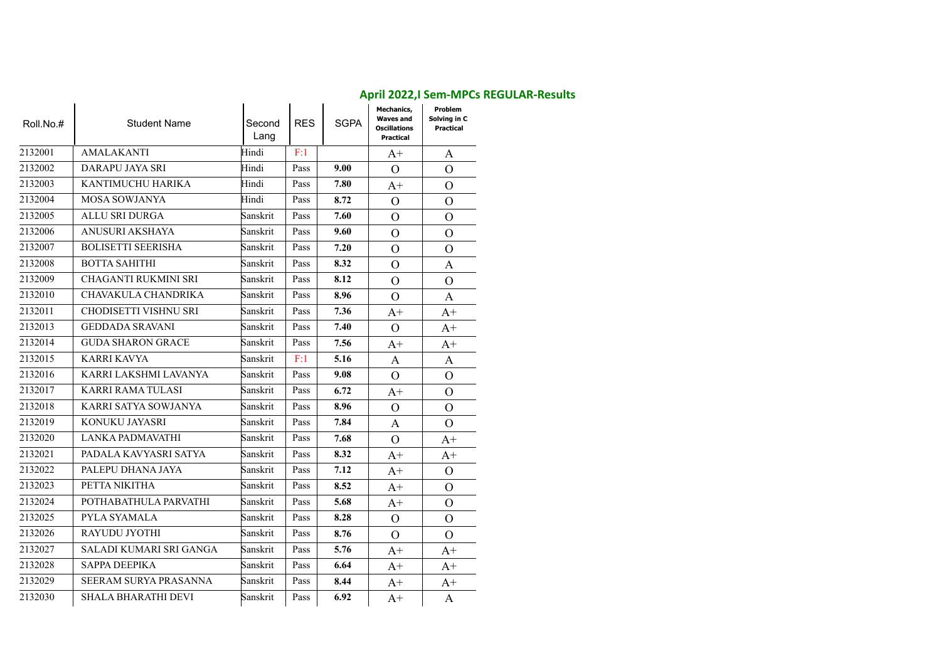| Roll.No.# | <b>Student Name</b>         | Second<br>Lang | <b>RES</b> | <b>SGPA</b> | <b>Mechanics,</b><br><b>Waves and</b><br><b>Oscillations</b><br>Practical | Problem<br>Solving in C<br>Practical |
|-----------|-----------------------------|----------------|------------|-------------|---------------------------------------------------------------------------|--------------------------------------|
| 2132001   | AMALAKANTI                  | Hindi          | F:1        |             | $A+$                                                                      | A                                    |
| 2132002   | DARAPU JAYA SRI             | Hindi          | Pass       | 9.00        | $\Omega$                                                                  | $\Omega$                             |
| 2132003   | KANTIMUCHU HARIKA           | Hindi          | Pass       | 7.80        | $A+$                                                                      | $\Omega$                             |
| 2132004   | <b>MOSA SOWJANYA</b>        | Hindi          | Pass       | 8.72        | $\Omega$                                                                  | $\Omega$                             |
| 2132005   | <b>ALLU SRI DURGA</b>       | Sanskrit       | Pass       | 7.60        | $\overline{O}$                                                            | $\Omega$                             |
| 2132006   | ANUSURI AKSHAYA             | Sanskrit       | Pass       | 9.60        | $\overline{O}$                                                            | $\Omega$                             |
| 2132007   | <b>BOLISETTI SEERISHA</b>   | Sanskrit       | Pass       | 7.20        | $\overline{O}$                                                            | $\Omega$                             |
| 2132008   | <b>BOTTA SAHITHI</b>        | Sanskrit       | Pass       | 8.32        | $\overline{O}$                                                            | A                                    |
| 2132009   | <b>CHAGANTI RUKMINI SRI</b> | Sanskrit       | Pass       | 8.12        | $\overline{O}$                                                            | $\mathcal{O}$                        |
| 2132010   | CHAVAKULA CHANDRIKA         | Sanskrit       | Pass       | 8.96        | $\Omega$                                                                  | A                                    |
| 2132011   | CHODISETTI VISHNU SRI       | Sanskrit       | Pass       | 7.36        | $A+$                                                                      | $A+$                                 |
| 2132013   | <b>GEDDADA SRAVANI</b>      | Sanskrit       | Pass       | 7.40        | $\mathcal{O}$                                                             | $A+$                                 |
| 2132014   | <b>GUDA SHARON GRACE</b>    | Sanskrit       | Pass       | 7.56        | $A+$                                                                      | $A+$                                 |
| 2132015   | <b>KARRI KAVYA</b>          | Sanskrit       | F:1        | 5.16        | A                                                                         | A                                    |
| 2132016   | KARRI LAKSHMI LAVANYA       | Sanskrit       | Pass       | 9.08        | $\overline{O}$                                                            | $\Omega$                             |
| 2132017   | KARRI RAMA TULASI           | Sanskrit       | Pass       | 6.72        | $A+$                                                                      | $\Omega$                             |
| 2132018   | KARRI SATYA SOWJANYA        | Sanskrit       | Pass       | 8.96        | $\overline{O}$                                                            | $\Omega$                             |
| 2132019   | KONUKU JAYASRI              | Sanskrit       | Pass       | 7.84        | A                                                                         | $\Omega$                             |
| 2132020   | LANKA PADMAVATHI            | Sanskrit       | Pass       | 7.68        | $\Omega$                                                                  | $A+$                                 |
| 2132021   | PADALA KAVYASRI SATYA       | Sanskrit       | Pass       | 8.32        | $A+$                                                                      | $A+$                                 |
| 2132022   | PALEPU DHANA JAYA           | Sanskrit       | Pass       | 7.12        | $A+$                                                                      | $\Omega$                             |
| 2132023   | PETTA NIKITHA               | Sanskrit       | Pass       | 8.52        | $A+$                                                                      | $\Omega$                             |
| 2132024   | POTHABATHULA PARVATHI       | Sanskrit       | Pass       | 5.68        | $A+$                                                                      | $\mathcal{O}$                        |
| 2132025   | PYLA SYAMALA                | Sanskrit       | Pass       | 8.28        | $\mathcal{O}$                                                             | $\Omega$                             |
| 2132026   | RAYUDU JYOTHI               | Sanskrit       | Pass       | 8.76        | $\Omega$                                                                  | $\Omega$                             |
| 2132027   | SALADI KUMARI SRI GANGA     | Sanskrit       | Pass       | 5.76        | $A+$                                                                      | $A+$                                 |
| 2132028   | <b>SAPPA DEEPIKA</b>        | Sanskrit       | Pass       | 6.64        | $A+$                                                                      | $A+$                                 |
| 2132029   | SEERAM SURYA PRASANNA       | Sanskrit       | Pass       | 8.44        | $A+$                                                                      | $A+$                                 |
| 2132030   | <b>SHALA BHARATHI DEVI</b>  | Sanskrit       | Pass       | 6.92        | $A+$                                                                      | A                                    |

#### **April 2022,I Sem-MPCs REGULAR-Results**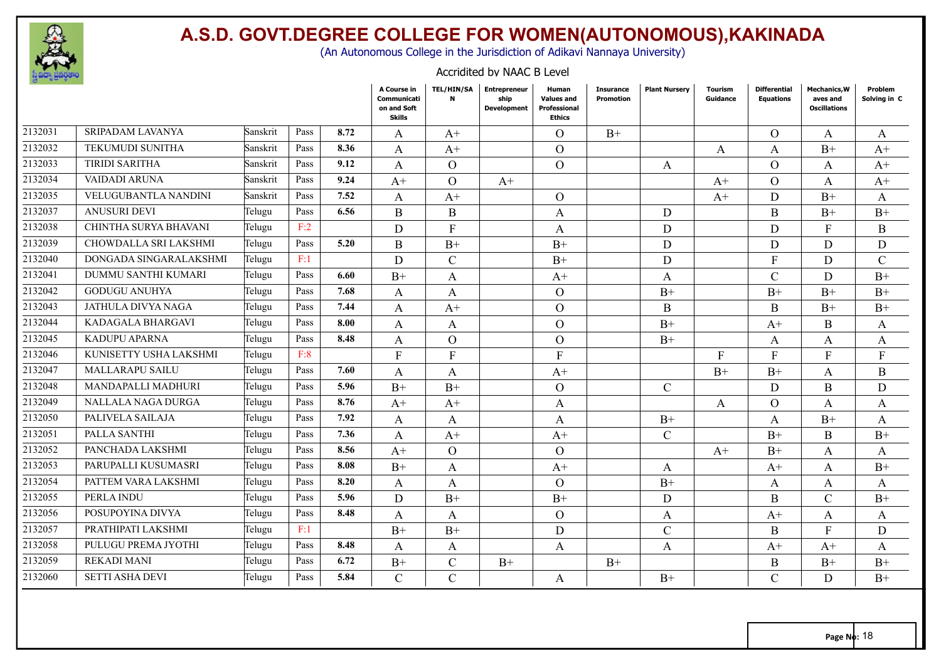

(An Autonomous College in the Jurisdiction of Adikavi Nannaya University)

#### Accridited by NAAC B Level

|         |                         |          |      |      | A Course in<br>Communicati<br>on and Soft<br>Skills | <b>TEL/HIN/SA</b><br>N | <b>Entrepreneur</b><br>ship<br><b>Development</b> | Human<br><b>Values and</b><br>Professional<br><b>Ethics</b> | <b>Insurance</b><br><b>Promotion</b> | <b>Plant Nursery</b> | <b>Tourism</b><br>Guidance | <b>Differential</b><br><b>Equations</b> | <b>Mechanics, W</b><br>aves and<br><b>Oscillations</b> | Problem<br>Solving in C |
|---------|-------------------------|----------|------|------|-----------------------------------------------------|------------------------|---------------------------------------------------|-------------------------------------------------------------|--------------------------------------|----------------------|----------------------------|-----------------------------------------|--------------------------------------------------------|-------------------------|
| 2132031 | <b>SRIPADAM LAVANYA</b> | Sanskrit | Pass | 8.72 | A                                                   | $A+$                   |                                                   | $\Omega$                                                    | $B+$                                 |                      |                            | $\Omega$                                | A                                                      | A                       |
| 2132032 | TEKUMUDI SUNITHA        | Sanskrit | Pass | 8.36 | A                                                   | $A+$                   |                                                   | $\overline{O}$                                              |                                      |                      | A                          | A                                       | $B+$                                                   | $A+$                    |
| 2132033 | <b>TIRIDI SARITHA</b>   | Sanskrit | Pass | 9.12 | A                                                   | $\Omega$               |                                                   | $\overline{O}$                                              |                                      | A                    |                            | $\Omega$                                | A                                                      | $A+$                    |
| 2132034 | VAIDADI ARUNA           | Sanskrit | Pass | 9.24 | $A+$                                                | $\Omega$               | $A+$                                              |                                                             |                                      |                      | $A+$                       | $\Omega$                                | $\mathbf{A}$                                           | $A+$                    |
| 2132035 | VELUGUBANTLA NANDINI    | Sanskrit | Pass | 7.52 | A                                                   | $A+$                   |                                                   | $\overline{O}$                                              |                                      |                      | $A+$                       | D                                       | $B+$                                                   | A                       |
| 2132037 | <b>ANUSURI DEVI</b>     | Telugu   | Pass | 6.56 | B                                                   | B                      |                                                   | A                                                           |                                      | D                    |                            | B                                       | $B+$                                                   | $B+$                    |
| 2132038 | CHINTHA SURYA BHAVANI   | Telugu   | F:2  |      | D                                                   | $\mathbf{F}$           |                                                   | A                                                           |                                      | D                    |                            | D                                       | F                                                      | $\boldsymbol{B}$        |
| 2132039 | CHOWDALLA SRI LAKSHMI   | Telugu   | Pass | 5.20 | B                                                   | $B+$                   |                                                   | $B+$                                                        |                                      | D                    |                            | D                                       | D                                                      | D                       |
| 2132040 | DONGADA SINGARALAKSHMI  | Telugu   | F:1  |      | D                                                   | $\mathcal{C}$          |                                                   | $B+$                                                        |                                      | D                    |                            | F                                       | D                                                      | $\mathcal{C}$           |
| 2132041 | DUMMU SANTHI KUMARI     | Telugu   | Pass | 6.60 | $B+$                                                | A                      |                                                   | $A+$                                                        |                                      | A                    |                            | $\mathcal{C}$                           | D                                                      | $B+$                    |
| 2132042 | <b>GODUGU ANUHYA</b>    | Telugu   | Pass | 7.68 | A                                                   | A                      |                                                   | $\overline{O}$                                              |                                      | $B+$                 |                            | $B+$                                    | $B+$                                                   | $B+$                    |
| 2132043 | JATHULA DIVYA NAGA      | Telugu   | Pass | 7.44 | A                                                   | $A+$                   |                                                   | $\Omega$                                                    |                                      | B                    |                            | B                                       | $B+$                                                   | $B+$                    |
| 2132044 | KADAGALA BHARGAVI       | Telugu   | Pass | 8.00 | A                                                   | A                      |                                                   | $\Omega$                                                    |                                      | $B+$                 |                            | $A+$                                    | <sub>B</sub>                                           | A                       |
| 2132045 | KADUPU APARNA           | Telugu   | Pass | 8.48 | A                                                   | $\Omega$               |                                                   | $\overline{O}$                                              |                                      | $B+$                 |                            | A                                       | A                                                      | A                       |
| 2132046 | KUNISETTY USHA LAKSHMI  | Telugu   | F:8  |      | $\mathbf{F}$                                        | $\mathbf{F}$           |                                                   | $\mathbf{F}$                                                |                                      |                      | $\mathbf{F}$               | F                                       | $\mathbf{F}$                                           | $\mathbf{F}$            |
| 2132047 | <b>MALLARAPU SAILU</b>  | Telugu   | Pass | 7.60 | A                                                   | A                      |                                                   | $A+$                                                        |                                      |                      | $B+$                       | $B+$                                    | A                                                      | B                       |
| 2132048 | MANDAPALLI MADHURI      | Telugu   | Pass | 5.96 | $B+$                                                | $B+$                   |                                                   | $\overline{O}$                                              |                                      | $\overline{C}$       |                            | D                                       | B                                                      | D                       |
| 2132049 | NALLALA NAGA DURGA      | Telugu   | Pass | 8.76 | $A+$                                                | $A+$                   |                                                   | A                                                           |                                      |                      | A                          | $\Omega$                                | A                                                      | A                       |
| 2132050 | PALIVELA SAILAJA        | Telugu   | Pass | 7.92 | A                                                   | A                      |                                                   | A                                                           |                                      | $B+$                 |                            | A                                       | $B+$                                                   | A                       |
| 2132051 | PALLA SANTHI            | Telugu   | Pass | 7.36 | A                                                   | $A+$                   |                                                   | $A+$                                                        |                                      | $\mathsf{C}$         |                            | $B+$                                    | B                                                      | $B+$                    |
| 2132052 | PANCHADA LAKSHMI        | Telugu   | Pass | 8.56 | $A+$                                                | $\Omega$               |                                                   | $\overline{O}$                                              |                                      |                      | $A+$                       | $B+$                                    | A                                                      | A                       |
| 2132053 | PARUPALLI KUSUMASRI     | Telugu   | Pass | 8.08 | $B+$                                                | A                      |                                                   | $A+$                                                        |                                      | A                    |                            | $A+$                                    | A                                                      | $B+$                    |
| 2132054 | PATTEM VARA LAKSHMI     | Telugu   | Pass | 8.20 | A                                                   | A                      |                                                   | $\overline{O}$                                              |                                      | $B+$                 |                            | A                                       | $\mathbf{A}$                                           | A                       |
| 2132055 | PERLA INDU              | Telugu   | Pass | 5.96 | D                                                   | $B+$                   |                                                   | $B+$                                                        |                                      | D                    |                            | B                                       | $\mathcal{C}$                                          | $B+$                    |
| 2132056 | POSUPOYINA DIVYA        | Telugu   | Pass | 8.48 | A                                                   | A                      |                                                   | $\overline{O}$                                              |                                      | A                    |                            | $A^+$                                   | A                                                      | A                       |
| 2132057 | PRATHIPATI LAKSHMI      | Telugu   | F:1  |      | $B+$                                                | $B+$                   |                                                   | D                                                           |                                      | $\mathsf{C}$         |                            | B                                       | F                                                      | D                       |
| 2132058 | PULUGU PREMA JYOTHI     | Telugu   | Pass | 8.48 | A                                                   | A                      |                                                   | A                                                           |                                      | A                    |                            | $A+$                                    | $A+$                                                   | A                       |
| 2132059 | <b>REKADI MANI</b>      | Telugu   | Pass | 6.72 | $B+$                                                | $\mathcal{C}$          | $B+$                                              |                                                             | $B+$                                 |                      |                            | B                                       | $B+$                                                   | $B+$                    |
| 2132060 | <b>SETTI ASHA DEVI</b>  | Telugu   | Pass | 5.84 | $\mathcal{C}$                                       | $\mathcal{C}$          |                                                   | A                                                           |                                      | $B+$                 |                            | $\mathcal{C}$                           | D                                                      | $B+$                    |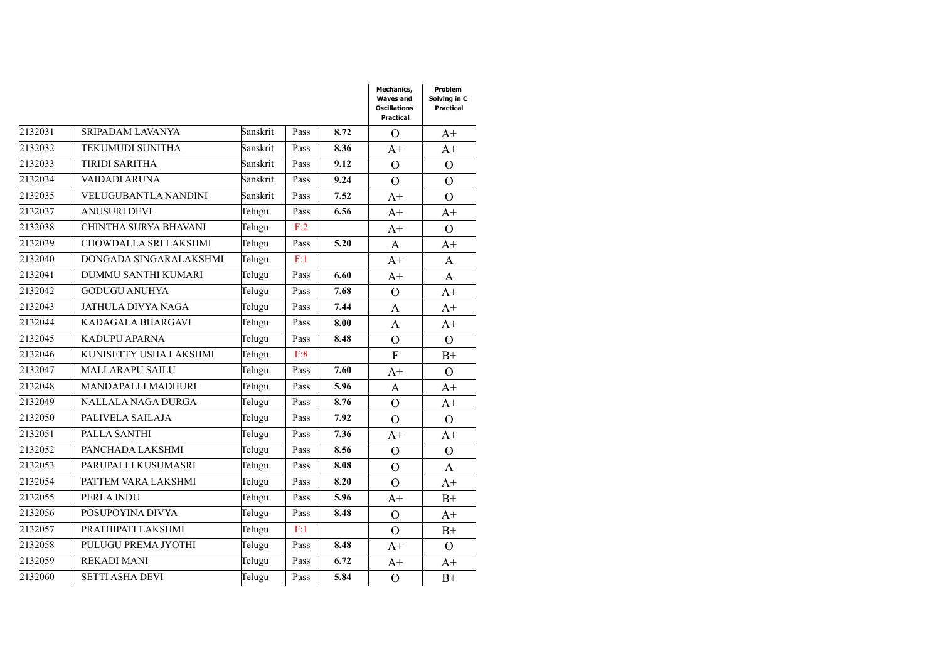|         |                         |          |      |      | Mechanics,<br><b>Waves and</b><br><b>Oscillations</b><br>Practical | Problem<br>Solving in C<br>Practical |
|---------|-------------------------|----------|------|------|--------------------------------------------------------------------|--------------------------------------|
| 2132031 | <b>SRIPADAM LAVANYA</b> | Sanskrit | Pass | 8.72 | $\Omega$                                                           | $A+$                                 |
| 2132032 | <b>TEKUMUDI SUNITHA</b> | Sanskrit | Pass | 8.36 | $A+$                                                               | $A+$                                 |
| 2132033 | <b>TIRIDI SARITHA</b>   | Sanskrit | Pass | 9.12 | $\overline{O}$                                                     | $\Omega$                             |
| 2132034 | VAIDADI ARUNA           | Sanskrit | Pass | 9.24 | $\overline{O}$                                                     | $\Omega$                             |
| 2132035 | VELUGUBANTLA NANDINI    | Sanskrit | Pass | 7.52 | $A+$                                                               | $\Omega$                             |
| 2132037 | <b>ANUSURI DEVI</b>     | Telugu   | Pass | 6.56 | $A+$                                                               | $A+$                                 |
| 2132038 | CHINTHA SURYA BHAVANI   | Telugu   | F:2  |      | $A+$                                                               | $\Omega$                             |
| 2132039 | CHOWDALLA SRI LAKSHMI   | Telugu   | Pass | 5.20 | $\mathbf{A}$                                                       | $A+$                                 |
| 2132040 | DONGADA SINGARALAKSHMI  | Telugu   | F:1  |      | $A+$                                                               | A                                    |
| 2132041 | DUMMU SANTHI KUMARI     | Telugu   | Pass | 6.60 | $A+$                                                               | $\mathbf{A}$                         |
| 2132042 | <b>GODUGU ANUHYA</b>    | Telugu   | Pass | 7.68 | $\mathcal{O}$                                                      | $A+$                                 |
| 2132043 | JATHULA DIVYA NAGA      | Telugu   | Pass | 7.44 | $\mathbf{A}$                                                       | $A+$                                 |
| 2132044 | KADAGALA BHARGAVI       | Telugu   | Pass | 8.00 | A                                                                  | $A+$                                 |
| 2132045 | <b>KADUPU APARNA</b>    | Telugu   | Pass | 8.48 | $\overline{O}$                                                     | $\Omega$                             |
| 2132046 | KUNISETTY USHA LAKSHMI  | Telugu   | F:8  |      | $\overline{F}$                                                     | $B+$                                 |
| 2132047 | <b>MALLARAPU SAILU</b>  | Telugu   | Pass | 7.60 | $A+$                                                               | $\Omega$                             |
| 2132048 | MANDAPALLI MADHURI      | Telugu   | Pass | 5.96 | A                                                                  | $A+$                                 |
| 2132049 | NALLALA NAGA DURGA      | Telugu   | Pass | 8.76 | $\overline{O}$                                                     | $A+$                                 |
| 2132050 | PALIVELA SAILAJA        | Telugu   | Pass | 7.92 | $\Omega$                                                           | $\Omega$                             |
| 2132051 | PALLA SANTHI            | Telugu   | Pass | 7.36 | $A+$                                                               | $A+$                                 |
| 2132052 | PANCHADA LAKSHMI        | Telugu   | Pass | 8.56 | $\overline{O}$                                                     | $\Omega$                             |
| 2132053 | PARUPALLI KUSUMASRI     | Telugu   | Pass | 8.08 | $\overline{O}$                                                     | A                                    |
| 2132054 | PATTEM VARA LAKSHMI     | Telugu   | Pass | 8.20 | $\overline{O}$                                                     | $A+$                                 |
| 2132055 | PERLA INDU              | Telugu   | Pass | 5.96 | $A+$                                                               | $B+$                                 |
| 2132056 | POSUPOYINA DIVYA        | Telugu   | Pass | 8.48 | $\overline{O}$                                                     | $A+$                                 |
| 2132057 | PRATHIPATI LAKSHMI      | Telugu   | F:1  |      | $\overline{O}$                                                     | $B+$                                 |
| 2132058 | PULUGU PREMA JYOTHI     | Telugu   | Pass | 8.48 | $A+$                                                               | $\Omega$                             |
| 2132059 | <b>REKADI MANI</b>      | Telugu   | Pass | 6.72 | $A+$                                                               | $A+$                                 |
| 2132060 | <b>SETTI ASHA DEVI</b>  | Telugu   | Pass | 5.84 | $\Omega$                                                           | $B+$                                 |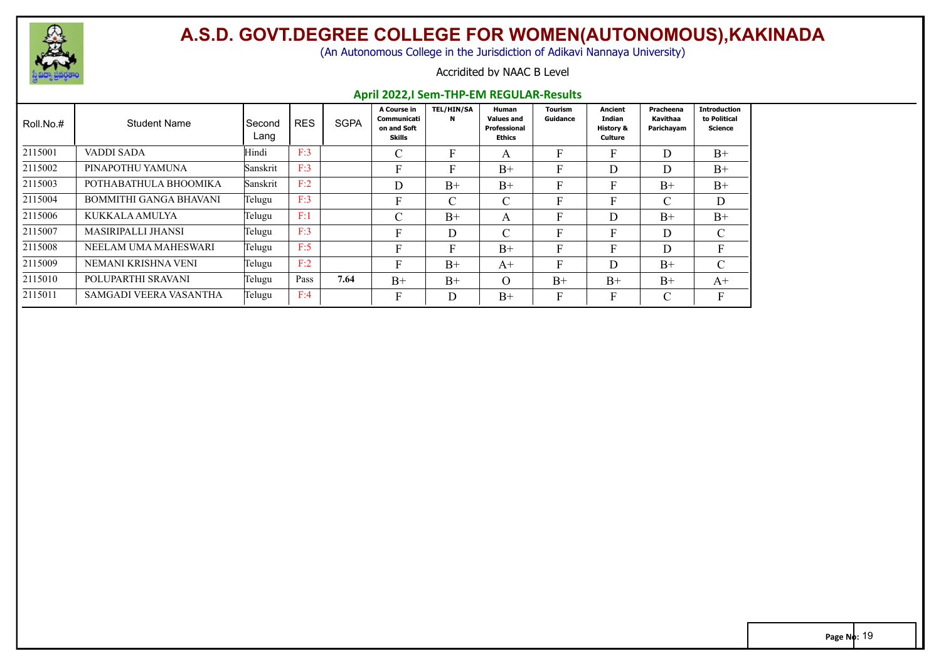

(An Autonomous College in the Jurisdiction of Adikavi Nannaya University)

#### Accridited by NAAC B Level

#### **April 2022,I Sem-THP-EM REGULAR-Results**

| Roll.No.# | <b>Student Name</b>           | l Second<br>Lang | <b>RES</b> | <b>SGPA</b> | A Course in<br>Communicati<br>on and Soft<br>Skills | <b>TEL/HIN/SA</b><br>N | Human<br><b>Values and</b><br>Professional<br>Ethics | <b>Tourism</b><br>Guidance | Ancient<br>Indian<br><b>History &amp;</b><br>Culture | Pracheena<br>Kavithaa<br>Parichayam | <b>Introduction</b><br>to Political<br>Science |
|-----------|-------------------------------|------------------|------------|-------------|-----------------------------------------------------|------------------------|------------------------------------------------------|----------------------------|------------------------------------------------------|-------------------------------------|------------------------------------------------|
| 2115001   | <b>VADDI SADA</b>             | Hindi            | F:3        |             | C                                                   | F                      | A                                                    | F                          |                                                      | D                                   | $B+$                                           |
| 2115002   | PINAPOTHU YAMUNA              | Sanskrit         | F:3        |             | F                                                   | F                      | $B+$                                                 | F                          | D                                                    | D                                   | $B+$                                           |
| 2115003   | POTHABATHULA BHOOMIKA         | Sanskrit         | F:2        |             | D                                                   | $B+$                   | $B+$                                                 | F                          | F.                                                   | $B+$                                | $B+$                                           |
| 2115004   | <b>BOMMITHI GANGA BHAVANI</b> | Telugu           | F:3        |             | F                                                   | $\mathcal{C}$          | $\cap$<br>U                                          | $\mathbf{F}$               |                                                      | C                                   | D                                              |
| 2115006   | KUKKALA AMULYA                | Telugu           | F:1        |             | $\mathcal{C}$                                       | $B+$                   | A                                                    | F                          | D                                                    | $B+$                                | $B+$                                           |
| 2115007   | MASIRIPALLI JHANSI            | Telugu           | F:3        |             | F                                                   | D                      |                                                      | F                          |                                                      | D                                   | C                                              |
| 2115008   | NEELAM UMA MAHESWARI          | Telugu           | F:5        |             | F                                                   | E.                     | $B+$                                                 | F                          |                                                      | D                                   | $\mathbf{F}$                                   |
| 2115009   | NEMANI KRISHNA VENI           | Telugu           | F:2        |             | F                                                   | $B+$                   | $A+$                                                 | F                          | D                                                    | $B+$                                | $\mathsf{C}$                                   |
| 2115010   | POLUPARTHI SRAVANI            | Telugu           | Pass       | 7.64        | $B+$                                                | $B+$                   | $\Omega$                                             | $B+$                       | $B+$                                                 | $B+$                                | $A+$                                           |
| 2115011   | SAMGADI VEERA VASANTHA        | Telugu           | F:4        |             | F                                                   | D                      | $B+$                                                 | F                          |                                                      | $\mathcal{C}$                       | F                                              |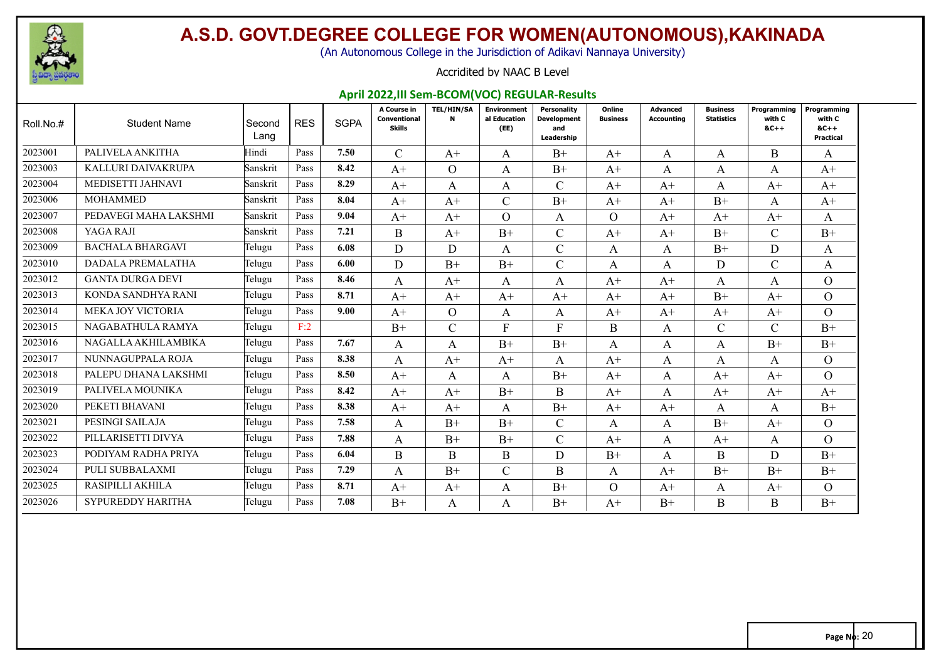

(An Autonomous College in the Jurisdiction of Adikavi Nannaya University)

#### Accridited by NAAC B Level

#### **April 2022,III Sem-BCOM(VOC) REGULAR-Results**

| Roll.No.# | <b>Student Name</b>      | Second<br>Lang | <b>RES</b> | <b>SGPA</b> | A Course in<br>Conventional<br><b>Skills</b> | <b>TEL/HIN/SA</b><br>$\mathbf{N}$ | <b>Environment</b><br>al Education<br>(EE) | Personality<br><b>Development</b><br>and<br>Leadership | Online<br><b>Business</b> | Advanced<br>Accounting | <b>Business</b><br><b>Statistics</b> | Programming<br>with C<br>$8C++$ | Programming<br>with C<br>$8C++$<br>Practical |
|-----------|--------------------------|----------------|------------|-------------|----------------------------------------------|-----------------------------------|--------------------------------------------|--------------------------------------------------------|---------------------------|------------------------|--------------------------------------|---------------------------------|----------------------------------------------|
| 2023001   | PALIVELA ANKITHA         | Hindi          | Pass       | 7.50        | $\mathcal{C}$                                | $A+$                              | A                                          | $B+$                                                   | $A+$                      | A                      | A                                    | B.                              | A                                            |
| 2023003   | KALLURI DAIVAKRUPA       | Sanskrit       | Pass       | 8.42        | $A+$                                         | $\overline{O}$                    | A                                          | $B+$                                                   | $A+$                      | A                      | A                                    | A                               | $A+$                                         |
| 2023004   | MEDISETTI JAHNAVI        | Sanskrit       | Pass       | 8.29        | $A+$                                         | A                                 | A                                          | $\mathcal{C}$                                          | $A+$                      | $A+$                   | A                                    | $A+$                            | $A+$                                         |
| 2023006   | <b>MOHAMMED</b>          | Sanskrit       | Pass       | 8.04        | $A+$                                         | $A+$                              | $\mathcal{C}$                              | $B+$                                                   | $A+$                      | $A+$                   | $B+$                                 | A                               | $A+$                                         |
| 2023007   | PEDAVEGI MAHA LAKSHMI    | Sanskrit       | Pass       | 9.04        | $A+$                                         | $A+$                              | $\overline{O}$                             | A                                                      | $\Omega$                  | $A+$                   | $A+$                                 | $A^+$                           | A                                            |
| 2023008   | YAGA RAJI                | Sanskrit       | Pass       | 7.21        | B                                            | $A+$                              | $B+$                                       | $\mathcal{C}$                                          | $A+$                      | $A+$                   | $B+$                                 | $\mathcal{C}$                   | $B+$                                         |
| 2023009   | <b>BACHALA BHARGAVI</b>  | Telugu         | Pass       | 6.08        | D                                            | D                                 | A                                          | $\mathcal{C}$                                          | A                         | A                      | $B+$                                 | D                               | A                                            |
| 2023010   | DADALA PREMALATHA        | Telugu         | Pass       | 6.00        | D                                            | $B+$                              | $B+$                                       | $\mathcal{C}$                                          | $\mathbf{A}$              | A                      | D                                    | $\mathsf{C}$                    | A                                            |
| 2023012   | <b>GANTA DURGA DEVI</b>  | Telugu         | Pass       | 8.46        | A                                            | $A+$                              | A                                          | A                                                      | $A+$                      | $A+$                   | A                                    | A                               | $\overline{O}$                               |
| 2023013   | KONDA SANDHYA RANI       | Telugu         | Pass       | 8.71        | $A+$                                         | $A+$                              | $A+$                                       | $A+$                                                   | $A+$                      | $A+$                   | $B+$                                 | $A+$                            | $\Omega$                                     |
| 2023014   | MEKA JOY VICTORIA        | Telugu         | Pass       | 9.00        | $A+$                                         | O.                                | A                                          | A                                                      | $A+$                      | $A+$                   | $A+$                                 | $A^+$                           | $\Omega$                                     |
| 2023015   | NAGABATHULA RAMYA        | Telugu         | F:2        |             | $B+$                                         | $\mathcal{C}$                     | F                                          | $\mathbf{F}$                                           | $\mathbf{B}$              | A                      | $\mathcal{C}$                        | $\mathsf{C}$                    | $B+$                                         |
| 2023016   | NAGALLA AKHILAMBIKA      | Telugu         | Pass       | 7.67        | A                                            | A                                 | $B+$                                       | $B+$                                                   | A                         | A                      | A                                    | $B+$                            | $B+$                                         |
| 2023017   | NUNNAGUPPALA ROJA        | Telugu         | Pass       | 8.38        | A                                            | $A+$                              | $A+$                                       | A                                                      | $A+$                      | A                      | A                                    | A                               | $\Omega$                                     |
| 2023018   | PALEPU DHANA LAKSHMI     | Telugu         | Pass       | 8.50        | $A+$                                         | A                                 | A                                          | $B+$                                                   | $A+$                      | A                      | $A+$                                 | $A+$                            | $\Omega$                                     |
| 2023019   | PALIVELA MOUNIKA         | Telugu         | Pass       | 8.42        | $A+$                                         | $A+$                              | $B+$                                       | B                                                      | $A+$                      | A                      | $A+$                                 | $A+$                            | $A+$                                         |
| 2023020   | PEKETI BHAVANI           | Telugu         | Pass       | 8.38        | $A+$                                         | $A+$                              | A                                          | $B+$                                                   | $A+$                      | $A+$                   | A                                    | A                               | $B+$                                         |
| 2023021   | PESINGI SAILAJA          | Telugu         | Pass       | 7.58        | A                                            | $B+$                              | $B+$                                       | $\mathcal{C}$                                          | A                         | A                      | $B+$                                 | $A+$                            | $\Omega$                                     |
| 2023022   | PILLARISETTI DIVYA       | Telugu         | Pass       | 7.88        | A                                            | $B+$                              | $B+$                                       | $\mathcal{C}$                                          | $A+$                      | A                      | $A+$                                 | A                               | $\Omega$                                     |
| 2023023   | PODIYAM RADHA PRIYA      | Telugu         | Pass       | 6.04        | B                                            | B                                 | B                                          | D                                                      | $B+$                      | A                      | $\mathbf{B}$                         | D                               | $B+$                                         |
| 2023024   | PULI SUBBALAXMI          | Telugu         | Pass       | 7.29        | A                                            | $B+$                              | $\mathcal{C}$                              | B                                                      | A                         | $A+$                   | $B+$                                 | $B+$                            | $B+$                                         |
| 2023025   | RASIPILLI AKHILA         | Telugu         | Pass       | 8.71        | $A^+$                                        | $A+$                              | A                                          | $B+$                                                   | $\Omega$                  | $A+$                   | A                                    | $A^+$                           | $\Omega$                                     |
| 2023026   | <b>SYPUREDDY HARITHA</b> | Telugu         | Pass       | 7.08        | $B+$                                         | A                                 | A                                          | $B+$                                                   | $A+$                      | $B+$                   | B                                    | B                               | $B+$                                         |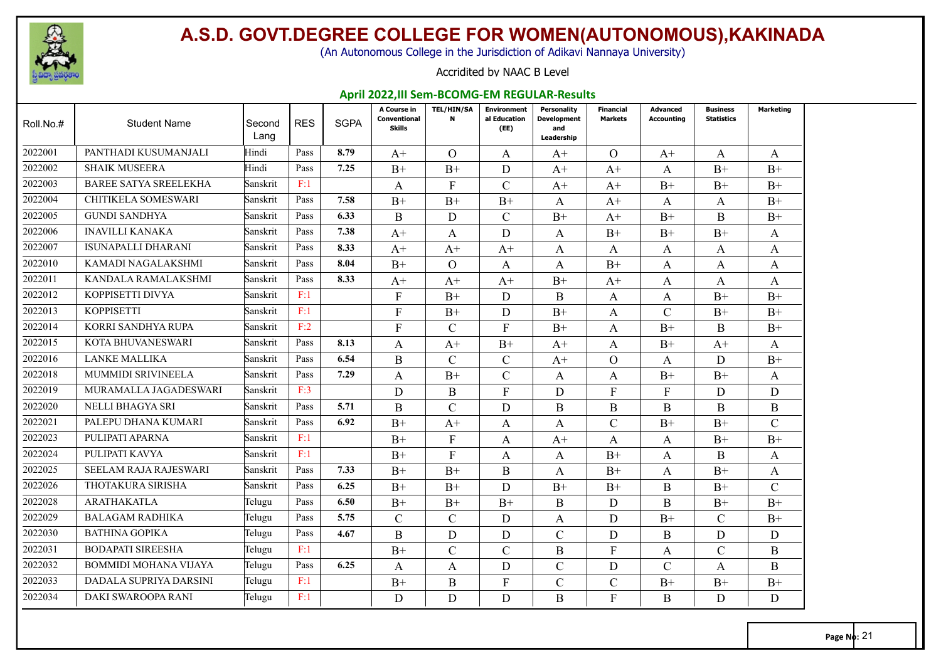

(An Autonomous College in the Jurisdiction of Adikavi Nannaya University)

#### Accridited by NAAC B Level

#### **April 2022,III Sem-BCOMG-EM REGULAR-Results**

| Roll.No.# | <b>Student Name</b>          | Second<br>Lang | <b>RES</b> | <b>SGPA</b> | A Course in<br>Conventional<br><b>Skills</b> | <b>TEL/HIN/SA</b><br>$\mathbf N$ | <b>Environment</b><br>al Education<br>(EE) | <b>Personality</b><br><b>Development</b><br>and<br>Leadership | <b>Financial</b><br><b>Markets</b> | <b>Advanced</b><br><b>Accounting</b> | <b>Business</b><br><b>Statistics</b> | Marketing     |
|-----------|------------------------------|----------------|------------|-------------|----------------------------------------------|----------------------------------|--------------------------------------------|---------------------------------------------------------------|------------------------------------|--------------------------------------|--------------------------------------|---------------|
| 2022001   | PANTHADI KUSUMANJALI         | Hindi          | Pass       | 8.79        | $A^+$                                        | $\Omega$                         | A                                          | $A^+$                                                         | O                                  | $A+$                                 | A                                    | A             |
| 2022002   | <b>SHAIK MUSEERA</b>         | Hindi          | Pass       | 7.25        | $B+$                                         | $B+$                             | D                                          | $A+$                                                          | $A+$                               | $\mathbf{A}$                         | $B+$                                 | $B+$          |
| 2022003   | <b>BAREE SATYA SREELEKHA</b> | Sanskrit       | F:1        |             | A                                            | F                                | $\mathcal{C}$                              | $A+$                                                          | $A+$                               | $B+$                                 | $B+$                                 | $B+$          |
| 2022004   | CHITIKELA SOMESWARI          | Sanskrit       | Pass       | 7.58        | $B+$                                         | $B+$                             | $B+$                                       | A                                                             | $A+$                               | A                                    | A                                    | $B+$          |
| 2022005   | <b>GUNDI SANDHYA</b>         | Sanskrit       | Pass       | 6.33        | B                                            | D                                | $\mathcal{C}$                              | $B+$                                                          | $A+$                               | $B+$                                 | B                                    | $B+$          |
| 2022006   | <b>INAVILLI KANAKA</b>       | Sanskrit       | Pass       | 7.38        | $A+$                                         | A                                | D                                          | A                                                             | $B+$                               | $B+$                                 | $B+$                                 | A             |
| 2022007   | <b>ISUNAPALLI DHARANI</b>    | Sanskrit       | Pass       | 8.33        | $A+$                                         | $A+$                             | $A+$                                       | A                                                             | A                                  | A                                    | A                                    | A             |
| 2022010   | KAMADI NAGALAKSHMI           | Sanskrit       | Pass       | 8.04        | $B+$                                         | $\Omega$                         | A                                          | A                                                             | $B+$                               | $\mathbf{A}$                         | A                                    | A             |
| 2022011   | KANDALA RAMALAKSHMI          | Sanskrit       | Pass       | 8.33        | $A+$                                         | $A+$                             | $A+$                                       | $B+$                                                          | $A+$                               | A                                    | A                                    | A             |
| 2022012   | KOPPISETTI DIVYA             | Sanskrit       | F:1        |             | F                                            | $B+$                             | D                                          | B                                                             | A                                  | A                                    | $B+$                                 | $B+$          |
| 2022013   | <b>KOPPISETTI</b>            | Sanskrit       | F:1        |             | F                                            | $B+$                             | D                                          | $B+$                                                          | A                                  | $\mathcal{C}$                        | $B+$                                 | $B+$          |
| 2022014   | KORRI SANDHYA RUPA           | Sanskrit       | F:2        |             | F                                            | $\mathcal{C}$                    | $\mathbf{F}$                               | $B+$                                                          | A                                  | $B+$                                 | B                                    | $B+$          |
| 2022015   | KOTA BHUVANESWARI            | Sanskrit       | Pass       | 8.13        | A                                            | $A+$                             | $B+$                                       | $A+$                                                          | A                                  | $B+$                                 | $A+$                                 | A             |
| 2022016   | <b>LANKE MALLIKA</b>         | Sanskrit       | Pass       | 6.54        | $\mathbf{B}$                                 | $\mathcal{C}$                    | $\mathcal{C}$                              | $A+$                                                          | $\Omega$                           | $\mathsf{A}$                         | D                                    | $B+$          |
| 2022018   | MUMMIDI SRIVINEELA           | Sanskrit       | Pass       | 7.29        | A                                            | $B+$                             | $\mathcal{C}$                              | A                                                             | A                                  | $B+$                                 | $B+$                                 | A             |
| 2022019   | MURAMALLA JAGADESWARI        | Sanskrit       | F:3        |             | D                                            | B                                | $\mathbf{F}$                               | D                                                             | $\mathbf{F}$                       | $\mathbf{F}$                         | D                                    | D             |
| 2022020   | NELLI BHAGYA SRI             | Sanskrit       | Pass       | 5.71        | $\mathbf{B}$                                 | $\mathcal{C}$                    | D                                          | $\boldsymbol{B}$                                              | $\bf{B}$                           | B                                    | B                                    | $\bf{B}$      |
| 2022021   | PALEPU DHANA KUMARI          | Sanskrit       | Pass       | 6.92        | $B+$                                         | $A+$                             | A                                          | A                                                             | $\mathcal{C}$                      | $B+$                                 | $B+$                                 | $\mathcal{C}$ |
| 2022023   | PULIPATI APARNA              | Sanskrit       | F:1        |             | $B+$                                         | $\mathbf{F}$                     | A                                          | $A+$                                                          | A                                  | A                                    | $B+$                                 | $B+$          |
| 2022024   | PULIPATI KAVYA               | Sanskrit       | F:1        |             | $B+$                                         | $\mathbf{F}$                     | A                                          | A                                                             | $B+$                               | A                                    | B                                    | A             |
| 2022025   | <b>SEELAM RAJA RAJESWARI</b> | Sanskrit       | Pass       | 7.33        | $B+$                                         | $B+$                             | B                                          | А                                                             | $B+$                               | A                                    | $B+$                                 | A             |
| 2022026   | THOTAKURA SIRISHA            | Sanskrit       | Pass       | 6.25        | $B+$                                         | $B+$                             | D                                          | $B+$                                                          | $B+$                               | B                                    | $B+$                                 | $\mathcal{C}$ |
| 2022028   | <b>ARATHAKATLA</b>           | Telugu         | Pass       | 6.50        | $B+$                                         | $B+$                             | $B+$                                       | $\mathbf{B}$                                                  | D                                  | B                                    | $B+$                                 | $B+$          |
| 2022029   | <b>BALAGAM RADHIKA</b>       | Telugu         | Pass       | 5.75        | $\mathcal{C}$                                | $\mathbf C$                      | D                                          | A                                                             | D                                  | $B+$                                 | C                                    | $B+$          |
| 2022030   | <b>BATHINA GOPIKA</b>        | Telugu         | Pass       | 4.67        | B                                            | D                                | D                                          | $\mathcal{C}$                                                 | D                                  | B                                    | D                                    | D             |
| 2022031   | <b>BODAPATI SIREESHA</b>     | Telugu         | F:1        |             | $B+$                                         | $\mathcal{C}$                    | $\mathcal{C}$                              | B                                                             | $\mathbf{F}$                       | A                                    | $\mathsf{C}$                         | B             |
| 2022032   | <b>BOMMIDI MOHANA VIJAYA</b> | Telugu         | Pass       | 6.25        | A                                            | A                                | D                                          | $\mathcal{C}$                                                 | D                                  | $\mathcal{C}$                        | A                                    | B             |
| 2022033   | DADALA SUPRIYA DARSINI       | Telugu         | F:1        |             | $B+$                                         | B                                | F                                          | $\mathcal{C}$                                                 | $\mathcal{C}$                      | $B+$                                 | $B+$                                 | $B+$          |
| 2022034   | DAKI SWAROOPA RANI           | Telugu         | F:1        |             | D                                            | D                                | D                                          | B                                                             | F                                  | B                                    | D                                    | D             |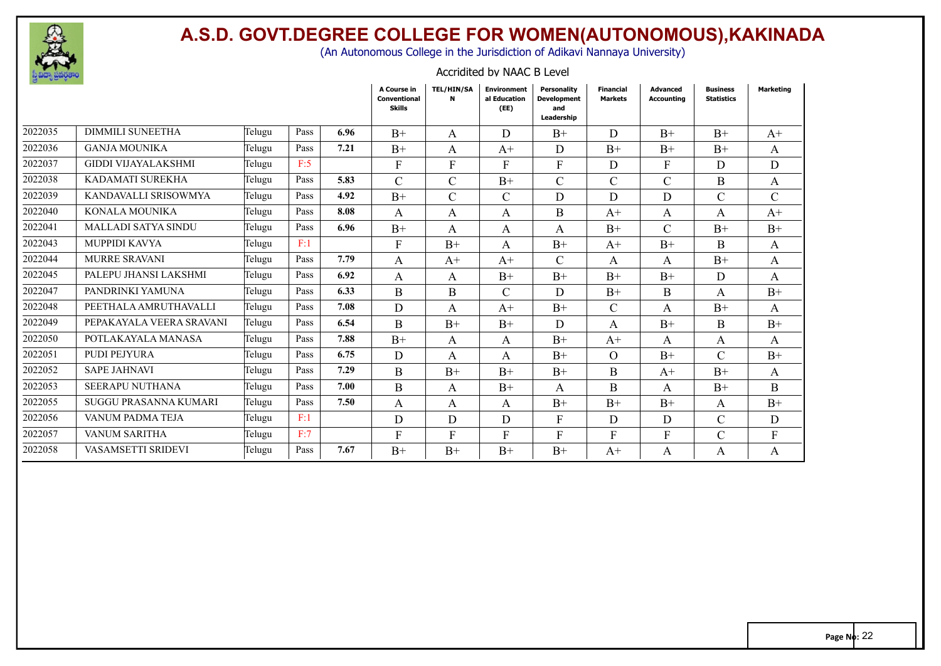

(An Autonomous College in the Jurisdiction of Adikavi Nannaya University)

| $\theta$ and $\theta$ and $\theta$ |                            |        |      |      |                                              |                   |                                            |                                                        |                                    |                               |                                      |                  |
|------------------------------------|----------------------------|--------|------|------|----------------------------------------------|-------------------|--------------------------------------------|--------------------------------------------------------|------------------------------------|-------------------------------|--------------------------------------|------------------|
|                                    |                            |        |      |      | A Course in<br>Conventional<br><b>Skills</b> | <b>TEL/HIN/SA</b> | <b>Environment</b><br>al Education<br>(EE) | Personality<br><b>Development</b><br>and<br>Leadership | <b>Financial</b><br><b>Markets</b> | <b>Advanced</b><br>Accounting | <b>Business</b><br><b>Statistics</b> | <b>Marketing</b> |
| 2022035                            | <b>DIMMILI SUNEETHA</b>    | Telugu | Pass | 6.96 | $B+$                                         | A                 | D                                          | $B+$                                                   | D                                  | $B+$                          | $B+$                                 | $A+$             |
| 2022036                            | <b>GANJA MOUNIKA</b>       | Telugu | Pass | 7.21 | $B+$                                         | A                 | $A+$                                       | D                                                      | $B+$                               | $B+$                          | $B+$                                 | A                |
| 2022037                            | <b>GIDDI VIJAYALAKSHMI</b> | Telugu | F:5  |      | $\mathbf{F}$                                 | F                 | F                                          | F                                                      | D                                  | $\mathbf{F}$                  | D                                    | D                |
| 2022038                            | KADAMATI SUREKHA           | Telugu | Pass | 5.83 | $\mathcal{C}$                                | $\mathsf{C}$      | $B+$                                       | $\mathcal{C}$                                          | $\mathcal{C}$                      | $\mathcal{C}$                 | B                                    | A                |
| 2022039                            | KANDAVALLI SRISOWMYA       | Telugu | Pass | 4.92 | $B+$                                         | C                 | $\mathcal{C}$                              | D                                                      | D                                  | D                             | $\mathcal{C}$                        | C                |
| 2022040                            | KONALA MOUNIKA             | Telugu | Pass | 8.08 | A                                            | A                 | A                                          | B                                                      | $A^+$                              | A                             | A                                    | $A+$             |
| 2022041                            | <b>MALLADI SATYA SINDU</b> | Telugu | Pass | 6.96 | $B+$                                         | $\mathsf{A}$      | A                                          | A                                                      | $B+$                               | C                             | $B+$                                 | $B+$             |
| 2022043                            | MUPPIDI KAVYA              | Telugu | F:1  |      | F                                            | $B+$              | A                                          | $B+$                                                   | $A^+$                              | $B+$                          | B.                                   | A                |
| 2022044                            | <b>MURRE SRAVANI</b>       | Telugu | Pass | 7.79 | A                                            | $A^+$             | $A+$                                       | $\mathcal{C}$                                          | $\mathbf{A}$                       | A                             | $B+$                                 | $\mathbf{A}$     |
| 2022045                            | PALEPU JHANSI LAKSHMI      | Telugu | Pass | 6.92 | A                                            | A                 | $B+$                                       | $B+$                                                   | $B+$                               | $B+$                          | D                                    | A                |
| 2022047                            | PANDRINKI YAMUNA           | Telugu | Pass | 6.33 | B                                            | B                 | $\mathcal{C}$                              | D                                                      | $B+$                               | B                             | A                                    | $B+$             |
| 2022048                            | PEETHALA AMRUTHAVALLI      | Telugu | Pass | 7.08 | D                                            | $\mathbf{A}$      | $A+$                                       | $B+$                                                   | $\mathcal{C}$                      | A                             | $B+$                                 | A                |
| 2022049                            | PEPAKAYALA VEERA SRAVANI   | Telugu | Pass | 6.54 | B                                            | $B+$              | $B+$                                       | D                                                      | A                                  | $B+$                          | B                                    | $B+$             |
| 2022050                            | POTLAKAYALA MANASA         | Telugu | Pass | 7.88 | $B+$                                         | A                 | A                                          | $B+$                                                   | $A^+$                              | A                             | A                                    | A                |
| 2022051                            | <b>PUDI PEJYURA</b>        | Telugu | Pass | 6.75 | D                                            | A                 | A                                          | $B+$                                                   | $\Omega$                           | $B+$                          | $\mathcal{C}$                        | $B+$             |
| 2022052                            | <b>SAPE JAHNAVI</b>        | Telugu | Pass | 7.29 | <sub>B</sub>                                 | $B+$              | $B+$                                       | $B+$                                                   | B                                  | $A+$                          | $B+$                                 | A                |
| 2022053                            | <b>SEERAPU NUTHANA</b>     | Telugu | Pass | 7.00 | B                                            | A                 | $B+$                                       | A                                                      | B                                  | A                             | $B+$                                 | B.               |
| 2022055                            | SUGGU PRASANNA KUMARI      | Telugu | Pass | 7.50 | A                                            | A                 | A                                          | $B+$                                                   | $B+$                               | $B+$                          | A                                    | $B+$             |
| 2022056                            | VANUM PADMA TEJA           | Telugu | F:1  |      | D                                            | D                 | D                                          | F                                                      | D                                  | D                             | $\mathcal{C}$                        | D                |
| 2022057                            | VANUM SARITHA              | Telugu | F:7  |      | F                                            | F                 | F                                          | F                                                      | F                                  | F                             | $\mathcal{C}$                        | $\mathbf{F}$     |
| 2022058                            | VASAMSETTI SRIDEVI         | Telugu | Pass | 7.67 | $B+$                                         | $B+$              | $B+$                                       | $B+$                                                   | $A+$                               | A                             | A                                    | A                |
|                                    |                            |        |      |      |                                              |                   |                                            |                                                        |                                    |                               |                                      |                  |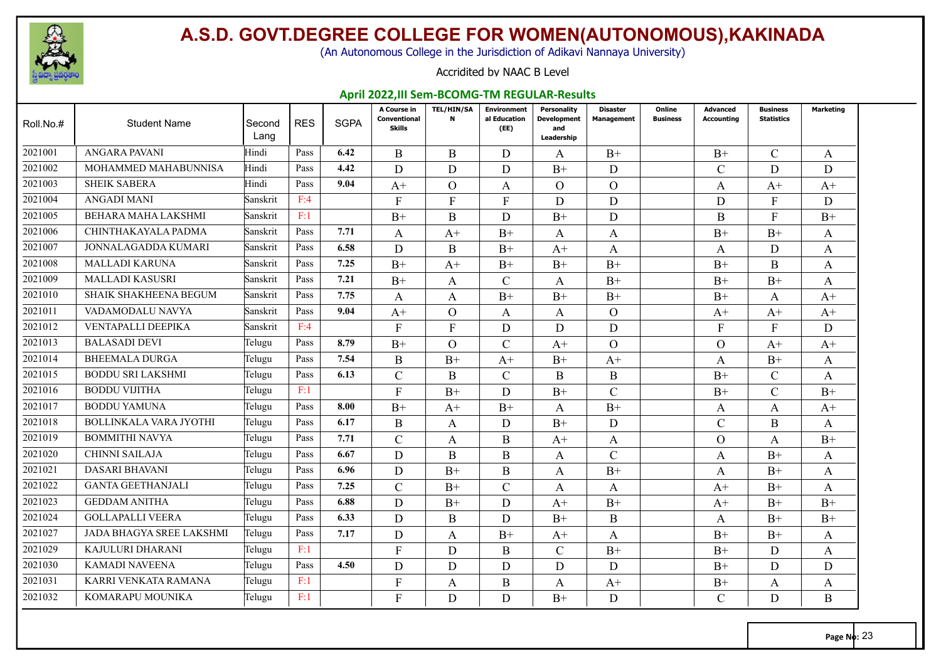

(An Autonomous College in the Jurisdiction of Adikavi Nannaya University)

#### Accridited by NAAC B Level

#### **April 2022,III Sem-BCOMG-TM REGULAR-Results**

| Roll.No.# | <b>Student Name</b>             | Second<br>Lang | <b>RES</b> | <b>SGPA</b> | A Course in<br>Conventional<br><b>Skills</b> | <b>TEL/HIN/SA</b><br>$\mathbf N$ | <b>Environment</b><br>al Education<br>(EE) | <b>Personality</b><br><b>Development</b><br>and<br>Leadership | Disaster<br><b>Management</b> | Online<br><b>Business</b> | <b>Advanced</b><br><b>Accounting</b> | <b>Business</b><br><b>Statistics</b> | Marketing |
|-----------|---------------------------------|----------------|------------|-------------|----------------------------------------------|----------------------------------|--------------------------------------------|---------------------------------------------------------------|-------------------------------|---------------------------|--------------------------------------|--------------------------------------|-----------|
| 2021001   | ANGARA PAVANI                   | Hindi          | Pass       | 6.42        | B                                            | B                                | D                                          | A                                                             | $B+$                          |                           | $B+$                                 | $\mathcal{C}$                        | A         |
| 2021002   | MOHAMMED MAHABUNNISA            | Hindi          | Pass       | 4.42        | D                                            | D                                | D                                          | $B+$                                                          | D                             |                           | $\mathcal{C}$                        | D                                    | D         |
| 2021003   | <b>SHEIK SABERA</b>             | Hindi          | Pass       | 9.04        | $A+$                                         | $\overline{O}$                   | A                                          | $\mathbf{O}$                                                  | $\Omega$                      |                           | A                                    | $A+$                                 | $A+$      |
| 2021004   | <b>ANGADI MANI</b>              | Sanskrit       | F:4        |             | F                                            | F                                | $\mathbf{F}$                               | D                                                             | D                             |                           | D                                    | F                                    | D         |
| 2021005   | BEHARA MAHA LAKSHMI             | Sanskrit       | F:1        |             | $B+$                                         | B                                | D                                          | $B+$                                                          | D                             |                           | B                                    | F                                    | $B+$      |
| 2021006   | CHINTHAKAYALA PADMA             | Sanskrit       | Pass       | 7.71        | A                                            | $A+$                             | $B+$                                       | A                                                             | A                             |                           | $B+$                                 | $B+$                                 | A         |
| 2021007   | JONNALAGADDA KUMARI             | Sanskrit       | Pass       | 6.58        | D                                            | B                                | $B+$                                       | $A+$                                                          | A                             |                           | A                                    | D                                    | A         |
| 2021008   | <b>MALLADI KARUNA</b>           | Sanskrit       | Pass       | 7.25        | $B+$                                         | $A+$                             | $B+$                                       | $B+$                                                          | $B+$                          |                           | $B+$                                 | <sub>B</sub>                         | A         |
| 2021009   | <b>MALLADI KASUSRI</b>          | Sanskrit       | Pass       | 7.21        | $B+$                                         | A                                | $\mathcal{C}$                              | A                                                             | $B+$                          |                           | $B+$                                 | $B+$                                 | A         |
| 2021010   | <b>SHAIK SHAKHEENA BEGUM</b>    | Sanskrit       | Pass       | 7.75        | A                                            | A                                | $B+$                                       | $B+$                                                          | $B+$                          |                           | $B+$                                 | A                                    | $A+$      |
| 2021011   | VADAMODALU NAVYA                | Sanskrit       | Pass       | 9.04        | $A+$                                         | $\overline{O}$                   | $\mathbf{A}$                               | $\mathbf{A}$                                                  | $\Omega$                      |                           | $A+$                                 | $A+$                                 | $A+$      |
| 2021012   | VENTAPALLI DEEPIKA              | Sanskrit       | F:4        |             | F                                            | $\mathbf{F}$                     | D                                          | D                                                             | D                             |                           | $\mathbf{F}$                         | F                                    | D         |
| 2021013   | <b>BALASADI DEVI</b>            | Telugu         | Pass       | 8.79        | $B+$                                         | $\Omega$                         | $\mathcal{C}$                              | $A+$                                                          | $\Omega$                      |                           | $\Omega$                             | $A+$                                 | $A+$      |
| 2021014   | <b>BHEEMALA DURGA</b>           | Telugu         | Pass       | 7.54        | B                                            | $B+$                             | $A+$                                       | $B+$                                                          | $A+$                          |                           | A                                    | $B+$                                 | A         |
| 2021015   | <b>BODDU SRI LAKSHMI</b>        | Telugu         | Pass       | 6.13        | $\overline{C}$                               | B                                | $\mathcal{C}$                              | B                                                             | B                             |                           | $B+$                                 | $\mathcal{C}$                        | A         |
| 2021016   | <b>BODDU VIJITHA</b>            | Telugu         | F:1        |             | F                                            | $B+$                             | D                                          | $B+$                                                          | $\mathcal{C}$                 |                           | $B+$                                 | $\mathcal{C}$                        | $B+$      |
| 2021017   | <b>BODDU YAMUNA</b>             | Telugu         | Pass       | 8.00        | $B+$                                         | $A+$                             | $B+$                                       | A                                                             | $B+$                          |                           | A                                    | A                                    | $A+$      |
| 2021018   | <b>BOLLINKALA VARA JYOTHI</b>   | Telugu         | Pass       | 6.17        | B                                            | A                                | D                                          | $B+$                                                          | D                             |                           | $\mathcal{C}$                        | B                                    | A         |
| 2021019   | <b>BOMMITHI NAVYA</b>           | Telugu         | Pass       | 7.71        | $\mathsf{C}$                                 | A                                | $\mathbf B$                                | $A+$                                                          | A                             |                           | $\Omega$                             | A                                    | $B+$      |
| 2021020   | <b>CHINNI SAILAJA</b>           | Telugu         | Pass       | 6.67        | D                                            | B                                | B                                          | A                                                             | $\mathcal{C}$                 |                           | A                                    | $B+$                                 | A         |
| 2021021   | DASARI BHAVANI                  | Telugu         | Pass       | 6.96        | D                                            | $B+$                             | B                                          | A                                                             | $B+$                          |                           | A                                    | $B+$                                 | A         |
| 2021022   | <b>GANTA GEETHANJALI</b>        | Telugu         | Pass       | 7.25        | $\mathsf{C}$                                 | $B+$                             | $\mathcal{C}$                              | A                                                             | A                             |                           | $A+$                                 | $B+$                                 | A         |
| 2021023   | <b>GEDDAM ANITHA</b>            | Telugu         | Pass       | 6.88        | D                                            | $B+$                             | D                                          | $A+$                                                          | $B+$                          |                           | $A+$                                 | $B+$                                 | $B+$      |
| 2021024   | <b>GOLLAPALLI VEERA</b>         | Telugu         | Pass       | 6.33        | D                                            | B                                | D                                          | $B+$                                                          | B                             |                           | A                                    | $B+$                                 | $B+$      |
| 2021027   | <b>JADA BHAGYA SREE LAKSHMI</b> | Telugu         | Pass       | 7.17        | D                                            | A                                | $B+$                                       | $A+$                                                          | A                             |                           | $B+$                                 | $B+$                                 | A         |
| 2021029   | KAJULURI DHARANI                | Telugu         | F:1        |             | F                                            | D                                | B                                          | $\mathcal{C}$                                                 | $B+$                          |                           | $B+$                                 | D                                    | A         |
| 2021030   | <b>KAMADI NAVEENA</b>           | Telugu         | Pass       | 4.50        | D                                            | D                                | D                                          | D                                                             | D                             |                           | $B+$                                 | D                                    | D         |
| 2021031   | KARRI VENKATA RAMANA            | Telugu         | F:1        |             | F                                            | A                                | B                                          | A                                                             | $A+$                          |                           | $B+$                                 | A                                    | A         |
| 2021032   | KOMARAPU MOUNIKA                | Telugu         | F:1        |             | F                                            | D                                | D                                          | $B+$                                                          | D                             |                           | $\mathcal{C}$                        | D                                    | B         |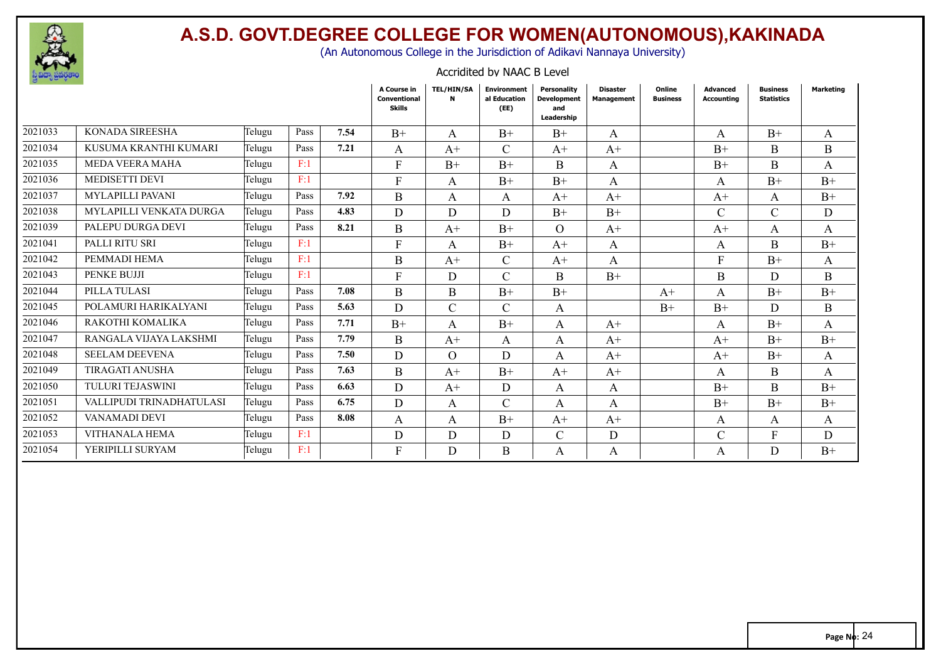

(An Autonomous College in the Jurisdiction of Adikavi Nannaya University)

| Accridited by NAAC B Level |  |
|----------------------------|--|
|----------------------------|--|

|         |                                |        |      |      | A Course in<br><b>Conventional</b><br>Skills | TEL/HIN/SA<br>N | <b>Environment</b><br>al Education<br>(EE) | Personality<br><b>Development</b><br>and<br>Leadership | <b>Disaster</b><br><b>Management</b> | Online<br><b>Business</b> | <b>Advanced</b><br>Accounting | <b>Business</b><br><b>Statistics</b> | Marketing |
|---------|--------------------------------|--------|------|------|----------------------------------------------|-----------------|--------------------------------------------|--------------------------------------------------------|--------------------------------------|---------------------------|-------------------------------|--------------------------------------|-----------|
| 2021033 | <b>KONADA SIREESHA</b>         | Telugu | Pass | 7.54 | $B+$                                         | A               | $B+$                                       | $B+$                                                   | A                                    |                           | A                             | $B+$                                 | A         |
| 2021034 | KUSUMA KRANTHI KUMARI          | Telugu | Pass | 7.21 | A                                            | $A+$            | $\mathcal{C}$                              | $A+$                                                   | $A+$                                 |                           | $B+$                          | B                                    | B         |
| 2021035 | <b>MEDA VEERA MAHA</b>         | Telugu | F:1  |      | F                                            | $B+$            | $B+$                                       | B                                                      | A                                    |                           | $B+$                          | B                                    | A         |
| 2021036 | <b>MEDISETTI DEVI</b>          | Telugu | F:1  |      | $\mathbf{F}$                                 | A               | $B+$                                       | $B+$                                                   | A                                    |                           | A                             | $B+$                                 | $B+$      |
| 2021037 | <b>MYLAPILLI PAVANI</b>        | Telugu | Pass | 7.92 | B                                            | A               | A                                          | $A^+$                                                  | $A+$                                 |                           | $A+$                          | A                                    | $B+$      |
| 2021038 | <b>MYLAPILLI VENKATA DURGA</b> | Telugu | Pass | 4.83 | D.                                           | D.              | D                                          | $B+$                                                   | $B+$                                 |                           | $\mathcal{C}$                 | $\mathcal{C}$                        | D         |
| 2021039 | PALEPU DURGA DEVI              | Telugu | Pass | 8.21 | B                                            | $A+$            | $B+$                                       | $\Omega$                                               | $A+$                                 |                           | $A+$                          | A                                    | A         |
| 2021041 | PALLI RITU SRI                 | Telugu | F:1  |      | $\mathbf{F}$                                 | A               | $B+$                                       | $A+$                                                   | A                                    |                           | A                             | B                                    | $B+$      |
| 2021042 | PEMMADI HEMA                   | Telugu | F:1  |      | <sub>B</sub>                                 | $A+$            | $\mathcal{C}$                              | $A+$                                                   | A                                    |                           | F                             | $B+$                                 | A         |
| 2021043 | <b>PENKE BUJJI</b>             | Telugu | F:1  |      | F                                            | D               | $\mathcal{C}$                              | B                                                      | $B+$                                 |                           | B                             | D                                    | B         |
| 2021044 | PILLA TULASI                   | Telugu | Pass | 7.08 | <sub>B</sub>                                 | <sub>B</sub>    | $B+$                                       | $B+$                                                   |                                      | $A+$                      | A                             | $B+$                                 | $B+$      |
| 2021045 | POLAMURI HARIKALYANI           | Telugu | Pass | 5.63 | D                                            | $\mathcal{C}$   | $\mathcal{C}$                              | A                                                      |                                      | $B+$                      | $B+$                          | D                                    | B         |
| 2021046 | RAKOTHI KOMALIKA               | Telugu | Pass | 7.71 | $B+$                                         | A               | $B+$                                       | A                                                      | $A+$                                 |                           | A                             | $B+$                                 | A         |
| 2021047 | RANGALA VIJAYA LAKSHMI         | Telugu | Pass | 7.79 | <sub>B</sub>                                 | $A+$            | A                                          | A                                                      | $A+$                                 |                           | $A+$                          | $B+$                                 | $B+$      |
| 2021048 | <b>SEELAM DEEVENA</b>          | Telugu | Pass | 7.50 | D                                            | $\Omega$        | D                                          | A                                                      | $A+$                                 |                           | $A+$                          | $B+$                                 | A         |
| 2021049 | <b>TIRAGATI ANUSHA</b>         | Telugu | Pass | 7.63 | B                                            | $A+$            | $B+$                                       | $A+$                                                   | $A+$                                 |                           | A                             | B                                    | A         |
| 2021050 | <b>TULURI TEJASWINI</b>        | Telugu | Pass | 6.63 | D.                                           | $A+$            | D                                          | A                                                      | A                                    |                           | $B+$                          | B.                                   | $B+$      |
| 2021051 | VALLIPUDI TRINADHATULASI       | Telugu | Pass | 6.75 | D                                            | A               | $\mathcal{C}$                              | A                                                      | A                                    |                           | $B+$                          | $B+$                                 | $B+$      |
| 2021052 | VANAMADI DEVI                  | Telugu | Pass | 8.08 | A                                            | A               | $B+$                                       | $A+$                                                   | $A+$                                 |                           | A                             | A                                    | A         |
| 2021053 | <b>VITHANALA HEMA</b>          | Telugu | F:1  |      | D                                            | D               | D                                          | $\mathsf{C}$                                           | D                                    |                           | $\mathcal{C}$                 | F                                    | D         |
| 2021054 | YERIPILLI SURYAM               | Telugu | F:1  |      | F                                            | D               | B                                          | A                                                      | A                                    |                           | A                             | D                                    | $B+$      |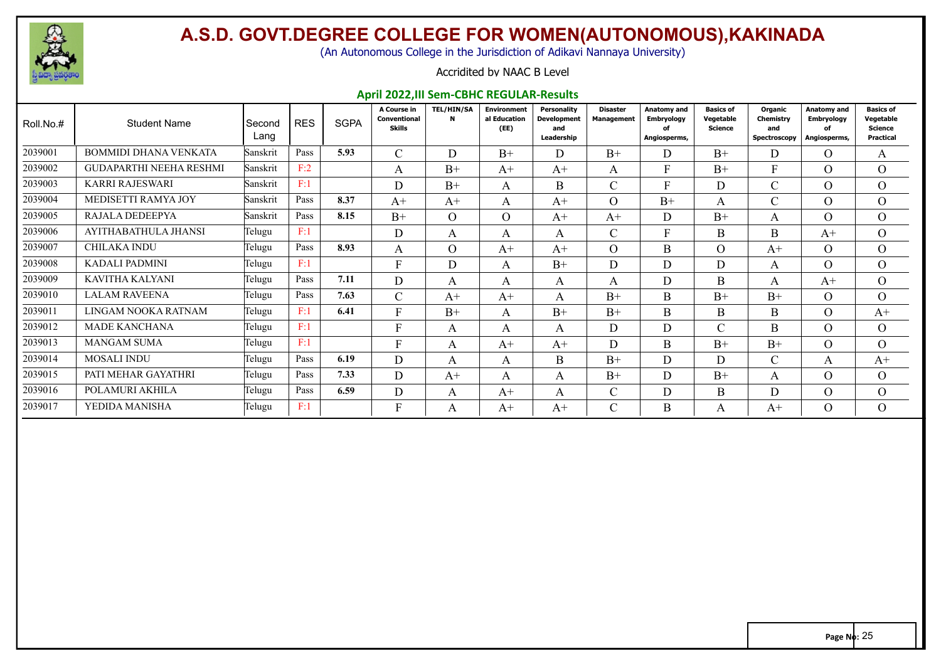

(An Autonomous College in the Jurisdiction of Adikavi Nannaya University)

#### Accridited by NAAC B Level

#### **April 2022,III Sem-CBHC REGULAR-Results**

| Roll.No.# | <b>Student Name</b>            | Second<br>Lang | <b>RES</b> | <b>SGPA</b> | A Course in<br>Conventional<br><b>Skills</b> | <b>TEL/HIN/SA</b><br>N | Environment<br>al Education<br>(EE) | <b>Personality</b><br><b>Development</b><br>and<br>Leadership | <b>Disaster</b><br><b>Management</b> | Anatomy and<br><b>Embryology</b><br>of<br>Angiosperms, | <b>Basics of</b><br>Vegetable<br><b>Science</b> | Organic<br>Chemistry<br>and<br>Spectroscopy | <b>Anatomy and</b><br><b>Embryology</b><br>of<br>Angiosperms, | <b>Basics of</b><br>Vegetable<br>Science<br>Practical |
|-----------|--------------------------------|----------------|------------|-------------|----------------------------------------------|------------------------|-------------------------------------|---------------------------------------------------------------|--------------------------------------|--------------------------------------------------------|-------------------------------------------------|---------------------------------------------|---------------------------------------------------------------|-------------------------------------------------------|
| 2039001   | <b>BOMMIDI DHANA VENKATA</b>   | Sanskrit       | Pass       | 5.93        | $\sim$<br>∪                                  | D                      | $B+$                                | D                                                             | $B+$                                 | D.                                                     | $B+$                                            | D                                           | $\Omega$                                                      | A                                                     |
| 2039002   | <b>GUDAPARTHI NEEHA RESHMI</b> | Sanskrit       | F:2        |             | A                                            | $B+$                   | $A+$                                | $A+$                                                          | A                                    | F                                                      | $B+$                                            | $\mathbf{F}$                                | $\Omega$                                                      | $\Omega$                                              |
| 2039003   | KARRI RAJESWARI                | Sanskrit       | F:1        |             | D                                            | $B+$                   | A                                   | <sub>B</sub>                                                  | $\mathcal{C}$                        | г                                                      | D                                               | $\sim$<br>U.                                | $\Omega$                                                      | $\overline{O}$                                        |
| 2039004   | MEDISETTI RAMYA JOY            | Sanskrit       | Pass       | 8.37        | $A+$                                         | $A+$                   | $\mathsf{A}$                        | $A+$                                                          | $\overline{O}$                       | $B+$                                                   | A                                               | U                                           | $\Omega$                                                      | $\Omega$                                              |
| 2039005   | RAJALA DEDEEPYA                | Sanskrit       | Pass       | 8.15        | $B+$                                         | $\Omega$               | $\Omega$                            | $A+$                                                          | $A+$                                 | D                                                      | $B+$                                            | A                                           | $\Omega$                                                      | $\Omega$                                              |
| 2039006   | AYITHABATHULA JHANSI           | Telugu         | F:1        |             | D                                            | A                      | A                                   | A                                                             | $\mathcal{C}$                        | T.                                                     | B                                               | B                                           | $A+$                                                          | $\Omega$                                              |
| 2039007   | CHILAKA INDU                   | Telugu         | Pass       | 8.93        | A                                            | $\Omega$               | $A+$                                | $A+$                                                          | $\Omega$                             | B                                                      | $\Omega$                                        | $A+$                                        | $\Omega$                                                      | $\overline{O}$                                        |
| 2039008   | <b>KADALI PADMINI</b>          | Telugu         | F:1        |             | F                                            | D                      | A                                   | $B+$                                                          | D                                    | D                                                      | D                                               | A                                           | $\Omega$                                                      | $\overline{O}$                                        |
| 2039009   | KAVITHA KALYANI                | Telugu         | Pass       | 7.11        | D                                            | A                      | A                                   | A                                                             | A                                    | D                                                      | B                                               | A                                           | $A+$                                                          | $\Omega$                                              |
| 2039010   | <b>LALAM RAVEENA</b>           | Telugu         | Pass       | 7.63        | C                                            | $A+$                   | $A^+$                               | A                                                             | $B+$                                 | B                                                      | $B+$                                            | $B+$                                        | $\Omega$                                                      | $\Omega$                                              |
| 2039011   | LINGAM NOOKA RATNAM            | Telugu         | F:1        | 6.41        | E                                            | $B+$                   | A                                   | $B+$                                                          | $B+$                                 | B                                                      | B                                               | B                                           | $\Omega$                                                      | $A^+$                                                 |
| 2039012   | <b>MADE KANCHANA</b>           | Telugu         | F:1        |             | E                                            | A                      | A                                   | A                                                             | D                                    | D                                                      | $\sim$                                          | B                                           | $\Omega$                                                      | $\Omega$                                              |
| 2039013   | <b>MANGAM SUMA</b>             | Telugu         | F:1        |             | F                                            | A                      | $A+$                                | $A+$                                                          | D                                    | B                                                      | $B+$                                            | $B+$                                        | $\Omega$                                                      | $\Omega$                                              |
| 2039014   | <b>MOSALI INDU</b>             | Telugu         | Pass       | 6.19        | D                                            | A                      | A                                   | B                                                             | $B+$                                 | D                                                      | D                                               | $\sim$                                      | A                                                             | $A^+$                                                 |
| 2039015   | PATI MEHAR GAYATHRI            | Telugu         | Pass       | 7.33        | D                                            | $A+$                   | A                                   | A                                                             | $B+$                                 | D.                                                     | $B+$                                            | A                                           | $\Omega$                                                      | $\Omega$                                              |
| 2039016   | POLAMURI AKHILA                | Telugu         | Pass       | 6.59        | D                                            | A                      | $A+$                                | A                                                             | C.                                   | D                                                      | B                                               | D                                           | $\Omega$                                                      | $\overline{O}$                                        |
| 2039017   | YEDIDA MANISHA                 | Telugu         | F:1        |             | F                                            | A                      | $A+$                                | $A+$                                                          | $\sim$<br>U                          | B                                                      | $\mathbf{A}$                                    | $A+$                                        | $\Omega$                                                      | $\Omega$                                              |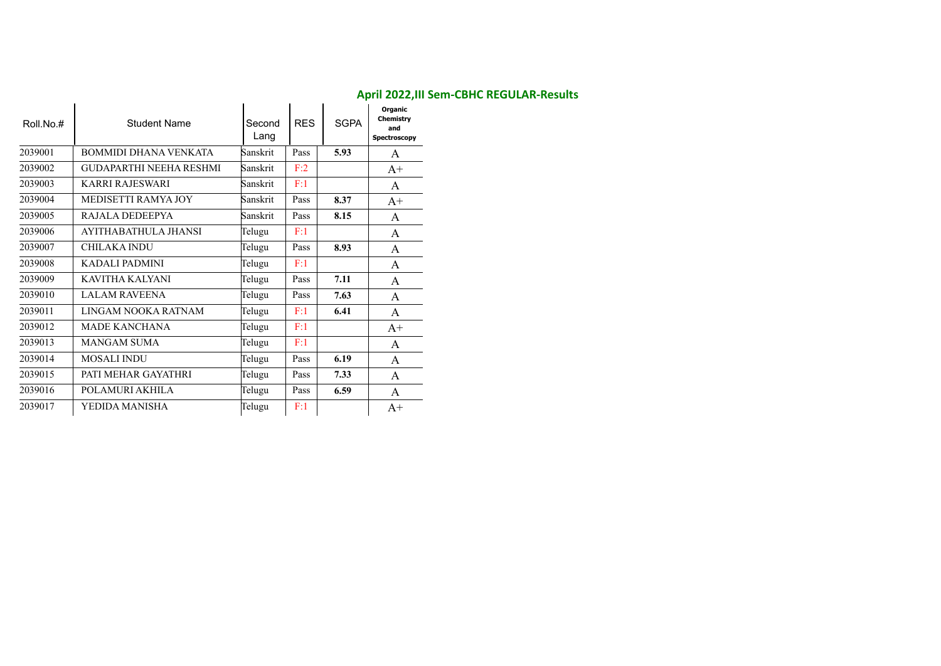| Roll.No.# | <b>Student Name</b>            | Second<br>Lang | <b>RES</b> | <b>SGPA</b> | Organic<br>Chemistry<br>and<br>Spectroscopy |
|-----------|--------------------------------|----------------|------------|-------------|---------------------------------------------|
| 2039001   | <b>BOMMIDI DHANA VENKATA</b>   | Sanskrit       | Pass       | 5.93        | A                                           |
| 2039002   | <b>GUDAPARTHI NEEHA RESHMI</b> | Sanskrit       | F:2        |             | $A+$                                        |
| 2039003   | KARRI RAJESWARI                | Sanskrit       | F:1        |             | A                                           |
| 2039004   | MEDISETTI RAMYA JOY            | Sanskrit       | Pass       | 8.37        | $A+$                                        |
| 2039005   | RAJALA DEDEEPYA                | Sanskrit       | Pass       | 8.15        | A                                           |
| 2039006   | AYITHABATHULA JHANSI           | Telugu         | F:1        |             | A                                           |
| 2039007   | <b>CHILAKA INDU</b>            | Telugu         | Pass       | 8.93        | A                                           |
| 2039008   | KADALI PADMINI                 | Telugu         | F:1        |             | A                                           |
| 2039009   | KAVITHA KALYANI                | Telugu         | Pass       | 7.11        | A                                           |
| 2039010   | <b>LALAM RAVEENA</b>           | Telugu         | Pass       | 7.63        | A                                           |
| 2039011   | LINGAM NOOKA RATNAM            | Telugu         | F:1        | 6.41        | $\mathsf{A}$                                |
| 2039012   | MADE KANCHANA                  | Telugu         | F:1        |             | $A+$                                        |
| 2039013   | <b>MANGAM SUMA</b>             | Telugu         | F:1        |             | A                                           |
| 2039014   | <b>MOSALI INDU</b>             | Telugu         | Pass       | 6.19        | A                                           |
| 2039015   | PATI MEHAR GAYATHRI            | Telugu         | Pass       | 7.33        | A                                           |
| 2039016   | POLAMURI AKHILA                | Telugu         | Pass       | 6.59        | A                                           |
| 2039017   | YEDIDA MANISHA                 | Telugu         | F:1        |             | $A+$                                        |

#### **April 2022,III Sem-CBHC REGULAR-Results**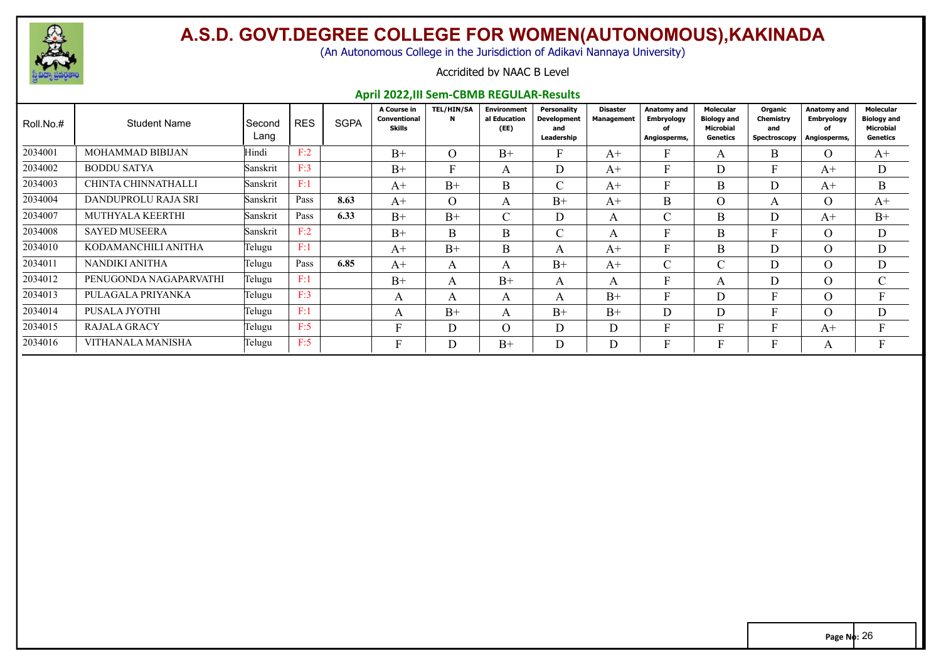

(An Autonomous College in the Jurisdiction of Adikavi Nannaya University)

#### Accridited by NAAC B Level

#### **April 2022,III Sem-CBMB REGULAR-Results**

| Roll.No.# | <b>Student Name</b>     | Second<br>Lang | <b>RES</b> | <b>SGPA</b> | A Course in<br>Conventional<br>Skills | <b>TEL/HIN/SA</b><br>N | <b>Environment</b><br>al Education<br>(EE) | Personality<br><b>Development</b><br>and<br>Leadership | <b>Disaster</b><br>Management | <b>Anatomy and</b><br><b>Embryology</b><br>of<br>Angiosperms, | <b>Molecular</b><br><b>Biology and</b><br><b>Microbial</b><br>Genetics | Organic<br>Chemistry<br>and<br>Spectroscopy | <b>Anatomy and</b><br><b>Embryology</b><br>Angiosperms, | Molecular<br><b>Biology and</b><br><b>Microbial</b><br>Genetics |
|-----------|-------------------------|----------------|------------|-------------|---------------------------------------|------------------------|--------------------------------------------|--------------------------------------------------------|-------------------------------|---------------------------------------------------------------|------------------------------------------------------------------------|---------------------------------------------|---------------------------------------------------------|-----------------------------------------------------------------|
| 2034001   | MOHAMMAD BIBIJAN        | Hindi          | F:2        |             | $B+$                                  | $\overline{O}$         | $B+$                                       | F.                                                     | $A+$                          |                                                               |                                                                        | B                                           | $\Omega$                                                | $A^+$                                                           |
| 2034002   | <b>BODDU SATYA</b>      | Sanskrit       | F:3        |             | $B+$                                  | $\mathbf{F}$           | A                                          | D.                                                     | $A+$                          |                                                               |                                                                        |                                             | $A+$                                                    | D                                                               |
| 2034003   | CHINTA CHINNATHALLI     | Sanskrit       | F:1        |             | $A+$                                  | $B+$                   | B                                          | $\cap$<br>U.                                           | $A+$                          | Ð                                                             | B                                                                      | D                                           | $A+$                                                    | B                                                               |
| 2034004   | DANDUPROLU RAJA SRI     | Sanskrit       | Pass       | 8.63        | $A+$                                  | $\Omega$               | A                                          | $B+$                                                   | $A+$                          | B                                                             | $\Omega$                                                               | A                                           | $\Omega$                                                | $A^+$                                                           |
| 2034007   | <b>MUTHYALA KEERTHI</b> | Sanskrit       | Pass       | 6.33        | $B+$                                  | $B+$                   | $\mathcal{C}$                              | D.                                                     | $\mathsf{A}$                  | $\sim$                                                        | B.                                                                     | D                                           | $A+$                                                    | $B+$                                                            |
| 2034008   | <b>SAYED MUSEERA</b>    | Sanskrit       | F:2        |             | $B+$                                  | B                      | B                                          | $\cap$<br>U.                                           | A                             | Ē                                                             | B.                                                                     |                                             | $\Omega$                                                | D                                                               |
| 2034010   | KODAMANCHILI ANITHA     | Telugu         | F:1        |             | $A+$                                  | $B+$                   | B                                          | A                                                      | $A+$                          | Ð                                                             | B.                                                                     | D                                           | $\Omega$                                                | D                                                               |
| 2034011   | NANDIKI ANITHA          | Telugu         | Pass       | 6.85        | $A+$                                  | A                      | $\mathsf{A}$                               | $B+$                                                   | $A+$                          | $\sim$<br>U                                                   | $\sim$                                                                 | D                                           | $\Omega$                                                | D                                                               |
| 2034012   | PENUGONDA NAGAPARVATHI  | Telugu         | F:1        |             | $B+$                                  | A                      | $B+$                                       | $\mathbf{A}$                                           | $\mathbf{A}$                  | $\blacksquare$                                                |                                                                        | D                                           | $\Omega$                                                | $\sim$                                                          |
| 2034013   | PULAGALA PRIYANKA       | Telugu         | F:3        |             | А                                     | A                      | A                                          | A                                                      | $B+$                          | Ð                                                             |                                                                        |                                             | $\Omega$                                                |                                                                 |
| 2034014   | PUSALA JYOTHI           | Telugu         | F:1        |             | A                                     | $B+$                   | A                                          | $B+$                                                   | $B+$                          | D                                                             | D                                                                      |                                             | $\Omega$                                                | D                                                               |
| 2034015   | <b>RAJALA GRACY</b>     | Telugu         | F:5        |             | Ð                                     | D                      | $\Omega$                                   | D                                                      | D                             |                                                               |                                                                        |                                             | $A+$                                                    |                                                                 |
| 2034016   | VITHANALA MANISHA       | Telugu         | F:5        |             | Ð                                     | D                      | $B+$                                       | D                                                      | D                             |                                                               |                                                                        |                                             | A                                                       |                                                                 |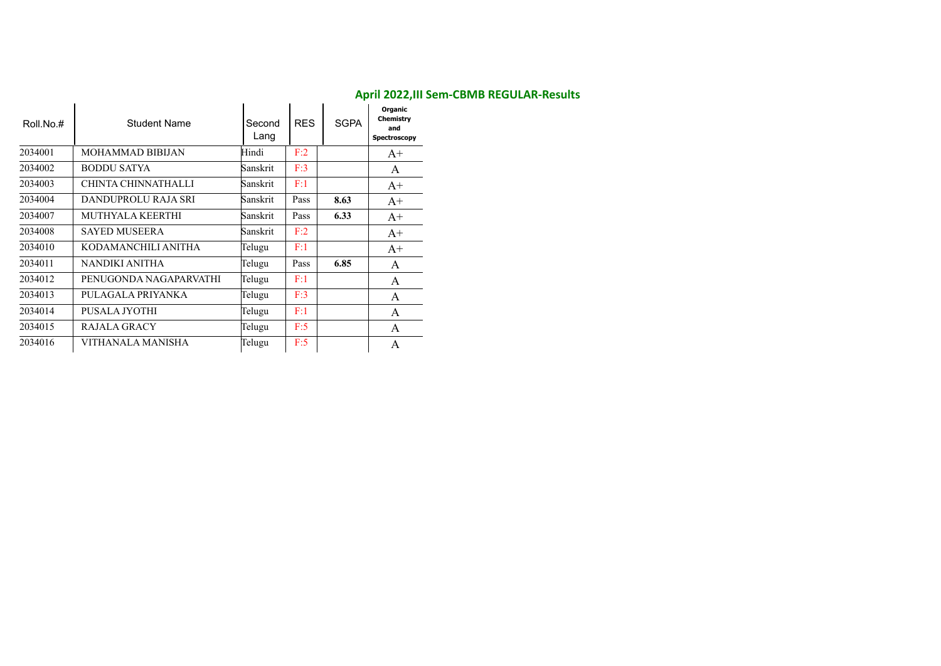| Roll.No.# | Student Name            | Second<br>Lang | <b>RES</b> | <b>SGPA</b> | Organic<br>Chemistry<br>and<br>Spectroscopy |
|-----------|-------------------------|----------------|------------|-------------|---------------------------------------------|
| 2034001   | <b>MOHAMMAD BIBIJAN</b> | Hindi          | F:2        |             | $A+$                                        |
| 2034002   | <b>BODDU SATYA</b>      | Sanskrit       | F:3        |             | A                                           |
| 2034003   | CHINTA CHINNATHALLI     | Sanskrit       | F:1        |             | $A+$                                        |
| 2034004   | DANDUPROLU RAJA SRI     | Sanskrit       | Pass       | 8.63        | $A+$                                        |
| 2034007   | <b>MUTHYALA KEERTHI</b> | Sanskrit       | Pass       | 6.33        | $A+$                                        |
| 2034008   | <b>SAYED MUSEERA</b>    | Sanskrit       | F:2        |             | $A+$                                        |
| 2034010   | KODAMANCHILI ANITHA     | Telugu         | F:1        |             | $A^+$                                       |
| 2034011   | NANDIKI ANITHA          | Telugu         | Pass       | 6.85        | A                                           |
| 2034012   | PENUGONDA NAGAPARVATHI  | Telugu         | F:1        |             | A                                           |
| 2034013   | PULAGALA PRIYANKA       | Telugu         | F:3        |             | A                                           |
| 2034014   | PUSALA JYOTHI           | Telugu         | F:1        |             | A                                           |
| 2034015   | <b>RAJALA GRACY</b>     | Telugu         | F:5        |             | A                                           |
| 2034016   | VITHANALA MANISHA       | Telugu         | F:5        |             | A                                           |

#### **April 2022,III Sem-CBMB REGULAR-Results**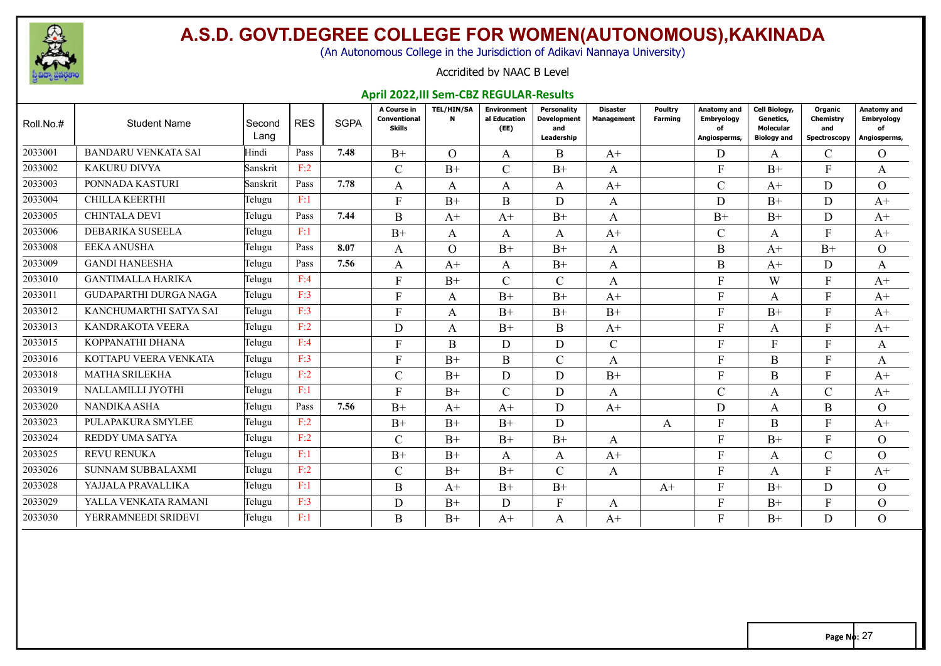

(An Autonomous College in the Jurisdiction of Adikavi Nannaya University)

#### Accridited by NAAC B Level

#### **April 2022,III Sem-CBZ REGULAR-Results**

| Roll.No.# | <b>Student Name</b>        | Second<br>Lang | <b>RES</b> | <b>SGPA</b> | A Course in<br>Conventional<br><b>Skills</b> | <b>TEL/HIN/SA</b><br>N | <b>Environment</b><br>al Education<br>(EE) | <b>Personality</b><br><b>Development</b><br>and<br>Leadership | <b>Disaster</b><br><b>Management</b> | Poultry<br>Farming | Anatomy and<br><b>Embryology</b><br>of<br>Angiosperms, | Cell Biology,<br>Genetics,<br><b>Molecular</b><br><b>Biology and</b> | Organic<br>Chemistrv<br>and<br>Spectroscopy | Anatomy and<br><b>Embryology</b><br>Ωf<br>Angiosperms, |
|-----------|----------------------------|----------------|------------|-------------|----------------------------------------------|------------------------|--------------------------------------------|---------------------------------------------------------------|--------------------------------------|--------------------|--------------------------------------------------------|----------------------------------------------------------------------|---------------------------------------------|--------------------------------------------------------|
| 2033001   | <b>BANDARU VENKATA SAI</b> | Hindi          | Pass       | 7.48        | $B+$                                         | $\Omega$               | A                                          | B                                                             | $A+$                                 |                    | D                                                      | A                                                                    | $\mathcal{C}$                               | $\overline{O}$                                         |
| 2033002   | KAKURU DIVYA               | Sanskrit       | F:2        |             | $\mathcal{C}$                                | $B+$                   | $\mathcal{C}$                              | $B+$                                                          | A                                    |                    | $\mathbf{F}$                                           | $B+$                                                                 | F                                           | A                                                      |
| 2033003   | PONNADA KASTURI            | Sanskrit       | Pass       | 7.78        | A                                            | A                      | A                                          | A                                                             | $A^+$                                |                    | $\mathcal{C}$                                          | $A+$                                                                 | D                                           | $\overline{O}$                                         |
| 2033004   | <b>CHILLA KEERTHI</b>      | Telugu         | F:1        |             | F                                            | $B+$                   | B                                          | D                                                             | A                                    |                    | D                                                      | $B+$                                                                 | D                                           | $A+$                                                   |
| 2033005   | <b>CHINTALA DEVI</b>       | Telugu         | Pass       | 7.44        | B                                            | $A+$                   | $A+$                                       | $B+$                                                          | A                                    |                    | $B+$                                                   | $B+$                                                                 | D                                           | $A^+$                                                  |
| 2033006   | DEBARIKA SUSEELA           | Telugu         | F:1        |             | $B+$                                         | A                      | A                                          | A                                                             | $A+$                                 |                    | $\mathcal{C}$                                          | A                                                                    | F                                           | $A+$                                                   |
| 2033008   | <b>EEKA ANUSHA</b>         | Telugu         | Pass       | 8.07        | A                                            | $\Omega$               | $B+$                                       | $B+$                                                          | A                                    |                    | B                                                      | $A+$                                                                 | $B+$                                        | $\Omega$                                               |
| 2033009   | <b>GANDI HANEESHA</b>      | Telugu         | Pass       | 7.56        | A                                            | $A+$                   | A                                          | $B+$                                                          | A                                    |                    | B                                                      | $A+$                                                                 | D                                           | A                                                      |
| 2033010   | <b>GANTIMALLA HARIKA</b>   | Telugu         | F:4        |             | F                                            | $B+$                   | $\mathbf{C}$                               | $\mathcal{C}$                                                 | A                                    |                    | F                                                      | W                                                                    | F                                           | $A^+$                                                  |
| 2033011   | GUDAPARTHI DURGA NAGA      | Telugu         | F:3        |             | F                                            | A                      | $B+$                                       | $B+$                                                          | $A+$                                 |                    | F                                                      | A                                                                    | F                                           | $A+$                                                   |
| 2033012   | KANCHUMARTHI SATYA SAI     | Telugu         | F:3        |             | F                                            | A                      | $B+$                                       | $B+$                                                          | $B+$                                 |                    | F                                                      | $B+$                                                                 | F                                           | $A+$                                                   |
| 2033013   | KANDRAKOTA VEERA           | Telugu         | F:2        |             | D                                            | A                      | $B+$                                       | <sub>B</sub>                                                  | $A+$                                 |                    | F                                                      | A                                                                    | F                                           | $A+$                                                   |
| 2033015   | KOPPANATHI DHANA           | Telugu         | F:4        |             | F                                            | B                      | D                                          | D                                                             | $\mathcal{C}$                        |                    | F                                                      |                                                                      | F                                           | A                                                      |
| 2033016   | KOTTAPU VEERA VENKATA      | Telugu         | F:3        |             | F                                            | $B+$                   | $\mathbf B$                                | $\mathcal{C}$                                                 | A                                    |                    | F                                                      | B                                                                    | F                                           | A                                                      |
| 2033018   | MATHA SRILEKHA             | Telugu         | F:2        |             | $\mathcal{C}$                                | $B+$                   | D                                          | D                                                             | $B+$                                 |                    | F                                                      | B                                                                    | F                                           | $A+$                                                   |
| 2033019   | NALLAMILLI JYOTHI          | Telugu         | F:1        |             | F                                            | $B+$                   | $\mathcal{C}$                              | D                                                             | A                                    |                    | $\mathsf{C}$                                           | A                                                                    | $\mathcal{C}$                               | $A+$                                                   |
| 2033020   | NANDIKA ASHA               | Telugu         | Pass       | 7.56        | $B+$                                         | $A+$                   | $A+$                                       | D                                                             | $A+$                                 |                    | D                                                      | A                                                                    | B.                                          | $\Omega$                                               |
| 2033023   | PULAPAKURA SMYLEE          | Telugu         | F:2        |             | $B+$                                         | $B+$                   | $B+$                                       | D                                                             |                                      | A                  | F                                                      | $\boldsymbol{B}$                                                     | F                                           | $A+$                                                   |
| 2033024   | REDDY UMA SATYA            | Telugu         | F:2        |             | $\mathcal{C}$                                | $B+$                   | $B+$                                       | $B+$                                                          | A                                    |                    | F                                                      | $B+$                                                                 | F                                           | $\Omega$                                               |
| 2033025   | <b>REVU RENUKA</b>         | Telugu         | F:1        |             | $B+$                                         | $B+$                   | A                                          | A                                                             | $A^+$                                |                    | F                                                      | A                                                                    | $\mathcal{C}$                               | $\Omega$                                               |
| 2033026   | <b>SUNNAM SUBBALAXMI</b>   | Telugu         | F:2        |             | $\mathcal{C}$                                | $B+$                   | $B+$                                       | $\mathcal{C}$                                                 | A                                    |                    | $\mathbf{F}$                                           | A                                                                    | $\mathbf{F}$                                | $A+$                                                   |
| 2033028   | YAJJALA PRAVALLIKA         | Telugu         | F:1        |             | B                                            | $A+$                   | $B+$                                       | $B+$                                                          |                                      | $A+$               | F                                                      | $B+$                                                                 | D                                           | $\overline{O}$                                         |
| 2033029   | YALLA VENKATA RAMANI       | Telugu         | F:3        |             | D                                            | $B+$                   | D                                          | F                                                             | A                                    |                    | F                                                      | $B+$                                                                 | F                                           | $\overline{O}$                                         |
| 2033030   | YERRAMNEEDI SRIDEVI        | Telugu         | F:1        |             | B                                            | $B+$                   | $A+$                                       | A                                                             | $A+$                                 |                    | F                                                      | $B+$                                                                 | D                                           | $\Omega$                                               |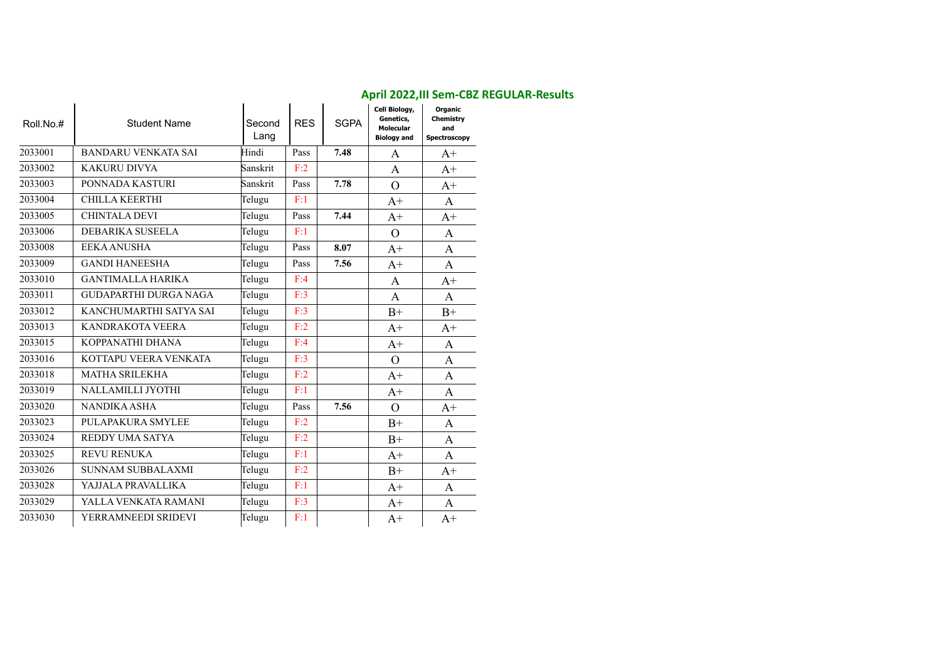| Roll.No.# | <b>Student Name</b>          | Second<br>Lang | <b>RES</b> | <b>SGPA</b> | Cell Biology,<br>Genetics,<br><b>Molecular</b><br><b>Biology and</b> | Organic<br>Chemistry<br>and<br>Spectroscopy |
|-----------|------------------------------|----------------|------------|-------------|----------------------------------------------------------------------|---------------------------------------------|
| 2033001   | <b>BANDARU VENKATA SAI</b>   | Hindi          | Pass       | 7.48        | A                                                                    | $A+$                                        |
| 2033002   | <b>KAKURU DIVYA</b>          | Sanskrit       | F:2        |             | A                                                                    | $A+$                                        |
| 2033003   | PONNADA KASTURI              | Sanskrit       | Pass       | 7.78        | $\overline{O}$                                                       | $A+$                                        |
| 2033004   | CHILLA KEERTHI               | Telugu         | F:1        |             | $A+$                                                                 | A                                           |
| 2033005   | <b>CHINTALA DEVI</b>         | Telugu         | Pass       | 7.44        | $A+$                                                                 | $A+$                                        |
| 2033006   | DEBARIKA SUSEELA             | Telugu         | F:1        |             | $\overline{O}$                                                       | A                                           |
| 2033008   | <b>EEKA ANUSHA</b>           | Telugu         | Pass       | 8.07        | $A+$                                                                 | A                                           |
| 2033009   | <b>GANDI HANEESHA</b>        | Telugu         | Pass       | 7.56        | $A+$                                                                 | A                                           |
| 2033010   | <b>GANTIMALLA HARIKA</b>     | Telugu         | F:4        |             | A                                                                    | $A+$                                        |
| 2033011   | <b>GUDAPARTHI DURGA NAGA</b> | Telugu         | F:3        |             | $\mathbf{A}$                                                         | A                                           |
| 2033012   | KANCHUMARTHI SATYA SAI       | Telugu         | F:3        |             | $B+$                                                                 | $B+$                                        |
| 2033013   | <b>KANDRAKOTA VEERA</b>      | Telugu         | F:2        |             | $A+$                                                                 | $A+$                                        |
| 2033015   | KOPPANATHI DHANA             | Telugu         | F:4        |             | $A+$                                                                 | A                                           |
| 2033016   | KOTTAPU VEERA VENKATA        | Telugu         | F:3        |             | $\overline{O}$                                                       | A                                           |
| 2033018   | <b>MATHA SRILEKHA</b>        | Telugu         | F:2        |             | $A+$                                                                 | A                                           |
| 2033019   | NALLAMILLI JYOTHI            | Telugu         | F:1        |             | $A+$                                                                 | A                                           |
| 2033020   | <b>NANDIKA ASHA</b>          | Telugu         | Pass       | 7.56        | $\overline{O}$                                                       | $A+$                                        |
| 2033023   | PULAPAKURA SMYLEE            | Telugu         | F:2        |             | $B+$                                                                 | A                                           |
| 2033024   | REDDY UMA SATYA              | Telugu         | F:2        |             | $B+$                                                                 | A                                           |
| 2033025   | <b>REVU RENUKA</b>           | Telugu         | F:1        |             | $A+$                                                                 | A                                           |
| 2033026   | SUNNAM SUBBALAXMI            | Telugu         | F:2        |             | $B+$                                                                 | $A+$                                        |
| 2033028   | YAJJALA PRAVALLIKA           | Telugu         | F:1        |             | $A+$                                                                 | A                                           |
| 2033029   | YALLA VENKATA RAMANI         | Telugu         | F:3        |             | $A+$                                                                 | A                                           |
| 2033030   | YERRAMNEEDI SRIDEVI          | Telugu         | F:1        |             | $A+$                                                                 | $A+$                                        |

#### **April 2022,III Sem-CBZ REGULAR-Results**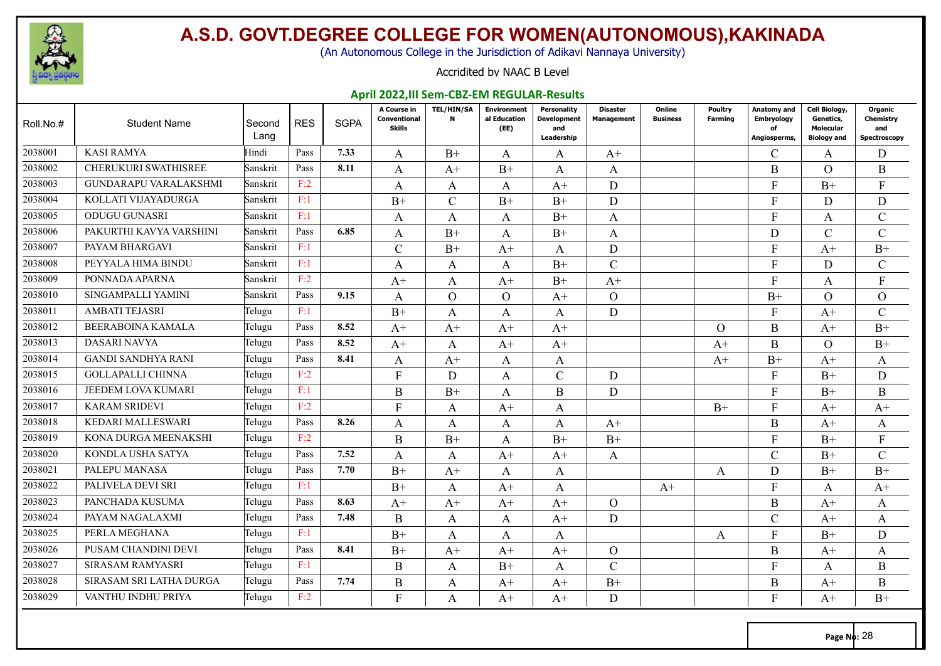

(An Autonomous College in the Jurisdiction of Adikavi Nannaya University)

#### Accridited by NAAC B Level

#### **April 2022,III Sem-CBZ-EM REGULAR-Results**

| Roll.No.# | <b>Student Name</b>         | Second<br>Lang | <b>RES</b> | <b>SGPA</b> | A Course in<br>Conventional<br><b>Skills</b> | <b>TEL/HIN/SA</b><br>$\mathbf N$ | <b>Environment</b><br>al Education<br>(EE) | Personality<br><b>Development</b><br>and<br>Leadership | Disaster<br><b>Management</b> | Online<br><b>Business</b> | Poultry<br><b>Farming</b> | Anatomy and<br><b>Embryology</b><br>of<br>Angiosperms, | Cell Biology,<br>Genetics,<br>Molecular<br><b>Biology and</b> | Organic<br>Chemistry<br>and<br>Spectroscopy |
|-----------|-----------------------------|----------------|------------|-------------|----------------------------------------------|----------------------------------|--------------------------------------------|--------------------------------------------------------|-------------------------------|---------------------------|---------------------------|--------------------------------------------------------|---------------------------------------------------------------|---------------------------------------------|
| 2038001   | <b>KASI RAMYA</b>           | Hindi          | Pass       | 7.33        | A                                            | $B+$                             | A                                          | A                                                      | $A+$                          |                           |                           | $\mathcal{C}$                                          | A                                                             | D                                           |
| 2038002   | <b>CHERUKURI SWATHISREE</b> | Sanskrit       | Pass       | 8.11        | $\mathbf{A}$                                 | $A+$                             | $B+$                                       | A                                                      | A                             |                           |                           | B                                                      | $\Omega$                                                      | B                                           |
| 2038003   | GUNDARAPU VARALAKSHMI       | Sanskrit       | F:2        |             | $\mathbf{A}$                                 | A                                | A                                          | $A+$                                                   | D                             |                           |                           | F                                                      | $B+$                                                          | $\mathbf{F}$                                |
| 2038004   | KOLLATI VIJAYADURGA         | Sanskrit       | F:1        |             | $B+$                                         | $\mathcal{C}$                    | $B+$                                       | $B+$                                                   | D                             |                           |                           | F                                                      | D                                                             | D                                           |
| 2038005   | <b>ODUGU GUNASRI</b>        | Sanskrit       | F:1        |             | A                                            | A                                | $\mathbf{A}$                               | $B+$                                                   | A                             |                           |                           | F                                                      | A                                                             | $\mathcal{C}$                               |
| 2038006   | PAKURTHI KAVYA VARSHINI     | Sanskrit       | Pass       | 6.85        | $\mathbf{A}$                                 | $B+$                             | A                                          | $B+$                                                   | A                             |                           |                           | D                                                      | $\mathcal{C}$                                                 | $\mathcal{C}$                               |
| 2038007   | PAYAM BHARGAVI              | Sanskrit       | F:1        |             | $\mathcal{C}$                                | $B+$                             | $A+$                                       | A                                                      | D                             |                           |                           | F                                                      | $A+$                                                          | $B+$                                        |
| 2038008   | PEYYALA HIMA BINDU          | Sanskrit       | F:1        |             | A                                            | A                                | A                                          | $B+$                                                   | $\mathsf{C}$                  |                           |                           | F                                                      | D                                                             | $\mathbf C$                                 |
| 2038009   | PONNADA APARNA              | Sanskrit       | F:2        |             | $A+$                                         | A                                | $A+$                                       | $B+$                                                   | $A+$                          |                           |                           | F                                                      | A                                                             | $\mathbf{F}$                                |
| 2038010   | SINGAMPALLI YAMINI          | Sanskrit       | Pass       | 9.15        | $\mathbf{A}$                                 | $\Omega$                         | $\Omega$                                   | $A+$                                                   | $\overline{O}$                |                           |                           | $B+$                                                   | $\Omega$                                                      | $\overline{O}$                              |
| 2038011   | <b>AMBATI TEJASRI</b>       | Telugu         | F:1        |             | $B+$                                         | A                                | A                                          | A                                                      | D                             |                           |                           | F                                                      | $A+$                                                          | $\mathcal{C}$                               |
| 2038012   | <b>BEERABOINA KAMALA</b>    | Telugu         | Pass       | 8.52        | $A+$                                         | $A+$                             | $A+$                                       | $A+$                                                   |                               |                           | $\Omega$                  | B                                                      | $A+$                                                          | $B+$                                        |
| 2038013   | <b>DASARI NAVYA</b>         | Telugu         | Pass       | 8.52        | $A+$                                         | A                                | $A+$                                       | $A+$                                                   |                               |                           | $A+$                      | $\bf{B}$                                               | $\Omega$                                                      | $B+$                                        |
| 2038014   | <b>GANDI SANDHYA RANI</b>   | Telugu         | Pass       | 8.41        | A                                            | $A+$                             | A                                          | A                                                      |                               |                           | $A+$                      | $B+$                                                   | $A+$                                                          | A                                           |
| 2038015   | <b>GOLLAPALLI CHINNA</b>    | Telugu         | F:2        |             | $\mathbf{F}$                                 | D                                | $\mathbf{A}$                               | $\mathcal{C}$                                          | D                             |                           |                           | F                                                      | $B+$                                                          | D                                           |
| 2038016   | JEEDEM LOVA KUMARI          | Telugu         | F:1        |             | $\bf{B}$                                     | $B+$                             | A                                          | $\bf{B}$                                               | D                             |                           |                           | F                                                      | $B+$                                                          | B                                           |
| 2038017   | <b>KARAM SRIDEVI</b>        | Telugu         | F:2        |             | $\mathbf{F}$                                 | A                                | $A+$                                       | A                                                      |                               |                           | $B+$                      | F                                                      | $A+$                                                          | $A+$                                        |
| 2038018   | KEDARI MALLESWARI           | Telugu         | Pass       | 8.26        | A                                            | A                                | A                                          | A                                                      | $A+$                          |                           |                           | $\bf{B}$                                               | $A+$                                                          | A                                           |
| 2038019   | KONA DURGA MEENAKSHI        | Telugu         | F:2        |             | $\bf{B}$                                     | $B+$                             | A                                          | $B+$                                                   | $B+$                          |                           |                           | F                                                      | $B+$                                                          | F                                           |
| 2038020   | KONDLA USHA SATYA           | Telugu         | Pass       | 7.52        | $\mathbf{A}$                                 | A                                | $A+$                                       | $A+$                                                   | A                             |                           |                           | $\mathcal{C}$                                          | $B+$                                                          | $\mathbf C$                                 |
| 2038021   | PALEPU MANASA               | Telugu         | Pass       | 7.70        | $B+$                                         | $A+$                             | A                                          | A                                                      |                               |                           | A                         | D                                                      | $B+$                                                          | $B+$                                        |
| 2038022   | PALIVELA DEVI SRI           | Telugu         | F:1        |             | $B+$                                         | A                                | $A+$                                       | A                                                      |                               | $A+$                      |                           | F                                                      | A                                                             | $A+$                                        |
| 2038023   | PANCHADA KUSUMA             | Telugu         | Pass       | 8.63        | $A+$                                         | $A+$                             | $A+$                                       | $A+$                                                   | $\overline{O}$                |                           |                           | $\bf{B}$                                               | $A+$                                                          | A                                           |
| 2038024   | PAYAM NAGALAXMI             | Telugu         | Pass       | 7.48        | B                                            | A                                | A                                          | $A+$                                                   | D                             |                           |                           | $\mathcal{C}$                                          | $A+$                                                          | A                                           |
| 2038025   | PERLA MEGHANA               | Telugu         | F:1        |             | $B+$                                         | A                                | $\mathbf{A}$                               | $\mathbf{A}$                                           |                               |                           | A                         | F                                                      | $B+$                                                          | D                                           |
| 2038026   | PUSAM CHANDINI DEVI         | Telugu         | Pass       | 8.41        | $B+$                                         | $A+$                             | $A+$                                       | $A+$                                                   | $\overline{O}$                |                           |                           | $\bf{B}$                                               | $A+$                                                          | A                                           |
| 2038027   | <b>SIRASAM RAMYASRI</b>     | Telugu         | F:1        |             | B                                            | A                                | $B+$                                       | A                                                      | $\mathbf C$                   |                           |                           | F                                                      | A                                                             | B                                           |
| 2038028   | SIRASAM SRI LATHA DURGA     | Telugu         | Pass       | 7.74        | $\bf{B}$                                     | A                                | $A+$                                       | $A+$                                                   | $B+$                          |                           |                           | $\bf{B}$                                               | $A+$                                                          | B                                           |
| 2038029   | VANTHU INDHU PRIYA          | Telugu         | F:2        |             | $\mathbf{F}$                                 | A                                | $A+$                                       | $A+$                                                   | D                             |                           |                           | F                                                      | $A+$                                                          | $B+$                                        |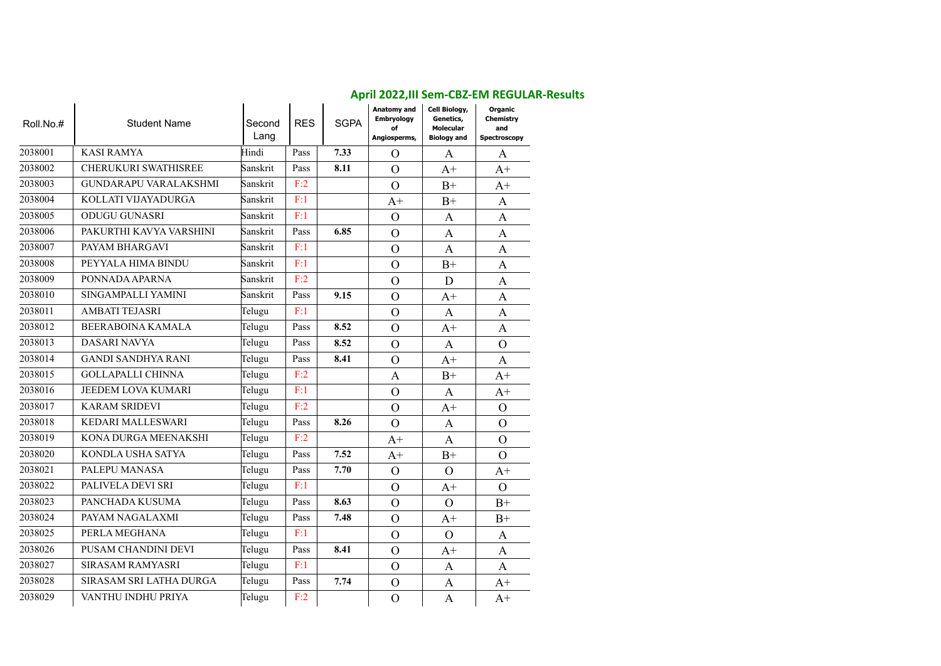|           |                              |                |            |             | April 2022, III Sem-CBZ-EIVI REGULAR-RESUITS                  |                                                               |                                             |
|-----------|------------------------------|----------------|------------|-------------|---------------------------------------------------------------|---------------------------------------------------------------|---------------------------------------------|
| Roll.No.# | <b>Student Name</b>          | Second<br>Lang | <b>RES</b> | <b>SGPA</b> | <b>Anatomy and</b><br><b>Embryology</b><br>of<br>Angiosperms, | Cell Biology,<br>Genetics,<br>Molecular<br><b>Biology and</b> | Organic<br>Chemistry<br>and<br>Spectroscopy |
| 2038001   | <b>KASI RAMYA</b>            | Hindi          | Pass       | 7.33        | $\overline{O}$                                                | $\mathbf{A}$                                                  | $\mathbf{A}$                                |
| 2038002   | <b>CHERUKURI SWATHISREE</b>  | Sanskrit       | Pass       | 8.11        | $\Omega$                                                      | $A+$                                                          | $A+$                                        |
| 2038003   | <b>GUNDARAPU VARALAKSHMI</b> | Sanskrit       | F:2        |             | $\Omega$                                                      | $B+$                                                          | $A+$                                        |
| 2038004   | KOLLATI VIJAYADURGA          | Sanskrit       | F:1        |             | $A+$                                                          | $B+$                                                          | $\mathbf{A}$                                |
| 2038005   | <b>ODUGU GUNASRI</b>         | Sanskrit       | F:1        |             | $\Omega$                                                      | $\mathbf{A}$                                                  | A                                           |
| 2038006   | PAKURTHI KAVYA VARSHINI      | Sanskrit       | Pass       | 6.85        | $\mathcal{O}$                                                 | $\mathbf{A}$                                                  | A                                           |
| 2038007   | PAYAM BHARGAVI               | Sanskrit       | F:1        |             | $\overline{O}$                                                | $\mathbf{A}$                                                  | $\mathbf{A}$                                |
| 2038008   | PEYYALA HIMA BINDU           | Sanskrit       | F:1        |             | $\overline{O}$                                                | $B+$                                                          | $\mathbf{A}$                                |
| 2038009   | PONNADA APARNA               | Sanskrit       | F:2        |             | $\Omega$                                                      | D                                                             | A                                           |
| 2038010   | SINGAMPALLI YAMINI           | Sanskrit       | Pass       | 9.15        | $\overline{O}$                                                | $A+$                                                          | $\mathbf{A}$                                |
| 2038011   | <b>AMBATI TEJASRI</b>        | Telugu         | F:1        |             | $\overline{O}$                                                | A                                                             | $\mathbf{A}$                                |
| 2038012   | BEERABOINA KAMALA            | Telugu         | Pass       | 8.52        | $\Omega$                                                      | $A+$                                                          | A                                           |
| 2038013   | <b>DASARI NAVYA</b>          | Telugu         | Pass       | 8.52        | $\Omega$                                                      | $\mathbf{A}$                                                  | $\Omega$                                    |
| 2038014   | <b>GANDI SANDHYA RANI</b>    | Telugu         | Pass       | 8.41        | $\overline{O}$                                                | $A+$                                                          | A                                           |
| 2038015   | <b>GOLLAPALLI CHINNA</b>     | Telugu         | F:2        |             | $\mathbf{A}$                                                  | $B+$                                                          | $A+$                                        |
| 2038016   | JEEDEM LOVA KUMARI           | Telugu         | F:1        |             | $\overline{O}$                                                | $\mathbf{A}$                                                  | $A+$                                        |
| 2038017   | <b>KARAM SRIDEVI</b>         | Telugu         | F:2        |             | $\mathcal{O}$                                                 | $A+$                                                          | $\Omega$                                    |
| 2038018   | <b>KEDARI MALLESWARI</b>     | Telugu         | Pass       | 8.26        | $\mathcal{O}$                                                 | $\mathbf{A}$                                                  | $\Omega$                                    |
| 2038019   | KONA DURGA MEENAKSHI         | Telugu         | F:2        |             | $A+$                                                          | $\mathbf{A}$                                                  | $\Omega$                                    |
| 2038020   | KONDLA USHA SATYA            | Telugu         | Pass       | 7.52        | $A+$                                                          | $B+$                                                          | $\Omega$                                    |
| 2038021   | PALEPU MANASA                | Telugu         | Pass       | 7.70        | $\Omega$                                                      | $\overline{O}$                                                | $A+$                                        |
| 2038022   | PALIVELA DEVI SRI            | Telugu         | F:1        |             | $\Omega$                                                      | $A+$                                                          | $\Omega$                                    |
| 2038023   | PANCHADA KUSUMA              | Telugu         | Pass       | 8.63        | $\mathcal{O}$                                                 | $\overline{O}$                                                | $B+$                                        |
| 2038024   | PAYAM NAGALAXMI              | Telugu         | Pass       | 7.48        | $\mathcal{O}$                                                 | $A+$                                                          | $B+$                                        |
| 2038025   | PERLA MEGHANA                | Telugu         | F:1        |             | $\mathcal{O}$                                                 | $\overline{O}$                                                | A                                           |
| 2038026   | PUSAM CHANDINI DEVI          | Telugu         | Pass       | 8.41        | $\overline{O}$                                                | $A+$                                                          | $\mathbf{A}$                                |
| 2038027   | SIRASAM RAMYASRI             | Telugu         | F:1        |             | $\Omega$                                                      | $\mathbf{A}$                                                  | A                                           |
| 2038028   | SIRASAM SRI LATHA DURGA      | Telugu         | Pass       | 7.74        | $\overline{O}$                                                | $\mathbf{A}$                                                  | $A+$                                        |
| 2038029   | VANTHU INDHU PRIYA           | Telugu         | F:2        |             | $\overline{O}$                                                | $\overline{A}$                                                | $A+$                                        |

# **April 2022,III Sem-CBZ-EM REGULAR-Results**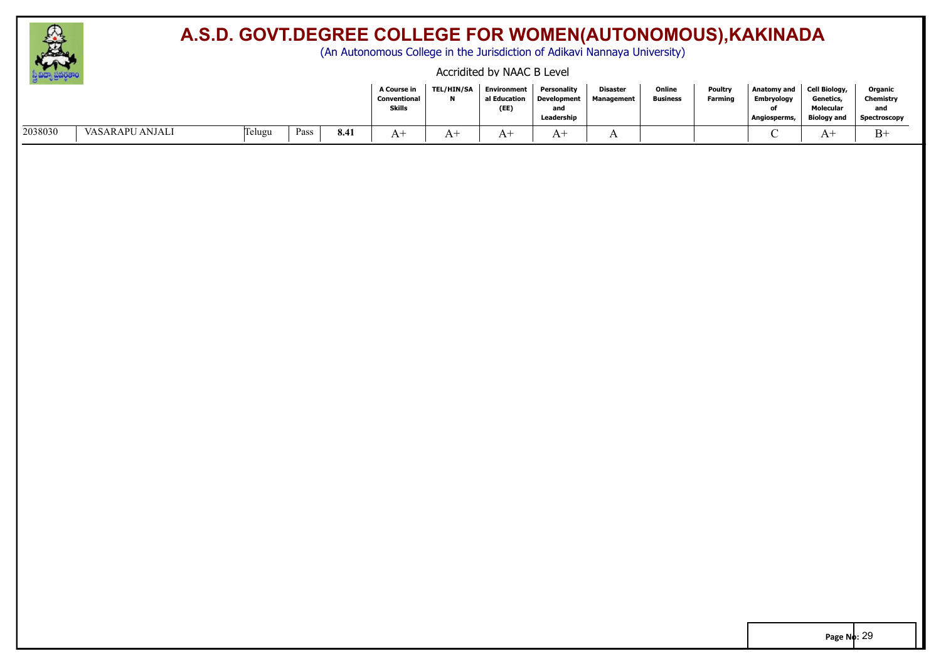

(An Autonomous College in the Jurisdiction of Adikavi Nannaya University)

#### Accridited by NAAC B Level

|         |                 |          |      |      | A Course in<br>Conventional<br><b>Skills</b> | <b>TEL/HIN/SA</b><br>N | Environment<br>al Education<br>(EE) | Personality<br><b>Development</b><br>and<br>Leadership | <b>Disaster</b><br><b>Management</b> | Online<br><b>Business</b> | <b>Poultry</b><br><b>Farming</b> | Anatomy and<br>Embryology<br>Angiosperms, | Cell Biology,<br>Genetics,<br>Molecular<br><b>Biology and</b> | Organic<br>Chemistry<br>and<br>Spectroscopy |
|---------|-----------------|----------|------|------|----------------------------------------------|------------------------|-------------------------------------|--------------------------------------------------------|--------------------------------------|---------------------------|----------------------------------|-------------------------------------------|---------------------------------------------------------------|---------------------------------------------|
| 2038030 | VASARAPU ANJALI | [lelugu] | Pass | 8.41 | A+                                           | .                      | $A^+$                               | $A^+$                                                  | $\overline{1}$                       |                           |                                  |                                           | A-                                                            | $B-$                                        |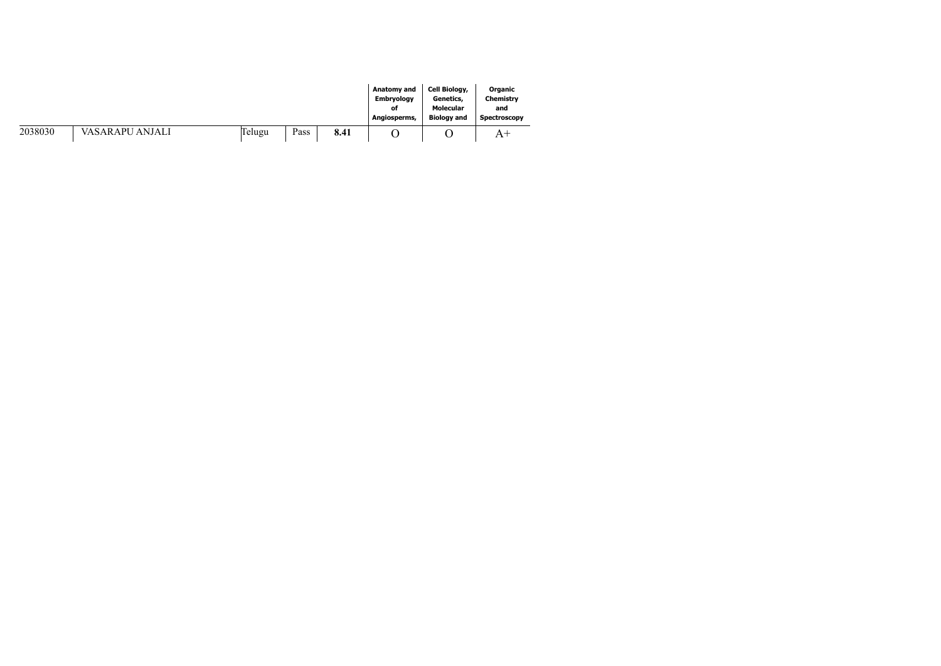|         |                 |        |      |      | Anatomy and       | Cell Biology,      | Organic      |
|---------|-----------------|--------|------|------|-------------------|--------------------|--------------|
|         |                 |        |      |      | <b>Embryology</b> | Genetics,          | Chemistry    |
|         |                 |        |      |      | of                | Molecular          | and          |
|         |                 |        |      |      | Angiosperms,      | <b>Biology and</b> | Spectroscopy |
| 2038030 | VASARAPU ANJALI | Felugu | Pass | 8.41 |                   |                    | A            |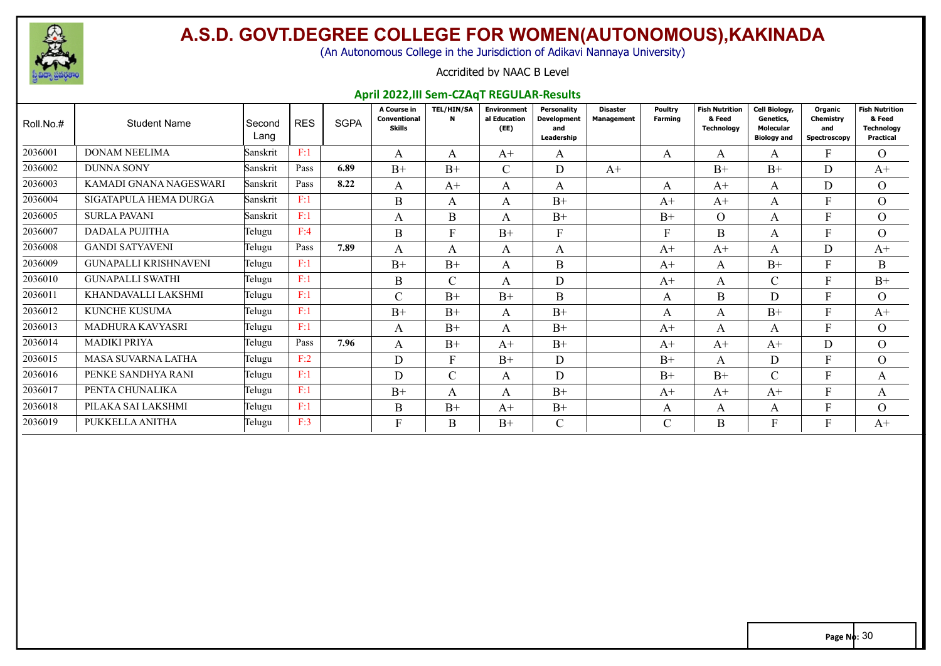

(An Autonomous College in the Jurisdiction of Adikavi Nannaya University)

#### Accridited by NAAC B Level

#### **April 2022,III Sem-CZAqT REGULAR-Results**

| Roll.No.# | <b>Student Name</b>          | Second<br>Lang | <b>RES</b> | <b>SGPA</b> | A Course in<br>Conventional<br>Skills | <b>TEL/HIN/SA</b><br>N | Environment<br>al Education<br>(EE) | Personalitv<br><b>Development</b><br>and<br>Leadership | <b>Disaster</b><br><b>Management</b> | Poultry<br><b>Farming</b> | <b>Fish Nutrition</b><br>& Feed<br><b>Technology</b> | Cell Biology,<br>Genetics,<br><b>Molecular</b><br><b>Biology and</b> | Organic<br>Chemistry<br>and<br>Spectroscopy | <b>Fish Nutrition</b><br>& Feed<br><b>Technology</b><br><b>Practical</b> |
|-----------|------------------------------|----------------|------------|-------------|---------------------------------------|------------------------|-------------------------------------|--------------------------------------------------------|--------------------------------------|---------------------------|------------------------------------------------------|----------------------------------------------------------------------|---------------------------------------------|--------------------------------------------------------------------------|
| 2036001   | <b>DONAM NEELIMA</b>         | Sanskrit       | F:1        |             | A                                     | A                      | $A+$                                | A                                                      |                                      | А                         | A                                                    | A                                                                    | F.                                          | O                                                                        |
| 2036002   | <b>DUNNA SONY</b>            | Sanskrit       | Pass       | 6.89        | $B+$                                  | $B+$                   | $\mathsf{C}$                        | D                                                      | $A+$                                 |                           | $B+$                                                 | $B+$                                                                 | D                                           | $A^+$                                                                    |
| 2036003   | KAMADI GNANA NAGESWARI       | Sanskrit       | Pass       | 8.22        | A                                     | $A+$                   | A                                   | A                                                      |                                      | A                         | $A+$                                                 | A                                                                    | D                                           | $\overline{O}$                                                           |
| 2036004   | SIGATAPULA HEMA DURGA        | Sanskrit       | F:1        |             | B                                     | A                      | A                                   | $B+$                                                   |                                      | $A+$                      | $A+$                                                 | A                                                                    | F                                           | $\Omega$                                                                 |
| 2036005   | <b>SURLA PAVANI</b>          | Sanskrit       | F:1        |             | А                                     | B                      | A                                   | $B+$                                                   |                                      | $B+$                      | $\Omega$                                             | A                                                                    | F                                           | $\Omega$                                                                 |
| 2036007   | <b>DADALA PUJITHA</b>        | Telugu         | F:4        |             | B                                     | $\mathbf{F}$           | $B+$                                | F                                                      |                                      |                           | B                                                    | A                                                                    |                                             | $\Omega$                                                                 |
| 2036008   | <b>GANDI SATYAVENI</b>       | Telugu         | Pass       | 7.89        | A                                     | A                      | A                                   | A                                                      |                                      | $A+$                      | $A+$                                                 | A                                                                    | D                                           | $A^+$                                                                    |
| 2036009   | <b>GUNAPALLI KRISHNAVENI</b> | Telugu         | F:1        |             | $B+$                                  | $B+$                   | A                                   | B                                                      |                                      | $A+$                      | A                                                    | $B+$                                                                 | F                                           | B                                                                        |
| 2036010   | <b>GUNAPALLI SWATHI</b>      | Telugu         | F:1        |             | B                                     | $\mathcal{C}$          | A                                   | D                                                      |                                      | $A+$                      | A                                                    | $\sim$<br>U                                                          | F                                           | $B+$                                                                     |
| 2036011   | KHANDAVALLI LAKSHMI          | Telugu         | F:1        |             | $\mathcal{C}$                         | $B+$                   | $R+$                                | B                                                      |                                      | A                         | B                                                    | D                                                                    | F                                           | $\Omega$                                                                 |
| 2036012   | KUNCHE KUSUMA                | Telugu         | F:1        |             | $B+$                                  | $B+$                   | A                                   | $B+$                                                   |                                      | A                         | A                                                    | $B+$                                                                 | F                                           | $A^+$                                                                    |
| 2036013   | <b>MADHURA KAVYASRI</b>      | Telugu         | F:1        |             | A                                     | $B+$                   | A                                   | $B+$                                                   |                                      | $A+$                      | A                                                    | A                                                                    |                                             | $\Omega$                                                                 |
| 2036014   | <b>MADIKI PRIYA</b>          | Telugu         | Pass       | 7.96        | A                                     | $B+$                   | $A+$                                | $B+$                                                   |                                      | $A+$                      | $A+$                                                 | $A+$                                                                 | D                                           | $\Omega$                                                                 |
| 2036015   | MASA SUVARNA LATHA           | Telugu         | F:2        |             | D                                     | F                      | $B+$                                | D                                                      |                                      | $B+$                      | $\mathsf{A}$                                         | D                                                                    | F                                           | $\Omega$                                                                 |
| 2036016   | PENKE SANDHYA RANI           | Telugu         | F:1        |             | D                                     | $\mathcal{C}$          | A                                   | D                                                      |                                      | $B+$                      | $B+$                                                 | $\sim$<br>U                                                          | F                                           | A                                                                        |
| 2036017   | PENTA CHUNALIKA              | Telugu         | F:1        |             | $B+$                                  | $\mathsf{A}$           | A                                   | $B+$                                                   |                                      | $A+$                      | $A+$                                                 | $A+$                                                                 | Е                                           | A                                                                        |
| 2036018   | PILAKA SAI LAKSHMI           | Telugu         | F:1        |             | B                                     | $B+$                   | $A+$                                | $B+$                                                   |                                      | A                         | A                                                    | A                                                                    |                                             | $\Omega$                                                                 |
| 2036019   | PUKKELLA ANITHA              | Telugu         | F:3        |             | F                                     | B                      | $B+$                                | $\mathsf{C}$                                           |                                      | ⌒                         | B                                                    |                                                                      |                                             | $A^+$                                                                    |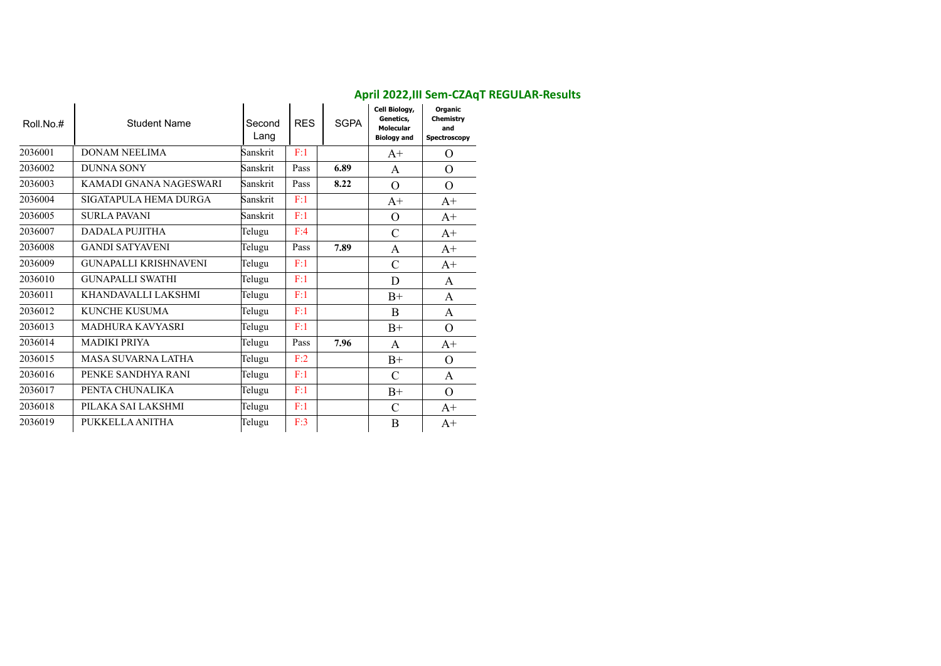| Roll.No.# | <b>Student Name</b>          | Second<br>Lang | <b>RES</b> | <b>SGPA</b> | Cell Biology,<br>Genetics,<br><b>Molecular</b><br><b>Biology and</b> | Organic<br>Chemistry<br>and<br>Spectroscopy |
|-----------|------------------------------|----------------|------------|-------------|----------------------------------------------------------------------|---------------------------------------------|
| 2036001   | DONAM NEELIMA                | Sanskrit       | F:1        |             | $A^+$                                                                | $\Omega$                                    |
| 2036002   | <b>DUNNA SONY</b>            | Sanskrit       | Pass       | 6.89        | A                                                                    | $\Omega$                                    |
| 2036003   | KAMADI GNANA NAGESWARI       | Sanskrit       | Pass       | 8.22        | $\Omega$                                                             | $\Omega$                                    |
| 2036004   | SIGATAPULA HEMA DURGA        | Sanskrit       | F:1        |             | $A^+$                                                                | $A+$                                        |
| 2036005   | <b>SURLA PAVANI</b>          | Sanskrit       | F:1        |             | $\Omega$                                                             | $A+$                                        |
| 2036007   | DADALA PUJITHA               | Telugu         | F:4        |             | $\mathcal{C}$                                                        | $A+$                                        |
| 2036008   | <b>GANDI SATYAVENI</b>       | Telugu         | Pass       | 7.89        | A                                                                    | $A^+$                                       |
| 2036009   | <b>GUNAPALLI KRISHNAVENI</b> | Telugu         | F:1        |             | $\mathcal{C}$                                                        | $A+$                                        |
| 2036010   | <b>GUNAPALLI SWATHI</b>      | Telugu         | F:1        |             | D                                                                    | A                                           |
| 2036011   | KHANDAVALLI LAKSHMI          | Telugu         | F:1        |             | $B+$                                                                 | A                                           |
| 2036012   | KUNCHE KUSUMA                | Telugu         | F:1        |             | <sub>B</sub>                                                         | A                                           |
| 2036013   | <b>MADHURA KAVYASRI</b>      | Telugu         | F:1        |             | $B+$                                                                 | $\Omega$                                    |
| 2036014   | <b>MADIKI PRIYA</b>          | Telugu         | Pass       | 7.96        | A                                                                    | $A+$                                        |
| 2036015   | MASA SUVARNA LATHA           | Telugu         | F:2        |             | $B+$                                                                 | $\Omega$                                    |
| 2036016   | PENKE SANDHYA RANI           | Telugu         | F:1        |             | $\mathcal{C}$                                                        | A                                           |
| 2036017   | PENTA CHUNALIKA              | Telugu         | F:1        |             | $B+$                                                                 | $\Omega$                                    |
| 2036018   | PILAKA SAI LAKSHMI           | Telugu         | F:1        |             | $\mathcal{C}$                                                        | $A+$                                        |
| 2036019   | PUKKELLA ANITHA              | Telugu         | F:3        |             | B                                                                    | $A+$                                        |

### **April 2022,III Sem-CZAqT REGULAR-Results**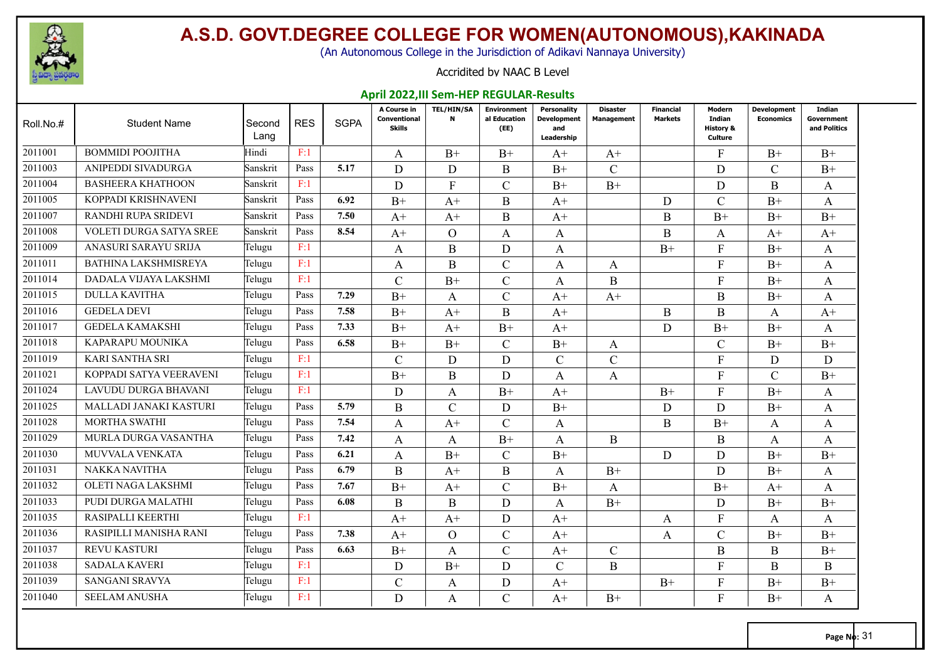

(An Autonomous College in the Jurisdiction of Adikavi Nannaya University)

#### Accridited by NAAC B Level

#### **April 2022,III Sem-HEP REGULAR-Results**

| Roll.No.# | <b>Student Name</b>         | Second<br>Lang | <b>RES</b> | <b>SGPA</b> | A Course in<br>Conventional<br><b>Skills</b> | <b>TEL/HIN/SA</b><br>$\mathbf{N}$ | <b>Environment</b><br>al Education<br>(EE) | Personality<br>Development<br>and<br>Leadership | <b>Disaster</b><br><b>Management</b> | <b>Financial</b><br><b>Markets</b> | Modern<br>Indian<br><b>History &amp;</b><br><b>Culture</b> | Development<br><b>Economics</b> | Indian<br>Government<br>and Politics |
|-----------|-----------------------------|----------------|------------|-------------|----------------------------------------------|-----------------------------------|--------------------------------------------|-------------------------------------------------|--------------------------------------|------------------------------------|------------------------------------------------------------|---------------------------------|--------------------------------------|
| 2011001   | <b>BOMMIDI POOJITHA</b>     | Hindi          | F:1        |             | A                                            | $B+$                              | $B+$                                       | $A+$                                            | $A^+$                                |                                    | F                                                          | $B+$                            | $B+$                                 |
| 2011003   | ANIPEDDI SIVADURGA          | Sanskrit       | Pass       | 5.17        | D                                            | D                                 | B                                          | $B+$                                            | $\mathcal{C}$                        |                                    | D                                                          | $\mathcal{C}$                   | $B+$                                 |
| 2011004   | <b>BASHEERA KHATHOON</b>    | Sanskrit       | F:1        |             | D                                            | $\mathbf{F}$                      | $\mathcal{C}$                              | $B+$                                            | $B+$                                 |                                    | D                                                          | B                               | A                                    |
| 2011005   | KOPPADI KRISHNAVENI         | Sanskrit       | Pass       | 6.92        | $B+$                                         | $A^+$                             | B                                          | $A^+$                                           |                                      | D                                  | $\mathcal{C}$                                              | $B+$                            | A                                    |
| 2011007   | RANDHI RUPA SRIDEVI         | Sanskrit       | Pass       | 7.50        | $A+$                                         | $A+$                              | B                                          | $A+$                                            |                                      | B                                  | $B+$                                                       | $B+$                            | $B+$                                 |
| 2011008   | VOLETI DURGA SATYA SREE     | Sanskrit       | Pass       | 8.54        | $A+$                                         | $\overline{O}$                    | A                                          | A                                               |                                      | $\mathbf B$                        | A                                                          | $A+$                            | $A+$                                 |
| 2011009   | ANASURI SARAYU SRIJA        | Telugu         | F:1        |             | A                                            | B                                 | D                                          | A                                               |                                      | $B+$                               | F                                                          | $B+$                            | A                                    |
| 2011011   | <b>BATHINA LAKSHMISREYA</b> | Telugu         | F:1        |             | A                                            | $\mathbf{B}$                      | $\mathcal{C}$                              | A                                               | $\mathbf{A}$                         |                                    | $\mathbf{F}$                                               | $B+$                            | A                                    |
| 2011014   | DADALA VIJAYA LAKSHMI       | Telugu         | F:1        |             | C                                            | $B+$                              | $\mathcal{C}$                              | A                                               | B                                    |                                    | F                                                          | $B+$                            | A                                    |
| 2011015   | <b>DULLA KAVITHA</b>        | Telugu         | Pass       | 7.29        | $B+$                                         | A                                 | $\mathcal{C}$                              | $A+$                                            | $A^+$                                |                                    | B                                                          | $B+$                            | A                                    |
| 2011016   | <b>GEDELA DEVI</b>          | Telugu         | Pass       | 7.58        | $B+$                                         | $A+$                              | $\mathbf{B}$                               | $A+$                                            |                                      | B                                  | B                                                          | A                               | $A+$                                 |
| 2011017   | <b>GEDELA KAMAKSHI</b>      | Telugu         | Pass       | 7.33        | $B+$                                         | $A+$                              | $B+$                                       | $A+$                                            |                                      | D                                  | $B+$                                                       | $B+$                            | A                                    |
| 2011018   | <b>KAPARAPU MOUNIKA</b>     | Telugu         | Pass       | 6.58        | $B+$                                         | $B+$                              | $\mathcal{C}$                              | $B+$                                            | A                                    |                                    | $\mathcal{C}$                                              | $B+$                            | $B+$                                 |
| 2011019   | <b>KARI SANTHA SRI</b>      | Telugu         | F:1        |             | $\overline{C}$                               | D                                 | D                                          | $\mathbf{C}$                                    | $\mathcal{C}$                        |                                    | $\mathbf{F}$                                               | D                               | D                                    |
| 2011021   | KOPPADI SATYA VEERAVENI     | Telugu         | F:1        |             | $B+$                                         | B                                 | D                                          | A                                               | A                                    |                                    | F                                                          | $\mathcal{C}$                   | $B+$                                 |
| 2011024   | LAVUDU DURGA BHAVANI        | Telugu         | F:1        |             | D                                            | A                                 | $B+$                                       | $A+$                                            |                                      | $B+$                               | $\mathbf{F}$                                               | $B+$                            | A                                    |
| 2011025   | MALLADI JANAKI KASTURI      | Telugu         | Pass       | 5.79        | B                                            | $\mathcal{C}$                     | D                                          | $B+$                                            |                                      | D                                  | D                                                          | $B+$                            | A                                    |
| 2011028   | <b>MORTHA SWATHI</b>        | Telugu         | Pass       | 7.54        | A                                            | $A+$                              | $\mathcal{C}$                              | A                                               |                                      | B                                  | $B+$                                                       | A                               | A                                    |
| 2011029   | MURLA DURGA VASANTHA        | Telugu         | Pass       | 7.42        | A                                            | A                                 | $B+$                                       | A                                               | B                                    |                                    | B                                                          | A                               | A                                    |
| 2011030   | <b>MUVVALA VENKATA</b>      | Telugu         | Pass       | 6.21        | A                                            | $B+$                              | $\mathcal{C}$                              | $B+$                                            |                                      | D                                  | D                                                          | $B+$                            | $B+$                                 |
| 2011031   | NAKKA NAVITHA               | Telugu         | Pass       | 6.79        | B                                            | $A+$                              | B                                          | A                                               | $B+$                                 |                                    | D                                                          | $B+$                            | A                                    |
| 2011032   | OLETI NAGA LAKSHMI          | Telugu         | Pass       | 7.67        | $B+$                                         | $A+$                              | $\mathcal{C}$                              | $B+$                                            | $\mathbf{A}$                         |                                    | $B+$                                                       | $A+$                            | A                                    |
| 2011033   | PUDI DURGA MALATHI          | Telugu         | Pass       | 6.08        | B                                            | B                                 | D                                          | A                                               | $B+$                                 |                                    | D                                                          | $B+$                            | $B+$                                 |
| 2011035   | RASIPALLI KEERTHI           | Telugu         | F:1        |             | $A+$                                         | $A+$                              | D                                          | $A+$                                            |                                      | A                                  | $\mathbf{F}$                                               | A                               | A                                    |
| 2011036   | RASIPILLI MANISHA RANI      | Telugu         | Pass       | 7.38        | $A^+$                                        | $\Omega$                          | $\mathcal{C}$                              | $A^+$                                           |                                      | A                                  | $\mathcal{C}$                                              | $B+$                            | $B+$                                 |
| 2011037   | <b>REVU KASTURI</b>         | Telugu         | Pass       | 6.63        | $B+$                                         | A                                 | $\mathcal{C}$                              | $A+$                                            | $\mathcal{C}$                        |                                    | B                                                          | B                               | $B+$                                 |
| 2011038   | <b>SADALA KAVERI</b>        | Telugu         | F:1        |             | D                                            | $B+$                              | D                                          | $\mathsf{C}$                                    | B                                    |                                    | $\mathbf{E}$                                               | B                               | B                                    |
| 2011039   | <b>SANGANI SRAVYA</b>       | Telugu         | F:1        |             | C.                                           | A                                 | D                                          | $A+$                                            |                                      | $B+$                               | F                                                          | $B+$                            | $B+$                                 |
| 2011040   | <b>SEELAM ANUSHA</b>        | Telugu         | F:1        |             | D                                            | A                                 | $\mathcal{C}$                              | $A+$                                            | $B+$                                 |                                    | $F_{\rm}$                                                  | $B+$                            | A                                    |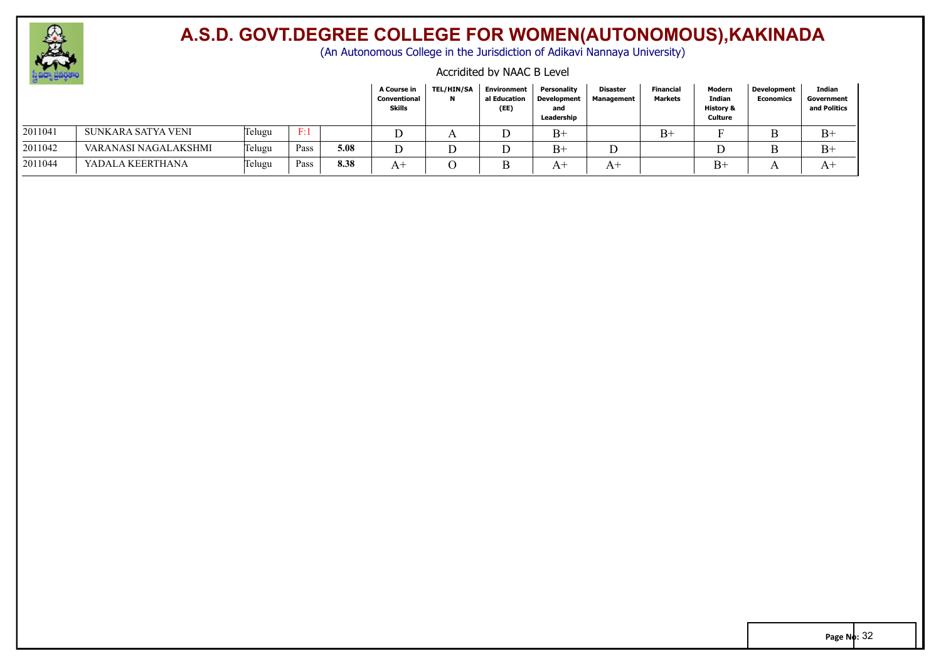

(An Autonomous College in the Jurisdiction of Adikavi Nannaya University)

#### Accridited by NAAC B Level

|         |                      |        |      |      | A Course in<br>Conventional<br><b>Skills</b> | <b>TEL/HIN/SA</b><br>N | <b>Environment</b><br>al Education<br>(EE) | Personality<br><b>Development</b><br>and<br>Leadership | Disaster<br>Management | Financial<br>Markets | Modern<br>Indian<br><b>History &amp;</b><br>Culture | <b>Development</b><br><b>Economics</b> | Indian<br>Government<br>and Politics |
|---------|----------------------|--------|------|------|----------------------------------------------|------------------------|--------------------------------------------|--------------------------------------------------------|------------------------|----------------------|-----------------------------------------------------|----------------------------------------|--------------------------------------|
| 2011041 | SUNKARA SATYA VENI   | Telugu | F:1  |      |                                              | A                      | ◡                                          | $B+$                                                   |                        | $B+$                 |                                                     |                                        | $B+$                                 |
| 2011042 | VARANASI NAGALAKSHMI | Telugu | Pass | 5.08 |                                              |                        | ∸                                          | $B+$                                                   |                        |                      |                                                     |                                        | $B+$                                 |
| 2011044 | YADALA KEERTHANA     | Telugu | Pass | 8.38 | $A^+$                                        | $\Omega$               | B                                          | $A^+$                                                  | $A^+$                  |                      | $B+$                                                |                                        | $A^+$                                |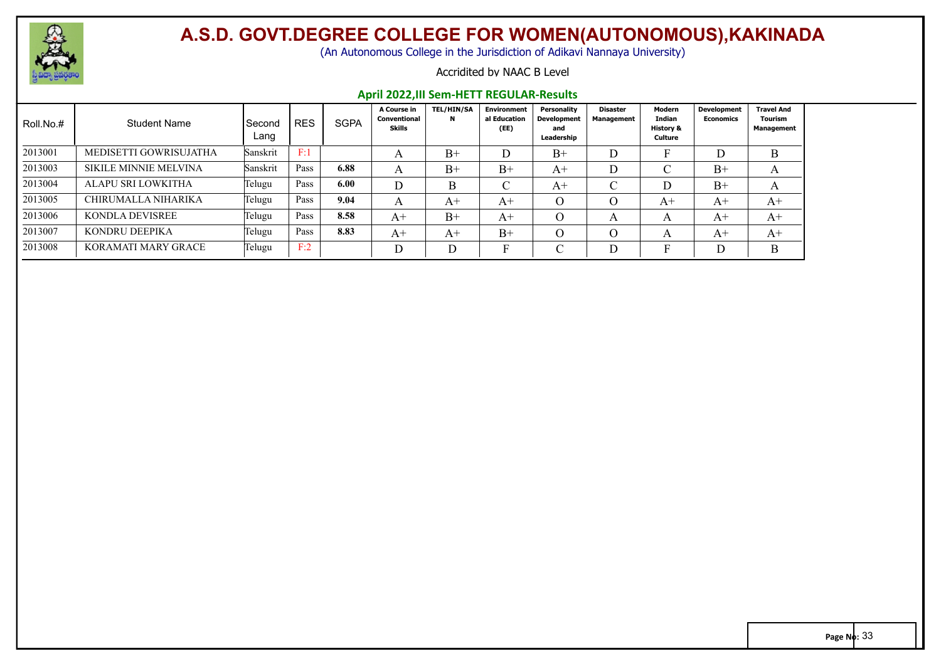

(An Autonomous College in the Jurisdiction of Adikavi Nannaya University)

#### Accridited by NAAC B Level

#### **April 2022,III Sem-HETT REGULAR-Results**

| Roll.No.# | <b>Student Name</b>    | Second<br>Lang | <b>RES</b> | <b>SGPA</b> | A Course in<br>Conventional<br>Skills | <b>TEL/HIN/SA</b><br>N | <b>Environment</b><br>al Education<br>(EE) | Personality<br>Development<br>and<br>Leadership | Disaster<br><b>Management</b> | Modern<br>Indian<br>History &<br>Culture | <b>Development</b><br>Economics | <b>Travel And</b><br>Tourism<br>Management |
|-----------|------------------------|----------------|------------|-------------|---------------------------------------|------------------------|--------------------------------------------|-------------------------------------------------|-------------------------------|------------------------------------------|---------------------------------|--------------------------------------------|
| 2013001   | MEDISETTI GOWRISUJATHA | Sanskrit       | F:1        |             | A                                     | $B+$                   | D                                          | $B+$                                            | D                             |                                          |                                 | B                                          |
| 2013003   | SIKILE MINNIE MELVINA  | Sanskrit       | Pass       | 6.88        | A                                     | $B+$                   | $B+$                                       | $A^+$                                           | D                             | ◡                                        | $B+$                            | A                                          |
| 2013004   | ALAPU SRI LOWKITHA     | Telugu         | Pass       | 6.00        | D                                     |                        | $\sim$                                     | A+                                              | $\cap$<br>◡                   | D                                        | $B+$                            | A                                          |
| 2013005   | CHIRUMALLA NIHARIKA    | Telugu         | Pass       | 9.04        | A                                     | $A^+$                  | $A+$                                       |                                                 | 0                             | $A^+$                                    | $A+$                            | $A+$                                       |
| 2013006   | KONDLA DEVISREE        | Telugu         | Pass       | 8.58        | $A+$                                  | $B+$                   | $A+$                                       | $\Omega$                                        | A                             | A                                        | $A+$                            | $A+$                                       |
| 2013007   | KONDRU DEEPIKA         | Telugu         | Pass       | 8.83        | $A^+$                                 | $A^+$                  | $B+$                                       |                                                 | 0                             | A                                        | $A+$                            | $A+$                                       |
| 2013008   | KORAMATI MARY GRACE    | Telugu         | F:2        |             | D                                     | D                      | П                                          |                                                 | n                             | -                                        |                                 | B                                          |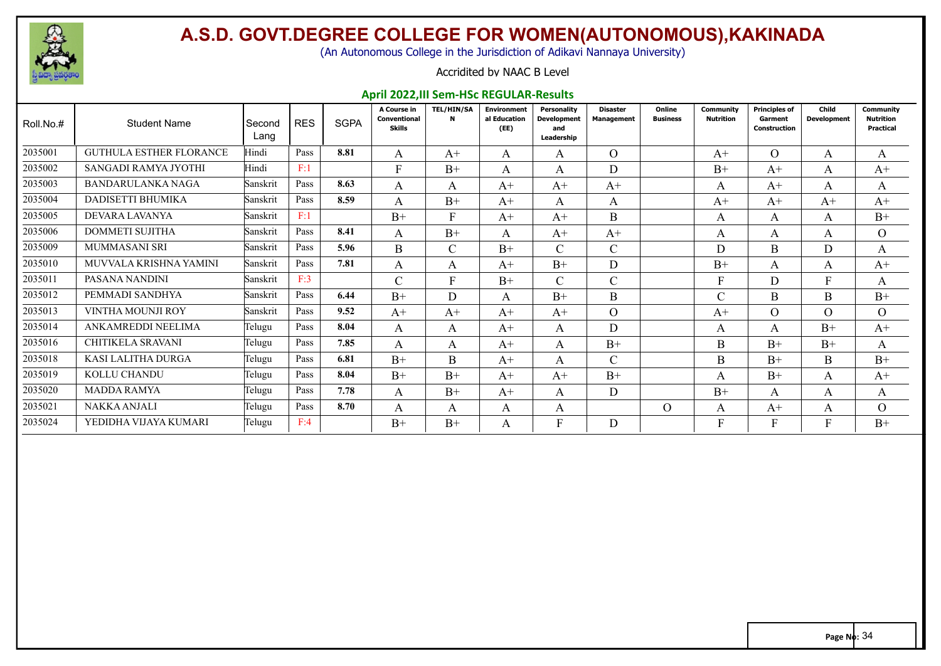

(An Autonomous College in the Jurisdiction of Adikavi Nannaya University)

#### Accridited by NAAC B Level

#### **April 2022,III Sem-HSc REGULAR-Results**

| Roll.No.# | <b>Student Name</b>            | Second<br>Lang | <b>RES</b> | <b>SGPA</b> | A Course in<br>Conventional<br><b>Skills</b> | <b>TEL/HIN/SA</b><br>N | <b>Environment</b><br>al Education<br>(EE) | Personality<br><b>Development</b><br>and<br>Leadership | <b>Disaster</b><br><b>Management</b> | Online<br><b>Business</b> | <b>Community</b><br><b>Nutrition</b> | <b>Principles of</b><br>Garment<br>Construction | Child<br><b>Development</b> | Community<br><b>Nutrition</b><br><b>Practical</b> |
|-----------|--------------------------------|----------------|------------|-------------|----------------------------------------------|------------------------|--------------------------------------------|--------------------------------------------------------|--------------------------------------|---------------------------|--------------------------------------|-------------------------------------------------|-----------------------------|---------------------------------------------------|
| 2035001   | <b>GUTHULA ESTHER FLORANCE</b> | Hindi          | Pass       | 8.81        | A                                            | $A+$                   | A                                          | A                                                      | $\overline{O}$                       |                           | $A+$                                 | $\Omega$                                        | A                           | A                                                 |
| 2035002   | SANGADI RAMYA JYOTHI           | Hindi          | F:1        |             | F                                            | $B+$                   | A                                          | A                                                      | D.                                   |                           | $B+$                                 | $A^+$                                           | A                           | $A^+$                                             |
| 2035003   | <b>BANDARULANKA NAGA</b>       | Sanskrit       | Pass       | 8.63        | A                                            | A                      | $A+$                                       | $A+$                                                   | $A+$                                 |                           | A                                    | $A+$                                            | A                           | A                                                 |
| 2035004   | DADISETTI BHUMIKA              | Sanskrit       | Pass       | 8.59        | A                                            | $B+$                   | $A+$                                       | A                                                      | A                                    |                           | $A+$                                 | $A+$                                            | $A+$                        | $A+$                                              |
| 2035005   | DEVARA LAVANYA                 | Sanskrit       | F:1        |             | $B+$                                         | F                      | $A+$                                       | $A+$                                                   | B                                    |                           | A                                    | A                                               | A                           | $B+$                                              |
| 2035006   | <b>DOMMETI SUJITHA</b>         | Sanskrit       | Pass       | 8.41        | A                                            | $B+$                   | A                                          | $A+$                                                   | $A+$                                 |                           | A                                    | A                                               | A                           | $\overline{O}$                                    |
| 2035009   | <b>MUMMASANI SRI</b>           | Sanskrit       | Pass       | 5.96        | B                                            | $\mathcal{C}$          | $B+$                                       | $\mathsf{C}$                                           | $\mathsf{C}$                         |                           | D                                    | B                                               | D                           | A                                                 |
| 2035010   | MUVVALA KRISHNA YAMINI         | Sanskrit       | Pass       | 7.81        | A                                            | A                      | $A+$                                       | $B+$                                                   | D                                    |                           | $B+$                                 | A                                               | A                           | $A^+$                                             |
| 2035011   | PASANA NANDINI                 | Sanskrit       | F:3        |             | $\overline{C}$                               | F                      | $B+$                                       | $\mathcal{C}$                                          | $\mathcal{C}$                        |                           | F                                    | D                                               | F                           | A                                                 |
| 2035012   | PEMMADI SANDHYA                | Sanskrit       | Pass       | 6.44        | $B+$                                         | D                      | A                                          | $B+$                                                   | B                                    |                           | C                                    | B                                               | B                           | $B+$                                              |
| 2035013   | VINTHA MOUNJI ROY              | Sanskrit       | Pass       | 9.52        | $A+$                                         | $A+$                   | $A+$                                       | $A+$                                                   | $\Omega$                             |                           | $A+$                                 | $\Omega$                                        | $\Omega$                    | $\Omega$                                          |
| 2035014   | ANKAMREDDI NEELIMA             | Telugu         | Pass       | 8.04        | A                                            | A                      | $A+$                                       | A                                                      | D                                    |                           | A                                    | A                                               | $B+$                        | $A+$                                              |
| 2035016   | CHITIKELA SRAVANI              | Telugu         | Pass       | 7.85        | A                                            | A                      | $A+$                                       | A                                                      | $B+$                                 |                           | B                                    | $B+$                                            | $B+$                        | A                                                 |
| 2035018   | KASI LALITHA DURGA             | Telugu         | Pass       | 6.81        | $B+$                                         | <sub>B</sub>           | $A+$                                       | A                                                      | $\mathcal{C}$                        |                           | B.                                   | $B+$                                            | $\mathbf{B}$                | $B+$                                              |
| 2035019   | KOLLU CHANDU                   | Telugu         | Pass       | 8.04        | $B+$                                         | $B+$                   | $A+$                                       | $A+$                                                   | $B+$                                 |                           | A                                    | $B+$                                            | A                           | $A^+$                                             |
| 2035020   | <b>MADDA RAMYA</b>             | Telugu         | Pass       | 7.78        | A                                            | $B+$                   | $A+$                                       | A                                                      | D                                    |                           | $B+$                                 | A                                               | A                           | A                                                 |
| 2035021   | NAKKA ANJALI                   | Telugu         | Pass       | 8.70        | A                                            | A                      | A                                          | A                                                      |                                      | $\Omega$                  | A                                    | $A+$                                            | A                           | $\Omega$                                          |
| 2035024   | YEDIDHA VIJAYA KUMARI          | Telugu         | F:4        |             | $B+$                                         | $B+$                   | A                                          | F                                                      | D                                    |                           |                                      |                                                 |                             | $B+$                                              |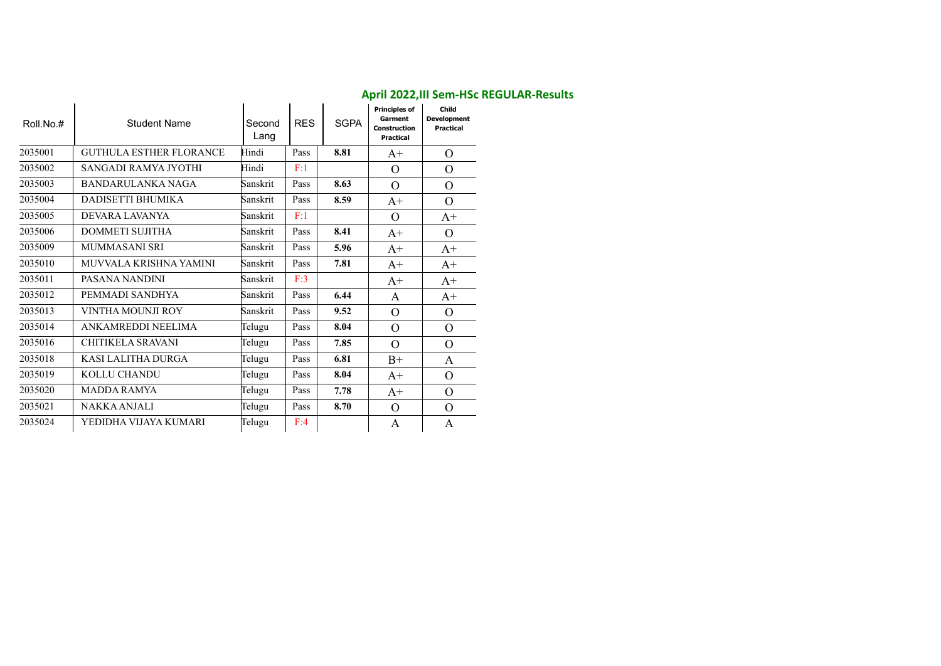| Roll.No.# | <b>Student Name</b>            | Second<br>Lang | <b>RES</b> | <b>SGPA</b> | <b>Principles of</b><br>Garment<br><b>Construction</b><br><b>Practical</b> | Child<br><b>Development</b><br><b>Practical</b> |
|-----------|--------------------------------|----------------|------------|-------------|----------------------------------------------------------------------------|-------------------------------------------------|
| 2035001   | <b>GUTHULA ESTHER FLORANCE</b> | Hindi          | Pass       | 8.81        | $A+$                                                                       | $\Omega$                                        |
| 2035002   | SANGADI RAMYA JYOTHI           | Hindi          | F:1        |             | $\Omega$                                                                   | $\Omega$                                        |
| 2035003   | <b>BANDARULANKA NAGA</b>       | Sanskrit       | Pass       | 8.63        | $\Omega$                                                                   | $\Omega$                                        |
| 2035004   | DADISETTI BHUMIKA              | Sanskrit       | Pass       | 8.59        | $A+$                                                                       | $\Omega$                                        |
| 2035005   | DEVARA LAVANYA                 | Sanskrit       | F:1        |             | $\Omega$                                                                   | $A+$                                            |
| 2035006   | <b>DOMMETI SUJITHA</b>         | Sanskrit       | Pass       | 8.41        | $A^+$                                                                      | $\Omega$                                        |
| 2035009   | <b>MUMMASANI SRI</b>           | Sanskrit       | Pass       | 5.96        | $A^+$                                                                      | $A+$                                            |
| 2035010   | MUVVALA KRISHNA YAMINI         | Sanskrit       | Pass       | 7.81        | $A+$                                                                       | $A^+$                                           |
| 2035011   | PASANA NANDINI                 | Sanskrit       | F:3        |             | $A+$                                                                       | $A+$                                            |
| 2035012   | PEMMADI SANDHYA                | Sanskrit       | Pass       | 6.44        | A                                                                          | $A+$                                            |
| 2035013   | VINTHA MOUNJI ROY              | Sanskrit       | Pass       | 9.52        | $\Omega$                                                                   | $\Omega$                                        |
| 2035014   | ANKAMREDDI NEELIMA             | Telugu         | Pass       | 8.04        | $\Omega$                                                                   | $\Omega$                                        |
| 2035016   | CHITIKELA SRAVANI              | Telugu         | Pass       | 7.85        | $\Omega$                                                                   | $\Omega$                                        |
| 2035018   | KASI LALITHA DURGA             | Telugu         | Pass       | 6.81        | $B+$                                                                       | A                                               |
| 2035019   | <b>KOLLU CHANDU</b>            | Telugu         | Pass       | 8.04        | $A^+$                                                                      | $\Omega$                                        |
| 2035020   | <b>MADDA RAMYA</b>             | Telugu         | Pass       | 7.78        | $A+$                                                                       | $\overline{O}$                                  |
| 2035021   | <b>NAKKA ANJALI</b>            | Telugu         | Pass       | 8.70        | $\Omega$                                                                   | $\Omega$                                        |
| 2035024   | YEDIDHA VIJAYA KUMARI          | Telugu         | F:4        |             | A                                                                          | A                                               |

#### **April 2022,III Sem-HSc REGULAR-Results**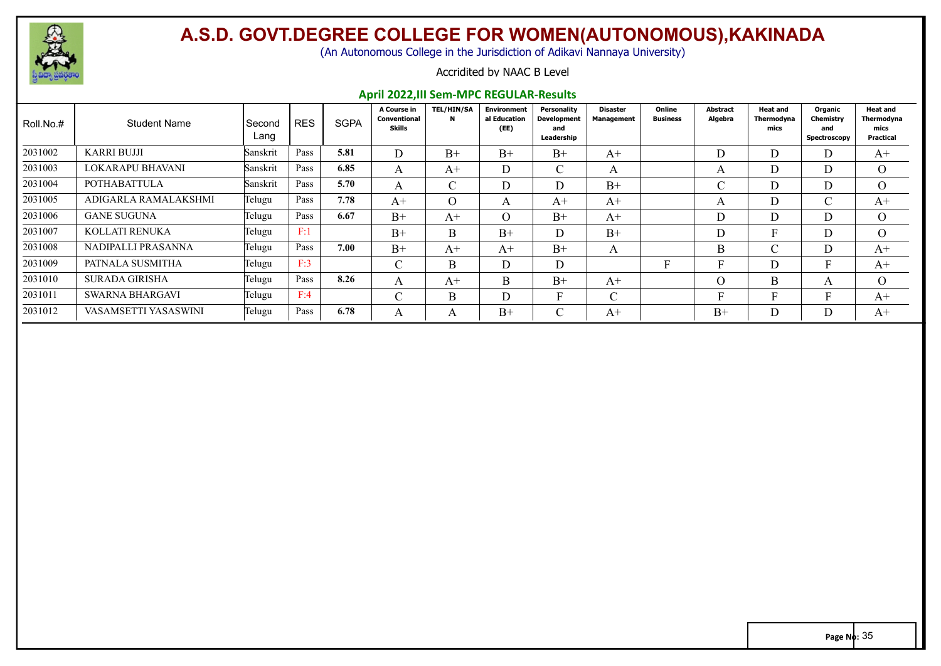

(An Autonomous College in the Jurisdiction of Adikavi Nannaya University)

#### Accridited by NAAC B Level

#### **April 2022,III Sem-MPC REGULAR-Results**

| Roll.No.# | <b>Student Name</b>    | Second<br>Lang | <b>RES</b> | <b>SGPA</b> | A Course in<br>Conventional<br><b>Skills</b> | <b>TEL/HIN/SA</b><br>$\mathbf N$ | <b>Environment</b><br>al Education<br>(EE) | Personality<br><b>Development</b><br>and<br>Leadership | Disaster<br><b>Management</b> | Online<br><b>Business</b> | <b>Abstract</b><br>Algebra | <b>Heat and</b><br>Thermodyna<br>mics | Organic<br>Chemistry<br>and<br>Spectroscopy | <b>Heat and</b><br>Thermodyna<br>mics<br>Practical |
|-----------|------------------------|----------------|------------|-------------|----------------------------------------------|----------------------------------|--------------------------------------------|--------------------------------------------------------|-------------------------------|---------------------------|----------------------------|---------------------------------------|---------------------------------------------|----------------------------------------------------|
| 2031002   | <b>KARRI BUJJI</b>     | Sanskrit       | Pass       | 5.81        | D                                            | $B+$                             | $B+$                                       | $B+$                                                   | $A+$                          |                           |                            |                                       | D                                           | $A+$                                               |
| 2031003   | LOKARAPU BHAVANI       | Sanskrit       | Pass       | 6.85        | A                                            | $A+$                             | D                                          | $\sim$<br>◡                                            | $\mathbf{A}$                  |                           |                            |                                       | <b>D</b><br>$\Box$                          | $\Omega$                                           |
| 2031004   | POTHABATTULA           | Sanskrit       | Pass       | 5.70        | A                                            | $\sim$                           | D                                          | D.                                                     | $B+$                          |                           |                            |                                       | D                                           | $\Omega$                                           |
| 2031005   | ADIGARLA RAMALAKSHMI   | Telugu         | Pass       | 7.78        | $A+$                                         | $\Omega$                         | A                                          | $A+$                                                   | $A+$                          |                           |                            |                                       |                                             | $A+$                                               |
| 2031006   | <b>GANE SUGUNA</b>     | Telugu         | Pass       | 6.67        | $B+$                                         | $A+$                             | $\Omega$                                   | $B+$                                                   | $A^+$                         |                           |                            |                                       | D                                           | $\Omega$                                           |
| 2031007   | KOLLATI RENUKA         | Telugu         | F:1        |             | $B+$                                         | <sub>B</sub>                     | $B+$                                       | D.                                                     | $B+$                          |                           |                            |                                       | D                                           | $\Omega$                                           |
| 2031008   | NADIPALLI PRASANNA     | Telugu         | Pass       | 7.00        | $B+$                                         | $A+$                             | $A+$                                       | $B+$                                                   | $\mathbf{A}$                  |                           | B                          |                                       | D                                           | $A+$                                               |
| 2031009   | PATNALA SUSMITHA       | Telugu         | F:3        |             | $\sim$<br>◡                                  | B.                               | D                                          | D                                                      |                               |                           |                            |                                       |                                             | $A+$                                               |
| 2031010   | <b>SURADA GIRISHA</b>  | Telugu         | Pass       | 8.26        | A                                            | $A+$                             | B                                          | $B+$                                                   | $A+$                          |                           |                            | B.                                    | $\mathbf{A}$                                | $\Omega$                                           |
| 2031011   | <b>SWARNA BHARGAVI</b> | Telugu         | F:4        |             | $\sim$<br>ι.                                 | B                                | D                                          | T.<br>н.                                               | $\sim$<br>◡                   |                           |                            |                                       |                                             | $A+$                                               |
| 2031012   | VASAMSETTI YASASWINI   | Telugu         | Pass       | 6.78        | $\sqrt{ }$                                   |                                  | $B+$                                       | $\sim$                                                 | $A+$                          |                           | $B+$                       |                                       |                                             | $A+$                                               |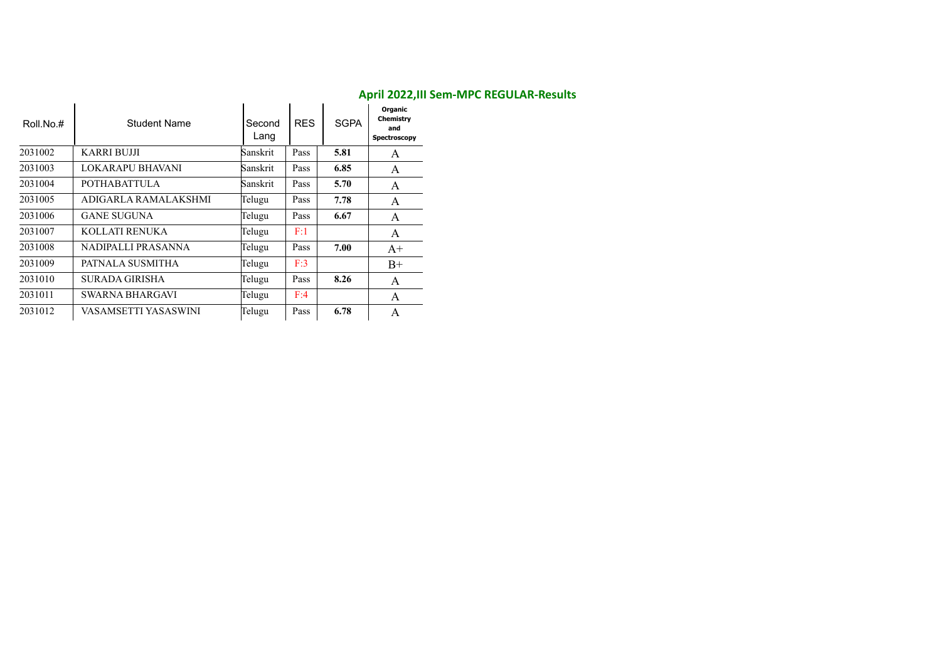| Roll.No.# | <b>Student Name</b>    | Second<br>Lang | <b>RES</b> | <b>SGPA</b> | Organic<br>Chemistry<br>and<br>Spectroscopy |
|-----------|------------------------|----------------|------------|-------------|---------------------------------------------|
| 2031002   | <b>KARRI BUJJI</b>     | Sanskrit       | Pass       | 5.81        | A                                           |
| 2031003   | LOKARAPU BHAVANI       | Sanskrit       | Pass       | 6.85        | A                                           |
| 2031004   | <b>POTHABATTULA</b>    | Sanskrit       | Pass       | 5.70        | A                                           |
| 2031005   | ADIGARLA RAMALAKSHMI   | Telugu         | Pass       | 7.78        | A                                           |
| 2031006   | <b>GANE SUGUNA</b>     | Telugu         | Pass       | 6.67        | A                                           |
| 2031007   | KOLLATI RENUKA         | Telugu         | F:1        |             | A                                           |
| 2031008   | NADIPALLI PRASANNA     | Telugu         | Pass       | 7.00        | $A+$                                        |
| 2031009   | PATNALA SUSMITHA       | Telugu         | F:3        |             | $B+$                                        |
| 2031010   | SURADA GIRISHA         | Telugu         | Pass       | 8.26        | A                                           |
| 2031011   | <b>SWARNA BHARGAVI</b> | Telugu         | F:4        |             | A                                           |
| 2031012   | VASAMSETTI YASASWINI   | Telugu         | Pass       | 6.78        | A                                           |

#### **April 2022,III Sem-MPC REGULAR-Results**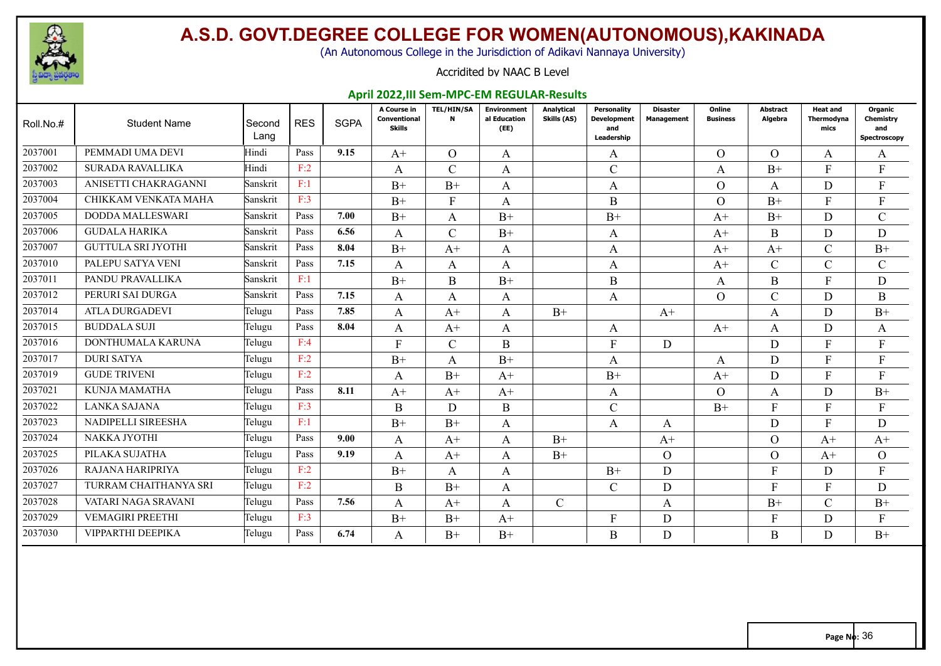

(An Autonomous College in the Jurisdiction of Adikavi Nannaya University)

#### Accridited by NAAC B Level

#### **April 2022,III Sem-MPC-EM REGULAR-Results**

| Roll.No.# | <b>Student Name</b>       | Second<br>Lang | <b>RES</b> | <b>SGPA</b> | A Course in<br><b>Conventional</b><br><b>Skills</b> | <b>TEL/HIN/SA</b><br>N | <b>Environment</b><br>al Education<br>(EE) | Analytical<br>Skills (AS) | Personality<br><b>Development</b><br>and<br>Leadership | <b>Disaster</b><br><b>Management</b> | Online<br><b>Business</b> | <b>Abstract</b><br>Algebra | <b>Heat and</b><br>Thermodvna<br>mics | Organic<br><b>Chemistry</b><br>and<br>Spectroscopy |
|-----------|---------------------------|----------------|------------|-------------|-----------------------------------------------------|------------------------|--------------------------------------------|---------------------------|--------------------------------------------------------|--------------------------------------|---------------------------|----------------------------|---------------------------------------|----------------------------------------------------|
| 2037001   | PEMMADI UMA DEVI          | Hindi          | Pass       | 9.15        | $A+$                                                | $\Omega$               | A                                          |                           | A                                                      |                                      | $\Omega$                  | $\Omega$                   | A                                     | A                                                  |
| 2037002   | <b>SURADA RAVALLIKA</b>   | Hindi          | F:2        |             | A                                                   | $\mathcal{C}$          | A                                          |                           | $\mathcal{C}$                                          |                                      | A                         | $B+$                       | $\mathbf{F}$                          | F                                                  |
| 2037003   | ANISETTI CHAKRAGANNI      | Sanskrit       | F:1        |             | $B+$                                                | $B+$                   | A                                          |                           | A                                                      |                                      | $\Omega$                  | A                          | D                                     | $\mathbf{F}$                                       |
| 2037004   | CHIKKAM VENKATA MAHA      | Sanskrit       | F:3        |             | $B+$                                                | $\mathbf{F}$           | A                                          |                           | B                                                      |                                      | $\Omega$                  | $B+$                       | F                                     | F                                                  |
| 2037005   | DODDA MALLESWARI          | Sanskrit       | Pass       | 7.00        | $B+$                                                | A                      | $B+$                                       |                           | $B+$                                                   |                                      | $A+$                      | $B+$                       | D                                     | $\mathbf C$                                        |
| 2037006   | <b>GUDALA HARIKA</b>      | Sanskrit       | Pass       | 6.56        | A                                                   | $\mathcal{C}$          | $B+$                                       |                           | A                                                      |                                      | $A+$                      | B                          | D                                     | D                                                  |
| 2037007   | <b>GUTTULA SRI JYOTHI</b> | Sanskrit       | Pass       | 8.04        | $B+$                                                | $A+$                   | A                                          |                           | A                                                      |                                      | $A+$                      | $A+$                       | $\mathcal{C}$                         | $B+$                                               |
| 2037010   | PALEPU SATYA VENI         | Sanskrit       | Pass       | 7.15        | A                                                   | A                      | A                                          |                           | A                                                      |                                      | $A+$                      | $\mathcal{C}$              | $\mathcal{C}$                         | $\mathbf C$                                        |
| 2037011   | PANDU PRAVALLIKA          | Sanskrit       | F:1        |             | $B+$                                                | B                      | $B+$                                       |                           | $\mathbf B$                                            |                                      | A                         | B                          | F                                     | D                                                  |
| 2037012   | PERURI SAI DURGA          | Sanskrit       | Pass       | 7.15        | A                                                   | A                      | A                                          |                           | A                                                      |                                      | $\Omega$                  | $\mathcal{C}$              | D                                     | B                                                  |
| 2037014   | <b>ATLA DURGADEVI</b>     | Telugu         | Pass       | 7.85        | A                                                   | $A+$                   | A                                          | $B+$                      |                                                        | $A+$                                 |                           | A                          | D                                     | $B+$                                               |
| 2037015   | <b>BUDDALA SUJI</b>       | Telugu         | Pass       | 8.04        | A                                                   | $A+$                   | A                                          |                           | A                                                      |                                      | $A+$                      | A                          | D                                     | A                                                  |
| 2037016   | DONTHUMALA KARUNA         | Telugu         | F:4        |             | F                                                   | $\mathcal{C}$          | B                                          |                           | $\mathbf{F}$                                           | D                                    |                           | D                          | F                                     | F                                                  |
| 2037017   | <b>DURI SATYA</b>         | Telugu         | F:2        |             | $B+$                                                | A                      | $B+$                                       |                           | A                                                      |                                      | A                         | D                          | F                                     | F                                                  |
| 2037019   | <b>GUDE TRIVENI</b>       | Telugu         | F:2        |             | A                                                   | $B+$                   | $A+$                                       |                           | $B+$                                                   |                                      | $A+$                      | D                          | F                                     | F                                                  |
| 2037021   | <b>KUNJA MAMATHA</b>      | Telugu         | Pass       | 8.11        | $A+$                                                | $A+$                   | $A+$                                       |                           | A                                                      |                                      | $\Omega$                  | A                          | D                                     | $B+$                                               |
| 2037022   | LANKA SAJANA              | Telugu         | F:3        |             | B                                                   | D                      | B                                          |                           | $\mathcal{C}$                                          |                                      | $B+$                      | F                          | F                                     | F                                                  |
| 2037023   | NADIPELLI SIREESHA        | Telugu         | F:1        |             | $B+$                                                | $B+$                   | A                                          |                           | A                                                      | A                                    |                           | D                          | F                                     | D                                                  |
| 2037024   | NAKKA JYOTHI              | Telugu         | Pass       | 9.00        | A                                                   | $A+$                   | A                                          | $B+$                      |                                                        | $A+$                                 |                           | $\Omega$                   | $A+$                                  | $A+$                                               |
| 2037025   | PILAKA SUJATHA            | Telugu         | Pass       | 9.19        | A                                                   | $A+$                   | A                                          | $B+$                      |                                                        | $\overline{O}$                       |                           | $\Omega$                   | $A+$                                  | $\overline{O}$                                     |
| 2037026   | RAJANA HARIPRIYA          | Telugu         | F:2        |             | $B+$                                                | A                      | A                                          |                           | $B+$                                                   | D                                    |                           | F                          | D                                     | $\mathbf{F}$                                       |
| 2037027   | TURRAM CHAITHANYA SRI     | Telugu         | F:2        |             | B                                                   | $B+$                   | A                                          |                           | $\mathcal{C}$                                          | D                                    |                           | F                          | F                                     | D                                                  |
| 2037028   | VATARI NAGA SRAVANI       | Telugu         | Pass       | 7.56        | A                                                   | $A+$                   | A                                          | $\mathcal{C}$             |                                                        | A                                    |                           | $B+$                       | $\mathcal{C}$                         | $B+$                                               |
| 2037029   | <b>VEMAGIRI PREETHI</b>   | Telugu         | F:3        |             | $B+$                                                | $B+$                   | $A^+$                                      |                           | $\mathbf{F}$                                           | D                                    |                           | F                          | D                                     | E                                                  |
| 2037030   | VIPPARTHI DEEPIKA         | Telugu         | Pass       | 6.74        | A                                                   | $B+$                   | $B+$                                       |                           | B                                                      | D                                    |                           | B                          | D                                     | $B+$                                               |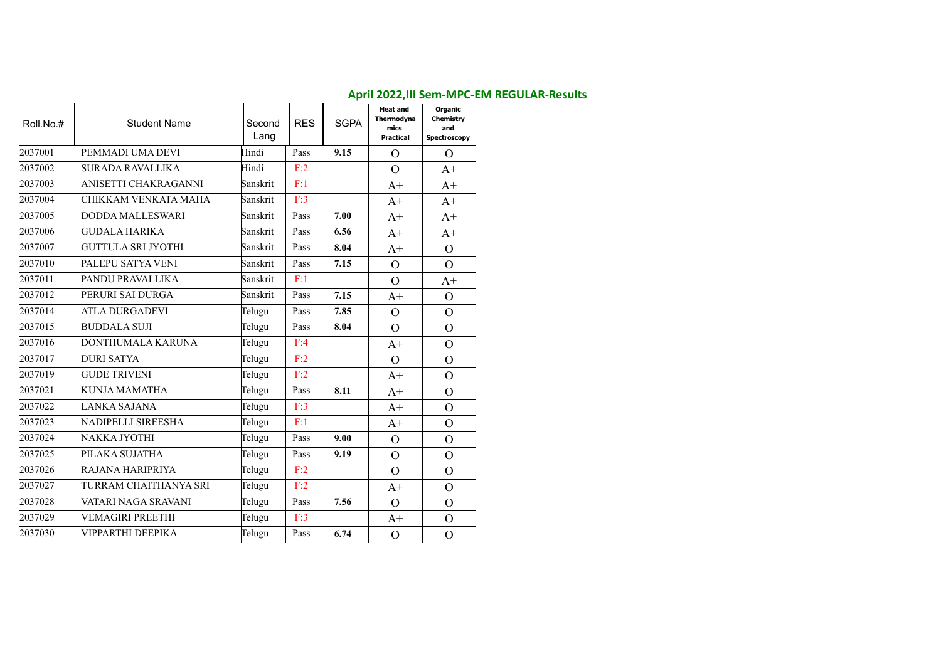| Roll.No.# | <b>Student Name</b>       | Second<br>Lang | <b>RES</b> | <b>SGPA</b> | <b>Heat and</b><br>Thermodyna<br>mics<br><b>Practical</b> | Organic<br>Chemistry<br>and<br>Spectroscopy |
|-----------|---------------------------|----------------|------------|-------------|-----------------------------------------------------------|---------------------------------------------|
| 2037001   | PEMMADI UMA DEVI          | Hindi          | Pass       | 9.15        | $\overline{O}$                                            | $\Omega$                                    |
| 2037002   | <b>SURADA RAVALLIKA</b>   | Hindi          | F:2        |             | $\overline{O}$                                            | $A+$                                        |
| 2037003   | ANISETTI CHAKRAGANNI      | Sanskrit       | F:1        |             | $A+$                                                      | $A+$                                        |
| 2037004   | CHIKKAM VENKATA MAHA      | Sanskrit       | F:3        |             | $A+$                                                      | $A+$                                        |
| 2037005   | <b>DODDA MALLESWARI</b>   | Sanskrit       | Pass       | 7.00        | $A+$                                                      | $A+$                                        |
| 2037006   | <b>GUDALA HARIKA</b>      | Sanskrit       | Pass       | 6.56        | $A+$                                                      | $A+$                                        |
| 2037007   | <b>GUTTULA SRI JYOTHI</b> | Sanskrit       | Pass       | 8.04        | $A+$                                                      | $\Omega$                                    |
| 2037010   | PALEPU SATYA VENI         | Sanskrit       | Pass       | 7.15        | $\overline{O}$                                            | $\Omega$                                    |
| 2037011   | PANDU PRAVALLIKA          | Sanskrit       | F:1        |             | $\overline{O}$                                            | $A+$                                        |
| 2037012   | PERURI SAI DURGA          | Sanskrit       | Pass       | 7.15        | $A+$                                                      | $\Omega$                                    |
| 2037014   | <b>ATLA DURGADEVI</b>     | Telugu         | Pass       | 7.85        | $\overline{O}$                                            | $\mathbf O$                                 |
| 2037015   | <b>BUDDALA SUJI</b>       | Telugu         | Pass       | 8.04        | $\overline{O}$                                            | $\overline{O}$                              |
| 2037016   | DONTHUMALA KARUNA         | Telugu         | F:4        |             | $A+$                                                      | $\mathbf{O}$                                |
| 2037017   | <b>DURI SATYA</b>         | Telugu         | F:2        |             | $\mathcal{O}$                                             | $\mathcal{O}$                               |
| 2037019   | <b>GUDE TRIVENI</b>       | Telugu         | F:2        |             | $A+$                                                      | $\mathbf{O}$                                |
| 2037021   | KUNJA MAMATHA             | Telugu         | Pass       | 8.11        | $A+$                                                      | $\mathbf{O}$                                |
| 2037022   | LANKA SAJANA              | Telugu         | F:3        |             | $A+$                                                      | $\mathcal{O}$                               |
| 2037023   | NADIPELLI SIREESHA        | Telugu         | F:1        |             | $A+$                                                      | $\mathcal{O}$                               |
| 2037024   | <b>NAKKA JYOTHI</b>       | Telugu         | Pass       | 9.00        | $\overline{O}$                                            | $\overline{O}$                              |
| 2037025   | PILAKA SUJATHA            | Telugu         | Pass       | 9.19        | $\overline{O}$                                            | $\mathcal{O}$                               |
| 2037026   | RAJANA HARIPRIYA          | Telugu         | F:2        |             | $\overline{O}$                                            | $\overline{O}$                              |
| 2037027   | TURRAM CHAITHANYA SRI     | Telugu         | F:2        |             | $A+$                                                      | $\mathbf{O}$                                |
| 2037028   | VATARI NAGA SRAVANI       | Telugu         | Pass       | 7.56        | $\Omega$                                                  | $\mathcal{O}$                               |
| 2037029   | <b>VEMAGIRI PREETHI</b>   | Telugu         | F:3        |             | $A+$                                                      | $\mathcal{O}$                               |
| 2037030   | VIPPARTHI DEEPIKA         | Telugu         | Pass       | 6.74        | $\overline{O}$                                            | $\overline{O}$                              |

#### **April 2022,III Sem-MPC-EM REGULAR-Results**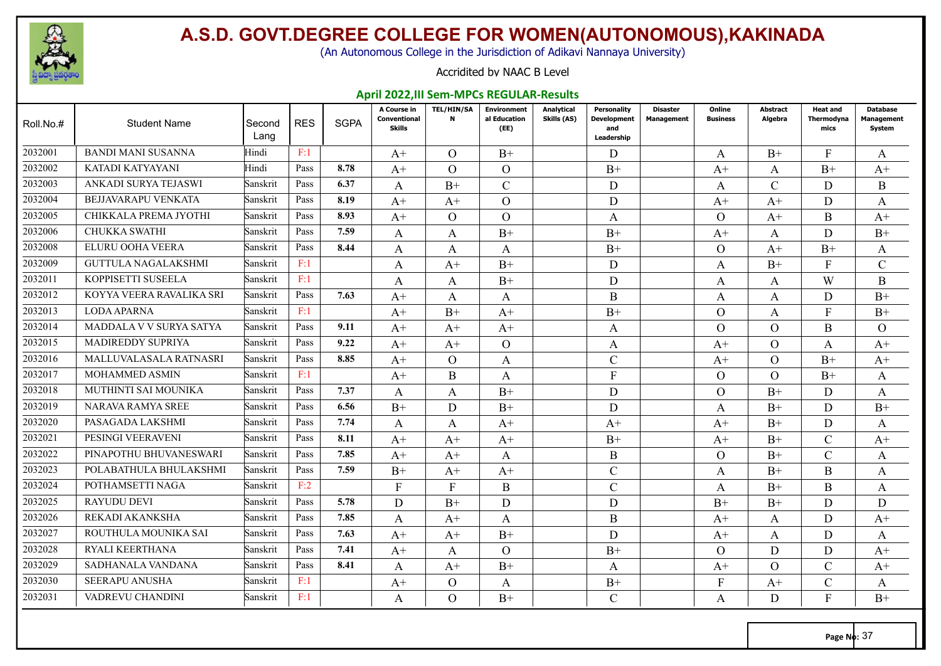

(An Autonomous College in the Jurisdiction of Adikavi Nannaya University)

#### Accridited by NAAC B Level

#### **April 2022,III Sem-MPCs REGULAR-Results**

| Roll.No.# | <b>Student Name</b>        | Second<br>Lang | <b>RES</b> | <b>SGPA</b> | A Course in<br>Conventional<br><b>Skills</b> | <b>TEL/HIN/SA</b><br>N | <b>Environment</b><br>al Education<br>(EE) | Analytical<br>Skills (AS) | <b>Personality</b><br><b>Development</b><br>and<br>Leadership | <b>Disaster</b><br>Management | Online<br><b>Business</b> | Abstract<br>Algebra | Heat and<br>Thermodyna<br>mics | <b>Database</b><br>Management<br>System |
|-----------|----------------------------|----------------|------------|-------------|----------------------------------------------|------------------------|--------------------------------------------|---------------------------|---------------------------------------------------------------|-------------------------------|---------------------------|---------------------|--------------------------------|-----------------------------------------|
| 2032001   | <b>BANDI MANI SUSANNA</b>  | Hindi          | F:1        |             | $A+$                                         | $\Omega$               | $B+$                                       |                           | D                                                             |                               | A                         | $B+$                | F                              | A                                       |
| 2032002   | KATADI KATYAYANI           | Hindi          | Pass       | 8.78        | $A+$                                         | $\Omega$               | $\Omega$                                   |                           | $B+$                                                          |                               | $A+$                      | A                   | $B+$                           | $A+$                                    |
| 2032003   | ANKADI SURYA TEJASWI       | Sanskrit       | Pass       | 6.37        | A                                            | $B+$                   | $\mathcal{C}$                              |                           | D                                                             |                               | A                         | $\mathcal{C}$       | D                              | B                                       |
| 2032004   | BEJJAVARAPU VENKATA        | Sanskrit       | Pass       | 8.19        | $A+$                                         | $A+$                   | $\Omega$                                   |                           | D                                                             |                               | $A+$                      | $A+$                | D                              | A                                       |
| 2032005   | CHIKKALA PREMA JYOTHI      | Sanskrit       | Pass       | 8.93        | $A+$                                         | $\Omega$               | $\Omega$                                   |                           | A                                                             |                               | $\Omega$                  | $A+$                | B                              | $A+$                                    |
| 2032006   | <b>CHUKKA SWATHI</b>       | Sanskrit       | Pass       | 7.59        | A                                            | A                      | $B+$                                       |                           | $B+$                                                          |                               | $A+$                      | A                   | D                              | $B+$                                    |
| 2032008   | ELURU OOHA VEERA           | Sanskrit       | Pass       | 8.44        | A                                            | A                      | A                                          |                           | $B+$                                                          |                               | $\Omega$                  | $A+$                | $B+$                           | A                                       |
| 2032009   | <b>GUTTULA NAGALAKSHMI</b> | Sanskrit       | F:1        |             | A                                            | $A+$                   | $B+$                                       |                           | D                                                             |                               | A                         | $B+$                | $\mathbf{F}$                   | $\mathcal{C}$                           |
| 2032011   | KOPPISETTI SUSEELA         | Sanskrit       | F:1        |             | A                                            | A                      | $B+$                                       |                           | D                                                             |                               | A                         | A                   | W                              | B                                       |
| 2032012   | KOYYA VEERA RAVALIKA SRI   | Sanskrit       | Pass       | 7.63        | $A+$                                         | A                      | $\mathbf{A}$                               |                           | B                                                             |                               | A                         | $\mathbf{A}$        | D                              | $B+$                                    |
| 2032013   | <b>LODA APARNA</b>         | Sanskrit       | F:1        |             | $A+$                                         | $B+$                   | $A+$                                       |                           | $B+$                                                          |                               | $\Omega$                  | $\mathbf{A}$        | $\mathbf{F}$                   | $B+$                                    |
| 2032014   | MADDALA V V SURYA SATYA    | Sanskrit       | Pass       | 9.11        | $A^+$                                        | $A+$                   | $A+$                                       |                           | A                                                             |                               | $\Omega$                  | $\Omega$            | B                              | $\Omega$                                |
| 2032015   | <b>MADIREDDY SUPRIYA</b>   | Sanskrit       | Pass       | 9.22        | $A+$                                         | $A^+$                  | $\overline{O}$                             |                           | A                                                             |                               | $A+$                      | $\Omega$            | A                              | $A+$                                    |
| 2032016   | MALLUVALASALA RATNASRI     | Sanskrit       | Pass       | 8.85        | $A+$                                         | $\Omega$               | A                                          |                           | $\mathbf C$                                                   |                               | $A+$                      | $\Omega$            | $B+$                           | $A+$                                    |
| 2032017   | MOHAMMED ASMIN             | Sanskrit       | F:1        |             | $A^+$                                        | B                      | A                                          |                           | $\mathbf{F}$                                                  |                               | $\Omega$                  | $\Omega$            | $B+$                           | A                                       |
| 2032018   | MUTHINTI SAI MOUNIKA       | Sanskrit       | Pass       | 7.37        | A                                            | A                      | $B+$                                       |                           | D                                                             |                               | $\Omega$                  | $B+$                | D                              | A                                       |
| 2032019   | <b>NARAVA RAMYA SREE</b>   | Sanskrit       | Pass       | 6.56        | $B+$                                         | D                      | $B+$                                       |                           | D                                                             |                               | A                         | $B+$                | D                              | $B+$                                    |
| 2032020   | PASAGADA LAKSHMI           | Sanskrit       | Pass       | 7.74        | A                                            | A                      | $A+$                                       |                           | $A+$                                                          |                               | $A+$                      | $B+$                | D                              | A                                       |
| 2032021   | PESINGI VEERAVENI          | Sanskrit       | Pass       | 8.11        | $A^+$                                        | $A^+$                  | $A+$                                       |                           | $B+$                                                          |                               | $A+$                      | $B+$                | $\mathcal{C}$                  | $A+$                                    |
| 2032022   | PINAPOTHU BHUVANESWARI     | Sanskrit       | Pass       | 7.85        | $A+$                                         | $A+$                   | A                                          |                           | B                                                             |                               | $\Omega$                  | $B+$                | $\mathcal{C}$                  | A                                       |
| 2032023   | POLABATHULA BHULAKSHMI     | Sanskrit       | Pass       | 7.59        | $B+$                                         | $A^+$                  | $A+$                                       |                           | $\mathbf{C}$                                                  |                               | A                         | $B+$                | B                              | A                                       |
| 2032024   | POTHAMSETTI NAGA           | Sanskrit       | F:2        |             | $\mathbf{F}$                                 | F                      | B                                          |                           | $\mathbf C$                                                   |                               | A                         | $B+$                | B                              | A                                       |
| 2032025   | <b>RAYUDU DEVI</b>         | Sanskrit       | Pass       | 5.78        | D                                            | $B+$                   | D                                          |                           | D                                                             |                               | $B+$                      | $B+$                | D                              | D                                       |
| 2032026   | REKADI AKANKSHA            | Sanskrit       | Pass       | 7.85        | A                                            | $A+$                   | A                                          |                           | B                                                             |                               | $A+$                      | A                   | D                              | $A+$                                    |
| 2032027   | ROUTHULA MOUNIKA SAI       | Sanskrit       | Pass       | 7.63        | $A+$                                         | $A+$                   | $B+$                                       |                           | D                                                             |                               | $A+$                      | A                   | D                              | A                                       |
| 2032028   | <b>RYALI KEERTHANA</b>     | Sanskrit       | Pass       | 7.41        | $A+$                                         | A                      | $\Omega$                                   |                           | $B+$                                                          |                               | $\Omega$                  | D                   | D                              | $A+$                                    |
| 2032029   | SADHANALA VANDANA          | Sanskrit       | Pass       | 8.41        | A                                            | $A^+$                  | $B+$                                       |                           | A                                                             |                               | $A+$                      | $\Omega$            | $\mathcal{C}$                  | $A+$                                    |
| 2032030   | <b>SEERAPU ANUSHA</b>      | Sanskrit       | F:1        |             | $A^+$                                        | $\Omega$               | A                                          |                           | $B+$                                                          |                               | F                         | $A+$                | $\mathcal{C}$                  | A                                       |
| 2032031   | VADREVU CHANDINI           | Sanskrit       | F:1        |             | A                                            | $\Omega$               | $B+$                                       |                           | $\mathcal{C}$                                                 |                               | A                         | D                   | $\mathbf{F}$                   | $B+$                                    |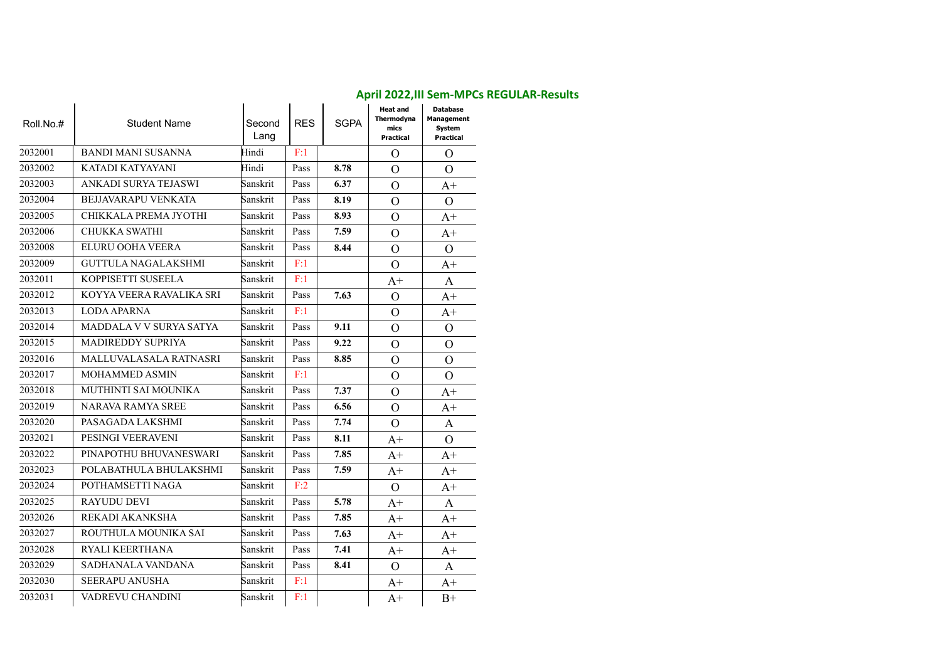| Roll.No.# | <b>Student Name</b>        | Second<br>Lang | <b>RES</b> | <b>SGPA</b> | <b>Heat and</b><br>Thermodyna<br>mics<br>Practical | <b>Database</b><br><b>Management</b><br>System<br>Practical |
|-----------|----------------------------|----------------|------------|-------------|----------------------------------------------------|-------------------------------------------------------------|
| 2032001   | <b>BANDI MANI SUSANNA</b>  | Hindi          | F:1        |             | $\Omega$                                           | $\Omega$                                                    |
| 2032002   | KATADI KATYAYANI           | Hindi          | Pass       | 8.78        | $\Omega$                                           | $\Omega$                                                    |
| 2032003   | ANKADI SURYA TEJASWI       | Sanskrit       | Pass       | 6.37        | $\Omega$                                           | $A+$                                                        |
| 2032004   | <b>BEJJAVARAPU VENKATA</b> | Sanskrit       | Pass       | 8.19        | $\Omega$                                           | $\Omega$                                                    |
| 2032005   | CHIKKALA PREMA JYOTHI      | Sanskrit       | Pass       | 8.93        | $\Omega$                                           | $A+$                                                        |
| 2032006   | <b>CHUKKA SWATHI</b>       | Sanskrit       | Pass       | 7.59        | $\Omega$                                           | A+                                                          |
| 2032008   | ELURU OOHA VEERA           | Sanskrit       | Pass       | 8.44        | $\Omega$                                           | $\Omega$                                                    |
| 2032009   | <b>GUTTULA NAGALAKSHMI</b> | Sanskrit       | F:1        |             | $\Omega$                                           | A+                                                          |
| 2032011   | KOPPISETTI SUSEELA         | Sanskrit       | F:1        |             | $A+$                                               | A                                                           |
| 2032012   | KOYYA VEERA RAVALIKA SRI   | Sanskrit       | Pass       | 7.63        | $\Omega$                                           | $A+$                                                        |
| 2032013   | <b>LODA APARNA</b>         | Sanskrit       | F:1        |             | $\Omega$                                           | $A+$                                                        |
| 2032014   | MADDALA V V SURYA SATYA    | Sanskrit       | Pass       | 9.11        | $\Omega$                                           | $\Omega$                                                    |
| 2032015   | <b>MADIREDDY SUPRIYA</b>   | Sanskrit       | Pass       | 9.22        | $\Omega$                                           | $\Omega$                                                    |
| 2032016   | MALLUVALASALA RATNASRI     | Sanskrit       | Pass       | 8.85        | $\Omega$                                           | $\Omega$                                                    |
| 2032017   | <b>MOHAMMED ASMIN</b>      | Sanskrit       | F:1        |             | $\Omega$                                           | $\Omega$                                                    |
| 2032018   | MUTHINTI SAI MOUNIKA       | Sanskrit       | Pass       | 7.37        | $\Omega$                                           | $A+$                                                        |
| 2032019   | <b>NARAVA RAMYA SREE</b>   | Sanskrit       | Pass       | 6.56        | $\Omega$                                           | $A+$                                                        |
| 2032020   | PASAGADA LAKSHMI           | Sanskrit       | Pass       | 7.74        | $\Omega$                                           | A                                                           |
| 2032021   | PESINGI VEERAVENI          | Sanskrit       | Pass       | 8.11        | $A+$                                               | $\Omega$                                                    |
| 2032022   | PINAPOTHU BHUVANESWARI     | Sanskrit       | Pass       | 7.85        | $A+$                                               | $A+$                                                        |
| 2032023   | POLABATHULA BHULAKSHMI     | Sanskrit       | Pass       | 7.59        | $A+$                                               | $A+$                                                        |
| 2032024   | POTHAMSETTI NAGA           | Sanskrit       | F:2        |             | $\Omega$                                           | $A+$                                                        |
| 2032025   | <b>RAYUDU DEVI</b>         | Sanskrit       | Pass       | 5.78        | $A+$                                               | A                                                           |
| 2032026   | REKADI AKANKSHA            | Sanskrit       | Pass       | 7.85        | $A^+$                                              | A+                                                          |
| 2032027   | ROUTHULA MOUNIKA SAI       | Sanskrit       | Pass       | 7.63        | $A+$                                               | $A+$                                                        |
| 2032028   | RYALI KEERTHANA            | Sanskrit       | Pass       | 7.41        | $A+$                                               | $A+$                                                        |
| 2032029   | SADHANALA VANDANA          | Sanskrit       | Pass       | 8.41        | $\Omega$                                           | A                                                           |
| 2032030   | <b>SEERAPU ANUSHA</b>      | Sanskrit       | F:1        |             | $A+$                                               | $A+$                                                        |
| 2032031   | VADREVU CHANDINI           | Sanskrit       | F:1        |             | $A+$                                               | $B+$                                                        |

#### **April 2022,III Sem-MPCs REGULAR-Results**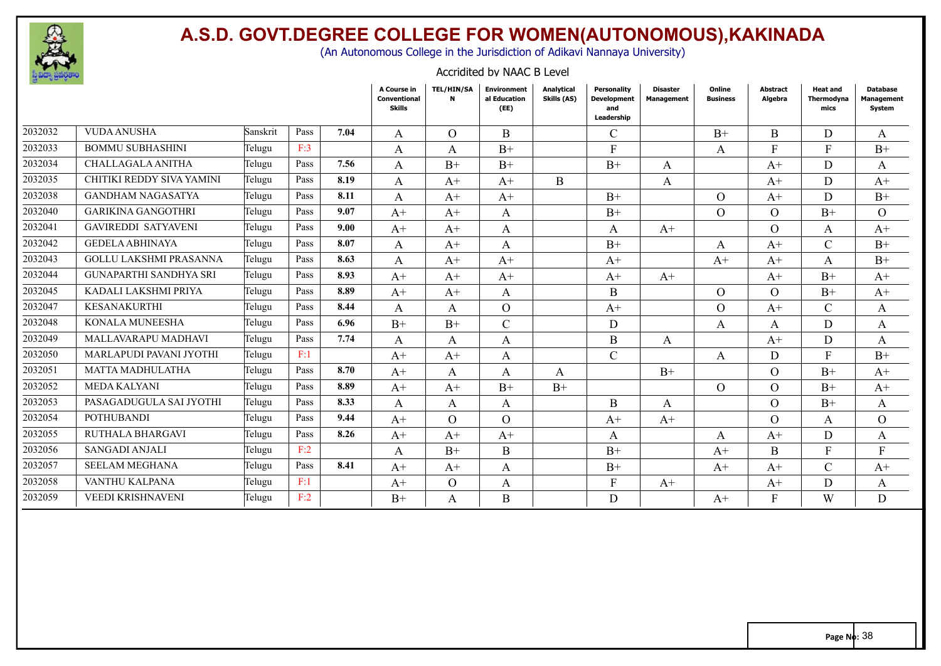

(An Autonomous College in the Jurisdiction of Adikavi Nannaya University)

Accridited by NAAC B Level

| $\epsilon$ or $\epsilon$ |                               |          |            |      | A Course in<br>Conventional<br><b>Skills</b> | <b>TEL/HIN/SA</b><br>N | <b>Environment</b><br>al Education<br>(EE) | Analytical<br>Skills (AS) | Personality<br><b>Development</b><br>and<br>Leadership | <b>Disaster</b><br>Management | Online<br><b>Business</b> | Abstract<br>Algebra | <b>Heat and</b><br>Thermodyna<br>mics | Database<br>Management<br>System |
|--------------------------|-------------------------------|----------|------------|------|----------------------------------------------|------------------------|--------------------------------------------|---------------------------|--------------------------------------------------------|-------------------------------|---------------------------|---------------------|---------------------------------------|----------------------------------|
| 2032032                  | <b>VUDA ANUSHA</b>            | Sanskrit | Pass       | 7.04 | A                                            | $\Omega$               | B                                          |                           | $\mathcal{C}_{0}^{(n)}$                                |                               | $B+$                      | B                   | D                                     | A                                |
| 2032033                  | <b>BOMMU SUBHASHINI</b>       | Telugu   | F:3        |      | A                                            | A                      | $B+$                                       |                           | F                                                      |                               | $\mathsf{A}$              | F                   | $\mathbf{F}$                          | $B+$                             |
| 2032034                  | CHALLAGALA ANITHA             | Telugu   | Pass       | 7.56 | A                                            | $B+$                   | $B+$                                       |                           | $B+$                                                   | A                             |                           | $A+$                | D                                     | A                                |
| 2032035                  | CHITIKI REDDY SIVA YAMINI     | Telugu   | Pass       | 8.19 | A                                            | $A+$                   | $A+$                                       | B                         |                                                        | A                             |                           | $A+$                | D                                     | $A+$                             |
| 2032038                  | <b>GANDHAM NAGASATYA</b>      | Telugu   | Pass       | 8.11 | A                                            | $A+$                   | $A+$                                       |                           | $B+$                                                   |                               | $\Omega$                  | $A+$                | D                                     | $B+$                             |
| 2032040                  | <b>GARIKINA GANGOTHRI</b>     | Telugu   | Pass       | 9.07 | $A^+$                                        | $A+$                   | A                                          |                           | $B+$                                                   |                               | $\Omega$                  | $\Omega$            | $B+$                                  | $\Omega$                         |
| 2032041                  | <b>GAVIREDDI SATYAVENI</b>    | Telugu   | Pass       | 9.00 | $A+$                                         | $A+$                   | A                                          |                           | A                                                      | $A+$                          |                           | $\Omega$            | A                                     | $A+$                             |
| 2032042                  | <b>GEDELA ABHINAYA</b>        | Telugu   | Pass       | 8.07 | A                                            | $A+$                   | A                                          |                           | $B+$                                                   |                               | A                         | $A+$                | $\mathcal{C}$                         | $B+$                             |
| 2032043                  | <b>GOLLU LAKSHMI PRASANNA</b> | Telugu   | Pass       | 8.63 | A                                            | $A+$                   | $A+$                                       |                           | $A+$                                                   |                               | $A+$                      | $A^+$               | A                                     | $B+$                             |
| 2032044                  | <b>GUNAPARTHI SANDHYA SRI</b> | Telugu   | Pass       | 8.93 | $A+$                                         | $A+$                   | $A+$                                       |                           | $A+$                                                   | $A+$                          |                           | $A+$                | $B+$                                  | $A+$                             |
| 2032045                  | KADALI LAKSHMI PRIYA          | Telugu   | Pass       | 8.89 | $A+$                                         | $A+$                   | A                                          |                           | B                                                      |                               | $\Omega$                  | $\Omega$            | $B+$                                  | $A+$                             |
| 2032047                  | KESANAKURTHI                  | Telugu   | Pass       | 8.44 | A                                            | A                      | $\mathcal{O}$                              |                           | $A^+$                                                  |                               | $\Omega$                  | $A^+$               | $\mathcal{C}$                         | A                                |
| 2032048                  | KONALA MUNEESHA               | Telugu   | Pass       | 6.96 | $B+$                                         | $B+$                   | $\mathcal{C}$                              |                           | D                                                      |                               | A                         | A                   | D                                     | A                                |
| 2032049                  | MALLAVARAPU MADHAVI           | Telugu   | Pass       | 7.74 | A                                            | A                      | A                                          |                           | B                                                      | A                             |                           | $A+$                | D                                     | A                                |
| 2032050                  | MARLAPUDI PAVANI JYOTHI       | Telugu   | F:1        |      | $A+$                                         | $A+$                   | A                                          |                           | $\overline{C}$                                         |                               | A                         | D                   | F                                     | $B+$                             |
| 2032051                  | <b>MATTA MADHULATHA</b>       | Telugu   | Pass       | 8.70 | $A^+$                                        | A                      | A                                          | A                         |                                                        | $B+$                          |                           | $\Omega$            | $B+$                                  | $A^+$                            |
| 2032052                  | <b>MEDA KALYANI</b>           | Telugu   | Pass       | 8.89 | $A+$                                         | $A+$                   | $B+$                                       | $B+$                      |                                                        |                               | $\Omega$                  | $\Omega$            | $B+$                                  | $A+$                             |
| 2032053                  | PASAGADUGULA SAI JYOTHI       | Telugu   | Pass       | 8.33 | A                                            | A                      | A                                          |                           | Β                                                      | A                             |                           | $\Omega$            | $B+$                                  | A                                |
| 2032054                  | <b>POTHUBANDI</b>             | Telugu   | Pass       | 9.44 | $A+$                                         | $\Omega$               | $\Omega$                                   |                           | $A+$                                                   | $A+$                          |                           | $\Omega$            | A                                     | $\Omega$                         |
| 2032055                  | RUTHALA BHARGAVI              | Telugu   | Pass       | 8.26 | $A+$                                         | $A+$                   | $A^+$                                      |                           | A                                                      |                               | A                         | $A^+$               | D                                     | A                                |
| 2032056                  | SANGADI ANJALI                | Telugu   | F:2        |      | A                                            | $B+$                   | B                                          |                           | $B+$                                                   |                               | $A+$                      | B                   | $\mathbf{F}$                          | F                                |
| 2032057                  | <b>SEELAM MEGHANA</b>         | Telugu   | Pass       | 8.41 | $A+$                                         | $A+$                   | A                                          |                           | $B+$                                                   |                               | $A+$                      | $A+$                | $\mathcal{C}$                         | $A+$                             |
| 2032058                  | VANTHU KALPANA                | Telugu   | $\rm{F:1}$ |      | $A^+$                                        | $\Omega$               | A                                          |                           | F                                                      | $A+$                          |                           | $A^+$               | D                                     | A                                |
| 2032059                  | <b>VEEDI KRISHNAVENI</b>      | Telugu   | F:2        |      | $B+$                                         | A                      | B                                          |                           | D                                                      |                               | $A^+$                     | F                   | W                                     | D                                |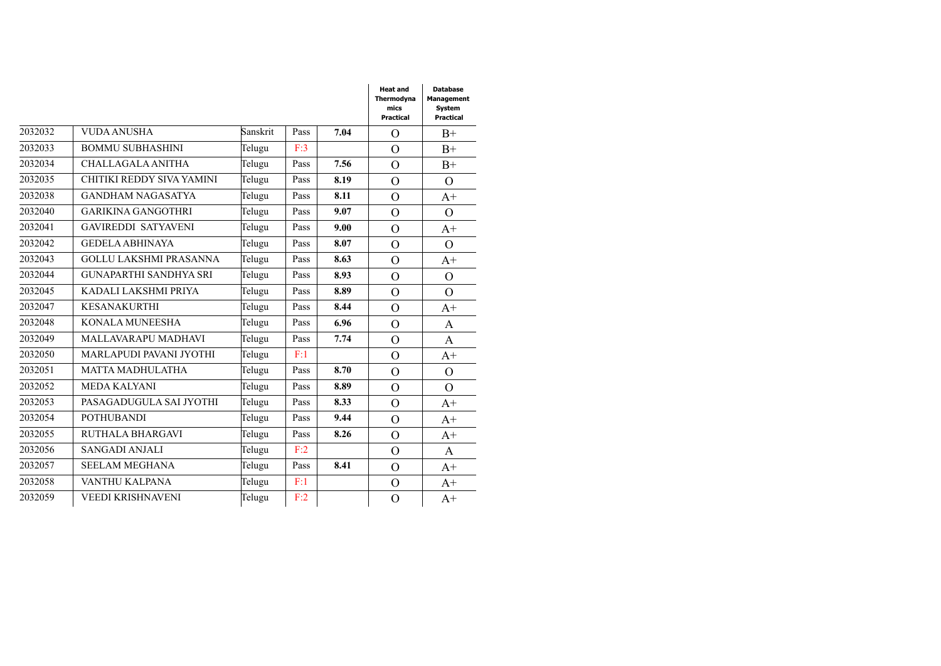|         |                               |          |      |      | <b>Heat and</b><br>Thermodyna<br>mics<br><b>Practical</b> | <b>Database</b><br>Management<br><b>System</b><br>Practical |
|---------|-------------------------------|----------|------|------|-----------------------------------------------------------|-------------------------------------------------------------|
| 2032032 | <b>VUDA ANUSHA</b>            | Sanskrit | Pass | 7.04 | $\overline{O}$                                            | $B+$                                                        |
| 2032033 | <b>BOMMU SUBHASHINI</b>       | Telugu   | F:3  |      | $\Omega$                                                  | $B+$                                                        |
| 2032034 | CHALLAGALA ANITHA             | Telugu   | Pass | 7.56 | $\overline{O}$                                            | $B+$                                                        |
| 2032035 | CHITIKI REDDY SIVA YAMINI     | Telugu   | Pass | 8.19 | $\Omega$                                                  | $\Omega$                                                    |
| 2032038 | <b>GANDHAM NAGASATYA</b>      | Telugu   | Pass | 8.11 | $\overline{O}$                                            | $A+$                                                        |
| 2032040 | <b>GARIKINA GANGOTHRI</b>     | Telugu   | Pass | 9.07 | $\overline{O}$                                            | $\Omega$                                                    |
| 2032041 | <b>GAVIREDDI SATYAVENI</b>    | Telugu   | Pass | 9.00 | $\overline{O}$                                            | $A+$                                                        |
| 2032042 | <b>GEDELA ABHINAYA</b>        | Telugu   | Pass | 8.07 | $\overline{O}$                                            | $\Omega$                                                    |
| 2032043 | <b>GOLLU LAKSHMI PRASANNA</b> | Telugu   | Pass | 8.63 | $\overline{O}$                                            | $A+$                                                        |
| 2032044 | <b>GUNAPARTHI SANDHYA SRI</b> | Telugu   | Pass | 8.93 | $\overline{O}$                                            | $\Omega$                                                    |
| 2032045 | KADALI LAKSHMI PRIYA          | Telugu   | Pass | 8.89 | $\overline{O}$                                            | $\Omega$                                                    |
| 2032047 | <b>KESANAKURTHI</b>           | Telugu   | Pass | 8.44 | $\overline{O}$                                            | $A+$                                                        |
| 2032048 | KONALA MUNEESHA               | Telugu   | Pass | 6.96 | $\overline{O}$                                            | A                                                           |
| 2032049 | MALLAVARAPU MADHAVI           | Telugu   | Pass | 7.74 | $\overline{O}$                                            | A                                                           |
| 2032050 | MARLAPUDI PAVANI JYOTHI       | Telugu   | F:1  |      | $\overline{O}$                                            | $A+$                                                        |
| 2032051 | <b>MATTA MADHULATHA</b>       | Telugu   | Pass | 8.70 | $\overline{O}$                                            | $\Omega$                                                    |
| 2032052 | <b>MEDA KALYANI</b>           | Telugu   | Pass | 8.89 | $\overline{O}$                                            | $\Omega$                                                    |
| 2032053 | PASAGADUGULA SAI JYOTHI       | Telugu   | Pass | 8.33 | $\overline{O}$                                            | $A+$                                                        |
| 2032054 | <b>POTHUBANDI</b>             | Telugu   | Pass | 9.44 | $\overline{O}$                                            | $A+$                                                        |
| 2032055 | RUTHALA BHARGAVI              | Telugu   | Pass | 8.26 | $\overline{O}$                                            | $A+$                                                        |
| 2032056 | SANGADI ANJALI                | Telugu   | F:2  |      | $\overline{O}$                                            | A                                                           |
| 2032057 | <b>SEELAM MEGHANA</b>         | Telugu   | Pass | 8.41 | $\overline{O}$                                            | $A+$                                                        |
| 2032058 | VANTHU KALPANA                | Telugu   | F:1  |      | $\overline{O}$                                            | $A+$                                                        |
| 2032059 | <b>VEEDI KRISHNAVENI</b>      | Telugu   | F:2  |      | $\overline{O}$                                            | $A+$                                                        |